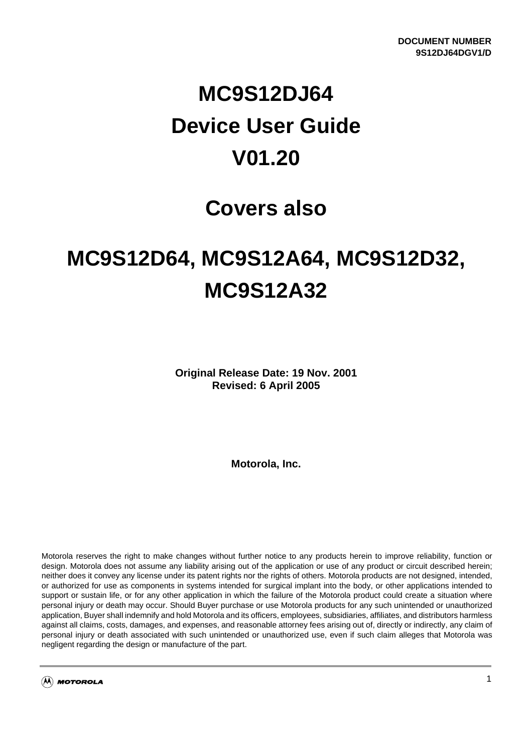# **MC9S12DJ64 Device User Guide V01.20**

# **Covers also**

# **MC9S12D64, MC9S12A64, MC9S12D32, MC9S12A32**

**Original Release Date: 19 Nov. 2001 Revised: 6 April 2005**

**Motorola, Inc.**

Motorola reserves the right to make changes without further notice to any products herein to improve reliability, function or design. Motorola does not assume any liability arising out of the application or use of any product or circuit described herein; neither does it convey any license under its patent rights nor the rights of others. Motorola products are not designed, intended, or authorized for use as components in systems intended for surgical implant into the body, or other applications intended to support or sustain life, or for any other application in which the failure of the Motorola product could create a situation where personal injury or death may occur. Should Buyer purchase or use Motorola products for any such unintended or unauthorized application, Buyer shall indemnify and hold Motorola and its officers, employees, subsidiaries, affiliates, and distributors harmless against all claims, costs, damages, and expenses, and reasonable attorney fees arising out of, directly or indirectly, any claim of personal injury or death associated with such unintended or unauthorized use, even if such claim alleges that Motorola was negligent regarding the design or manufacture of the part.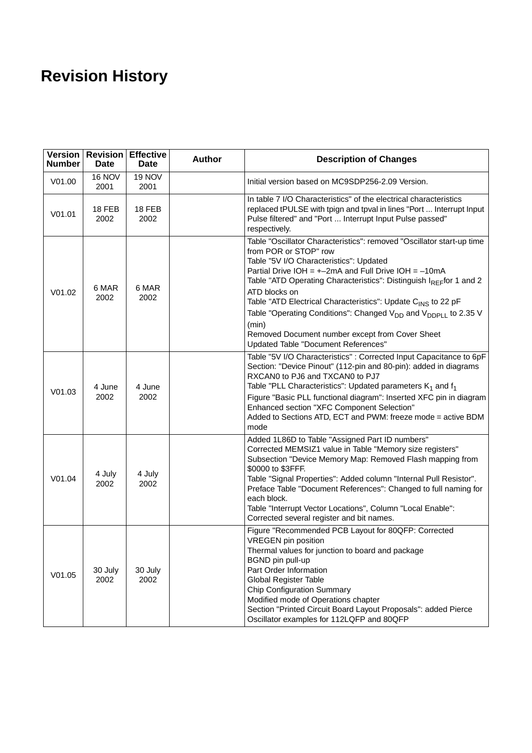# **Revision History**

| Version<br><b>Number</b> | <b>Revision</b><br><b>Date</b> | <b>Effective</b><br><b>Date</b> | <b>Author</b> | <b>Description of Changes</b>                                                                                                                                                                                                                                                                                                                                                                                                                                                                                                                                         |
|--------------------------|--------------------------------|---------------------------------|---------------|-----------------------------------------------------------------------------------------------------------------------------------------------------------------------------------------------------------------------------------------------------------------------------------------------------------------------------------------------------------------------------------------------------------------------------------------------------------------------------------------------------------------------------------------------------------------------|
| V01.00                   | <b>16 NOV</b><br>2001          | <b>19 NOV</b><br>2001           |               | Initial version based on MC9SDP256-2.09 Version.                                                                                                                                                                                                                                                                                                                                                                                                                                                                                                                      |
| V01.01                   | 18 FEB<br>2002                 | <b>18 FEB</b><br>2002           |               | In table 7 I/O Characteristics" of the electrical characteristics<br>replaced tPULSE with tpign and tpval in lines "Port  Interrupt Input<br>Pulse filtered" and "Port  Interrupt Input Pulse passed"<br>respectively.                                                                                                                                                                                                                                                                                                                                                |
| V01.02                   | 6 MAR<br>2002                  | 6 MAR<br>2002                   |               | Table "Oscillator Characteristics": removed "Oscillator start-up time<br>from POR or STOP" row<br>Table "5V I/O Characteristics": Updated<br>Partial Drive IOH = $+-2mA$ and Full Drive IOH = $-10mA$<br>Table "ATD Operating Characteristics": Distinguish IREFfor 1 and 2<br>ATD blocks on<br>Table "ATD Electrical Characteristics": Update C <sub>INS</sub> to 22 pF<br>Table "Operating Conditions": Changed V <sub>DD</sub> and V <sub>DDPLL</sub> to 2.35 V<br>(min)<br>Removed Document number except from Cover Sheet<br>Updated Table "Document References" |
| V01.03                   | 4 June<br>2002                 | 4 June<br>2002                  |               | Table "5V I/O Characteristics" : Corrected Input Capacitance to 6pF<br>Section: "Device Pinout" (112-pin and 80-pin): added in diagrams<br>RXCAN0 to PJ6 and TXCAN0 to PJ7<br>Table "PLL Characteristics": Updated parameters $K_1$ and $f_1$<br>Figure "Basic PLL functional diagram": Inserted XFC pin in diagram<br>Enhanced section "XFC Component Selection"<br>Added to Sections ATD, ECT and PWM: freeze mode = active BDM<br>mode                                                                                                                             |
| V01.04                   | 4 July<br>2002                 | 4 July<br>2002                  |               | Added 1L86D to Table "Assigned Part ID numbers"<br>Corrected MEMSIZ1 value in Table "Memory size registers"<br>Subsection "Device Memory Map: Removed Flash mapping from<br>\$0000 to \$3FFF.<br>Table "Signal Properties": Added column "Internal Pull Resistor".<br>Preface Table "Document References": Changed to full naming for<br>each block.<br>Table "Interrupt Vector Locations", Column "Local Enable":<br>Corrected several register and bit names.                                                                                                       |
| V01.05                   | 30 July<br>2002                | 30 July<br>2002                 |               | Figure "Recommended PCB Layout for 80QFP: Corrected<br><b>VREGEN</b> pin position<br>Thermal values for junction to board and package<br>BGND pin pull-up<br>Part Order Information<br><b>Global Register Table</b><br><b>Chip Configuration Summary</b><br>Modified mode of Operations chapter<br>Section "Printed Circuit Board Layout Proposals": added Pierce<br>Oscillator examples for 112LQFP and 80QFP                                                                                                                                                        |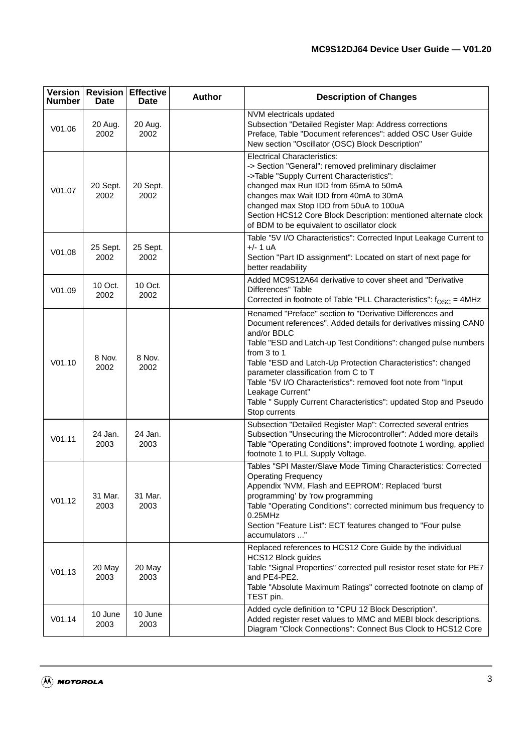| <b>Number</b> | Version   Revision  <br><b>Date</b> | <b>Effective</b><br><b>Date</b> | <b>Author</b> | <b>Description of Changes</b>                                                                                                                                                                                                                                                                                                                                                                                                                                                                                   |
|---------------|-------------------------------------|---------------------------------|---------------|-----------------------------------------------------------------------------------------------------------------------------------------------------------------------------------------------------------------------------------------------------------------------------------------------------------------------------------------------------------------------------------------------------------------------------------------------------------------------------------------------------------------|
| V01.06        | 20 Aug.<br>2002                     | 20 Aug.<br>2002                 |               | NVM electricals updated<br>Subsection "Detailed Register Map: Address corrections<br>Preface, Table "Document references": added OSC User Guide<br>New section "Oscillator (OSC) Block Description"                                                                                                                                                                                                                                                                                                             |
| V01.07        | 20 Sept.<br>2002                    | 20 Sept.<br>2002                |               | <b>Electrical Characteristics:</b><br>-> Section "General": removed preliminary disclaimer<br>->Table "Supply Current Characteristics":<br>changed max Run IDD from 65mA to 50mA<br>changes max Wait IDD from 40mA to 30mA<br>changed max Stop IDD from 50uA to 100uA<br>Section HCS12 Core Block Description: mentioned alternate clock<br>of BDM to be equivalent to oscillator clock                                                                                                                         |
| V01.08        | 25 Sept.<br>2002                    | 25 Sept.<br>2002                |               | Table "5V I/O Characteristics": Corrected Input Leakage Current to<br>$+/- 1 uA$<br>Section "Part ID assignment": Located on start of next page for<br>better readability                                                                                                                                                                                                                                                                                                                                       |
| V01.09        | 10 Oct.<br>2002                     | 10 Oct.<br>2002                 |               | Added MC9S12A64 derivative to cover sheet and "Derivative<br>Differences" Table<br>Corrected in footnote of Table "PLL Characteristics": $f_{\rm OSC}$ = 4MHz                                                                                                                                                                                                                                                                                                                                                   |
| V01.10        | 8 Nov.<br>2002                      | 8 Nov.<br>2002                  |               | Renamed "Preface" section to "Derivative Differences and<br>Document references". Added details for derivatives missing CAN0<br>and/or BDLC<br>Table "ESD and Latch-up Test Conditions": changed pulse numbers<br>from 3 to 1<br>Table "ESD and Latch-Up Protection Characteristics": changed<br>parameter classification from C to T<br>Table "5V I/O Characteristics": removed foot note from "Input<br>Leakage Current"<br>Table " Supply Current Characteristics": updated Stop and Pseudo<br>Stop currents |
| V01.11        | 24 Jan.<br>2003                     | 24 Jan.<br>2003                 |               | Subsection "Detailed Register Map": Corrected several entries<br>Subsection "Unsecuring the Microcontroller": Added more details<br>Table "Operating Conditions": improved footnote 1 wording, applied<br>footnote 1 to PLL Supply Voltage.                                                                                                                                                                                                                                                                     |
| V01.12        | 31 Mar.<br>2003                     | 31 Mar.<br>2003                 |               | Tables "SPI Master/Slave Mode Timing Characteristics: Corrected<br><b>Operating Frequency</b><br>Appendix 'NVM, Flash and EEPROM': Replaced 'burst<br>programming' by 'row programming<br>Table "Operating Conditions": corrected minimum bus frequency to<br>$0.25$ MHz<br>Section "Feature List": ECT features changed to "Four pulse<br>accumulators "                                                                                                                                                       |
| V01.13        | 20 May<br>2003                      | 20 May<br>2003                  |               | Replaced references to HCS12 Core Guide by the individual<br><b>HCS12 Block guides</b><br>Table "Signal Properties" corrected pull resistor reset state for PE7<br>and PE4-PE2.<br>Table "Absolute Maximum Ratings" corrected footnote on clamp of<br>TEST pin.                                                                                                                                                                                                                                                 |
| V01.14        | 10 June<br>2003                     | 10 June<br>2003                 |               | Added cycle definition to "CPU 12 Block Description".<br>Added register reset values to MMC and MEBI block descriptions.<br>Diagram "Clock Connections": Connect Bus Clock to HCS12 Core                                                                                                                                                                                                                                                                                                                        |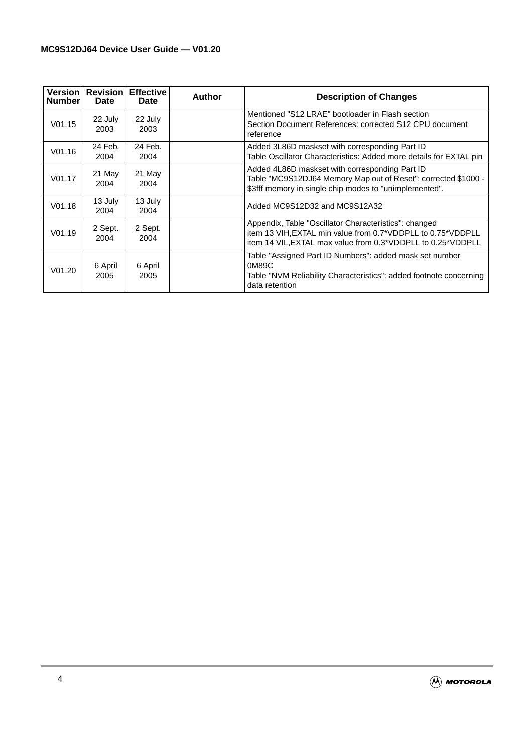| <b>Version</b> l<br><b>Number</b> | <b>Revision</b><br><b>Date</b> | <b>Effective</b><br>Date | <b>Author</b> | <b>Description of Changes</b>                                                                                                                                                       |
|-----------------------------------|--------------------------------|--------------------------|---------------|-------------------------------------------------------------------------------------------------------------------------------------------------------------------------------------|
| V01.15                            | 22 July<br>2003                | 22 July<br>2003          |               | Mentioned "S12 LRAE" bootloader in Flash section<br>Section Document References: corrected S12 CPU document<br>reference                                                            |
| V01.16                            | 24 Feb.<br>2004                | 24 Feb.<br>2004          |               | Added 3L86D maskset with corresponding Part ID<br>Table Oscillator Characteristics: Added more details for EXTAL pin                                                                |
| V <sub>01.17</sub>                | 21 May<br>2004                 | 21 May<br>2004           |               | Added 4L86D maskset with corresponding Part ID<br>Table "MC9S12DJ64 Memory Map out of Reset": corrected \$1000 -<br>\$3fff memory in single chip modes to "unimplemented".          |
| V01.18                            | 13 July<br>2004                | 13 July<br>2004          |               | Added MC9S12D32 and MC9S12A32                                                                                                                                                       |
| V01.19                            | 2 Sept.<br>2004                | 2 Sept.<br>2004          |               | Appendix, Table "Oscillator Characteristics": changed<br>item 13 VIH, EXTAL min value from 0.7*VDDPLL to 0.75*VDDPLL<br>item 14 VIL, EXTAL max value from 0.3*VDDPLL to 0.25*VDDPLL |
| V01.20                            | 6 April<br>2005                | 6 April<br>2005          |               | Table "Assigned Part ID Numbers": added mask set number<br>0M89C<br>Table "NVM Reliability Characteristics": added footnote concerning<br>data retention                            |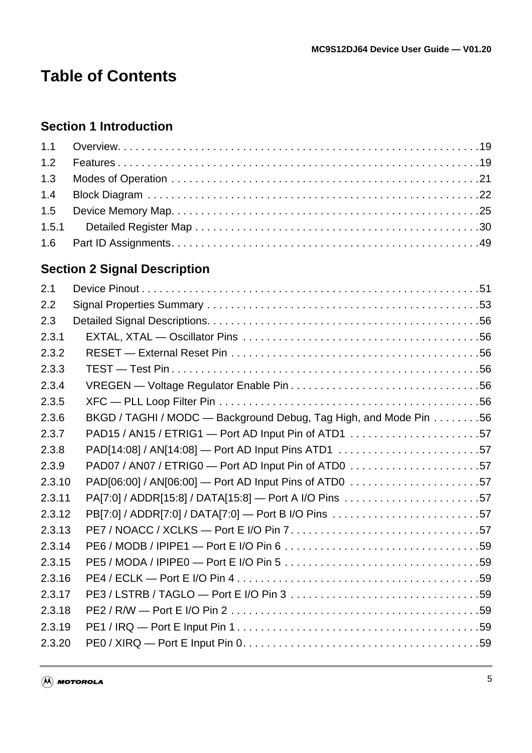## **Table of Contents**

## **[Section 1 Introduction](#page-18-0)**

## **[Section 2 Signal Description](#page-50-0)**

| 2.1    |                                                                   |
|--------|-------------------------------------------------------------------|
| 2.2    |                                                                   |
| 2.3    |                                                                   |
| 2.3.1  |                                                                   |
| 2.3.2  |                                                                   |
| 2.3.3  |                                                                   |
| 2.3.4  |                                                                   |
| 2.3.5  |                                                                   |
| 2.3.6  | BKGD / TAGHI / MODC — Background Debug, Tag High, and Mode Pin 56 |
| 2.3.7  | PAD15 / AN15 / ETRIG1 - Port AD Input Pin of ATD1 57              |
| 2.3.8  |                                                                   |
| 2.3.9  | PAD07 / AN07 / ETRIG0 - Port AD Input Pin of ATD0 57              |
| 2.3.10 | PAD[06:00] / AN[06:00] — Port AD Input Pins of ATD0 57            |
| 2.3.11 |                                                                   |
| 2.3.12 | PB[7:0] / ADDR[7:0] / DATA[7:0] — Port B I/O Pins 57              |
| 2.3.13 |                                                                   |
| 2.3.14 |                                                                   |
| 2.3.15 |                                                                   |
| 2.3.16 |                                                                   |
| 2.3.17 |                                                                   |
| 2.3.18 |                                                                   |
| 2.3.19 |                                                                   |
| 2.3.20 |                                                                   |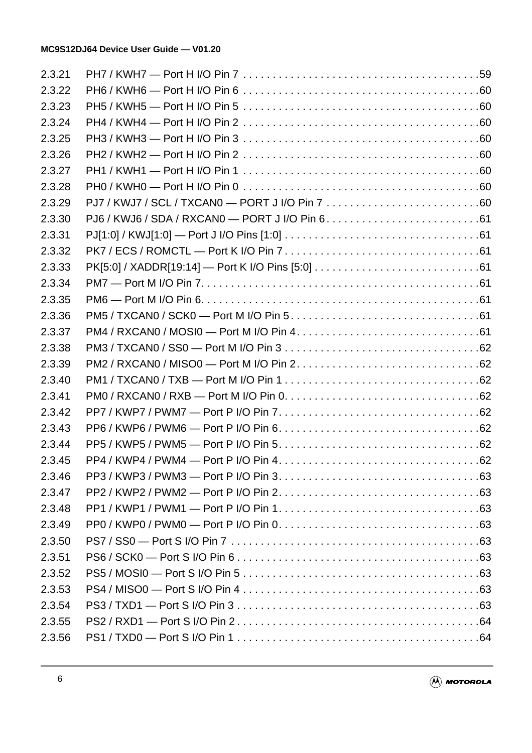| 2.3.21 |                                                          |
|--------|----------------------------------------------------------|
| 2.3.22 |                                                          |
| 2.3.23 |                                                          |
| 2.3.24 |                                                          |
| 2.3.25 |                                                          |
| 2.3.26 |                                                          |
| 2.3.27 |                                                          |
| 2.3.28 |                                                          |
| 2.3.29 |                                                          |
| 2.3.30 |                                                          |
| 2.3.31 |                                                          |
| 2.3.32 |                                                          |
| 2.3.33 |                                                          |
| 2.3.34 |                                                          |
| 2.3.35 |                                                          |
| 2.3.36 |                                                          |
| 2.3.37 |                                                          |
| 2.3.38 |                                                          |
| 2.3.39 |                                                          |
| 2.3.40 |                                                          |
| 2.3.41 |                                                          |
| 2.3.42 |                                                          |
| 2.3.43 |                                                          |
| 2.3.44 |                                                          |
| 2.3.45 |                                                          |
| 2.3.46 | $PP3 / KWP3 / PWM3 - Port P I/O Pin 3, , , , , , , ,$ 63 |
| 2.3.47 |                                                          |
| 2.3.48 |                                                          |
| 2.3.49 |                                                          |
| 2.3.50 |                                                          |
| 2.3.51 |                                                          |
| 2.3.52 |                                                          |
| 2.3.53 |                                                          |
| 2.3.54 |                                                          |
| 2.3.55 |                                                          |
| 2.3.56 |                                                          |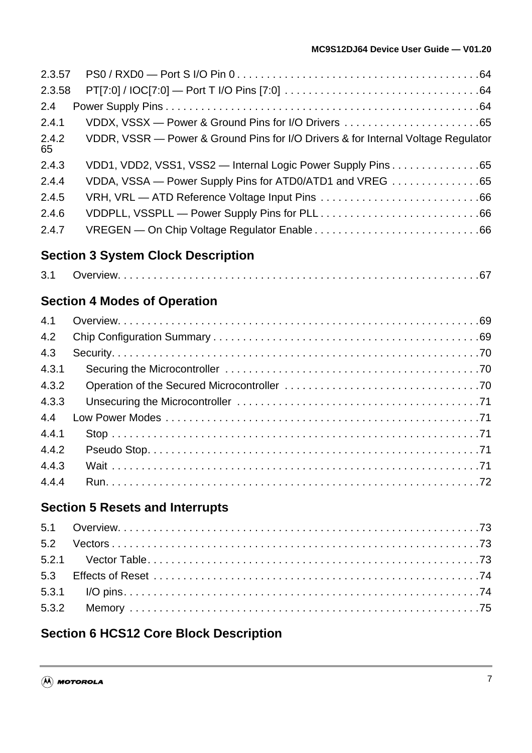| 2.3.57 |                                                                                                                                                                                                              |
|--------|--------------------------------------------------------------------------------------------------------------------------------------------------------------------------------------------------------------|
| 2.3.58 |                                                                                                                                                                                                              |
|        |                                                                                                                                                                                                              |
|        |                                                                                                                                                                                                              |
| 2.4.2  |                                                                                                                                                                                                              |
| 2.4.3  |                                                                                                                                                                                                              |
| 2.4.4  |                                                                                                                                                                                                              |
| 2.4.5  |                                                                                                                                                                                                              |
| 2.4.6  |                                                                                                                                                                                                              |
| 2.4.7  |                                                                                                                                                                                                              |
|        | VDDR, VSSR — Power & Ground Pins for I/O Drivers & for Internal Voltage Regulator<br>VDD1, VDD2, VSS1, VSS2 — Internal Logic Power Supply Pins65<br>VDDA, VSSA — Power Supply Pins for ATD0/ATD1 and VREG 65 |

## **[Section 3 System Clock Description](#page-66-0)**

| 3.1 |  |  |
|-----|--|--|
|-----|--|--|

## **[Section 4 Modes of Operation](#page-68-0)**

| 4.1   |  |
|-------|--|
| 4.2   |  |
| 4.3   |  |
| 4.3.1 |  |
| 4.3.2 |  |
| 4.3.3 |  |
| 4.4   |  |
| 4.4.1 |  |
| 4.4.2 |  |
| 4.4.3 |  |
| 4.4.4 |  |

## **[Section 5 Resets and Interrupts](#page-72-0)**

## **[Section 6 HCS12 Core Block Description](#page-76-0)**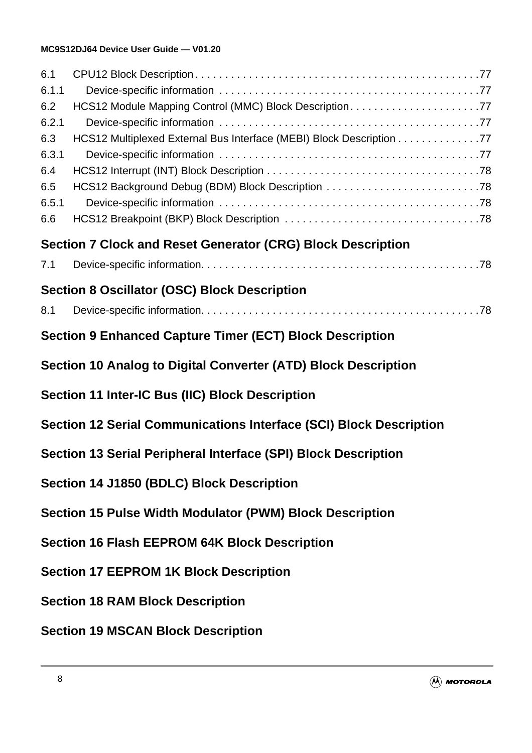| 6.1   |                                                                           |
|-------|---------------------------------------------------------------------------|
| 6.1.1 |                                                                           |
| 6.2   | HCS12 Module Mapping Control (MMC) Block Description77                    |
| 6.2.1 |                                                                           |
| 6.3   | HCS12 Multiplexed External Bus Interface (MEBI) Block Description 77      |
| 6.3.1 |                                                                           |
| 6.4   |                                                                           |
| 6.5   | HCS12 Background Debug (BDM) Block Description 78                         |
| 6.5.1 |                                                                           |
| 6.6   |                                                                           |
|       | <b>Section 7 Clock and Reset Generator (CRG) Block Description</b>        |
| 7.1   |                                                                           |
|       | <b>Section 8 Oscillator (OSC) Block Description</b>                       |
| 8.1   |                                                                           |
|       | <b>Section 9 Enhanced Capture Timer (ECT) Block Description</b>           |
|       |                                                                           |
|       |                                                                           |
|       | Section 10 Analog to Digital Converter (ATD) Block Description            |
|       | Section 11 Inter-IC Bus (IIC) Block Description                           |
|       | <b>Section 12 Serial Communications Interface (SCI) Block Description</b> |
|       | Section 13 Serial Peripheral Interface (SPI) Block Description            |
|       | Section 14 J1850 (BDLC) Block Description                                 |
|       | Section 15 Pulse Width Modulator (PWM) Block Description                  |
|       | <b>Section 16 Flash EEPROM 64K Block Description</b>                      |
|       | <b>Section 17 EEPROM 1K Block Description</b>                             |
|       | <b>Section 18 RAM Block Description</b>                                   |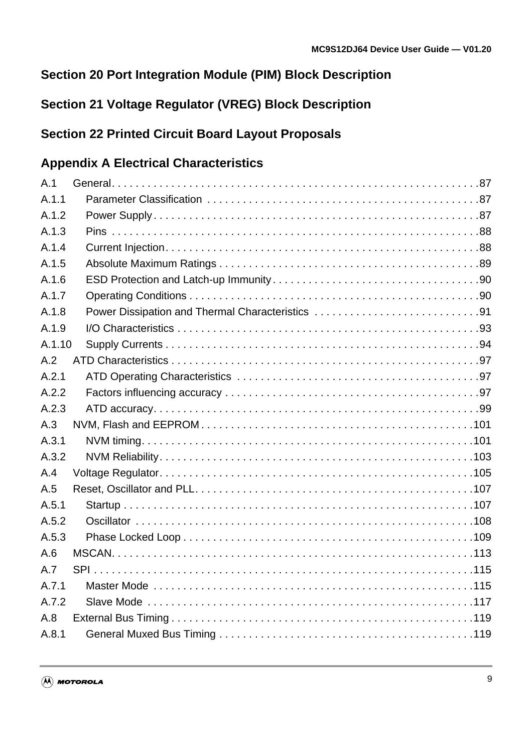## **[Section 20 Port Integration Module \(PIM\) Block Description](#page-79-3)**

## **[Section 21 Voltage Regulator \(VREG\) Block Description](#page-79-4)**

## **[Section 22 Printed Circuit Board Layout Proposals](#page-79-5)**

## **[Appendix A Electrical Characteristics](#page-86-0)**

| A.1    |                                                  |
|--------|--------------------------------------------------|
| A.1.1  |                                                  |
| A.1.2  |                                                  |
| A.1.3  |                                                  |
| A.1.4  |                                                  |
| A.1.5  |                                                  |
| A.1.6  |                                                  |
| A.1.7  |                                                  |
| A.1.8  | Power Dissipation and Thermal Characteristics 91 |
| A.1.9  |                                                  |
| A.1.10 |                                                  |
| A.2    |                                                  |
| A.2.1  |                                                  |
| A.2.2  |                                                  |
| A.2.3  |                                                  |
| A.3    |                                                  |
| A.3.1  |                                                  |
| A.3.2  |                                                  |
| A.4    |                                                  |
| A.5    |                                                  |
| A.5.1  |                                                  |
| A.5.2  |                                                  |
| A.5.3  |                                                  |
| A.6    |                                                  |
| A.7    |                                                  |
| A.7.1  |                                                  |
| A.7.2  |                                                  |
| A.8    |                                                  |
| A.8.1  |                                                  |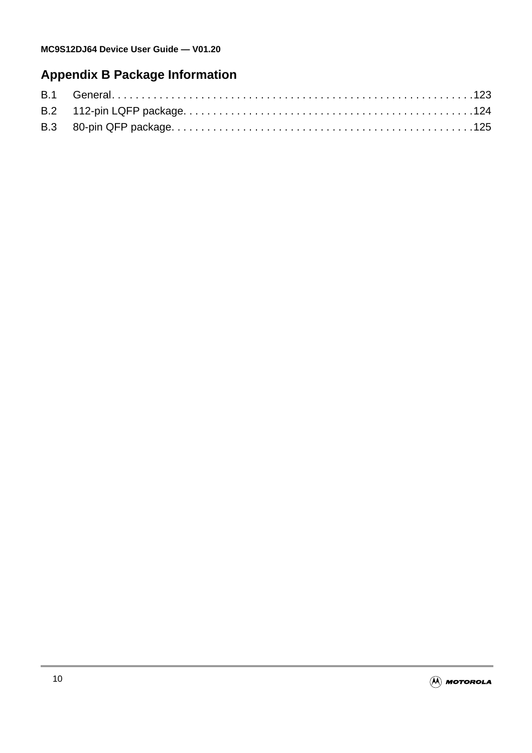## **[Appendix B Package Information](#page-122-0)**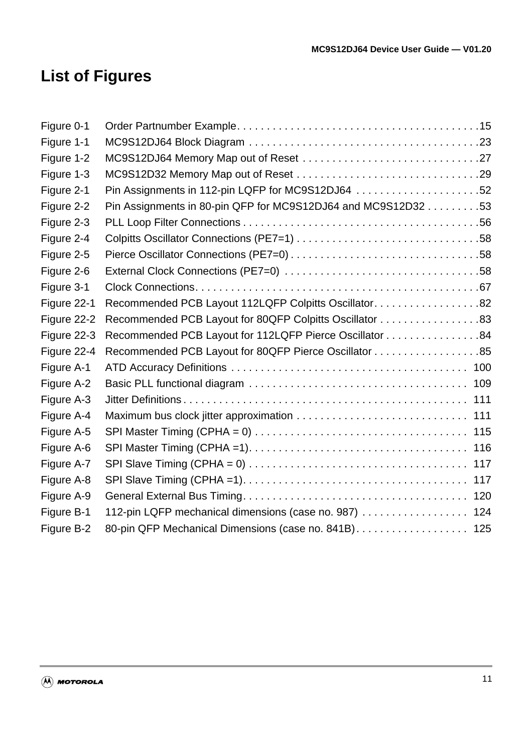# **List of Figures**

| Figure 0-1  |                                                               |
|-------------|---------------------------------------------------------------|
| Figure 1-1  |                                                               |
| Figure 1-2  |                                                               |
| Figure 1-3  |                                                               |
| Figure 2-1  | Pin Assignments in 112-pin LQFP for MC9S12DJ64 52             |
| Figure 2-2  | Pin Assignments in 80-pin QFP for MC9S12DJ64 and MC9S12D32 53 |
| Figure 2-3  |                                                               |
| Figure 2-4  |                                                               |
| Figure 2-5  |                                                               |
| Figure 2-6  |                                                               |
| Figure 3-1  |                                                               |
| Figure 22-1 | Recommended PCB Layout 112LQFP Colpitts Oscillator82          |
| Figure 22-2 | Recommended PCB Layout for 80QFP Colpitts Oscillator 83       |
| Figure 22-3 | Recommended PCB Layout for 112LQFP Pierce Oscillator 84       |
| Figure 22-4 | Recommended PCB Layout for 80QFP Pierce Oscillator 85         |
| Figure A-1  |                                                               |
| Figure A-2  |                                                               |
| Figure A-3  |                                                               |
| Figure A-4  |                                                               |
| Figure A-5  |                                                               |
| Figure A-6  |                                                               |
| Figure A-7  |                                                               |
| Figure A-8  |                                                               |
| Figure A-9  |                                                               |
| Figure B-1  | 112-pin LQFP mechanical dimensions (case no. 987) 124         |
| Figure B-2  | 80-pin QFP Mechanical Dimensions (case no. 841B) 125          |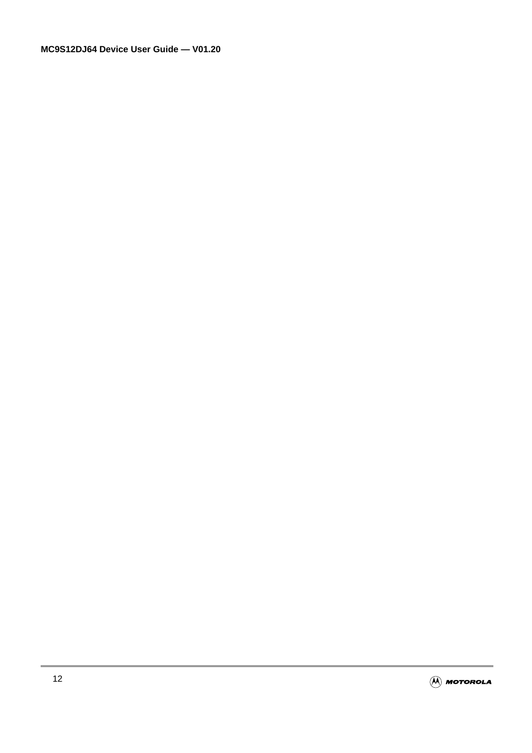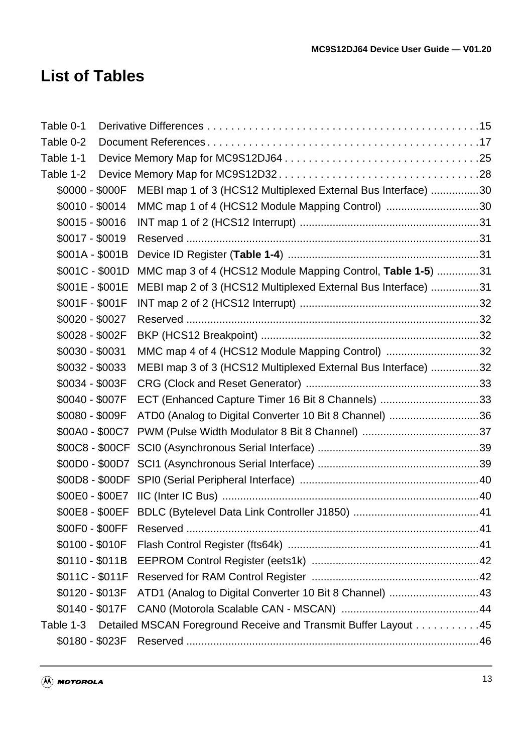## **List of Tables**

| Table 0-1       |                                                                           |  |
|-----------------|---------------------------------------------------------------------------|--|
| Table 0-2       |                                                                           |  |
| Table 1-1       |                                                                           |  |
| Table 1-2       |                                                                           |  |
| \$0000 - \$000F | MEBI map 1 of 3 (HCS12 Multiplexed External Bus Interface) 30             |  |
| $$0010 - $0014$ | MMC map 1 of 4 (HCS12 Module Mapping Control) 30                          |  |
| $$0015 - $0016$ |                                                                           |  |
| $$0017 - $0019$ |                                                                           |  |
| $$001A - $001B$ |                                                                           |  |
| $$001C - $001D$ | MMC map 3 of 4 (HCS12 Module Mapping Control, Table 1-5) 31               |  |
| \$001E - \$001E | MEBI map 2 of 3 (HCS12 Multiplexed External Bus Interface) 31             |  |
| \$001F - \$001F |                                                                           |  |
| $$0020 - $0027$ |                                                                           |  |
| \$0028 - \$002F |                                                                           |  |
| $$0030 - $0031$ | MMC map 4 of 4 (HCS12 Module Mapping Control) 32                          |  |
| $$0032 - $0033$ | MEBI map 3 of 3 (HCS12 Multiplexed External Bus Interface) 32             |  |
| \$0034 - \$003F |                                                                           |  |
| \$0040 - \$007F | ECT (Enhanced Capture Timer 16 Bit 8 Channels) 33                         |  |
| \$0080 - \$009F | ATD0 (Analog to Digital Converter 10 Bit 8 Channel) 36                    |  |
| \$00A0 - \$00C7 |                                                                           |  |
|                 |                                                                           |  |
|                 |                                                                           |  |
|                 |                                                                           |  |
|                 |                                                                           |  |
|                 |                                                                           |  |
| \$00F0 - \$00FF |                                                                           |  |
| \$0100 - \$010F |                                                                           |  |
| $$0110 - $011B$ |                                                                           |  |
| \$011C - \$011F |                                                                           |  |
| $$0120 - $013F$ | ATD1 (Analog to Digital Converter 10 Bit 8 Channel)  43                   |  |
| \$0140 - \$017F |                                                                           |  |
|                 | Table 1-3 Detailed MSCAN Foreground Receive and Transmit Buffer Layout 45 |  |
| \$0180 - \$023F |                                                                           |  |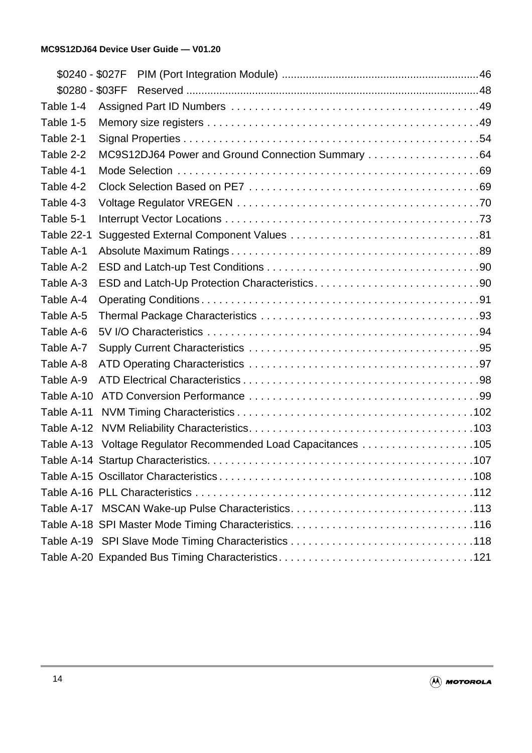| \$0240 - \$027F |                                                                |  |
|-----------------|----------------------------------------------------------------|--|
| \$0280 - \$03FF |                                                                |  |
| Table 1-4       |                                                                |  |
| Table 1-5       |                                                                |  |
| Table 2-1       |                                                                |  |
| Table 2-2       | MC9S12DJ64 Power and Ground Connection Summary 64              |  |
| Table 4-1       |                                                                |  |
| Table 4-2       |                                                                |  |
| Table 4-3       |                                                                |  |
| Table 5-1       |                                                                |  |
| Table 22-1      |                                                                |  |
| Table A-1       |                                                                |  |
| Table A-2       |                                                                |  |
| Table A-3       |                                                                |  |
| Table A-4       |                                                                |  |
| Table A-5       |                                                                |  |
| Table A-6       |                                                                |  |
| Table A-7       |                                                                |  |
| Table A-8       |                                                                |  |
| Table A-9       |                                                                |  |
| Table A-10      |                                                                |  |
| Table A-11      |                                                                |  |
| Table A-12      |                                                                |  |
|                 | Table A-13 Voltage Regulator Recommended Load Capacitances 105 |  |
|                 |                                                                |  |
|                 |                                                                |  |
|                 |                                                                |  |
|                 | Table A-17 MSCAN Wake-up Pulse Characteristics113              |  |
|                 |                                                                |  |
|                 |                                                                |  |
|                 |                                                                |  |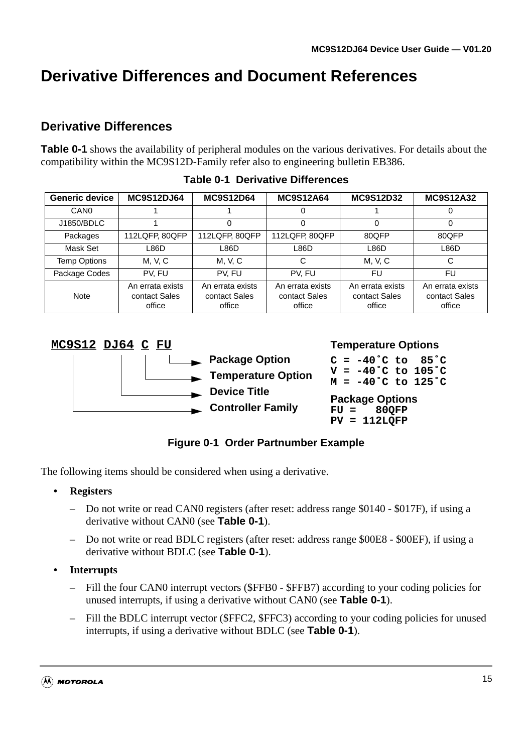## **Derivative Differences and Document References**

## **Derivative Differences**

**[Table 0-1](#page-14-1)** shows the availability of peripheral modules on the various derivatives. For details about the compatibility within the MC9S12D-Family refer also to engineering bulletin EB386.

<span id="page-14-1"></span>

| <b>Generic device</b> | <b>MC9S12DJ64</b>                           | <b>MC9S12D64</b>                            | <b>MC9S12A64</b>                            | <b>MC9S12D32</b>                            | <b>MC9S12A32</b>                            |
|-----------------------|---------------------------------------------|---------------------------------------------|---------------------------------------------|---------------------------------------------|---------------------------------------------|
| CAN <sub>0</sub>      |                                             |                                             | 0                                           |                                             |                                             |
| J1850/BDLC            |                                             |                                             | 0                                           | 0                                           |                                             |
| Packages              | 112LQFP, 80QFP                              | 112LQFP, 80QFP                              | 112LQFP, 80QFP                              | 80QFP                                       | 80QFP                                       |
| Mask Set              | L86D                                        | L86D                                        | L86D                                        | L86D                                        | L86D                                        |
| <b>Temp Options</b>   | M, V, C                                     | M, V, C                                     | C                                           | M, V, C                                     | C                                           |
| Package Codes         | PV. FU                                      | PV. FU                                      | PV. FU                                      | FU.                                         | FU                                          |
| <b>Note</b>           | An errata exists<br>contact Sales<br>office | An errata exists<br>contact Sales<br>office | An errata exists<br>contact Sales<br>office | An errata exists<br>contact Sales<br>office | An errata exists<br>contact Sales<br>office |

### **Table 0-1 Derivative Differences**



### **Figure 0-1 Order Partnumber Example**

<span id="page-14-0"></span>The following items should be considered when using a derivative.

- **Registers**
	- Do not write or read CAN0 registers (after reset: address range \$0140 \$017F), if using a derivative without CAN0 (see **[Table 0-1](#page-14-1)**).
	- Do not write or read BDLC registers (after reset: address range \$00E8 \$00EF), if using a derivative without BDLC (see **[Table 0-1](#page-14-1)**).
- **Interrupts**
	- Fill the four CAN0 interrupt vectors (\$FFB0 \$FFB7) according to your coding policies for unused interrupts, if using a derivative without CAN0 (see **[Table 0-1](#page-14-1)**).
	- Fill the BDLC interrupt vector (\$FFC2, \$FFC3) according to your coding policies for unused interrupts, if using a derivative without BDLC (see **[Table 0-1](#page-14-1)**).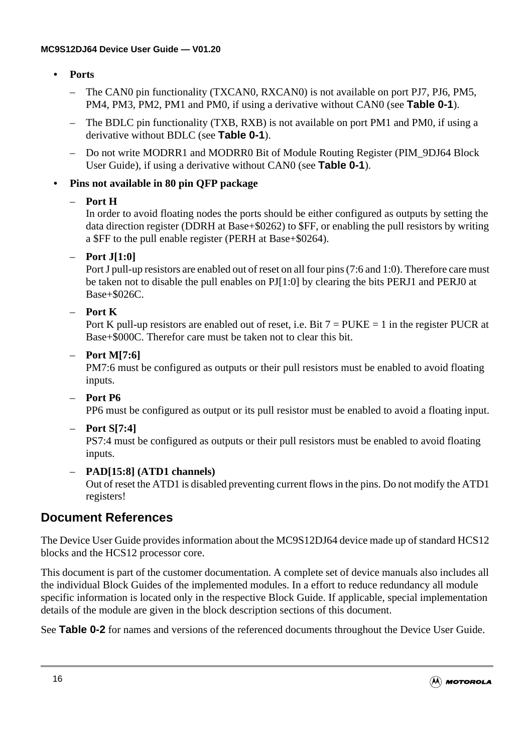### **• Ports**

- The CAN0 pin functionality (TXCAN0, RXCAN0) is not available on port PJ7, PJ6, PM5, PM4, PM3, PM2, PM1 and PM0, if using a derivative without CAN0 (see **[Table 0-1](#page-14-1)**).
- The BDLC pin functionality (TXB, RXB) is not available on port PM1 and PM0, if using a derivative without BDLC (see **[Table 0-1](#page-14-1)**).
- Do not write MODRR1 and MODRR0 Bit of Module Routing Register (PIM\_9DJ64 Block User Guide), if using a derivative without CAN0 (see **[Table 0-1](#page-14-1)**).

### **• Pins not available in 80 pin QFP package**

### – **Port H**

In order to avoid floating nodes the ports should be either configured as outputs by setting the data direction register (DDRH at Base+\$0262) to \$FF, or enabling the pull resistors by writing a \$FF to the pull enable register (PERH at Base+\$0264).

### – **Port J[1:0]**

Port J pull-up resistors are enabled out of reset on all four pins (7:6 and 1:0). Therefore care must be taken not to disable the pull enables on PJ[1:0] by clearing the bits PERJ1 and PERJ0 at Base+\$026C.

### – **Port K**

Port K pull-up resistors are enabled out of reset, i.e. Bit  $7 = PUKE = 1$  in the register PUCR at Base+\$000C. Therefor care must be taken not to clear this bit.

– **Port M[7:6]**

PM7:6 must be configured as outputs or their pull resistors must be enabled to avoid floating inputs.

### – **Port P6**

PP6 must be configured as output or its pull resistor must be enabled to avoid a floating input.

– **Port S[7:4]**

PS7:4 must be configured as outputs or their pull resistors must be enabled to avoid floating inputs.

### – **PAD[15:8] (ATD1 channels)**

Out of reset the ATD1 is disabled preventing current flows in the pins. Do not modify the ATD1 registers!

## **Document References**

The Device User Guide provides information about the MC9S12DJ64 device made up of standard HCS12 blocks and the HCS12 processor core.

This document is part of the customer documentation. A complete set of device manuals also includes all the individual Block Guides of the implemented modules. In a effort to reduce redundancy all module specific information is located only in the respective Block Guide. If applicable, special implementation details of the module are given in the block description sections of this document.

See **[Table 0-2](#page-16-0)** for names and versions of the referenced documents throughout the Device User Guide.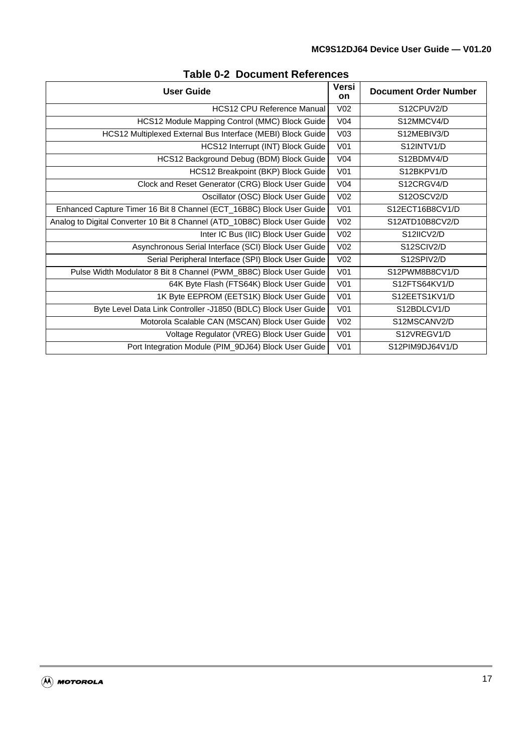<span id="page-16-0"></span>

| <b>User Guide</b>                                                         | <b>Versi</b><br><b>on</b> | <b>Document Order Number</b> |
|---------------------------------------------------------------------------|---------------------------|------------------------------|
| <b>HCS12 CPU Reference Manual</b>                                         | V <sub>02</sub>           | S12CPUV2/D                   |
| HCS12 Module Mapping Control (MMC) Block Guide                            | V <sub>04</sub>           | S12MMCV4/D                   |
| HCS12 Multiplexed External Bus Interface (MEBI) Block Guide               | V <sub>03</sub>           | S12MEBIV3/D                  |
| HCS12 Interrupt (INT) Block Guide                                         | V <sub>01</sub>           | S12INTV1/D                   |
| HCS12 Background Debug (BDM) Block Guide                                  | V <sub>04</sub>           | S12BDMV4/D                   |
| HCS12 Breakpoint (BKP) Block Guide                                        | V <sub>0</sub> 1          | S12BKPV1/D                   |
| Clock and Reset Generator (CRG) Block User Guide                          | V <sub>04</sub>           | S12CRGV4/D                   |
| Oscillator (OSC) Block User Guide                                         | V <sub>02</sub>           | S12OSCV2/D                   |
| Enhanced Capture Timer 16 Bit 8 Channel (ECT_16B8C) Block User Guide      | V <sub>0</sub> 1          | S12ECT16B8CV1/D              |
| Analog to Digital Converter 10 Bit 8 Channel (ATD_10B8C) Block User Guide | V <sub>02</sub>           | S12ATD10B8CV2/D              |
| Inter IC Bus (IIC) Block User Guide                                       | V <sub>02</sub>           | S12IICV2/D                   |
| Asynchronous Serial Interface (SCI) Block User Guide                      | V <sub>02</sub>           | S12SCIV2/D                   |
| Serial Peripheral Interface (SPI) Block User Guide                        | V <sub>02</sub>           | S12SPIV2/D                   |
| Pulse Width Modulator 8 Bit 8 Channel (PWM_8B8C) Block User Guide         | V <sub>01</sub>           | S12PWM8B8CV1/D               |
| 64K Byte Flash (FTS64K) Block User Guide                                  | V <sub>01</sub>           | S12FTS64KV1/D                |
| 1K Byte EEPROM (EETS1K) Block User Guide                                  | V <sub>01</sub>           | S12EETS1KV1/D                |
| Byte Level Data Link Controller -J1850 (BDLC) Block User Guide            | V <sub>01</sub>           | S12BDLCV1/D                  |
| Motorola Scalable CAN (MSCAN) Block User Guide                            | V <sub>02</sub>           | S12MSCANV2/D                 |
| Voltage Regulator (VREG) Block User Guide                                 | V <sub>01</sub>           | S12VREGV1/D                  |
| Port Integration Module (PIM_9DJ64) Block User Guide                      | V <sub>01</sub>           | S12PIM9DJ64V1/D              |

## **Table 0-2 Document References**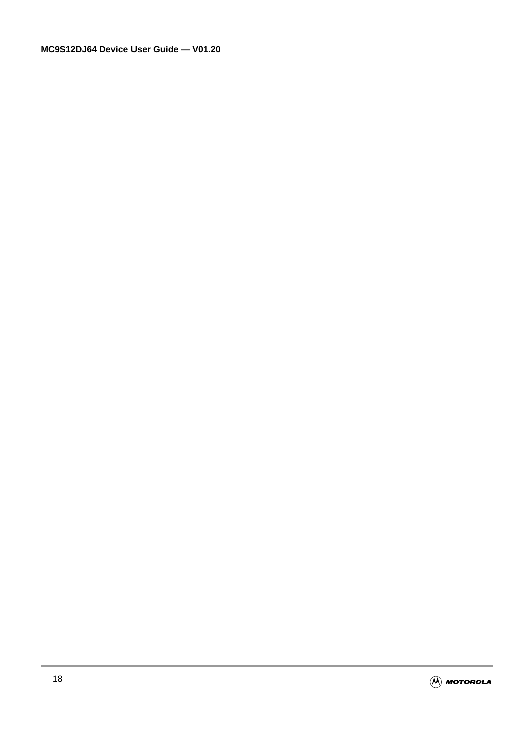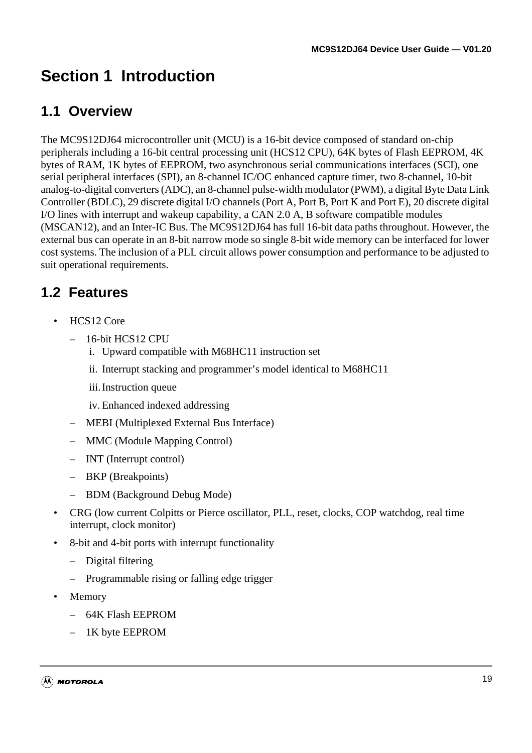# <span id="page-18-0"></span>**Section 1 Introduction**

## <span id="page-18-1"></span>**1.1 Overview**

The MC9S12DJ64 microcontroller unit (MCU) is a 16-bit device composed of standard on-chip peripherals including a 16-bit central processing unit (HCS12 CPU), 64K bytes of Flash EEPROM, 4K bytes of RAM, 1K bytes of EEPROM, two asynchronous serial communications interfaces (SCI), one serial peripheral interfaces (SPI), an 8-channel IC/OC enhanced capture timer, two 8-channel, 10-bit analog-to-digital converters (ADC), an 8-channel pulse-width modulator (PWM), a digital Byte Data Link Controller (BDLC), 29 discrete digital I/O channels (Port A, Port B, Port K and Port E), 20 discrete digital I/O lines with interrupt and wakeup capability, a CAN 2.0 A, B software compatible modules (MSCAN12), and an Inter-IC Bus. The MC9S12DJ64 has full 16-bit data paths throughout. However, the external bus can operate in an 8-bit narrow mode so single 8-bit wide memory can be interfaced for lower cost systems. The inclusion of a PLL circuit allows power consumption and performance to be adjusted to suit operational requirements.

## <span id="page-18-2"></span>**1.2 Features**

- HCS12 Core
	- 16-bit HCS12 CPU
		- i. Upward compatible with M68HC11 instruction set
		- ii. Interrupt stacking and programmer's model identical to M68HC11
		- iii.Instruction queue
		- iv. Enhanced indexed addressing
	- MEBI (Multiplexed External Bus Interface)
	- MMC (Module Mapping Control)
	- INT (Interrupt control)
	- BKP (Breakpoints)
	- BDM (Background Debug Mode)
- CRG (low current Colpitts or Pierce oscillator, PLL, reset, clocks, COP watchdog, real time interrupt, clock monitor)
- 8-bit and 4-bit ports with interrupt functionality
	- Digital filtering
	- Programmable rising or falling edge trigger
- **Memory** 
	- 64K Flash EEPROM
	- 1K byte EEPROM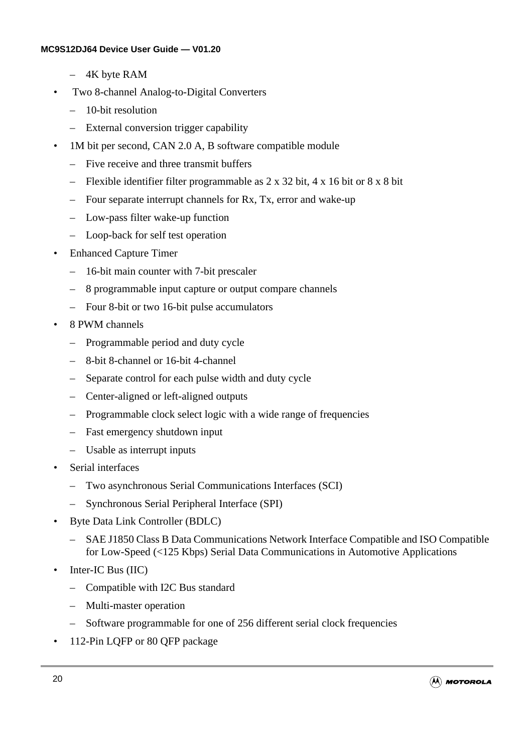### **MC9S12DJ64 Device User Guide — V01.20**

- 4K byte RAM
- Two 8-channel Analog-to-Digital Converters
	- 10-bit resolution
	- External conversion trigger capability
- 1M bit per second, CAN 2.0 A, B software compatible module
	- Five receive and three transmit buffers
	- Flexible identifier filter programmable as 2 x 32 bit, 4 x 16 bit or 8 x 8 bit
	- Four separate interrupt channels for Rx, Tx, error and wake-up
	- Low-pass filter wake-up function
	- Loop-back for self test operation
- Enhanced Capture Timer
	- 16-bit main counter with 7-bit prescaler
	- 8 programmable input capture or output compare channels
	- Four 8-bit or two 16-bit pulse accumulators
- 8 PWM channels
	- Programmable period and duty cycle
	- 8-bit 8-channel or 16-bit 4-channel
	- Separate control for each pulse width and duty cycle
	- Center-aligned or left-aligned outputs
	- Programmable clock select logic with a wide range of frequencies
	- Fast emergency shutdown input
	- Usable as interrupt inputs
- Serial interfaces
	- Two asynchronous Serial Communications Interfaces (SCI)
	- Synchronous Serial Peripheral Interface (SPI)
- Byte Data Link Controller (BDLC)
	- SAE J1850 Class B Data Communications Network Interface Compatible and ISO Compatible for Low-Speed (<125 Kbps) Serial Data Communications in Automotive Applications
- Inter-IC Bus (IIC)
	- Compatible with I2C Bus standard
	- Multi-master operation
	- Software programmable for one of 256 different serial clock frequencies
- 112-Pin LQFP or 80 QFP package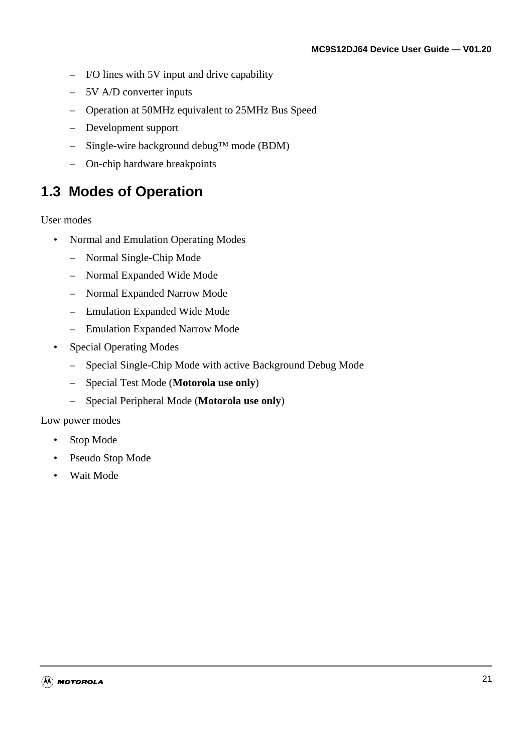- I/O lines with 5V input and drive capability
- 5V A/D converter inputs
- Operation at 50MHz equivalent to 25MHz Bus Speed
- Development support
- Single-wire background debug™ mode (BDM)
- On-chip hardware breakpoints

## <span id="page-20-0"></span>**1.3 Modes of Operation**

User modes

- Normal and Emulation Operating Modes
	- Normal Single-Chip Mode
	- Normal Expanded Wide Mode
	- Normal Expanded Narrow Mode
	- Emulation Expanded Wide Mode
	- Emulation Expanded Narrow Mode
- Special Operating Modes
	- Special Single-Chip Mode with active Background Debug Mode
	- Special Test Mode (**Motorola use only**)
	- Special Peripheral Mode (**Motorola use only**)

Low power modes

- Stop Mode
- Pseudo Stop Mode
- Wait Mode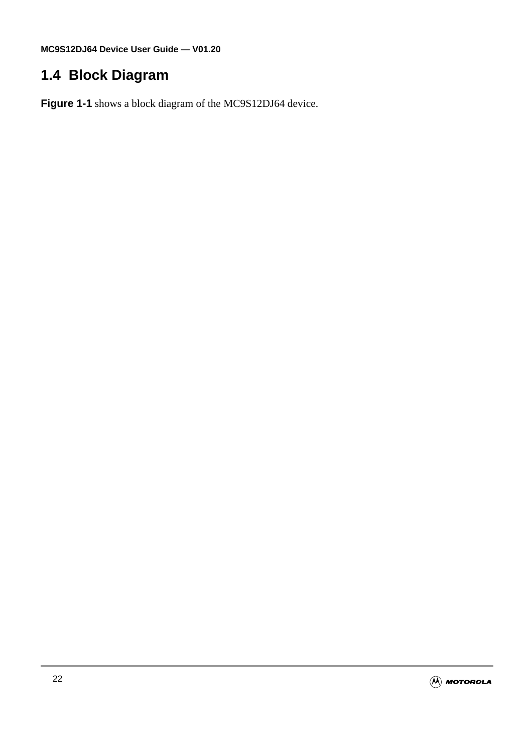**MC9S12DJ64 Device User Guide — V01.20**

## <span id="page-21-0"></span>**1.4 Block Diagram**

**[Figure 1-1](#page-22-0)** shows a block diagram of the MC9S12DJ64 device.

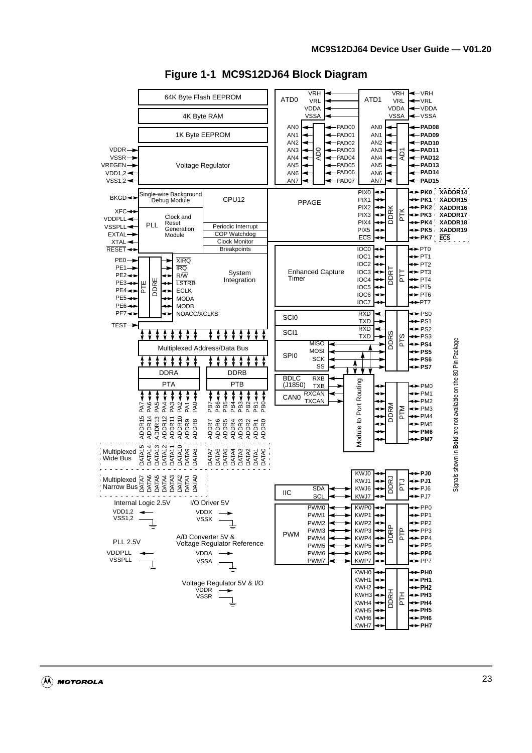<span id="page-22-0"></span>

**Figure 1-1 MC9S12DJ64 Block Diagram**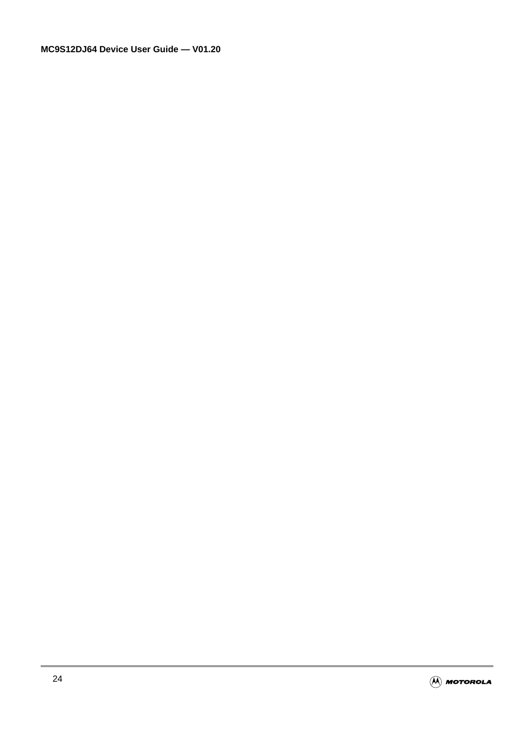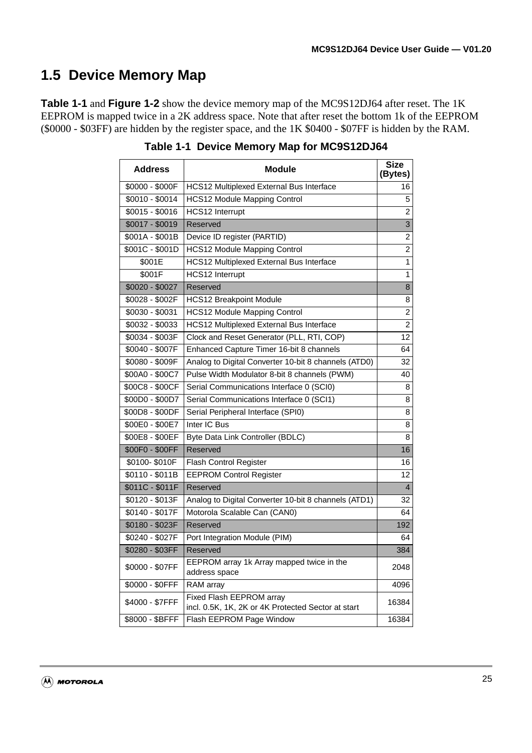## <span id="page-24-0"></span>**1.5 Device Memory Map**

<span id="page-24-1"></span>**[Table 1-1](#page-24-1)** and **[Figure 1-2](#page-26-0)** show the device memory map of the MC9S12DJ64 after reset. The 1K EEPROM is mapped twice in a 2K address space. Note that after reset the bottom 1k of the EEPROM (\$0000 - \$03FF) are hidden by the register space, and the 1K \$0400 - \$07FF is hidden by the RAM.

| Address         | Module                                                                         | Size<br>(Bytes)    |
|-----------------|--------------------------------------------------------------------------------|--------------------|
| \$0000 - \$000F | HCS12 Multiplexed External Bus Interface                                       | 16                 |
| $$0010 - $0014$ | <b>HCS12 Module Mapping Control</b>                                            | 5                  |
| $$0015 - $0016$ | HCS12 Interrupt                                                                | 2                  |
| $$0017 - $0019$ | Reserved                                                                       | 3                  |
| \$001A - \$001B | Device ID register (PARTID)                                                    | 2                  |
| \$001C - \$001D | <b>HCS12 Module Mapping Control</b>                                            | $\overline{2}$     |
| \$001E          | HCS12 Multiplexed External Bus Interface                                       | 1                  |
| \$001F          | HCS12 Interrupt                                                                | 1                  |
| \$0020 - \$0027 | Reserved                                                                       | $\overline{\bf 8}$ |
| \$0028 - \$002F | <b>HCS12 Breakpoint Module</b>                                                 | 8                  |
| \$0030 - \$0031 | <b>HCS12 Module Mapping Control</b>                                            | 2                  |
| \$0032 - \$0033 | HCS12 Multiplexed External Bus Interface                                       | $\overline{2}$     |
| \$0034 - \$003F | Clock and Reset Generator (PLL, RTI, COP)                                      | 12                 |
| \$0040 - \$007F | Enhanced Capture Timer 16-bit 8 channels                                       | 64                 |
| \$0080 - \$009F | Analog to Digital Converter 10-bit 8 channels (ATD0)                           | 32                 |
| \$00A0 - \$00C7 | Pulse Width Modulator 8-bit 8 channels (PWM)                                   | 40                 |
| \$00C8 - \$00CF | Serial Communications Interface 0 (SCI0)                                       | 8                  |
| \$00D0 - \$00D7 | Serial Communications Interface 0 (SCI1)                                       | 8                  |
| \$00D8 - \$00DF | Serial Peripheral Interface (SPI0)                                             | 8                  |
| \$00E0 - \$00E7 | Inter IC Bus                                                                   | 8                  |
| \$00E8 - \$00EF | Byte Data Link Controller (BDLC)                                               | 8                  |
| \$00F0 - \$00FF | Reserved                                                                       | 16                 |
| \$0100-\$010F   | <b>Flash Control Register</b>                                                  | 16                 |
| \$0110 - \$011B | <b>EEPROM Control Register</b>                                                 | 12                 |
| \$011C - \$011F | Reserved                                                                       | $\overline{4}$     |
| \$0120 - \$013F | Analog to Digital Converter 10-bit 8 channels (ATD1)                           | 32                 |
| \$0140 - \$017F | Motorola Scalable Can (CAN0)                                                   | 64                 |
| \$0180 - \$023F | Reserved                                                                       | 192                |
| \$0240 - \$027F | Port Integration Module (PIM)                                                  | 64                 |
| \$0280 - \$03FF | Reserved                                                                       | 384                |
| \$0000 - \$07FF | EEPROM array 1k Array mapped twice in the<br>address space                     | 2048               |
| \$0000 - \$0FFF | RAM array                                                                      | 4096               |
| \$4000 - \$7FFF | Fixed Flash EEPROM array<br>incl. 0.5K, 1K, 2K or 4K Protected Sector at start | 16384              |
| \$8000 - \$BFFF | Flash EEPROM Page Window                                                       | 16384              |

**Table 1-1 Device Memory Map for MC9S12DJ64**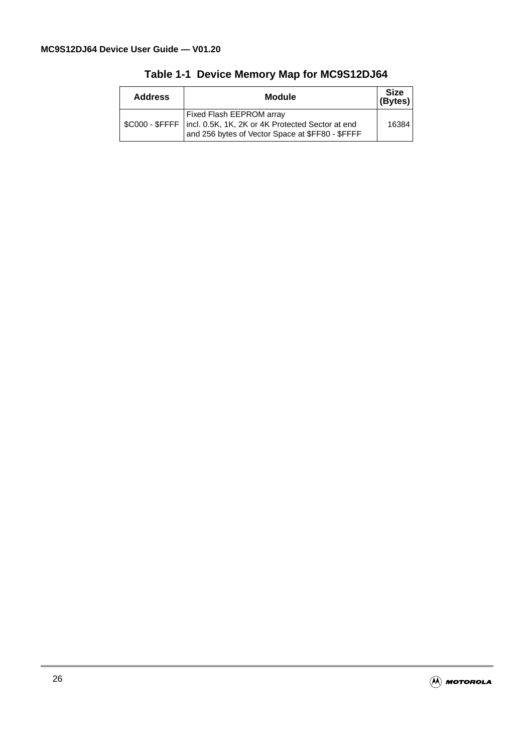| <b>Address</b> | Module                                                                                                                                             | <b>Size</b><br>(Bytes) |
|----------------|----------------------------------------------------------------------------------------------------------------------------------------------------|------------------------|
|                | Fixed Flash EEPROM array<br>\$C000 - \$FFFF   incl. 0.5K, 1K, 2K or 4K Protected Sector at end<br>and 256 bytes of Vector Space at \$FF80 - \$FFFF | 16384                  |

| Table 1-1 Device Memory Map for MC9S12DJ64 |  |  |  |  |  |  |
|--------------------------------------------|--|--|--|--|--|--|
|--------------------------------------------|--|--|--|--|--|--|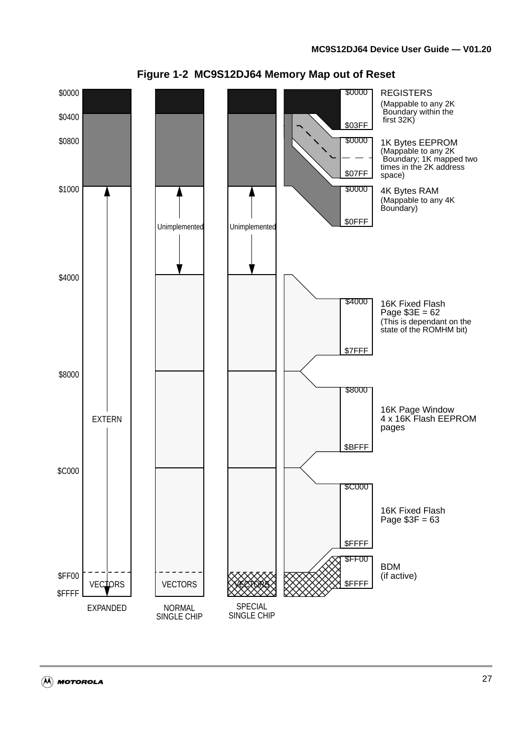<span id="page-26-0"></span>

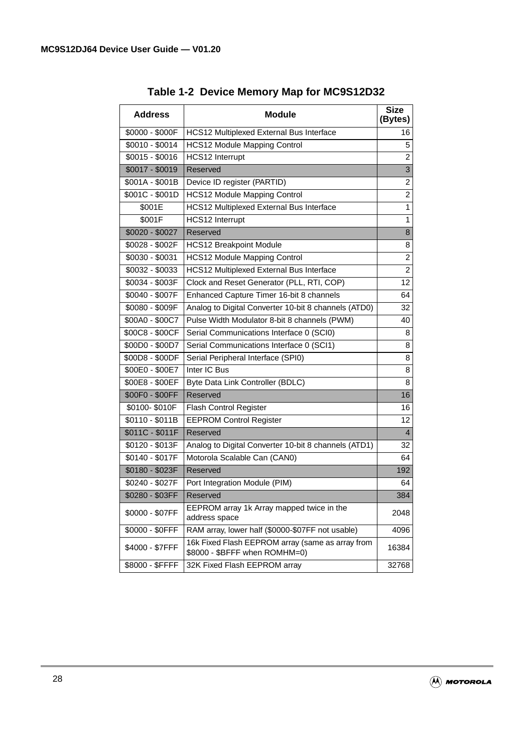<span id="page-27-0"></span>

| <b>Address</b>  | <b>Module</b>                                                                     | <b>Size</b><br>(Bytes) |
|-----------------|-----------------------------------------------------------------------------------|------------------------|
| \$0000 - \$000F | <b>HCS12 Multiplexed External Bus Interface</b>                                   | 16                     |
| \$0010 - \$0014 | <b>HCS12 Module Mapping Control</b>                                               | 5                      |
| \$0015 - \$0016 | <b>HCS12 Interrupt</b>                                                            | 2                      |
| $$0017 - $0019$ | Reserved                                                                          | $\overline{3}$         |
| \$001A - \$001B | Device ID register (PARTID)                                                       | 2                      |
| \$001C - \$001D | <b>HCS12 Module Mapping Control</b>                                               | $\overline{2}$         |
| \$001E          | <b>HCS12 Multiplexed External Bus Interface</b>                                   | 1                      |
| \$001F          | <b>HCS12 Interrupt</b>                                                            | 1                      |
| \$0020 - \$0027 | Reserved                                                                          | 8                      |
| \$0028 - \$002F | <b>HCS12 Breakpoint Module</b>                                                    | 8                      |
| \$0030 - \$0031 | <b>HCS12 Module Mapping Control</b>                                               | $\overline{2}$         |
| \$0032 - \$0033 | HCS12 Multiplexed External Bus Interface                                          | $\overline{c}$         |
| \$0034 - \$003F | Clock and Reset Generator (PLL, RTI, COP)                                         | 12                     |
| \$0040 - \$007F | Enhanced Capture Timer 16-bit 8 channels                                          | 64                     |
| \$0080 - \$009F | Analog to Digital Converter 10-bit 8 channels (ATD0)                              | 32                     |
| \$00A0 - \$00C7 | Pulse Width Modulator 8-bit 8 channels (PWM)                                      | 40                     |
| \$00C8 - \$00CF | Serial Communications Interface 0 (SCI0)                                          | 8                      |
| \$00D0 - \$00D7 | Serial Communications Interface 0 (SCI1)                                          | 8                      |
| \$00D8 - \$00DF | Serial Peripheral Interface (SPI0)                                                | 8                      |
| \$00E0 - \$00E7 | Inter IC Bus                                                                      | $\overline{8}$         |
| \$00E8 - \$00EF | Byte Data Link Controller (BDLC)                                                  | 8                      |
| \$00F0 - \$00FF | <b>Reserved</b>                                                                   | 16                     |
| \$0100-\$010F   | <b>Flash Control Register</b>                                                     | 16                     |
| $$0110 - $011B$ | <b>EEPROM Control Register</b>                                                    | 12                     |
| \$011C - \$011F | Reserved                                                                          | $\overline{4}$         |
| \$0120 - \$013F | Analog to Digital Converter 10-bit 8 channels (ATD1)                              | 32                     |
| \$0140 - \$017F | Motorola Scalable Can (CAN0)                                                      | 64                     |
| \$0180 - \$023F | Reserved                                                                          | 192                    |
| \$0240 - \$027F | Port Integration Module (PIM)                                                     | 64                     |
| \$0280 - \$03FF | <b>Reserved</b>                                                                   | 384                    |
| \$0000 - \$07FF | EEPROM array 1k Array mapped twice in the<br>address space                        | 2048                   |
| \$0000 - \$0FFF | RAM array, lower half (\$0000-\$07FF not usable)                                  | 4096                   |
| \$4000 - \$7FFF | 16k Fixed Flash EEPROM array (same as array from<br>\$8000 - \$BFFF when ROMHM=0) | 16384                  |
| \$8000 - \$FFFF | 32K Fixed Flash EEPROM array                                                      | 32768                  |

**Table 1-2 Device Memory Map for MC9S12D32**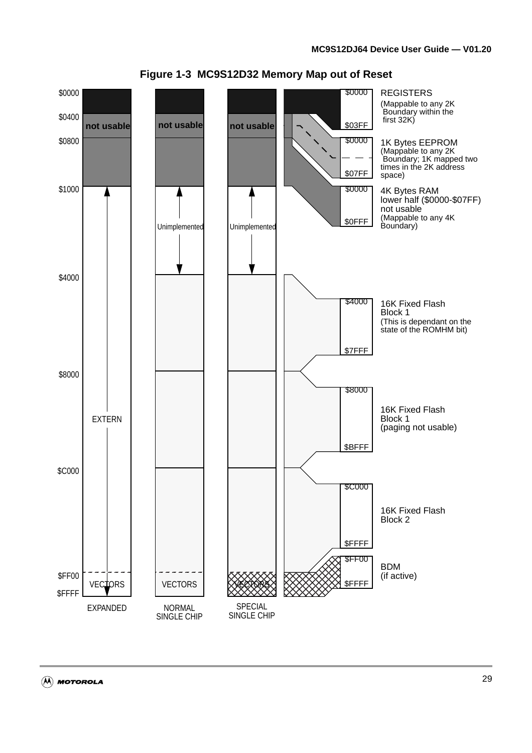<span id="page-28-0"></span>

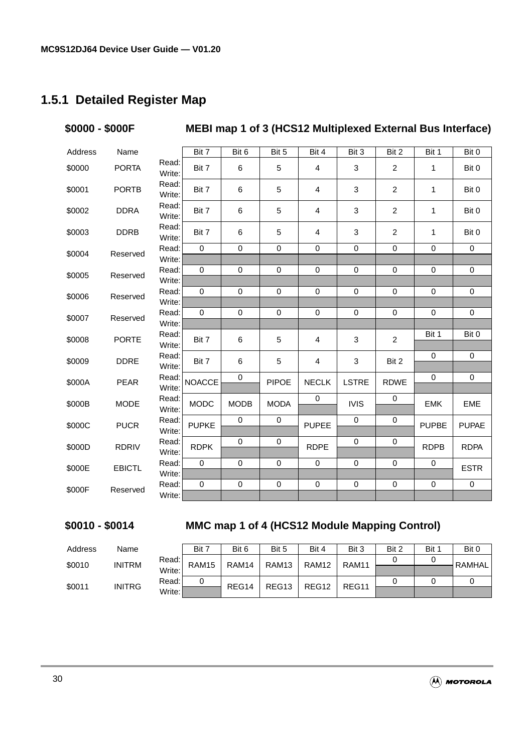## <span id="page-29-0"></span>**1.5.1 Detailed Register Map**

## <span id="page-29-1"></span>**\$0000 - \$000F MEBI map 1 of 3 (HCS12 Multiplexed External Bus Interface)**

| Address | Name          |                 | Bit 7         | Bit 6       | Bit 5        | Bit 4        | Bit 3        | Bit 2          | Bit 1        | Bit 0        |
|---------|---------------|-----------------|---------------|-------------|--------------|--------------|--------------|----------------|--------------|--------------|
| \$0000  | <b>PORTA</b>  | Read:<br>Write: | Bit 7         | 6           | 5            | 4            | 3            | $\mathbf{2}$   | 1            | Bit 0        |
| \$0001  | <b>PORTB</b>  | Read:<br>Write: | Bit 7         | 6           | 5            | 4            | 3            | 2              | 1            | Bit 0        |
| \$0002  | <b>DDRA</b>   | Read:<br>Write: | Bit 7         | 6           | 5            | 4            | 3            | $\overline{2}$ | 1            | Bit 0        |
| \$0003  | <b>DDRB</b>   | Read:<br>Write: | Bit 7         | 6           | 5            | 4            | 3            | $\overline{2}$ | 1            | Bit 0        |
| \$0004  | Reserved      | Read:           | $\mathbf 0$   | $\pmb{0}$   | $\mathbf 0$  | $\pmb{0}$    | $\mathbf 0$  | $\mathbf 0$    | $\mathbf 0$  | $\pmb{0}$    |
|         |               | Write:          |               |             |              |              |              |                |              |              |
| \$0005  | Reserved      | Read:           | 0             | $\mathbf 0$ | $\mathbf 0$  | $\pmb{0}$    | $\mathbf 0$  | $\mathbf 0$    | $\mathbf 0$  | $\mathbf 0$  |
|         |               | Write:          |               |             |              |              |              |                |              |              |
| \$0006  | Reserved      | Read:           | $\mathbf 0$   | 0           | 0            | 0            | $\mathbf 0$  | $\mathbf 0$    | 0            | 0            |
|         |               | Write:          |               |             |              |              |              |                |              |              |
| \$0007  | Reserved      | Read:           | 0             | $\mathbf 0$ | 0            | $\pmb{0}$    | $\mathbf 0$  | $\mathbf 0$    | 0            | $\mathbf 0$  |
|         |               | Write:          |               |             |              |              |              |                |              |              |
| \$0008  | <b>PORTE</b>  | Read:<br>Write: | Bit 7         | 6           | 5            | 4            | 3            | $\overline{2}$ | Bit 1        | Bit 0        |
| \$0009  | <b>DDRE</b>   | Read:<br>Write: | Bit 7         | 6           | 5            | 4            | 3            | Bit 2          | $\mathbf 0$  | 0            |
| \$000A  | <b>PEAR</b>   | Read:<br>Write: | <b>NOACCE</b> | $\mathbf 0$ | <b>PIPOE</b> | <b>NECLK</b> | <b>LSTRE</b> | <b>RDWE</b>    | $\mathbf 0$  | 0            |
| \$000B  | <b>MODE</b>   | Read:<br>Write: | <b>MODC</b>   | <b>MODB</b> | <b>MODA</b>  | $\pmb{0}$    | <b>IVIS</b>  | 0              | <b>EMK</b>   | <b>EME</b>   |
| \$000C  | <b>PUCR</b>   | Read:<br>Write: | <b>PUPKE</b>  | $\mathbf 0$ | $\mathbf 0$  | <b>PUPEE</b> | $\mathbf 0$  | 0              | <b>PUPBE</b> | <b>PUPAE</b> |
| \$000D  | <b>RDRIV</b>  | Read:<br>Write: | <b>RDPK</b>   | 0           | $\mathbf 0$  | <b>RDPE</b>  | 0            | 0              | <b>RDPB</b>  | <b>RDPA</b>  |
|         |               | Read:           | $\mathbf 0$   | 0           | 0            | $\mathbf 0$  | $\mathbf 0$  | 0              | $\mathbf 0$  |              |
| \$000E  | <b>EBICTL</b> | Write:          |               |             |              |              |              |                |              | <b>ESTR</b>  |
|         |               | Read:           | $\mathbf 0$   | $\mathbf 0$ | $\mathbf 0$  | $\,0\,$      | $\mathbf 0$  | $\mathbf 0$    | 0            | $\pmb{0}$    |
| \$000F  | Reserved      | Write:          |               |             |              |              |              |                |              |              |

## <span id="page-29-2"></span>**\$0010 - \$0014 MMC map 1 of 4 (HCS12 Module Mapping Control)**

| Address | Name          |        | Bit 7        | Bit 6 | Bit 5             | Bit 4             | Bit 3             | Bit 2 | Bit 1 | Bit 0         |
|---------|---------------|--------|--------------|-------|-------------------|-------------------|-------------------|-------|-------|---------------|
| \$0010  | <b>INITRM</b> | Read:  | <b>RAM15</b> | RAM14 | RAM13             | RAM <sub>12</sub> | RAM <sub>11</sub> |       |       | <b>RAMHAL</b> |
|         |               | Write: |              |       |                   |                   |                   |       |       |               |
| \$0011  | <b>INITRG</b> | Read:  |              | REG14 | REG <sub>13</sub> | REG12             | REG11             |       |       |               |
|         |               | Write: |              |       |                   |                   |                   |       |       |               |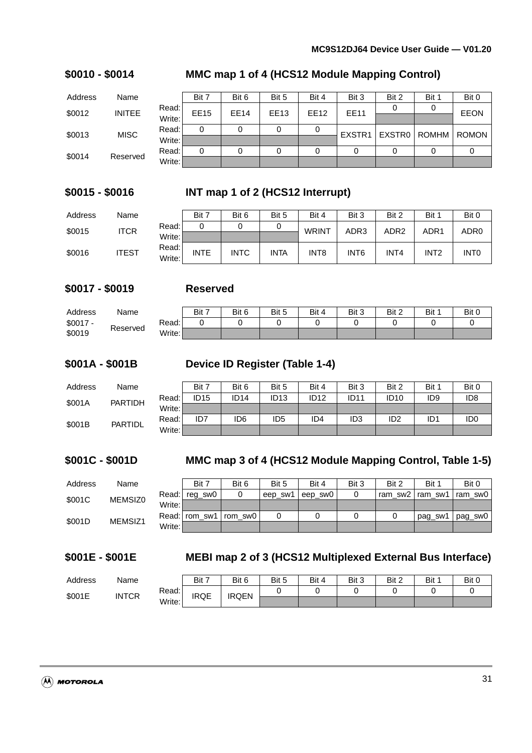| $$0010 - $0014$ | <b>MMC map 1 of 4 (HCS12 Module Mapping Control)</b> |
|-----------------|------------------------------------------------------|
|                 |                                                      |

| Address | Name          |        | Bit 7       | Bit 6 | Bit 5 | Bit 4 | Bit 3       | Bit 2              | Bit 1 | Bit 0       |
|---------|---------------|--------|-------------|-------|-------|-------|-------------|--------------------|-------|-------------|
| \$0012  | <b>INITEE</b> | Read:  | <b>EE15</b> | EE14  | EE13  | EE12  | <b>EE11</b> |                    |       | <b>EEON</b> |
|         |               | Write: |             |       |       |       |             |                    |       |             |
| \$0013  | <b>MISC</b>   | Read:  |             |       |       | 0     | EXSTR1      | EXSTR <sub>0</sub> | ROMHM | ROMON       |
|         |               | Write: |             |       |       |       |             |                    |       |             |
| \$0014  |               | Read:  |             |       |       | 0     |             |                    |       |             |
|         | Reserved      | Write: |             |       |       |       |             |                    |       |             |

### <span id="page-30-0"></span>**\$0015 - \$0016 INT map 1 of 2 (HCS12 Interrupt)**

| Address | Name        |                   | Bit 7       | Bit 6       | Bit 5       | Bit 4        | Bit 3            | Bit 2            | Bit 1            | Bit 0 |
|---------|-------------|-------------------|-------------|-------------|-------------|--------------|------------------|------------------|------------------|-------|
| \$0015  | <b>ITCR</b> | Read:             |             |             |             | <b>WRINT</b> | ADR3             | ADR <sub>2</sub> | ADR1             | ADR0  |
|         |             | Write: l          |             |             |             |              |                  |                  |                  |       |
| \$0016  | ITEST       | Read: l<br>Write: | <b>INTE</b> | <b>INTC</b> | <b>INTA</b> | INT8         | INT <sub>6</sub> | INT <sub>4</sub> | INT <sub>2</sub> | INT0  |

### <span id="page-30-1"></span>**\$0017 - \$0019 Reserved**

| Address   | Name     |        | Bit 7 | Bit 6 | Bit 5 | Bit 4 | Bit 3 | Bit 2 | Bit 1 | Bit 0 |
|-----------|----------|--------|-------|-------|-------|-------|-------|-------|-------|-------|
| $$0017 -$ | Reserved | Read:  |       |       |       |       |       |       |       |       |
| \$0019    |          | Write: |       |       |       |       |       |       |       |       |

## <span id="page-30-2"></span>**\$001A - \$001B Device ID Register [\(Table 1-4](#page-48-1))**

| Address | Name           |          | Bit 7 | Bit 6           | Bit 5            | Bit 4            | Bit 3       | Bit 2           | Bit 1 | Bit 0           |
|---------|----------------|----------|-------|-----------------|------------------|------------------|-------------|-----------------|-------|-----------------|
| \$001A  | <b>PARTIDH</b> | Read:    | ID15  | ID14            | ID <sub>13</sub> | ID <sub>12</sub> | <b>ID11</b> | <b>ID10</b>     | ID9   | ID8             |
|         |                | Write: l |       |                 |                  |                  |             |                 |       |                 |
| \$001B  | <b>PARTIDL</b> | Read:    | ID7   | ID <sub>6</sub> | ID5              | ID <sub>4</sub>  | ID3         | ID <sub>2</sub> | ID1   | ID <sub>0</sub> |
|         |                | Write: l |       |                 |                  |                  |             |                 |       |                 |

### <span id="page-30-3"></span>**\$001C - \$001D MMC map 3 of 4 (HCS12 Module Mapping Control, [Table 1-5\)](#page-48-2)**

| Address | Name    |          | Bit 7         | Bit 6       | Bit 5   | Bit 4   | Bit 3 | Bit 2                   | Bit 1   | Bit 0    |
|---------|---------|----------|---------------|-------------|---------|---------|-------|-------------------------|---------|----------|
| \$001C  | MEMSIZ0 | Read: I  | reg_sw0       |             | eep sw1 | eep sw0 |       | ram sw2 $\vert$ ram sw1 |         | 'ram_sw0 |
|         |         | Write: I |               |             |         |         |       |                         |         |          |
| \$001D  | MEMSIZ1 |          | Read: rom sw1 | ' rom_sw0 i |         |         |       |                         | pag_sw1 | pag_sw0  |
|         |         | Write: l |               |             |         |         |       |                         |         |          |

### <span id="page-30-4"></span>**\$001E - \$001E MEBI map 2 of 3 (HCS12 Multiplexed External Bus Interface)**

| Address | Name         |        | Bit 7       | Bit 6        | Bit 5 | Bit 4 | Bit 3 | Bit 2 | Bit 1 | Bit 0 |
|---------|--------------|--------|-------------|--------------|-------|-------|-------|-------|-------|-------|
| \$001E  | <b>INTCR</b> | Read:  | <b>IRQE</b> | <b>IRQEN</b> |       |       |       |       |       |       |
|         |              | Write: |             |              |       |       |       |       |       |       |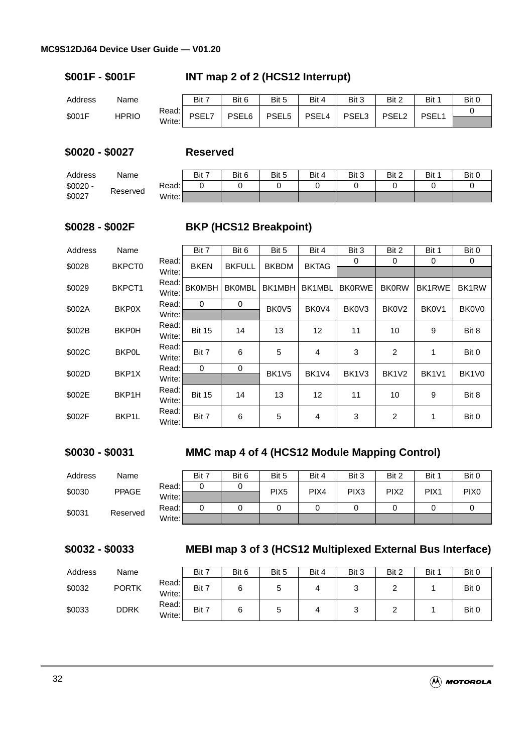### <span id="page-31-0"></span>**\$001F - \$001F INT map 2 of 2 (HCS12 Interrupt)**

| Address | Name  |        | Bit 7 | Bit 6 | Bit 5             | Bit 4 | Bit 3             | Bit 2             | Bit 1       | Bit 0 |
|---------|-------|--------|-------|-------|-------------------|-------|-------------------|-------------------|-------------|-------|
| \$001F  | HPRIO | Read:  | PSEL. | PSEL6 | PSEL <sub>5</sub> | PSEL4 | PSEL <sub>3</sub> | PSEL <sub>2</sub> | <b>PSEL</b> |       |
|         |       | Write: |       |       |                   |       |                   |                   |             |       |

### <span id="page-31-1"></span>**\$0020 - \$0027 Reserved**

| Address   | Name     |        | Bit 7 | Bit 6 | Bit 5 | Bit 4 | Bit 3 | Bit 2 | Bit 1 | Bit 0 |
|-----------|----------|--------|-------|-------|-------|-------|-------|-------|-------|-------|
| $$0020 -$ | Reserved | Read:  |       |       |       |       |       |       |       |       |
| \$0027    |          | Write: |       |       |       |       |       |       |       |       |

## <span id="page-31-2"></span>**\$0028 - \$002F BKP (HCS12 Breakpoint)**

| Address | Name          |        | Bit 7         | Bit 6         | Bit 5        | Bit 4                          | Bit 3                          | Bit 2        | Bit 1         | Bit 0 |
|---------|---------------|--------|---------------|---------------|--------------|--------------------------------|--------------------------------|--------------|---------------|-------|
| \$0028  | <b>BKPCT0</b> | Read:  | <b>BKEN</b>   | <b>BKFULL</b> | <b>BKBDM</b> | <b>BKTAG</b>                   | 0                              | 0            | 0             | 0     |
|         |               | Write: |               |               |              |                                |                                |              |               |       |
| \$0029  | BKPCT1        | Read:  | <b>BK0MBH</b> | <b>BK0MBL</b> | BK1MBH       | BK1MBL                         | <b>BK0RWE</b>                  | <b>BK0RW</b> | <b>BK1RWE</b> | BK1RW |
|         |               | Write: |               |               |              |                                |                                |              |               |       |
| \$002A  | <b>BKP0X</b>  | Read:  | 0             | 0             | BK0V5        | BK0V4                          | BK0V3                          | BK0V2        | BK0V1         | BK0V0 |
|         |               | Write: |               |               |              |                                |                                |              |               |       |
| \$002B  | <b>BKP0H</b>  | Read:  | <b>Bit 15</b> | 14            | 13           | 12                             | 11                             | 10           | 9             | Bit 8 |
|         |               | Write: |               |               |              |                                |                                |              |               |       |
| \$002C  | <b>BKP0L</b>  | Read:  | Bit 7         | 6             | 5            | 4                              | 3                              | 2            |               | Bit 0 |
|         |               | Write: |               |               |              |                                |                                |              |               |       |
| \$002D  | BKP1X         | Read:  | 0             | 0             | BK1V5        | BK <sub>1</sub> V <sub>4</sub> | BK <sub>1</sub> V <sub>3</sub> | BK1V2        | <b>BK1V1</b>  | BK1V0 |
|         |               | Write: |               |               |              |                                |                                |              |               |       |
| \$002E  | BKP1H         | Read:  | <b>Bit 15</b> | 14            | 13           | 12                             | 11                             | 10           | 9             | Bit 8 |
|         |               | Write: |               |               |              |                                |                                |              |               |       |
| \$002F  | BKP1L         | Read:  | Bit 7         | 6             | 5            | 4                              | 3                              | 2            |               | Bit 0 |
|         |               | Write: |               |               |              |                                |                                |              |               |       |

### <span id="page-31-3"></span>**\$0030 - \$0031 MMC map 4 of 4 (HCS12 Module Mapping Control)**

| Address | Name         |                   | Bit 7 | Bit 6 | Bit 5            | Bit 4 | Bit 3            | Bit 2            | Bit 1            | Bit 0            |
|---------|--------------|-------------------|-------|-------|------------------|-------|------------------|------------------|------------------|------------------|
| \$0030  | <b>PPAGE</b> | Read:<br>Write: l |       |       | PIX <sub>5</sub> | PIX4  | PIX <sub>3</sub> | PIX <sub>2</sub> | PIX <sub>1</sub> | PIX <sub>0</sub> |
| \$0031  |              | Read:             |       |       |                  |       |                  |                  |                  |                  |
|         | Reserved     | Write: l          |       |       |                  |       |                  |                  |                  |                  |

### <span id="page-31-4"></span>**\$0032 - \$0033 MEBI map 3 of 3 (HCS12 Multiplexed External Bus Interface)**

| Address | Name         |                 | Bit 7 | Bit 6 | Bit 5 | Bit 4 | Bit 3 | Bit 2 | Bit 1 | Bit 0 |
|---------|--------------|-----------------|-------|-------|-------|-------|-------|-------|-------|-------|
| \$0032  | <b>PORTK</b> | Read:<br>Write: | Bit 7 | 6     |       |       |       | ີ     |       | Bit 0 |
| \$0033  | <b>DDRK</b>  | Read:<br>Write: | Bit 7 | 6     |       |       | ັ     |       |       | Bit 0 |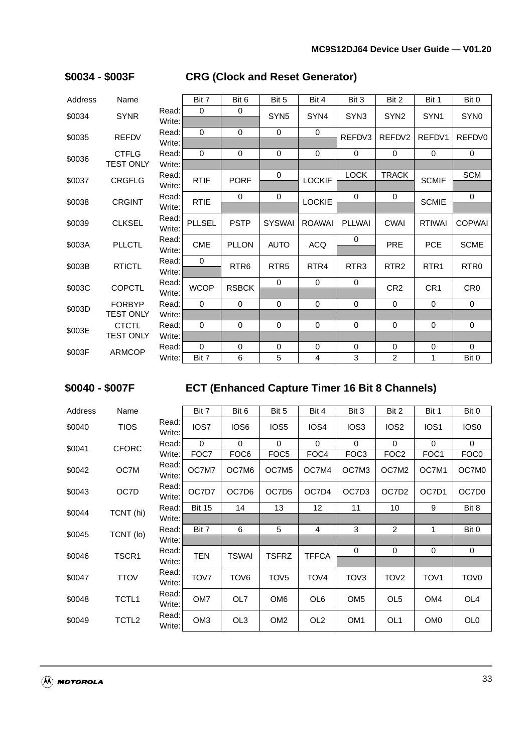### <span id="page-32-0"></span>**\$0034 - \$003F CRG (Clock and Reset Generator)**

| Address | Name             |        | Bit 7         | Bit 6            | Bit 5            | Bit 4         | Bit 3            | Bit 2            | Bit 1            | Bit 0            |
|---------|------------------|--------|---------------|------------------|------------------|---------------|------------------|------------------|------------------|------------------|
| \$0034  | <b>SYNR</b>      | Read:  | $\Omega$      | $\mathbf 0$      | SYN <sub>5</sub> | SYN4          | SYN <sub>3</sub> | SYN <sub>2</sub> | SYN1             | SYN <sub>0</sub> |
|         |                  | Write: |               |                  |                  |               |                  |                  |                  |                  |
| \$0035  | <b>REFDV</b>     | Read:  | $\mathbf 0$   | $\mathbf 0$      | $\mathbf 0$      | 0             | REFDV3           | REFDV2           | REFDV1           | REFDV0           |
|         |                  | Write: |               |                  |                  |               |                  |                  |                  |                  |
| \$0036  | <b>CTFLG</b>     | Read:  | $\mathbf 0$   | $\mathbf 0$      | $\mathbf 0$      | $\mathbf 0$   | $\mathbf 0$      | $\mathbf 0$      | $\mathbf 0$      | $\mathbf 0$      |
|         | <b>TEST ONLY</b> | Write: |               |                  |                  |               |                  |                  |                  |                  |
| \$0037  | <b>CRGFLG</b>    | Read:  | <b>RTIF</b>   | <b>PORF</b>      | 0                | <b>LOCKIF</b> | <b>LOCK</b>      | <b>TRACK</b>     | <b>SCMIF</b>     | <b>SCM</b>       |
|         |                  | Write: |               |                  |                  |               |                  |                  |                  |                  |
| \$0038  | <b>CRGINT</b>    | Read:  | <b>RTIE</b>   | 0                | 0                | <b>LOCKIE</b> | 0                | 0                | <b>SCMIE</b>     | 0                |
|         |                  | Write: |               |                  |                  |               |                  |                  |                  |                  |
| \$0039  | <b>CLKSEL</b>    | Read:  | <b>PLLSEL</b> | <b>PSTP</b>      | <b>SYSWAI</b>    | <b>ROAWAI</b> | <b>PLLWAI</b>    | <b>CWAI</b>      | <b>RTIWAI</b>    | <b>COPWAI</b>    |
|         |                  | Write: |               |                  |                  |               |                  |                  |                  |                  |
| \$003A  | <b>PLLCTL</b>    | Read:  | <b>CME</b>    | <b>PLLON</b>     | <b>AUTO</b>      | <b>ACQ</b>    | 0                | <b>PRE</b>       | <b>PCE</b>       | <b>SCME</b>      |
|         |                  | Write: |               |                  |                  |               |                  |                  |                  |                  |
| \$003B  | <b>RTICTL</b>    | Read:  | $\Omega$      | RTR <sub>6</sub> | RTR <sub>5</sub> | RTR4          | RTR <sub>3</sub> | RTR <sub>2</sub> | RTR <sub>1</sub> | RTR <sub>0</sub> |
|         |                  | Write: |               |                  |                  |               |                  |                  |                  |                  |
| \$003C  | <b>COPCTL</b>    | Read:  | <b>WCOP</b>   | <b>RSBCK</b>     | $\mathbf 0$      | 0             | 0                | CR <sub>2</sub>  | CR <sub>1</sub>  | CR <sub>0</sub>  |
|         |                  | Write: |               |                  |                  |               |                  |                  |                  |                  |
| \$003D  | <b>FORBYP</b>    | Read:  | $\Omega$      | $\mathbf 0$      | $\mathbf 0$      | 0             | $\mathbf 0$      | 0                | $\mathbf 0$      | $\mathbf 0$      |
|         | <b>TEST ONLY</b> | Write: |               |                  |                  |               |                  |                  |                  |                  |
| \$003E  | <b>CTCTL</b>     | Read:  | $\Omega$      | $\mathbf 0$      | $\mathbf 0$      | 0             | $\mathbf 0$      | 0                | $\mathbf 0$      | 0                |
|         | <b>TEST ONLY</b> | Write: |               |                  |                  |               |                  |                  |                  |                  |
|         |                  | Read:  | $\Omega$      | 0                | 0                | 0             | 0                | 0                | 0                | $\Omega$         |
| \$003F  | <b>ARMCOP</b>    | Write: | Bit 7         | 6                | 5                | 4             | 3                | $\overline{c}$   | 1                | Bit 0            |

## <span id="page-32-1"></span>**\$0040 - \$007F ECT (Enhanced Capture Timer 16 Bit 8 Channels)**

| Address | Name              |                 | Bit 7           | Bit 6            | Bit 5            | Bit 4           | Bit 3            | Bit 2            | Bit 1            | Bit 0             |
|---------|-------------------|-----------------|-----------------|------------------|------------------|-----------------|------------------|------------------|------------------|-------------------|
| \$0040  | <b>TIOS</b>       | Read:<br>Write: | IOS7            | IOS6             | IOS5             | IOS4            | IOS <sub>3</sub> | IOS <sub>2</sub> | IOS <sub>1</sub> | IOS <sub>0</sub>  |
| \$0041  | <b>CFORC</b>      | Read:           | $\Omega$        | $\Omega$         | $\Omega$         | $\Omega$        | $\Omega$         | $\Omega$         | $\Omega$         | $\Omega$          |
|         |                   | Write:          | FOC7            | FOC <sub>6</sub> | FOC <sub>5</sub> | FOC4            | FOC <sub>3</sub> | FOC <sub>2</sub> | FOC1             | FOC <sub>0</sub>  |
| \$0042  | OC7M              | Read:<br>Write: | OC7M7           | OC7M6            | OC7M5            | OC7M4           | OC7M3            | OC7M2            | OC7M1            | OC7M0             |
| \$0043  | OC7D              | Read:<br>Write: | OC7D7           | OC7D6            | OC7D5            | OC7D4           | OC7D3            | OC7D2            | OC7D1            | OC7D <sub>0</sub> |
| \$0044  | TCNT (hi)         | Read:           | <b>Bit 15</b>   | 14               | 13               | 12              | 11               | 10               | 9                | Bit 8             |
|         |                   | Write:          |                 |                  |                  |                 |                  |                  |                  |                   |
| \$0045  | TCNT (lo)         | Read:           | Bit 7           | 6                | 5                | 4               | 3                | $\overline{c}$   | 1                | Bit 0             |
|         |                   | Write:          |                 |                  |                  |                 |                  |                  |                  |                   |
| \$0046  | TSCR1             | Read:           | TEN             | <b>TSWAI</b>     | <b>TSFRZ</b>     | <b>TFFCA</b>    | $\mathbf 0$      | 0                | $\mathbf 0$      | $\mathbf 0$       |
|         |                   | Write:          |                 |                  |                  |                 |                  |                  |                  |                   |
| \$0047  | <b>TTOV</b>       | Read:<br>Write: | TOV7            | TOV <sub>6</sub> | TOV <sub>5</sub> | TOV4            | TOV <sub>3</sub> | TOV <sub>2</sub> | TOV <sub>1</sub> | TOV <sub>0</sub>  |
| \$0048  | TCTL1             | Read:<br>Write: | OM7             | OL7              | OM <sub>6</sub>  | OL <sub>6</sub> | OM <sub>5</sub>  | OL <sub>5</sub>  | OM4              | OL <sub>4</sub>   |
| \$0049  | TCTL <sub>2</sub> | Read:<br>Write: | OM <sub>3</sub> | OL <sub>3</sub>  | OM <sub>2</sub>  | OL <sub>2</sub> | OM <sub>1</sub>  | OL <sub>1</sub>  | OM <sub>0</sub>  | OL <sub>0</sub>   |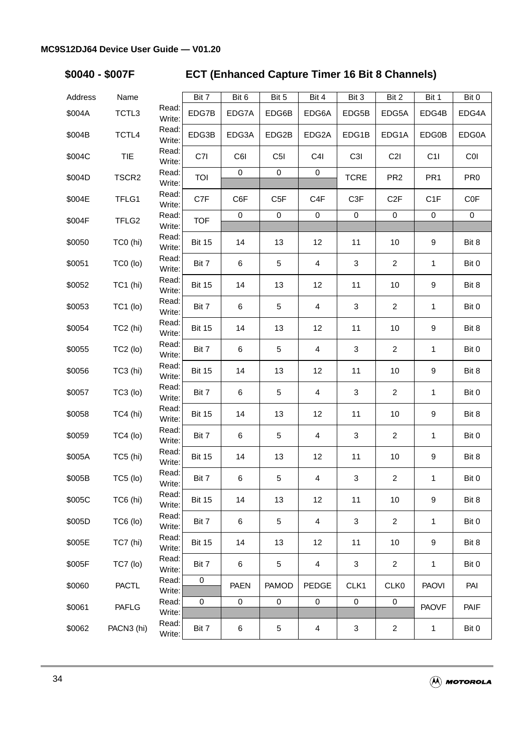## **\$0040 - \$007F ECT (Enhanced Capture Timer 16 Bit 8 Channels)**

| Address | Name              |                 | Bit 7         | Bit 6       | Bit 5            | Bit 4              | Bit 3            | Bit 2                   | Bit 1            | Bit 0           |
|---------|-------------------|-----------------|---------------|-------------|------------------|--------------------|------------------|-------------------------|------------------|-----------------|
| \$004A  | TCTL3             | Read:<br>Write: | EDG7B         | EDG7A       | EDG6B            | EDG6A              | EDG5B            | EDG5A                   | EDG4B            | EDG4A           |
| \$004B  | TCTL4             | Read:<br>Write: | EDG3B         | EDG3A       | EDG2B            | EDG <sub>2</sub> A | EDG1B            | EDG1A                   | EDG0B            | EDG0A           |
| \$004C  | <b>TIE</b>        | Read:<br>Write: | C7I           | C6I         | C <sub>5</sub> I | C <sub>4</sub>     | C <sub>3</sub> I | C <sub>2</sub> I        | C11              | <b>COI</b>      |
| \$004D  | TSCR <sub>2</sub> | Read:<br>Write: | TOI           | $\mathbf 0$ | $\mathbf 0$      | $\,0\,$            | <b>TCRE</b>      | PR <sub>2</sub>         | PR <sub>1</sub>  | PR <sub>0</sub> |
| \$004E  | TFLG1             | Read:<br>Write: | C7F           | C6F         | C <sub>5</sub> F | C4F                | C <sub>3</sub> F | C <sub>2</sub> F        | C <sub>1</sub> F | <b>COF</b>      |
| \$004F  | TFLG2             | Read:<br>Write: | <b>TOF</b>    | $\mathbf 0$ | $\mathbf 0$      | $\,0\,$            | 0                | $\mathbf 0$             | $\mathbf 0$      | 0               |
| \$0050  | TC0 (hi)          | Read:<br>Write: | <b>Bit 15</b> | 14          | 13               | 12                 | 11               | 10                      | 9                | Bit 8           |
| \$0051  | $TC0$ (lo)        | Read:<br>Write: | Bit 7         | 6           | 5                | 4                  | 3                | $\overline{2}$          | 1                | Bit 0           |
| \$0052  | <b>TC1</b> (hi)   | Read:<br>Write: | <b>Bit 15</b> | 14          | 13               | 12                 | 11               | 10                      | 9                | Bit 8           |
| \$0053  | $TC1$ (lo)        | Read:<br>Write: | Bit 7         | 6           | 5                | 4                  | 3                | $\overline{2}$          | 1                | Bit 0           |
| \$0054  | TC2(hi)           | Read:<br>Write: | <b>Bit 15</b> | 14          | 13               | 12                 | 11               | 10                      | 9                | Bit 8           |
| \$0055  | $TC2$ (lo)        | Read:<br>Write: | Bit 7         | 6           | 5                | 4                  | 3                | $\overline{2}$          | 1                | Bit 0           |
| \$0056  | TC3(hi)           | Read:<br>Write: | <b>Bit 15</b> | 14          | 13               | 12                 | 11               | 10                      | 9                | Bit 8           |
| \$0057  | $TC3$ (lo)        | Read:<br>Write: | Bit 7         | 6           | 5                | 4                  | 3                | $\overline{c}$          | 1                | Bit 0           |
| \$0058  | $TC4$ (hi)        | Read:<br>Write: | <b>Bit 15</b> | 14          | 13               | 12                 | 11               | 10                      | 9                | Bit 8           |
| \$0059  | $TC4$ (lo)        | Read:<br>Write: | Bit 7         | 6           | 5                | 4                  | 3                | 2                       | 1                | Bit 0           |
| \$005A  | TC5 (hi)          | Read:<br>Write: | <b>Bit 15</b> | 14          | 13               | 12                 | 11               | 10                      | 9                | Bit 8           |
| \$005B  | $TC5$ (lo)        | Read:<br>Write: | Bit 7         | 6           | 5                | 4                  | 3                | 2                       | 1                | Bit 0           |
| \$005C  | TC6 (hi)          | Read:<br>Write: | <b>Bit 15</b> | 14          | 13               | 12                 | 11               | 10                      | 9                | Bit 8           |
| \$005D  | $TC6$ (lo)        | Read:<br>Write: | Bit 7         | 6           | 5                | 4                  | 3                | $\overline{c}$          | $\mathbf 1$      | Bit 0           |
| \$005E  | TC7 (hi)          | Read:<br>Write: | <b>Bit 15</b> | 14          | 13               | 12                 | 11               | 10                      | 9                | Bit 8           |
| \$005F  | TC7 (lo)          | Read:<br>Write: | Bit 7         | 6           | 5                | 4                  | 3                | $\overline{c}$          | $\mathbf{1}$     | Bit 0           |
| \$0060  | <b>PACTL</b>      | Read:<br>Write: | 0             | <b>PAEN</b> | <b>PAMOD</b>     | PEDGE              | CLK1             | CLK0                    | <b>PAOVI</b>     | PAI             |
| \$0061  | <b>PAFLG</b>      | Read:<br>Write: | 0             | $\pmb{0}$   | $\pmb{0}$        | $\,0\,$            | $\pmb{0}$        | $\pmb{0}$               | <b>PAOVF</b>     | PAIF            |
| \$0062  | PACN3 (hi)        | Read:<br>Write: | Bit 7         | 6           | 5                | 4                  | 3                | $\overline{\mathbf{c}}$ | $\mathbf{1}$     | Bit 0           |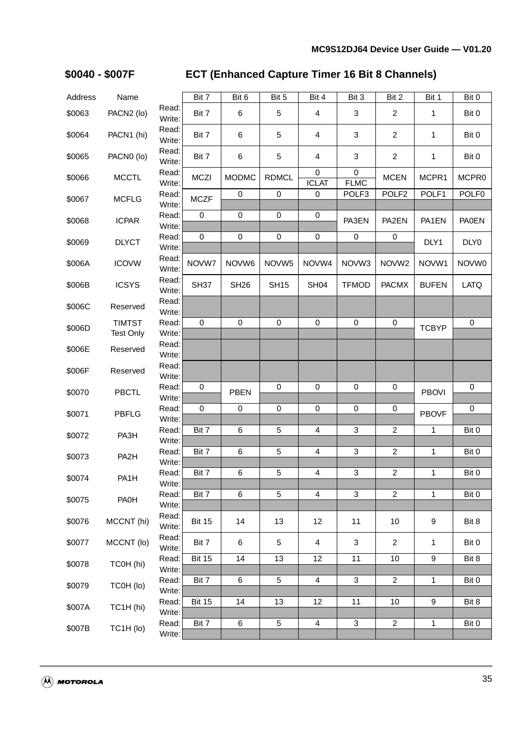**\$0040 - \$007F ECT (Enhanced Capture Timer 16 Bit 8 Channels)**

| Address | Name                              |                 | Bit 7         | Bit 6        | Bit 5             | Bit 4                     | Bit 3            | Bit 2                   | Bit 1        | Bit 0             |
|---------|-----------------------------------|-----------------|---------------|--------------|-------------------|---------------------------|------------------|-------------------------|--------------|-------------------|
| \$0063  | PACN2 (lo)                        | Read:<br>Write: | Bit 7         | 6            | 5                 | $\overline{4}$            | 3                | $\overline{c}$          | 1            | Bit 0             |
| \$0064  | PACN1 (hi)                        | Read:<br>Write: | Bit 7         | 6            | 5                 | 4                         | 3                | $\sqrt{2}$              | 1            | Bit 0             |
| \$0065  | PACN0 (lo)                        | Read:<br>Write: | Bit 7         | 6            | 5                 | 4                         | 3                | $\overline{c}$          | 1            | Bit 0             |
| \$0066  | <b>MCCTL</b>                      | Read:<br>Write: | <b>MCZI</b>   | <b>MODMC</b> | <b>RDMCL</b>      | $\pmb{0}$<br><b>ICLAT</b> | 0<br><b>FLMC</b> | <b>MCEN</b>             | MCPR1        | MCPR <sub>0</sub> |
| \$0067  | <b>MCFLG</b>                      | Read:<br>Write: | <b>MCZF</b>   | 0            | 0                 | 0                         | POLF3            | POLF <sub>2</sub>       | POLF1        | POLF <sub>0</sub> |
| \$0068  | <b>ICPAR</b>                      | Read:<br>Write: | 0             | 0            | 0                 | 0                         | PA3EN            | PA2EN                   | PA1EN        | PA0EN             |
| \$0069  | <b>DLYCT</b>                      | Read:<br>Write: | 0             | 0            | 0                 | 0                         | $\pmb{0}$        | 0                       | DLY1         | DLY0              |
| \$006A  | <b>ICOVW</b>                      | Read:<br>Write: | NOVW7         | NOVW6        | NOVW <sub>5</sub> | NOVW4                     | NOVW3            | NOVW <sub>2</sub>       | NOVW1        | NOVW0             |
| \$006B  | <b>ICSYS</b>                      | Read:<br>Write: | <b>SH37</b>   | <b>SH26</b>  | <b>SH15</b>       | SH <sub>04</sub>          | <b>TFMOD</b>     | <b>PACMX</b>            | <b>BUFEN</b> | <b>LATQ</b>       |
| \$006C  | Reserved                          | Read:<br>Write: |               |              |                   |                           |                  |                         |              |                   |
| \$006D  | <b>TIMTST</b><br><b>Test Only</b> | Read:<br>Write: | 0             | 0            | 0                 | 0                         | 0                | 0                       | <b>TCBYP</b> | 0                 |
| \$006E  | Reserved                          | Read:<br>Write: |               |              |                   |                           |                  |                         |              |                   |
| \$006F  | Reserved                          | Read:<br>Write: |               |              |                   |                           |                  |                         |              |                   |
| \$0070  | <b>PBCTL</b>                      | Read:<br>Write: | 0             | <b>PBEN</b>  | 0                 | 0                         | 0                | 0                       | <b>PBOVI</b> | 0                 |
| \$0071  | <b>PBFLG</b>                      | Read:<br>Write: | 0             | 0            | 0                 | 0                         | 0                | 0                       | <b>PBOVF</b> | 0                 |
| \$0072  | PA3H                              | Read:<br>Write: | Bit 7         | 6            | 5                 | 4                         | 3                | $\overline{\mathbf{c}}$ | 1            | Bit 0             |
| \$0073  | PA <sub>2</sub> H                 | Read:<br>Write: | Bit 7         | 6            | 5                 | 4                         | 3                | $\overline{\mathbf{c}}$ | 1            | Bit 0             |
| \$0074  | PA1H                              | Read:<br>Write: | Bit 7         | 6            | 5                 | 4                         | 3                | $\overline{\mathbf{c}}$ | 1            | Bit 0             |
| \$0075  | PA0H                              | Read:<br>Write: | Bit 7         | 6            | 5                 | 4                         | 3                | 2                       | 1            | Bit 0             |
| \$0076  | MCCNT (hi)                        | Read:<br>Write: | <b>Bit 15</b> | 14           | 13                | 12                        | 11               | 10                      | 9            | Bit 8             |
| \$0077  | MCCNT (lo)                        | Read:<br>Write: | Bit 7         | 6            | 5                 | 4                         | $\mathbf{3}$     | $\overline{c}$          | 1            | Bit 0             |
| \$0078  | TC0H (hi)                         | Read:<br>Write: | <b>Bit 15</b> | 14           | 13                | 12                        | 11               | 10                      | 9            | Bit 8             |
| \$0079  | TC0H (lo)                         | Read:<br>Write: | Bit 7         | 6            | 5                 | 4                         | 3                | $\overline{2}$          | 1            | Bit 0             |
| \$007A  | TC1H (hi)                         | Read:<br>Write: | <b>Bit 15</b> | 14           | 13                | 12                        | 11               | 10                      | 9            | Bit 8             |
| \$007B  | TC1H (lo)                         | Read:<br>Write: | Bit 7         | 6            | 5                 | 4                         | 3                | $\overline{c}$          | 1            | Bit 0             |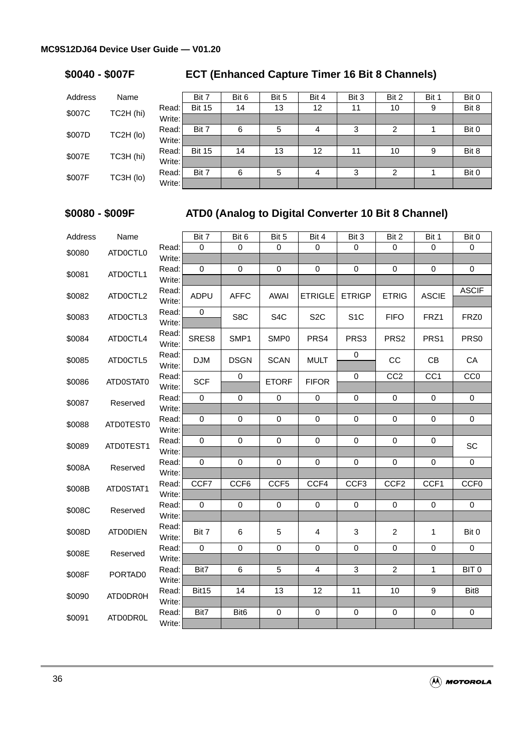## \$0040 - \$007F B

| Name      |
|-----------|
| TC2H (hi) |
| TC2H (lo) |
| TC3H (hi) |
| TC3H (lo) |
|           |

| ECT (Enhanced Capture Timer 16 Bit 8 Channels) |  |  |
|------------------------------------------------|--|--|
|------------------------------------------------|--|--|

| Address | Name      |        | Bit 7         | Bit 6 | Bit 5 | Bit 4 | Bit 3 | Bit 2 | Bit 1 | Bit 0 |
|---------|-----------|--------|---------------|-------|-------|-------|-------|-------|-------|-------|
| \$007C  | TC2H (hi) | Read:  | <b>Bit 15</b> | 14    | 13    | 12    | 11    | 10    | 9     | Bit 8 |
|         |           | Write: |               |       |       |       |       |       |       |       |
| \$007D  | TC2H (lo) | Read:  | Bit 7         | 6     | 5     | 4     | 3     | 2     |       | Bit 0 |
|         |           | Write: |               |       |       |       |       |       |       |       |
| \$007E  | TC3H (hi) | Read:  | <b>Bit 15</b> | 14    | 13    | 12    | 11    | 10    | 9     | Bit 8 |
|         |           | Write: |               |       |       |       |       |       |       |       |
| \$007F  |           | Read:  | Bit 7         | 6     | 5     | 4     | 3     | 2     |       | Bit 0 |
|         | TC3H (lo) | Write: |               |       |       |       |       |       |       |       |

## <span id="page-35-0"></span>**\$0080 - \$009F ATD0 (Analog to Digital Converter 10 Bit 8 Channel)**

| Address | Name            |                 | Bit 7       | Bit 6            | Bit 5            | Bit 4            | Bit 3            | Bit 2            | Bit 1           | Bit 0            |
|---------|-----------------|-----------------|-------------|------------------|------------------|------------------|------------------|------------------|-----------------|------------------|
| \$0080  | ATD0CTL0        | Read:           | 0           | 0                | 0                | 0                | 0                | 0                | 0               | $\mathbf 0$      |
|         |                 | Write:          |             |                  |                  |                  |                  |                  |                 |                  |
| \$0081  | ATD0CTL1        | Read:           | 0           | 0                | 0                | 0                | 0                | 0                | 0               | 0                |
|         |                 | Write:          |             |                  |                  |                  |                  |                  |                 |                  |
| \$0082  | ATD0CTL2        | Read:<br>Write: | <b>ADPU</b> | <b>AFFC</b>      | AWAI             | <b>ETRIGLE</b>   | <b>ETRIGP</b>    | <b>ETRIG</b>     | <b>ASCIE</b>    | <b>ASCIF</b>     |
| \$0083  | ATD0CTL3        | Read:<br>Write: | 0           | S8C              | S <sub>4</sub> C | S <sub>2</sub> C | S <sub>1</sub> C | <b>FIFO</b>      | FRZ1            | FRZ0             |
| \$0084  | ATD0CTL4        | Read:<br>Write: | SRES8       | SMP1             | SMP0             | PRS4             | PRS3             | PRS <sub>2</sub> | PRS1            | PR <sub>S0</sub> |
| \$0085  | ATD0CTL5        | Read:<br>Write: | <b>DJM</b>  | <b>DSGN</b>      | <b>SCAN</b>      | <b>MULT</b>      | 0                | CC               | CB              | CA               |
| \$0086  | ATD0STAT0       | Read:           | <b>SCF</b>  | 0                | <b>ETORF</b>     | <b>FIFOR</b>     | 0                | CC <sub>2</sub>  | CC <sub>1</sub> | CC <sub>0</sub>  |
|         |                 | Write:          |             |                  |                  |                  |                  |                  |                 |                  |
| \$0087  | Reserved        | Read:           | $\mathbf 0$ | 0                | $\mathbf 0$      | $\pmb{0}$        | 0                | 0                | 0               | 0                |
|         |                 | Write:          |             |                  |                  |                  |                  |                  |                 |                  |
| \$0088  | ATD0TEST0       | Read:           | 0           | 0                | 0                | 0                | $\mathbf 0$      | 0                | 0               | $\mathbf 0$      |
|         |                 | Write:          |             |                  |                  |                  |                  |                  |                 |                  |
| \$0089  | ATD0TEST1       | Read:           | 0           | 0                | 0                | 0                | $\mathbf 0$      | 0                | 0               | SC               |
|         |                 | Write:          |             |                  |                  |                  |                  |                  |                 |                  |
| \$008A  | Reserved        | Read:           | 0           | 0                | 0                | 0                | $\mathbf 0$      | 0                | 0               | $\mathbf 0$      |
|         |                 | Write:          |             |                  |                  |                  |                  |                  |                 |                  |
| \$008B  | ATD0STAT1       | Read:           | CCF7        | CCF <sub>6</sub> | CCF <sub>5</sub> | CCF4             | CCF <sub>3</sub> | CCF <sub>2</sub> | CCF1            | CCF <sub>0</sub> |
|         |                 | Write:          |             |                  |                  |                  |                  |                  |                 |                  |
| \$008C  | Reserved        | Read:<br>Write: | 0           | 0                | 0                | 0                | 0                | 0                | 0               | 0                |
|         |                 | Read:           |             |                  |                  |                  |                  |                  |                 |                  |
| \$008D  | <b>ATDODIEN</b> | Write:          | Bit 7       | 6                | 5                | 4                | 3                | $\overline{c}$   | 1               | Bit 0            |
|         |                 | Read:           | $\mathbf 0$ | $\pmb{0}$        | $\pmb{0}$        | $\pmb{0}$        | $\mathbf 0$      | $\mathbf 0$      | $\mathbf 0$     | $\pmb{0}$        |
| \$008E  | Reserved        | Write:          |             |                  |                  |                  |                  |                  |                 |                  |
|         |                 | Read:           | Bit7        | $\,6$            | 5                | 4                | 3                | $\overline{c}$   | 1               | BIT <sub>0</sub> |
| \$008F  | PORTAD0         | Write:          |             |                  |                  |                  |                  |                  |                 |                  |
| \$0090  | ATD0DR0H        | Read:           | Bit15       | 14               | 13               | 12               | 11               | 10               | 9               | Bit8             |
|         |                 | Write:          |             |                  |                  |                  |                  |                  |                 |                  |
| \$0091  | ATD0DR0L        | Read:           | Bit7        | Bit <sub>6</sub> | $\mathbf 0$      | 0                | 0                | $\mathbf 0$      | $\mathbf 0$     | $\pmb{0}$        |
|         |                 | Write:          |             |                  |                  |                  |                  |                  |                 |                  |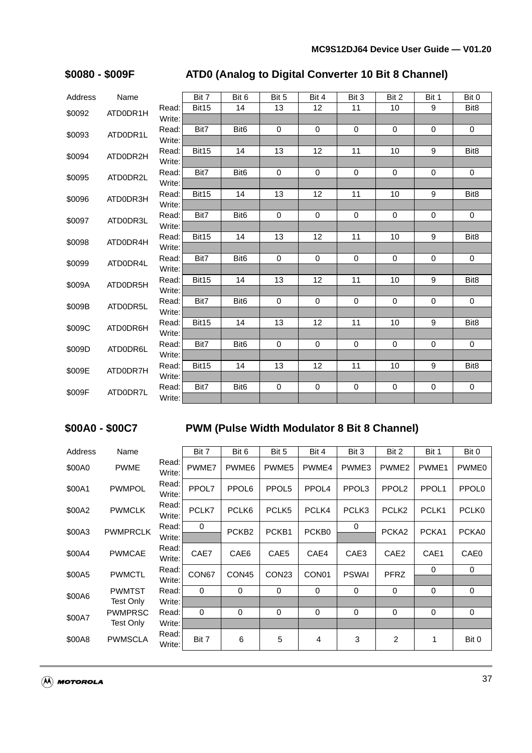#### **\$0080 - \$009F ATD0 (Analog to Digital Converter 10 Bit 8 Channel)**

| Address | Name     |        | Bit 7             | Bit 6            | Bit 5       | Bit 4       | Bit 3       | Bit 2       | Bit 1       | Bit 0            |
|---------|----------|--------|-------------------|------------------|-------------|-------------|-------------|-------------|-------------|------------------|
| \$0092  | ATD0DR1H | Read:  | Bit15             | 14               | 13          | 12          | 11          | 10          | 9           | Bit <sub>8</sub> |
|         |          | Write: |                   |                  |             |             |             |             |             |                  |
| \$0093  | ATD0DR1L | Read:  | Bit7              | Bit <sub>6</sub> | $\mathbf 0$ | $\mathbf 0$ | $\mathbf 0$ | $\mathbf 0$ | $\mathbf 0$ | $\mathbf 0$      |
|         |          | Write: |                   |                  |             |             |             |             |             |                  |
| \$0094  | ATD0DR2H | Read:  | Bit15             | 14               | 13          | 12          | 11          | 10          | 9           | Bit <sub>8</sub> |
|         |          | Write: |                   |                  |             |             |             |             |             |                  |
| \$0095  | ATD0DR2L | Read:  | Bit7              | Bit <sub>6</sub> | $\mathbf 0$ | 0           | $\mathbf 0$ | 0           | $\mathbf 0$ | $\mathbf 0$      |
|         |          | Write: |                   |                  |             |             |             |             |             |                  |
| \$0096  | ATD0DR3H | Read:  | Bit <sub>15</sub> | 14               | 13          | 12          | 11          | 10          | 9           | Bit <sub>8</sub> |
|         |          | Write: |                   |                  |             |             |             |             |             |                  |
| \$0097  | ATD0DR3L | Read:  | Bit7              | Bit <sub>6</sub> | $\mathbf 0$ | $\mathbf 0$ | $\mathbf 0$ | $\pmb{0}$   | $\mathbf 0$ | 0                |
|         |          | Write: |                   |                  |             |             |             |             |             |                  |
| \$0098  | ATD0DR4H | Read:  | Bit15             | 14               | 13          | 12          | 11          | 10          | 9           | Bit <sub>8</sub> |
|         |          | Write: |                   |                  |             |             |             |             |             |                  |
| \$0099  | ATD0DR4L | Read:  | Bit7              | Bit <sub>6</sub> | $\mathbf 0$ | 0           | $\mathbf 0$ | $\mathbf 0$ | $\mathbf 0$ | $\mathbf 0$      |
|         |          | Write: |                   |                  |             |             |             |             |             |                  |
| \$009A  | ATD0DR5H | Read:  | Bit <sub>15</sub> | 14               | 13          | 12          | 11          | 10          | 9           | Bit <sub>8</sub> |
|         |          | Write: |                   |                  |             |             |             |             |             |                  |
| \$009B  | ATD0DR5L | Read:  | Bit7              | Bit <sub>6</sub> | $\mathbf 0$ | 0           | $\mathbf 0$ | $\mathbf 0$ | $\mathbf 0$ | $\mathbf 0$      |
|         |          | Write: |                   |                  |             |             |             |             |             |                  |
| \$009C  | ATD0DR6H | Read:  | Bit15             | 14               | 13          | 12          | 11          | 10          | 9           | Bit <sub>8</sub> |
|         |          | Write: |                   |                  |             |             |             |             |             |                  |
| \$009D  | ATD0DR6L | Read:  | Bit7              | Bit <sub>6</sub> | $\mathbf 0$ | 0           | $\mathbf 0$ | $\mathbf 0$ | 0           | $\mathbf 0$      |
|         |          | Write: |                   |                  |             |             |             |             |             |                  |
| \$009E  | ATD0DR7H | Read:  | Bit15             | 14               | 13          | 12          | 11          | 10          | 9           | Bit <sub>8</sub> |
|         |          | Write: |                   |                  |             |             |             |             |             |                  |
| \$009F  | ATD0DR7L | Read:  | Bit7              | Bit <sub>6</sub> | $\mathbf 0$ | 0           | $\mathbf 0$ | 0           | $\mathbf 0$ | 0                |
|         |          | Write: |                   |                  |             |             |             |             |             |                  |

#### **\$00A0 - \$00C7 PWM (Pulse Width Modulator 8 Bit 8 Channel)**

| Address | Name            |                 | Bit 7    | Bit 6             | Bit 5             | Bit 4             | Bit 3             | Bit 2             | Bit 1             | Bit 0             |
|---------|-----------------|-----------------|----------|-------------------|-------------------|-------------------|-------------------|-------------------|-------------------|-------------------|
| \$00A0  | <b>PWME</b>     | Read:<br>Write: | PWME7    | PWME <sub>6</sub> | PWME5             | PWME4             | PWME3             | PWME <sub>2</sub> | PWME1             | PWME0             |
| \$00A1  | <b>PWMPOL</b>   | Read:<br>Write: | PPOL7    | PPOL <sub>6</sub> | PPOL <sub>5</sub> | PPOL <sub>4</sub> | PPOL <sub>3</sub> | PPOL <sub>2</sub> | PPOL <sub>1</sub> | PPOL <sub>0</sub> |
| \$00A2  | <b>PWMCLK</b>   | Read:<br>Write: | PCLK7    | PCLK6             | PCLK <sub>5</sub> | PCLK4             | PCLK3             | PCLK <sub>2</sub> | PCLK1             | <b>PCLK0</b>      |
| \$00A3  | <b>PWMPRCLK</b> | Read:<br>Write: | $\Omega$ | PCKB <sub>2</sub> | PCKB1             | PCKB <sub>0</sub> | 0                 | PCKA <sub>2</sub> | PCKA1             | PCKA0             |
| \$00A4  | <b>PWMCAE</b>   | Read:<br>Write: | CAE7     | CAE6              | CAE <sub>5</sub>  | CAE4              | CAE <sub>3</sub>  | CAE <sub>2</sub>  | CAE1              | CAE0              |
| \$00A5  | <b>PWMCTL</b>   | Read:<br>Write: | CON67    | CON <sub>45</sub> | CON <sub>23</sub> | CON <sub>01</sub> | <b>PSWAI</b>      | <b>PFRZ</b>       | $\mathbf 0$       | 0                 |
| \$00A6  | <b>PWMTST</b>   | Read:           | $\Omega$ | $\mathbf 0$       | $\mathbf 0$       | 0                 | $\mathbf 0$       | 0                 | $\mathbf 0$       | $\mathbf 0$       |
|         | Test Only       | Write:          |          |                   |                   |                   |                   |                   |                   |                   |
|         | <b>PWMPRSC</b>  | Read:           | $\Omega$ | 0                 | $\mathbf 0$       | 0                 | $\Omega$          | 0                 | $\mathbf 0$       | 0                 |
| \$00A7  | Test Only       | Write:          |          |                   |                   |                   |                   |                   |                   |                   |
| \$00A8  | <b>PWMSCLA</b>  | Read:<br>Write: | Bit 7    | 6                 | 5                 | 4                 | 3                 | 2                 | 1                 | Bit 0             |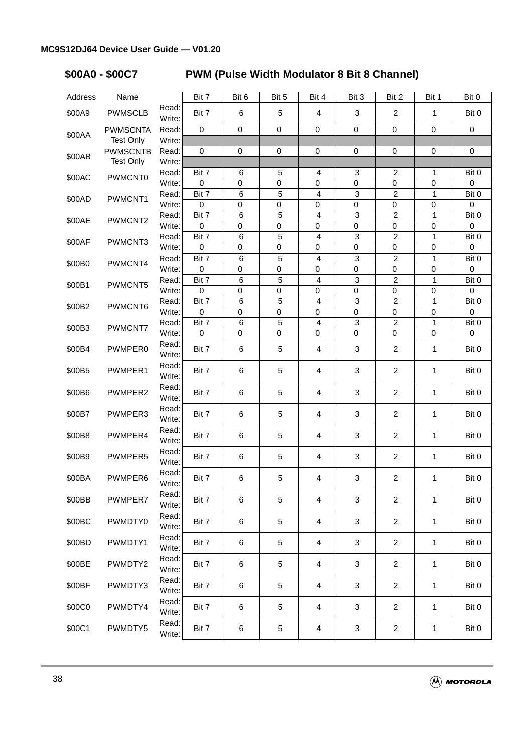#### **\$00A0 - \$00C7 PWM (Pulse Width Modulator 8 Bit 8 Channel)**

| Address | Name                                |                 | Bit 7      | Bit 6       | Bit 5                   | Bit 4     | Bit 3       | Bit 2                   | Bit 1        | Bit 0                |
|---------|-------------------------------------|-----------------|------------|-------------|-------------------------|-----------|-------------|-------------------------|--------------|----------------------|
| \$00A9  | <b>PWMSCLB</b>                      | Read:<br>Write: | Bit 7      | 6           | 5                       | 4         | 3           | $\overline{c}$          | 1            | Bit 0                |
| \$00AA  | <b>PWMSCNTA</b><br><b>Test Only</b> | Read:<br>Write: | 0          | $\mathbf 0$ | $\mathbf 0$             | $\pmb{0}$ | $\mathbf 0$ | $\mathbf 0$             | $\pmb{0}$    | $\pmb{0}$            |
| \$00AB  | <b>PWMSCNTB</b>                     | Read:           | 0          | 0           | 0                       | 0         | 0           | 0                       | 0            | 0                    |
|         | <b>Test Only</b>                    | Write:          |            |             |                         |           |             |                         |              |                      |
| \$00AC  | <b>PWMCNT0</b>                      | Read:           | Bit 7      | 6           | $\mathbf 5$             | 4         | 3           | 2                       | 1            | Bit 0                |
|         |                                     | Write:<br>Read: | 0<br>Bit 7 | 0<br>6      | $\pmb{0}$<br>$\sqrt{5}$ | 0<br>4    | 0<br>3      | 0<br>$\overline{c}$     | 0<br>1       | $\mathbf 0$<br>Bit 0 |
| \$00AD  | PWMCNT1                             | Write:          | 0          | 0           | $\pmb{0}$               | 0         | 0           | 0                       | $\pmb{0}$    | $\mathbf 0$          |
|         |                                     | Read:           | Bit 7      | 6           | 5                       | 4         | 3           | $\overline{c}$          | 1            | Bit 0                |
| \$00AE  | PWMCNT2                             | Write:          | 0          | 0           | $\pmb{0}$               | 0         | 0           | 0                       | $\pmb{0}$    | $\mathbf 0$          |
|         |                                     | Read:           | Bit 7      | 6           | 5                       | 4         | 3           | $\overline{c}$          | 1            | Bit 0                |
| \$00AF  | PWMCNT3                             | Write:          | 0          | 0           | $\pmb{0}$               | 0         | 0           | 0                       | $\pmb{0}$    | $\mathbf 0$          |
| \$00B0  | PWMCNT4                             | Read:           | Bit 7      | 6           | 5                       | 4         | 3           | $\overline{c}$          | 1            | Bit 0                |
|         |                                     | Write:          | 0          | 0           | $\pmb{0}$               | 0         | 0           | 0                       | $\pmb{0}$    | $\mathbf 0$          |
| \$00B1  | PWMCNT5                             | Read:           | Bit 7      | 6           | 5                       | 4         | 3           | $\overline{c}$          | 1            | Bit 0                |
|         |                                     | Write:          | 0          | 0           | $\pmb{0}$               | 0         | 0           | 0                       | $\pmb{0}$    | $\mathbf 0$          |
| \$00B2  | PWMCNT6                             | Read:           | Bit 7      | 6           | $\overline{5}$          | 4         | 3           | $\overline{c}$          | 1            | Bit 0                |
|         |                                     | Write:          | 0          | 0           | $\pmb{0}$               | 0         | 0           | 0                       | $\pmb{0}$    | $\mathbf 0$          |
| \$00B3  | PWMCNT7                             | Read:           | Bit 7      | 6           | 5                       | 4         | 3           | $\overline{c}$          | 1            | Bit 0                |
|         |                                     | Write:          | 0          | 0           | $\mathbf 0$             | $\pmb{0}$ | $\mathbf 0$ | 0                       | $\pmb{0}$    | $\pmb{0}$            |
| \$00B4  | PWMPER0                             | Read:<br>Write: | Bit 7      | 6           | 5                       | 4         | 3           | 2                       | 1            | Bit 0                |
| \$00B5  | PWMPER1                             | Read:<br>Write: | Bit 7      | 6           | 5                       | 4         | 3           | 2                       | 1            | Bit 0                |
| \$00B6  | PWMPER2                             | Read:<br>Write: | Bit 7      | 6           | 5                       | 4         | 3           | 2                       | 1            | Bit 0                |
| \$00B7  | PWMPER3                             | Read:<br>Write: | Bit 7      | 6           | 5                       | 4         | 3           | 2                       | 1            | Bit 0                |
| \$00B8  | PWMPER4                             | Read:<br>Write: | Bit 7      | 6           | 5                       | 4         | 3           | 2                       | 1            | Bit 0                |
| \$00B9  | PWMPER5                             | Read:<br>Write: | Bit 7      | 6           | 5                       | 4         | 3           | 2                       | 1            | Bit 0                |
| \$00BA  | PWMPER6                             | Read:<br>Write: | Bit 7      | 6           | 5                       | 4         | 3           | 2                       | 1            | Bit 0                |
| \$00BB  | PWMPER7                             | Read:<br>Write: | Bit 7      | 6           | 5                       | 4         | 3           | $\overline{\mathbf{c}}$ | 1            | Bit 0                |
| \$00BC  | PWMDTY0                             | Read:<br>Write: | Bit 7      | 6           | 5                       | 4         | 3           | $\overline{\mathbf{c}}$ | 1            | Bit 0                |
| \$00BD  | PWMDTY1                             | Read:<br>Write: | Bit 7      | 6           | 5                       | 4         | 3           | 2                       | 1            | Bit 0                |
| \$00BE  | PWMDTY2                             | Read:<br>Write: | Bit 7      | 6           | 5                       | 4         | 3           | 2                       | 1            | Bit 0                |
| \$00BF  | PWMDTY3                             | Read:<br>Write: | Bit 7      | 6           | 5                       | 4         | 3           | 2                       | 1            | Bit 0                |
| \$00C0  | PWMDTY4                             | Read:<br>Write: | Bit 7      | 6           | 5                       | 4         | 3           | 2                       | 1            | Bit 0                |
| \$00C1  | PWMDTY5                             | Read:<br>Write: | Bit 7      | 6           | 5                       | 4         | 3           | $\overline{\mathbf{c}}$ | $\mathbf{1}$ | Bit 0                |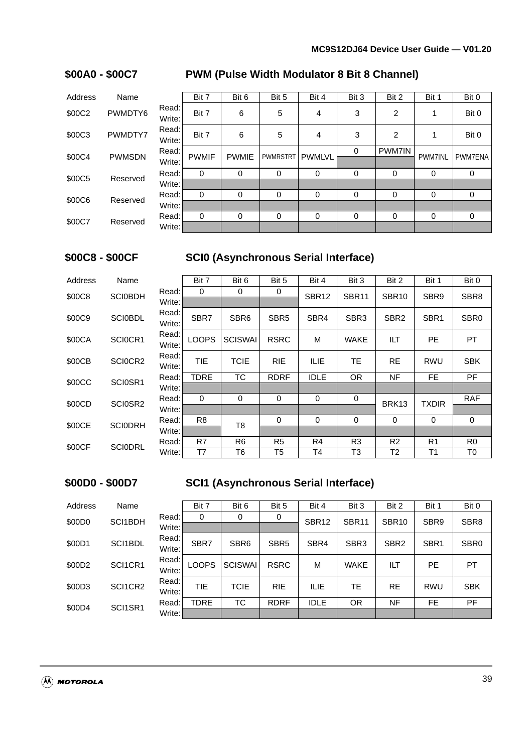#### **\$00A0 - \$00C7 PWM (Pulse Width Modulator 8 Bit 8 Channel)**

| Address | Name          |                 | Bit 7        | Bit 6        | Bit 5           | Bit 4          | Bit 3    | Bit 2          | Bit 1          | Bit 0          |
|---------|---------------|-----------------|--------------|--------------|-----------------|----------------|----------|----------------|----------------|----------------|
| \$00C2  | PWMDTY6       | Read:<br>Write: | Bit 7        | 6            | 5               | 4              | 3        | $\overline{2}$ |                | Bit 0          |
| \$00C3  | PWMDTY7       | Read:<br>Write: | Bit 7        | 6            | 5               | $\overline{4}$ | 3        | 2              | 1              | Bit 0          |
| \$00C4  | <b>PWMSDN</b> | Read:           | <b>PWMIF</b> | <b>PWMIE</b> | <b>PWMRSTRT</b> | <b>PWMLVL</b>  | $\Omega$ | <b>PWM7IN</b>  | <b>PWM7INL</b> | <b>PWM7ENA</b> |
|         |               | Write:          |              |              |                 |                |          |                |                |                |
| \$00C5  |               | Read:           | $\Omega$     | $\Omega$     | $\Omega$        | 0              | $\Omega$ | $\Omega$       | $\Omega$       | $\Omega$       |
|         | Reserved      | Write:          |              |              |                 |                |          |                |                |                |
| \$00C6  | Reserved      | Read:           | $\Omega$     | 0            | 0               | 0              | $\Omega$ | $\Omega$       | $\Omega$       | $\Omega$       |
|         |               | Write:          |              |              |                 |                |          |                |                |                |
| \$00C7  | Reserved      | Read:           | $\mathbf 0$  | 0            | 0               | 0              | 0        | 0              | 0              | $\Omega$       |
|         |               | Write:          |              |              |                 |                |          |                |                |                |

#### **\$00C8 - \$00CF SCI0 (Asynchronous Serial Interface)**

| Address | Name           |        | Bit 7          | Bit 6            | Bit 5            | Bit 4             | Bit 3            | Bit 2             | Bit 1            | Bit 0            |
|---------|----------------|--------|----------------|------------------|------------------|-------------------|------------------|-------------------|------------------|------------------|
| \$00C8  | <b>SCIOBDH</b> | Read:  | 0              | 0                | 0                | SBR <sub>12</sub> | <b>SBR11</b>     | <b>SBR10</b>      | SBR9             | SBR <sub>8</sub> |
|         |                | Write: |                |                  |                  |                   |                  |                   |                  |                  |
|         | <b>SCIOBDL</b> | Read:  | SBR7           | SBR <sub>6</sub> | SBR <sub>5</sub> | SBR4              | SBR <sub>3</sub> | SBR <sub>2</sub>  | SBR <sub>1</sub> | SBR <sub>0</sub> |
| \$00C9  |                | Write: |                |                  |                  |                   |                  |                   |                  |                  |
|         |                | Read:  |                |                  |                  |                   |                  |                   |                  |                  |
| \$00CA  | SCI0CR1        | Write: | LOOPS          | <b>SCISWAI</b>   | <b>RSRC</b>      | м                 | <b>WAKE</b>      | ILT               | <b>PE</b>        | PT.              |
|         |                | Read:  |                |                  |                  |                   |                  |                   |                  |                  |
| \$00CB  | SCI0CR2        | Write: | <b>TIE</b>     | <b>TCIE</b>      | <b>RIE</b>       | <b>ILIE</b>       | <b>TE</b>        | <b>RE</b>         | <b>RWU</b>       | <b>SBK</b>       |
|         |                | Read:  | <b>TDRE</b>    | ТC               | <b>RDRF</b>      | <b>IDLE</b>       | OR.              | <b>NF</b>         | FE.              | PF               |
| \$00CC  | SCI0SR1        | Write: |                |                  |                  |                   |                  |                   |                  |                  |
|         | SCI0SR2        | Read:  | $\Omega$       | $\mathbf 0$      | 0                | $\mathbf 0$       | 0                |                   | <b>TXDIR</b>     | <b>RAF</b>       |
| \$00CD  |                | Write: |                |                  |                  |                   |                  | BRK <sub>13</sub> |                  |                  |
| \$00CE  | <b>SCIODRH</b> | Read:  | R <sub>8</sub> |                  | 0                | $\mathbf 0$       | 0                | 0                 | 0                | 0                |
|         |                | Write: |                | T8               |                  |                   |                  |                   |                  |                  |
|         |                | Read:  | R7             | R <sub>6</sub>   | R <sub>5</sub>   | R <sub>4</sub>    | R <sub>3</sub>   | R <sub>2</sub>    | R <sub>1</sub>   | R0               |
| \$00CF  | <b>SCIODRL</b> | Write: | T7             | T6               | T5               | T4                | T3               | Т2                | Τ1               | T0               |
|         |                |        |                |                  |                  |                   |                  |                   |                  |                  |

#### **\$00D0 - \$00D7 SCI1 (Asynchronous Serial Interface)**

| Name |                                                     | Bit 7       | Bit 6                              | Bit 5                                             | Bit 4                                         | Bit 3                                         | Bit 2                                                             | Bit 1                                                     | Bit 0                                                    |
|------|-----------------------------------------------------|-------------|------------------------------------|---------------------------------------------------|-----------------------------------------------|-----------------------------------------------|-------------------------------------------------------------------|-----------------------------------------------------------|----------------------------------------------------------|
|      | Read:                                               | 0           | 0                                  | 0                                                 |                                               |                                               |                                                                   |                                                           | SBR <sub>8</sub>                                         |
|      | Write:                                              |             |                                    |                                                   |                                               |                                               |                                                                   |                                                           |                                                          |
|      | Read:                                               |             |                                    |                                                   |                                               |                                               |                                                                   |                                                           | SBR <sub>0</sub>                                         |
|      | Write:                                              |             |                                    |                                                   |                                               |                                               |                                                                   |                                                           |                                                          |
|      | Read:                                               |             |                                    |                                                   |                                               |                                               |                                                                   |                                                           | PT                                                       |
|      | Write:                                              |             |                                    |                                                   |                                               |                                               |                                                                   |                                                           |                                                          |
|      | Read:                                               |             |                                    |                                                   |                                               |                                               |                                                                   |                                                           | <b>SBK</b>                                               |
|      | Write:                                              |             |                                    |                                                   |                                               |                                               |                                                                   |                                                           |                                                          |
|      | Read:                                               | <b>TDRE</b> | ТC                                 | <b>RDRF</b>                                       | <b>IDLE</b>                                   | <b>OR</b>                                     | <b>NF</b>                                                         | <b>FE</b>                                                 | <b>PF</b>                                                |
|      | Write:                                              |             |                                    |                                                   |                                               |                                               |                                                                   |                                                           |                                                          |
|      | SCI1BDH<br>SCI1BDL<br>SCI1CR1<br>SCI1CR2<br>SCI1SR1 |             | SBR7<br><b>LOOPS</b><br><b>TIE</b> | SBR <sub>6</sub><br><b>SCISWAI</b><br><b>TCIE</b> | SBR <sub>5</sub><br><b>RSRC</b><br><b>RIE</b> | SBR <sub>12</sub><br>SBR4<br>М<br><b>ILIE</b> | SBR <sub>11</sub><br>SBR <sub>3</sub><br><b>WAKE</b><br><b>TE</b> | SBR <sub>10</sub><br>SBR <sub>2</sub><br>ILT<br><b>RE</b> | SBR <sub>9</sub><br>SBR <sub>1</sub><br>PЕ<br><b>RWU</b> |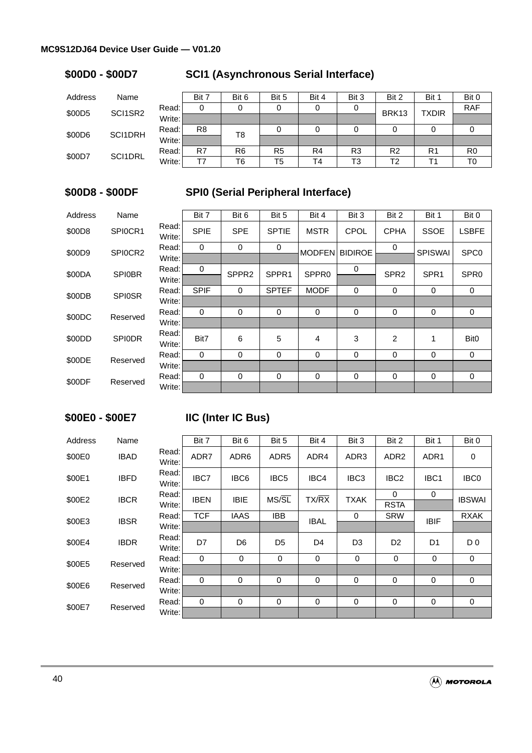#### **\$00D0 - \$00D7 SCI1 (Asynchronous Serial Interface)**

| Address | Name    |          | Bit 7          | Bit 6          | Bit 5          | Bit 4          | Bit 3          | Bit 2             | Bit 1        | Bit 0          |
|---------|---------|----------|----------------|----------------|----------------|----------------|----------------|-------------------|--------------|----------------|
| \$00D5  | SCI1SR2 | Read:    |                |                |                | 0              |                | BRK <sub>13</sub> | <b>TXDIR</b> | <b>RAF</b>     |
|         |         | Write: l |                |                |                |                |                |                   |              |                |
|         | SCI1DRH | Read:    | R <sub>8</sub> | T8             |                |                |                |                   |              |                |
| \$00D6  |         | Write: l |                |                |                |                |                |                   |              |                |
| \$00D7  | SCI1DRL | Read:    | R7             | R <sub>6</sub> | R <sub>5</sub> | R <sub>4</sub> | R <sub>3</sub> | R <sub>2</sub>    | R1           | R <sub>0</sub> |
|         |         | Write:   | т7             | T6             | T5             | T4             | T3             | T2                | Τ1           | T0             |
|         |         |          |                |                |                |                |                |                   |              |                |

#### **\$00D8 - \$00DF SPI0 (Serial Peripheral Interface)**

| Address | Name          |                 | Bit 7       | Bit 6             | Bit 5             | Bit 4             | Bit 3          | Bit 2            | Bit 1            | Bit 0            |
|---------|---------------|-----------------|-------------|-------------------|-------------------|-------------------|----------------|------------------|------------------|------------------|
| \$00D8  | SPI0CR1       | Read:<br>Write: | <b>SPIE</b> | <b>SPE</b>        | <b>SPTIE</b>      | <b>MSTR</b>       | <b>CPOL</b>    | <b>CPHA</b>      | <b>SSOE</b>      | <b>LSBFE</b>     |
| \$00D9  | SPI0CR2       | Read:           | 0           | 0                 | 0                 | <b>MODFEN</b>     | <b>BIDIROE</b> | 0                | <b>SPISWAI</b>   | SPC <sub>0</sub> |
|         |               | Write:          |             |                   |                   |                   |                |                  |                  |                  |
| \$00DA  | <b>SPIOBR</b> | Read:           | 0           | SPPR <sub>2</sub> | SPPR <sub>1</sub> | SPPR <sub>0</sub> | 0              | SPR <sub>2</sub> | SPR <sub>1</sub> | SPR <sub>0</sub> |
|         |               | Write:          |             |                   |                   |                   |                |                  |                  |                  |
| \$00DB  | <b>SPI0SR</b> | Read:           | <b>SPIF</b> | $\mathbf 0$       | <b>SPTEF</b>      | <b>MODF</b>       | $\Omega$       | 0                | 0                | 0                |
|         |               | Write:          |             |                   |                   |                   |                |                  |                  |                  |
| \$00DC  | Reserved      | Read:           | $\Omega$    | 0                 | 0                 | 0                 | $\Omega$       | 0                | $\mathbf 0$      | 0                |
|         |               | Write:          |             |                   |                   |                   |                |                  |                  |                  |
| \$00DD  | <b>SPIODR</b> | Read:           | Bit7        | 6                 | 5                 | 4                 | 3              | 2                | 1                | Bit <sub>0</sub> |
|         |               | Write:          |             |                   |                   |                   |                |                  |                  |                  |
| \$00DE  | Reserved      | Read:           | $\Omega$    | 0                 | 0                 | 0                 | $\Omega$       | 0                | $\mathbf 0$      | 0                |
|         |               | Write:          |             |                   |                   |                   |                |                  |                  |                  |
| \$00DF  | Reserved      | Read:           | 0           | 0                 | 0                 | 0                 | 0              | 0                | $\mathbf 0$      | 0                |
|         |               | Write:          |             |                   |                   |                   |                |                  |                  |                  |

#### **\$00E0 - \$00E7 IIC (Inter IC Bus)**

| Address | Name        |                 | Bit 7       | Bit 6            | Bit 5            | Bit 4          | Bit 3            | Bit 2            | Bit 1            | Bit 0          |
|---------|-------------|-----------------|-------------|------------------|------------------|----------------|------------------|------------------|------------------|----------------|
| \$00E0  | <b>IBAD</b> | Read:<br>Write: | ADR7        | ADR6             | ADR <sub>5</sub> | ADR4           | ADR <sub>3</sub> | ADR <sub>2</sub> | ADR <sub>1</sub> | 0              |
| \$00E1  | <b>IBFD</b> | Read:<br>Write: | IBC7        | IBC <sub>6</sub> | IBC <sub>5</sub> | IBC4           | IBC <sub>3</sub> | IBC <sub>2</sub> | IBC1             | IBC0           |
| \$00E2  | <b>IBCR</b> | Read:           | <b>IBEN</b> | <b>IBIE</b>      | MS/SL            | TX/RX          | <b>TXAK</b>      | $\mathbf 0$      | $\mathbf 0$      | <b>IBSWAI</b>  |
|         |             | Write:          |             |                  |                  |                |                  | <b>RSTA</b>      |                  |                |
| \$00E3  | <b>IBSR</b> | Read:           | <b>TCF</b>  | <b>IAAS</b>      | <b>IBB</b>       | <b>IBAL</b>    | $\Omega$         | <b>SRW</b>       | <b>IBIF</b>      | <b>RXAK</b>    |
|         |             | Write:          |             |                  |                  |                |                  |                  |                  |                |
| \$00E4  | <b>IBDR</b> | Read:<br>Write: | D7          | D <sub>6</sub>   | D <sub>5</sub>   | D <sub>4</sub> | D <sub>3</sub>   | D <sub>2</sub>   | D <sub>1</sub>   | D <sub>0</sub> |
| \$00E5  | Reserved    | Read:           | $\mathbf 0$ | 0                | $\mathbf 0$      | 0              | 0                | $\mathbf 0$      | $\mathbf 0$      | $\mathbf 0$    |
|         |             | Write:          |             |                  |                  |                |                  |                  |                  |                |
| \$00E6  | Reserved    | Read:           | 0           | $\mathbf 0$      | 0                | 0              | 0                | 0                | $\mathbf 0$      | 0              |
|         |             | Write:          |             |                  |                  |                |                  |                  |                  |                |
| \$00E7  | Reserved    | Read:           | 0           | 0                | $\mathbf 0$      | 0              | 0                | 0                | 0                | $\mathbf 0$    |
|         |             | Write:          |             |                  |                  |                |                  |                  |                  |                |
|         |             |                 |             |                  |                  |                |                  |                  |                  |                |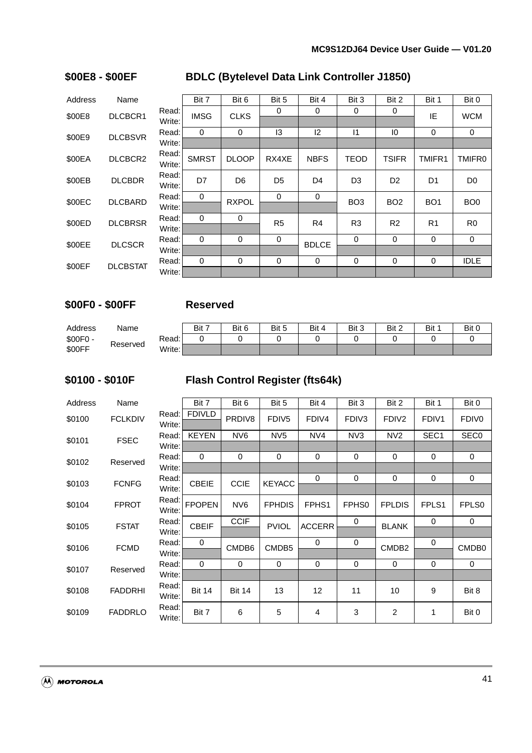#### **\$00E8 - \$00EF BDLC (Bytelevel Data Link Controller J1850)**

| Address | Name            |                 | Bit 7        | Bit 6          | Bit 5          | Bit 4          | Bit 3           | Bit 2           | Bit 1           | Bit 0           |
|---------|-----------------|-----------------|--------------|----------------|----------------|----------------|-----------------|-----------------|-----------------|-----------------|
| \$00E8  | DLCBCR1         | Read:<br>Write: | <b>IMSG</b>  | <b>CLKS</b>    | 0              | 0              | 0               | 0               | IE              | <b>WCM</b>      |
| \$00E9  | <b>DLCBSVR</b>  | Read:           | $\Omega$     | $\Omega$       | 13             | 12             | $\mathsf{I}$    | 10              | $\Omega$        | $\mathbf 0$     |
|         |                 | Write:          |              |                |                |                |                 |                 |                 |                 |
| \$00EA  | DLCBCR2         | Read:<br>Write: | <b>SMRST</b> | <b>DLOOP</b>   | RX4XE          | <b>NBFS</b>    | <b>TEOD</b>     | <b>TSIFR</b>    | TMIFR1          | <b>TMIFR0</b>   |
| \$00EB  | <b>DLCBDR</b>   | Read:<br>Write: | D7           | D <sub>6</sub> | D <sub>5</sub> | D <sub>4</sub> | D <sub>3</sub>  | D <sub>2</sub>  | D1              | D <sub>0</sub>  |
| \$00EC  | <b>DLCBARD</b>  | Read:           | $\mathbf 0$  | <b>RXPOL</b>   | $\Omega$       | 0              | BO <sub>3</sub> | BO <sub>2</sub> | BO <sub>1</sub> | BO <sub>0</sub> |
|         |                 | Write:          |              |                |                |                |                 |                 |                 |                 |
| \$00ED  | <b>DLCBRSR</b>  | Read:           | 0            | 0              | R <sub>5</sub> | R4             | R <sub>3</sub>  | R <sub>2</sub>  | R <sub>1</sub>  | R <sub>0</sub>  |
|         |                 | Write:          |              |                |                |                |                 |                 |                 |                 |
| \$00EE  | <b>DLCSCR</b>   | Read:           | $\Omega$     | $\mathbf 0$    | $\mathbf 0$    | <b>BDLCE</b>   | $\Omega$        | $\mathbf 0$     | $\mathbf 0$     | $\mathbf 0$     |
|         |                 | Write:          |              |                |                |                |                 |                 |                 |                 |
| \$00EF  | <b>DLCBSTAT</b> | Read:           | $\mathbf 0$  | 0              | 0              | 0              | 0               | 0               | 0               | <b>IDLE</b>     |
|         |                 | Write:          |              |                |                |                |                 |                 |                 |                 |

#### **\$00F0 - \$00FF Reserved**

| Address   | Name     |        | Bit 7 | Bit 6 | Bit 5 | Bit 4 | Bit 3 | Bit 2 | Bit 1 | Bit 0 |
|-----------|----------|--------|-------|-------|-------|-------|-------|-------|-------|-------|
| $$00F0 -$ |          | Read:⊥ |       |       |       |       |       |       |       |       |
| \$00FF    | Reserved | Write: |       |       |       |       |       |       |       |       |

#### **\$0100 - \$010F Flash Control Register (fts64k)**

| Name           |                                                                                    | Bit 7         | Bit 6                        | Bit 5                | Bit 4                                                             | Bit 3             | Bit 2             | Bit 1                             | Bit 0             |
|----------------|------------------------------------------------------------------------------------|---------------|------------------------------|----------------------|-------------------------------------------------------------------|-------------------|-------------------|-----------------------------------|-------------------|
| <b>FCLKDIV</b> | Read:                                                                              | <b>FDIVLD</b> | PRDIV8                       | FDIV <sub>5</sub>    | FDIV4                                                             | FDIV3             | FDIV <sub>2</sub> | FDIV1                             | FDIV <sub>0</sub> |
|                | Read:                                                                              | <b>KEYEN</b>  | NV <sub>6</sub>              | NV <sub>5</sub>      | NV4                                                               | NV <sub>3</sub>   | NV <sub>2</sub>   | SEC1                              | SEC <sub>0</sub>  |
|                | Write:                                                                             |               |                              |                      |                                                                   |                   |                   |                                   |                   |
|                | Read:                                                                              | $\Omega$      | $\mathbf 0$                  |                      | 0                                                                 |                   | 0                 | $\mathbf 0$                       | $\mathbf 0$       |
|                | Write:                                                                             |               |                              |                      |                                                                   |                   |                   |                                   |                   |
|                | Read:                                                                              |               |                              |                      | 0                                                                 | $\Omega$          | 0                 | $\mathbf 0$                       | $\mathbf 0$       |
|                | Write:                                                                             |               |                              |                      |                                                                   |                   |                   |                                   |                   |
| <b>FPROT</b>   | Read:<br>Write:                                                                    | <b>FPOPEN</b> | NV <sub>6</sub>              | <b>FPHDIS</b>        | FPHS <sub>1</sub>                                                 | FPH <sub>S0</sub> | <b>FPLDIS</b>     | FPLS <sub>1</sub>                 | FPLS0             |
|                | Read:                                                                              |               | <b>CCIF</b>                  |                      |                                                                   | 0                 |                   | 0                                 | $\mathbf 0$       |
|                | Write:                                                                             |               |                              |                      |                                                                   |                   |                   |                                   |                   |
|                | Read:                                                                              | $\mathbf 0$   |                              |                      | 0                                                                 | 0                 |                   | $\mathbf 0$                       | CMDB <sub>0</sub> |
|                | Write:                                                                             |               |                              |                      |                                                                   |                   |                   |                                   |                   |
|                | Read:                                                                              | 0             | 0                            | $\pmb{0}$            | 0                                                                 | $\mathbf 0$       | 0                 | 0                                 | $\mathbf 0$       |
|                | Write:                                                                             |               |                              |                      |                                                                   |                   |                   |                                   |                   |
| <b>FADDRHI</b> | Read:<br>Write:                                                                    | <b>Bit 14</b> | <b>Bit 14</b>                | 13                   | 12                                                                | 11                | 10                | 9                                 | Bit 8             |
| <b>FADDRLO</b> | Read:<br>Write:                                                                    | Bit 7         | 6                            | 5                    | 4                                                                 | 3                 | $\overline{c}$    | 1                                 | Bit 0             |
|                | <b>FSEC</b><br>Reserved<br><b>FCNFG</b><br><b>FSTAT</b><br><b>FCMD</b><br>Reserved | Write:        | <b>CBEIE</b><br><b>CBEIF</b> | <b>CCIE</b><br>CMDB6 | $\mathbf 0$<br><b>KEYACC</b><br><b>PVIOL</b><br>CMDB <sub>5</sub> | <b>ACCERR</b>     | $\Omega$          | <b>BLANK</b><br>CMDB <sub>2</sub> |                   |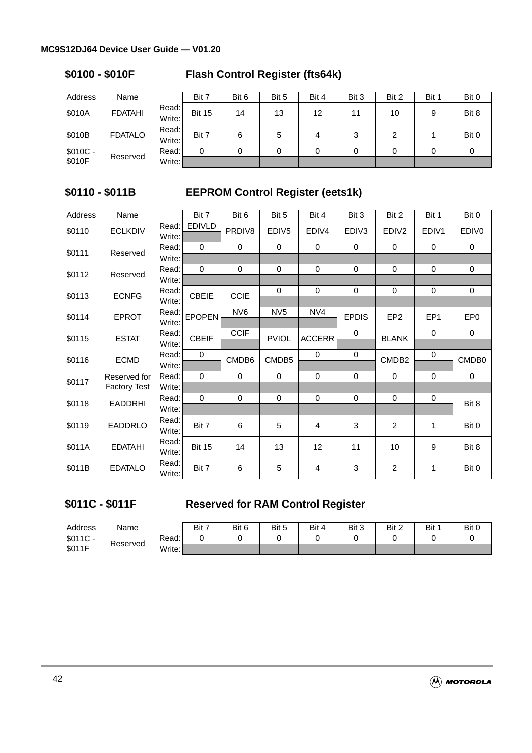#### **\$0100 - \$010F Flash Control Register (fts64k)**

| Address | Name           |                 | Bit 7         | Bit 6 | Bit 5 | Bit 4 | Bit 3 | Bit 2 | Bit 1 | Bit 0 |
|---------|----------------|-----------------|---------------|-------|-------|-------|-------|-------|-------|-------|
| \$010A  | <b>FDATAHI</b> | Read:<br>Write: | <b>Bit 15</b> | 14    | 13    | 12    | 11    | 10    | 9     | Bit 8 |
| \$010B  | <b>FDATALO</b> | Read:<br>Write: | Bit 7         | 6     | 5     | 4     | 3     | 2     |       | Bit 0 |
| \$010C- | Reserved       | Read:           |               | 0     | 0     |       |       | 0     |       | 0     |
| \$010F  |                | Write:          |               |       |       |       |       |       |       |       |

\$010C -<br>\$010F

#### **\$0110 - \$011B EEPROM Control Register (eets1k)**

| Address | Name                |                 | Bit 7         | Bit 6           | Bit 5             | Bit 4         | Bit 3        | Bit 2             | Bit 1           | Bit 0             |
|---------|---------------------|-----------------|---------------|-----------------|-------------------|---------------|--------------|-------------------|-----------------|-------------------|
| \$0110  | <b>ECLKDIV</b>      | Read:<br>Write: | <b>EDIVLD</b> | PRDIV8          | EDIV <sub>5</sub> | EDIV4         | EDIV3        | EDIV <sub>2</sub> | EDIV1           | EDIV <sub>0</sub> |
|         |                     | Read:           | $\mathbf 0$   | $\mathbf 0$     | $\mathbf 0$       | $\mathbf 0$   | $\mathbf 0$  | $\mathbf 0$       | $\mathbf 0$     | $\mathbf 0$       |
| \$0111  | Reserved            | Write:          |               |                 |                   |               |              |                   |                 |                   |
| \$0112  | Reserved            | Read:           | $\mathbf 0$   | $\mathbf 0$     | $\mathbf 0$       | 0             | $\mathbf 0$  | $\mathbf 0$       | 0               | $\mathbf 0$       |
|         |                     | Write:          |               |                 |                   |               |              |                   |                 |                   |
| \$0113  | <b>ECNFG</b>        | Read:           | CBEIE         | <b>CCIE</b>     | $\mathbf 0$       | $\mathbf 0$   | $\mathbf 0$  | $\mathbf 0$       | 0               | 0                 |
|         |                     | Write:          |               |                 |                   |               |              |                   |                 |                   |
| \$0114  | <b>EPROT</b>        | Read:           | <b>EPOPEN</b> | NV <sub>6</sub> | NV <sub>5</sub>   | NV4           | <b>EPDIS</b> | EP <sub>2</sub>   | EP <sub>1</sub> | EP <sub>0</sub>   |
|         |                     | Write:          |               |                 |                   |               |              |                   |                 |                   |
| \$0115  | <b>ESTAT</b>        | Read:           | <b>CBEIF</b>  | <b>CCIF</b>     | <b>PVIOL</b>      | <b>ACCERR</b> | $\mathbf 0$  | <b>BLANK</b>      | $\mathbf 0$     | $\mathbf 0$       |
|         |                     | Write:          |               |                 |                   |               |              |                   |                 |                   |
| \$0116  | <b>ECMD</b>         | Read:           | $\mathbf 0$   | CMDB6           | CMDB <sub>5</sub> | $\mathbf 0$   | $\mathbf 0$  | CMDB <sub>2</sub> | $\mathbf 0$     | CMDB <sub>0</sub> |
|         |                     | Write:          |               |                 |                   |               |              |                   |                 |                   |
| \$0117  | Reserved for        | Read:           | $\mathbf 0$   | $\mathbf 0$     | $\mathbf 0$       | $\mathbf 0$   | $\mathbf 0$  | $\mathbf 0$       | $\mathbf 0$     | $\mathbf 0$       |
|         | <b>Factory Test</b> | Write:          |               |                 |                   |               |              |                   |                 |                   |
| \$0118  | <b>EADDRHI</b>      | Read:           | $\mathbf 0$   | $\mathbf 0$     | $\mathbf 0$       | $\mathbf 0$   | $\mathbf 0$  | $\mathbf 0$       | $\mathbf 0$     | Bit 8             |
|         |                     | Write:          |               |                 |                   |               |              |                   |                 |                   |
| \$0119  | <b>EADDRLO</b>      | Read:           | Bit 7         | 6               | 5                 | 4             | 3            | $\overline{2}$    | 1               | Bit 0             |
|         |                     | Write:          |               |                 |                   |               |              |                   |                 |                   |
| \$011A  | <b>EDATAHI</b>      | Read:           | <b>Bit 15</b> | 14              | 13                | 12            | 11           | 10                | 9               | Bit 8             |
|         |                     | Write:          |               |                 |                   |               |              |                   |                 |                   |
| \$011B  | <b>EDATALO</b>      | Read:<br>Write: | Bit 7         | 6               | 5                 | 4             | 3            | $\overline{c}$    | 1               | Bit 0             |

#### **\$011C - \$011F Reserved for RAM Control Register**

| Address   | Name     |        | Bit 7 | Bit 6 | Bit 5 | Bit 4 | Bit 3 | Bit 2 | Bit : | Bit 0 |
|-----------|----------|--------|-------|-------|-------|-------|-------|-------|-------|-------|
| $$011C -$ | Reserved | Read:  |       |       |       |       |       |       |       |       |
| \$011F    |          | Write: |       |       |       |       |       |       |       |       |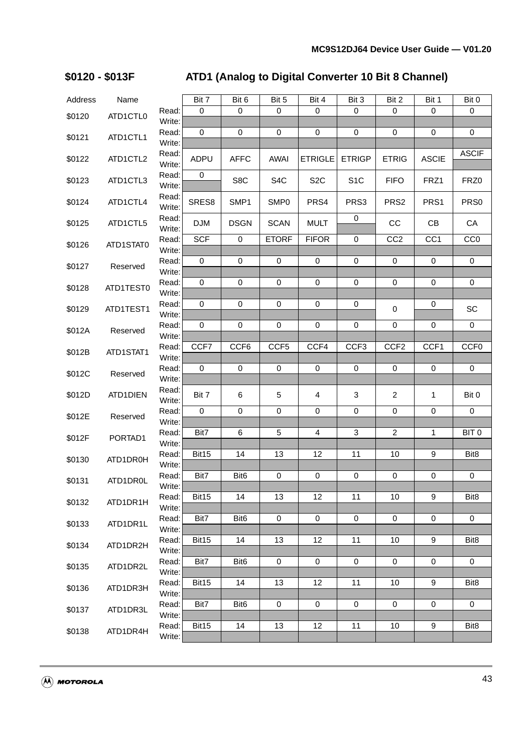# **\$0120 - \$013F ATD1 (Analog to Digital Converter 10 Bit 8 Channel)**

| Address | Name      |                 | Bit 7             | Bit 6            | Bit 5            | Bit 4            | Bit 3            | Bit 2            | Bit 1            | Bit 0            |
|---------|-----------|-----------------|-------------------|------------------|------------------|------------------|------------------|------------------|------------------|------------------|
| \$0120  | ATD1CTL0  | Read:           | 0                 | 0                | 0                | 0                | 0                | 0                | 0                | 0                |
|         |           | Write:          |                   |                  |                  |                  |                  |                  |                  |                  |
| \$0121  | ATD1CTL1  | Read:           | 0                 | 0                | 0                | 0                | 0                | 0                | 0                | 0                |
|         |           | Write:<br>Read: |                   |                  |                  |                  |                  |                  |                  | <b>ASCIF</b>     |
| \$0122  | ATD1CTL2  | Write:          | <b>ADPU</b>       | <b>AFFC</b>      | <b>AWAI</b>      | <b>ETRIGLE</b>   | <b>ETRIGP</b>    | <b>ETRIG</b>     | <b>ASCIE</b>     |                  |
|         |           | Read:           | 0                 |                  |                  |                  |                  |                  |                  |                  |
| \$0123  | ATD1CTL3  | Write:          |                   | S8C              | S <sub>4</sub> C | S <sub>2</sub> C | S <sub>1</sub> C | <b>FIFO</b>      | FRZ1             | FRZ0             |
| \$0124  | ATD1CTL4  | Read:           | SRES8             | SMP1             | SMP <sub>0</sub> | PRS4             | PRS3             | PRS <sub>2</sub> | PRS1             | PR <sub>S0</sub> |
|         |           | Write:          |                   |                  |                  |                  |                  |                  |                  |                  |
| \$0125  | ATD1CTL5  | Read:           | <b>DJM</b>        | <b>DSGN</b>      | <b>SCAN</b>      | <b>MULT</b>      | 0                | CC               | CB               | CA               |
|         |           | Write:          |                   |                  |                  |                  |                  |                  |                  |                  |
| \$0126  | ATD1STAT0 | Read:<br>Write: | <b>SCF</b>        | $\mathbf 0$      | <b>ETORF</b>     | <b>FIFOR</b>     | 0                | CC <sub>2</sub>  | CC <sub>1</sub>  | CC <sub>0</sub>  |
|         |           | Read:           | 0                 | 0                | 0                | 0                | 0                | 0                | 0                | 0                |
| \$0127  | Reserved  | Write:          |                   |                  |                  |                  |                  |                  |                  |                  |
|         |           | Read:           | 0                 | 0                | 0                | 0                | 0                | 0                | 0                | 0                |
| \$0128  | ATD1TEST0 | Write:          |                   |                  |                  |                  |                  |                  |                  |                  |
| \$0129  | ATD1TEST1 | Read:           | 0                 | 0                | 0                | 0                | 0                | 0                | 0                | SC               |
|         |           | Write:          |                   |                  |                  |                  |                  |                  |                  |                  |
| \$012A  | Reserved  | Read:           | 0                 | 0                | 0                | 0                | 0                | 0                | 0                | 0                |
|         |           | Write:          | CCF7              | CCF <sub>6</sub> | CCF <sub>5</sub> | CCF4             |                  | CCF <sub>2</sub> |                  | CCF <sub>0</sub> |
| \$012B  | ATD1STAT1 | Read:<br>Write: |                   |                  |                  |                  | CCF <sub>3</sub> |                  | CCF <sub>1</sub> |                  |
|         |           | Read:           | 0                 | 0                | 0                | 0                | 0                | 0                | 0                | 0                |
| \$012C  | Reserved  | Write:          |                   |                  |                  |                  |                  |                  |                  |                  |
|         | ATD1DIEN  | Read:           | Bit 7             | 6                | 5                | 4                | 3                | $\overline{c}$   | 1                | Bit 0            |
| \$012D  |           | Write:          |                   |                  |                  |                  |                  |                  |                  |                  |
| \$012E  | Reserved  | Read:           | 0                 | 0                | $\pmb{0}$        | 0                | 0                | 0                | 0                | 0                |
|         |           | Write:          |                   |                  |                  |                  |                  |                  |                  |                  |
| \$012F  | PORTAD1   | Read:           | Bit7              | 6                | 5                | 4                | 3                | 2                | 1                | BIT <sub>0</sub> |
|         |           | Write:<br>Read: | Bit15             | 14               | 13               | 12               | 11               | 10               | 9                | Bit <sub>8</sub> |
| \$0130  | ATD1DR0H  | Write:          |                   |                  |                  |                  |                  |                  |                  |                  |
|         |           | Read:           | Bit7              | Bit <sub>6</sub> | 0                | 0                | 0                | 0                | 0                | 0                |
| \$0131  | ATD1DR0L  | Write:          |                   |                  |                  |                  |                  |                  |                  |                  |
| \$0132  | ATD1DR1H  | Read:           | Bit <sub>15</sub> | 14               | 13               | 12               | 11               | 10               | 9                | Bit <sub>8</sub> |
|         |           | Write:          |                   |                  |                  |                  |                  |                  |                  |                  |
| \$0133  | ATD1DR1L  | Read:           | Bit7              | Bit <sub>6</sub> | 0                | 0                | 0                | 0                | 0                | 0                |
|         |           | Write:          |                   |                  |                  |                  |                  |                  |                  |                  |
| \$0134  | ATD1DR2H  | Read:<br>Write: | Bit <sub>15</sub> | 14               | 13               | 12               | 11               | 10               | 9                | Bit <sub>8</sub> |
|         |           | Read:           | Bit7              | Bit <sub>6</sub> | 0                | 0                | 0                | 0                | 0                | 0                |
| \$0135  | ATD1DR2L  | Write:          |                   |                  |                  |                  |                  |                  |                  |                  |
|         |           | Read:           | Bit15             | 14               | 13               | 12               | 11               | 10               | 9                | Bit <sub>8</sub> |
| \$0136  | ATD1DR3H  | Write:          |                   |                  |                  |                  |                  |                  |                  |                  |
| \$0137  | ATD1DR3L  | Read:           | Bit7              | Bit <sub>6</sub> | 0                | 0                | 0                | 0                | 0                | 0                |
|         |           | Write:          |                   |                  |                  |                  |                  |                  |                  |                  |
| \$0138  | ATD1DR4H  | Read:           | Bit15             | 14               | 13               | 12               | 11               | 10               | 9                | Bit <sub>8</sub> |
|         |           | Write:          |                   |                  |                  |                  |                  |                  |                  |                  |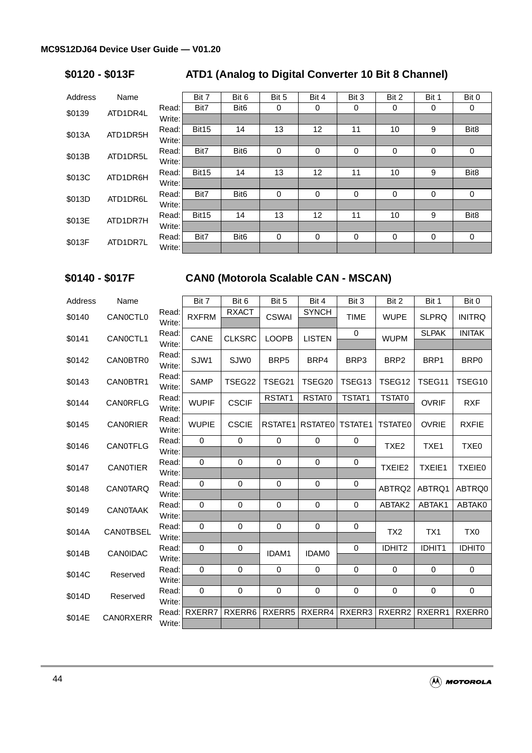#### **\$0120 - \$013F ATD1 (Analog to Digital Converter 10 Bit 8 Channel)**

| Address | Name     |        | Bit 7             | Bit 6            | Bit 5       | Bit 4 | Bit 3       | Bit 2       | Bit 1 | Bit 0            |
|---------|----------|--------|-------------------|------------------|-------------|-------|-------------|-------------|-------|------------------|
| \$0139  | ATD1DR4L | Read:  | Bit7              | Bit <sub>6</sub> | 0           | 0     | 0           | 0           | 0     | 0                |
|         |          | Write: |                   |                  |             |       |             |             |       |                  |
| \$013A  | ATD1DR5H | Read:  | Bit15             | 14               | 13          | 12    | 11          | 10          | 9     | Bit <sub>8</sub> |
|         |          | Write: |                   |                  |             |       |             |             |       |                  |
| \$013B  | ATD1DR5L | Read:  | Bit7              | Bit <sub>6</sub> | $\mathbf 0$ | 0     | $\Omega$    | $\mathbf 0$ | 0     | 0                |
|         |          | Write: |                   |                  |             |       |             |             |       |                  |
| \$013C  | ATD1DR6H | Read:  | Bit <sub>15</sub> | 14               | 13          | 12    | 11          | 10          | 9     | Bit <sub>8</sub> |
|         |          | Write: |                   |                  |             |       |             |             |       |                  |
| \$013D  | ATD1DR6L | Read:  | Bit7              | Bit <sub>6</sub> | $\mathbf 0$ | 0     | $\Omega$    | $\mathbf 0$ | 0     | 0                |
|         |          | Write: |                   |                  |             |       |             |             |       |                  |
| \$013E  | ATD1DR7H | Read:  | Bit15             | 14               | 13          | 12    | 11          | 10          | 9     | Bit <sub>8</sub> |
|         |          | Write: |                   |                  |             |       |             |             |       |                  |
| \$013F  | ATD1DR7L | Read:  | Bit7              | Bit <sub>6</sub> | $\mathbf 0$ | 0     | $\mathbf 0$ | $\mathbf 0$ | 0     | 0                |
|         |          | Write: |                   |                  |             |       |             |             |       |                  |

## **\$0140 - \$017F CAN0 (Motorola Scalable CAN - MSCAN)**

| Address | Name             |                           | Bit 7        | Bit 6         | Bit 5            | Bit 4           | Bit 3          | Bit 2            | Bit 1            | Bit 0            |
|---------|------------------|---------------------------|--------------|---------------|------------------|-----------------|----------------|------------------|------------------|------------------|
| \$0140  | <b>CANOCTLO</b>  | Read:<br>Write:           | <b>RXFRM</b> | <b>RXACT</b>  | <b>CSWAI</b>     | <b>SYNCH</b>    | <b>TIME</b>    | <b>WUPE</b>      | <b>SLPRQ</b>     | <b>INITRQ</b>    |
| \$0141  | CAN0CTL1         | Read:<br>Write:           | CANE         | <b>CLKSRC</b> | <b>LOOPB</b>     | <b>LISTEN</b>   | 0              | <b>WUPM</b>      | <b>SLPAK</b>     | <b>INITAK</b>    |
| \$0142  | CAN0BTR0         | Read:<br>Write:           | SJW1         | SJW0          | BRP <sub>5</sub> | BRP4            | BRP3           | BRP <sub>2</sub> | BRP1             | BRP <sub>0</sub> |
| \$0143  | CAN0BTR1         | Read:<br>Write:           | <b>SAMP</b>  | TSEG22        | TSEG21           | TSEG20          | TSEG13         | TSEG12           | TSEG11           | TSEG10           |
| \$0144  | <b>CANORFLG</b>  | Read:<br>Write:           | <b>WUPIF</b> | <b>CSCIF</b>  | RSTAT1           | RSTAT0          | TSTAT1         | TSTAT0           | <b>OVRIF</b>     | <b>RXF</b>       |
| \$0145  | CANORIER         | Read:<br>Write:           | <b>WUPIE</b> | <b>CSCIE</b>  |                  | RSTATE1 RSTATE0 | <b>TSTATE1</b> | <b>TSTATE0</b>   | <b>OVRIE</b>     | <b>RXFIE</b>     |
| \$0146  | <b>CANOTFLG</b>  | Read:<br>Write:           | $\mathbf 0$  | $\Omega$      | $\mathbf 0$      | $\Omega$        | 0              | TXE <sub>2</sub> | TXE <sub>1</sub> | TXE <sub>0</sub> |
| \$0147  | <b>CANOTIER</b>  | Read:<br>Write:           | $\mathbf 0$  | $\mathbf 0$   | $\mathbf 0$      | 0               | 0              | <b>TXEIE2</b>    | TXEIE1           | <b>TXEIE0</b>    |
| \$0148  | <b>CAN0TARQ</b>  | Read:<br>Write:           | $\mathbf 0$  | $\mathbf 0$   | 0                | 0               | 0              | ABTRQ2           | ABTRQ1           | ABTRQ0           |
| \$0149  | <b>CANOTAAK</b>  | Read:<br>Write:           | 0            | $\mathbf 0$   | 0                | 0               | $\mathbf 0$    | ABTAK2           | ABTAK1           | ABTAK0           |
| \$014A  | <b>CANOTBSEL</b> | Read:<br>Write:           | $\mathbf 0$  | $\mathbf 0$   | 0                | 0               | 0              | TX <sub>2</sub>  | TX1              | TX <sub>0</sub>  |
| \$014B  | CANOIDAC         | Read:<br>Write:           | $\Omega$     | $\Omega$      | IDAM1            | IDAM0           | $\mathbf 0$    | IDHIT2           | IDHIT1           | <b>IDHIT0</b>    |
| \$014C  | Reserved         | Read:<br>Write:           | 0            | $\mathbf 0$   | 0                | $\pmb{0}$       | 0              | $\pmb{0}$        | 0                | $\mathbf 0$      |
| \$014D  | Reserved         | Read:                     | $\mathbf 0$  | $\mathbf 0$   | 0                | 0               | $\mathbf 0$    | 0                | 0                | $\mathbf 0$      |
| \$014E  | <b>CANORXERR</b> | Write:<br>Read:<br>Write: | RXERR7       | RXERR6        | RXERR5           | RXERR4          | RXERR3         | RXERR2           | RXERR1           | RXERR0           |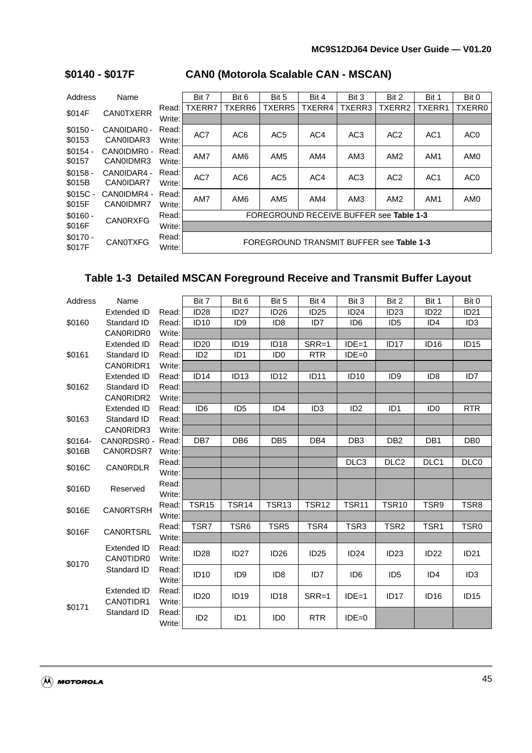#### \$014F CAN0TXERR Read: TXERR7 TXERR6 TXERR5 TXERR4 TXERR3 TXERR2 TXERR1 TXERR0 Write: \$0150 - \$0153 CAN0IDAR0 - Read: CAN0IDAR3 Read: AC7 AC6 AC5 AC4 AC3 AC2 AC1 AC0 Write: \$0154 - CAN0IDMR0 - \$0157 CAN0IDMR3 Write: Read: AM7 | AM6 | AM5 | AM4 | AM3 | AM2 | AM1 | AM0 \$0158 - \$015B CAN0IDAR4 - CAN0IDAR7 Read: AC7 AC6 AC5 AC4 AC3 AC2 AC1 AC0 Write: \$015C - CAN0IDMR4 - \$015F CAN0IDMR7 Read: AM7 | AM6 | AM5 | AM4 | AM3 | AM2 | AM1 | AM0 \$0160 - \$0160 - CAN0RXFG Read: FOREGROUND RECEIVE BUFFER see **[Table 1-3](#page-44-0)**<br>\$016F CAN0RXFG Write: Write: \$0170 - \$017F CAN0TXFG Read: FOREGROUND TRANSMIT BUFFER see **[Table 1-3](#page-44-0)** Write: Address Name | Bit 7 | Bit 6 | Bit 5 | Bit 4 | Bit 3 | Bit 2 | Bit 1 | Bit 0

#### **\$0140 - \$017F CAN0 (Motorola Scalable CAN - MSCAN)**

#### **Table 1-3 Detailed MSCAN Foreground Receive and Transmit Buffer Layout**

<span id="page-44-0"></span>

| Address | Name                            |                 | Bit 7             | Bit 6             | Bit 5             | Bit 4             | Bit 3            | Bit 2            | Bit 1            | Bit 0            |
|---------|---------------------------------|-----------------|-------------------|-------------------|-------------------|-------------------|------------------|------------------|------------------|------------------|
|         | Extended ID                     | Read:           | ID <sub>28</sub>  | ID <sub>27</sub>  | ID <sub>26</sub>  | ID <sub>25</sub>  | ID <sub>24</sub> | ID <sub>23</sub> | ID <sub>22</sub> | <b>ID21</b>      |
| \$0160  | Standard ID                     | Read:           | <b>ID10</b>       | ID <sub>9</sub>   | ID <sub>8</sub>   | ID7               | ID <sub>6</sub>  | ID <sub>5</sub>  | ID <sub>4</sub>  | ID <sub>3</sub>  |
|         | CAN0RIDR0                       | Write:          |                   |                   |                   |                   |                  |                  |                  |                  |
|         | Extended ID                     | Read:           | ID <sub>20</sub>  | ID19              | ID <sub>18</sub>  | $SRR=1$           | $IDE=1$          | ID <sub>17</sub> | ID <sub>16</sub> | ID <sub>15</sub> |
| \$0161  | Standard ID                     | Read:           | ID <sub>2</sub>   | ID <sub>1</sub>   | ID <sub>0</sub>   | <b>RTR</b>        | $IDE=0$          |                  |                  |                  |
|         | CANORIDR1                       | Write:          |                   |                   |                   |                   |                  |                  |                  |                  |
|         | <b>Extended ID</b>              | Read:           | ID14              | ID13              | ID12              | <b>ID11</b>       | ID <sub>10</sub> | ID <sub>9</sub>  | ID <sub>8</sub>  | ID7              |
| \$0162  | Standard ID                     | Read:           |                   |                   |                   |                   |                  |                  |                  |                  |
|         | CAN0RIDR2                       | Write:          |                   |                   |                   |                   |                  |                  |                  |                  |
|         | <b>Extended ID</b>              | Read:           | ID <sub>6</sub>   | ID <sub>5</sub>   | ID <sub>4</sub>   | ID <sub>3</sub>   | ID <sub>2</sub>  | ID <sub>1</sub>  | ID <sub>0</sub>  | <b>RTR</b>       |
| \$0163  | Standard ID                     | Read:           |                   |                   |                   |                   |                  |                  |                  |                  |
|         | CAN0RIDR3                       | Write:          |                   |                   |                   |                   |                  |                  |                  |                  |
| \$0164- | CANORDSRO - Read:               |                 | DB7               | DB <sub>6</sub>   | DB <sub>5</sub>   | DB4               | DB <sub>3</sub>  | D <sub>B2</sub>  | DB <sub>1</sub>  | DB <sub>0</sub>  |
| \$016B  | CAN0RDSR7                       | Write:          |                   |                   |                   |                   |                  |                  |                  |                  |
| \$016C  | <b>CANORDLR</b>                 | Read:           |                   |                   |                   |                   | DLC <sub>3</sub> | DLC <sub>2</sub> | DLC1             | DLC0             |
|         |                                 | Write:          |                   |                   |                   |                   |                  |                  |                  |                  |
| \$016D  | Reserved                        | Read:           |                   |                   |                   |                   |                  |                  |                  |                  |
|         |                                 | Write:          |                   |                   |                   |                   |                  |                  |                  |                  |
| \$016E  | <b>CANORTSRH</b>                | Read:           | TSR <sub>15</sub> | TSR <sub>14</sub> | TSR <sub>13</sub> | TSR <sub>12</sub> | <b>TSR11</b>     | <b>TSR10</b>     | TSR9             | TSR <sub>8</sub> |
|         |                                 | Write:          |                   |                   |                   |                   |                  |                  |                  |                  |
| \$016F  | <b>CANORTSRL</b>                | Read:           | TSR7              | TSR <sub>6</sub>  | TSR <sub>5</sub>  | TSR4              | TSR <sub>3</sub> | TSR <sub>2</sub> | TSR1             | TSR <sub>0</sub> |
|         |                                 | Write:          |                   |                   |                   |                   |                  |                  |                  |                  |
|         | <b>Extended ID</b>              | Read:           | ID <sub>28</sub>  | ID <sub>27</sub>  | ID <sub>26</sub>  | ID <sub>25</sub>  | ID24             | ID <sub>23</sub> | ID22             | ID <sub>21</sub> |
| \$0170  | CAN0TIDR0                       | Write:          |                   |                   |                   |                   |                  |                  |                  |                  |
|         | Standard ID                     | Read:<br>Write: | <b>ID10</b>       | ID <sub>9</sub>   | ID <sub>8</sub>   | ID7               | ID <sub>6</sub>  | ID <sub>5</sub>  | ID <sub>4</sub>  | ID <sub>3</sub>  |
|         | <b>Extended ID</b><br>CANOTIDR1 | Read:<br>Write: | ID <sub>20</sub>  | ID19              | ID <sub>18</sub>  | $SRR=1$           | $IDE=1$          | ID <sub>17</sub> | ID <sub>16</sub> | ID <sub>15</sub> |
| \$0171  | Standard ID                     | Read:           |                   |                   |                   |                   |                  |                  |                  |                  |
|         |                                 | Write:          | ID <sub>2</sub>   | ID <sub>1</sub>   | ID <sub>0</sub>   | <b>RTR</b>        | $IDE=0$          |                  |                  |                  |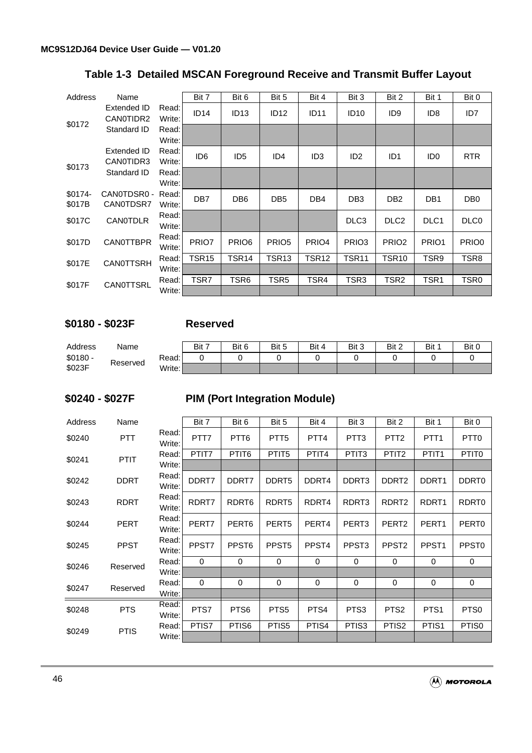#### **Table 1-3 Detailed MSCAN Foreground Receive and Transmit Buffer Layout**

| Address            | Name                            |                 | Bit 7             | Bit 6             | Bit 5             | Bit 4             | Bit 3             | Bit 2             | Bit 1           | Bit 0             |
|--------------------|---------------------------------|-----------------|-------------------|-------------------|-------------------|-------------------|-------------------|-------------------|-----------------|-------------------|
| \$0172             | <b>Extended ID</b><br>CANOTIDR2 | Read:<br>Write: | ID <sub>14</sub>  | ID13              | ID <sub>12</sub>  | <b>ID11</b>       | <b>ID10</b>       | ID <sub>9</sub>   | ID <sub>8</sub> | ID7               |
|                    | Standard ID                     | Read:<br>Write: |                   |                   |                   |                   |                   |                   |                 |                   |
| \$0173             | Extended ID<br>CANOTIDR3        | Read:<br>Write: | ID <sub>6</sub>   | ID <sub>5</sub>   | ID <sub>4</sub>   | ID <sub>3</sub>   | ID <sub>2</sub>   | ID <sub>1</sub>   | ID <sub>0</sub> | <b>RTR</b>        |
|                    | Standard ID                     | Read:<br>Write: |                   |                   |                   |                   |                   |                   |                 |                   |
| $$0174-$<br>\$017B | CANOTDSR0 -<br>CAN0TDSR7        | Read:<br>Write: | DB7               | DB <sub>6</sub>   | DB <sub>5</sub>   | DB4               | DB <sub>3</sub>   | D <sub>B2</sub>   | DB <sub>1</sub> | DB <sub>0</sub>   |
| \$017C             | <b>CANOTDLR</b>                 | Read:<br>Write: |                   |                   |                   |                   | DLC <sub>3</sub>  | DLC <sub>2</sub>  | DLC1            | DLC <sub>0</sub>  |
| \$017D             | <b>CANOTTBPR</b>                | Read:<br>Write: | PRIO7             | PRIO <sub>6</sub> | PRIO <sub>5</sub> | PRIO <sub>4</sub> | PRIO <sub>3</sub> | PRIO <sub>2</sub> | PRIO1           | PRIO <sub>0</sub> |
| \$017E             | <b>CANOTTSRH</b>                | Read:           | TSR <sub>15</sub> | TSR14             | TSR <sub>13</sub> | TSR <sub>12</sub> | <b>TSR11</b>      | TSR <sub>10</sub> | TSR9            | TSR8              |
|                    |                                 | Write:          |                   |                   |                   |                   |                   |                   |                 |                   |
| \$017F             | CANOTTSRL                       | Read:           | TSR7              | TSR6              | TSR5              | TSR4              | TSR3              | TSR <sub>2</sub>  | TSR1            | TSR0              |
|                    |                                 | Write:          |                   |                   |                   |                   |                   |                   |                 |                   |

#### **\$0180 - \$023F Reserved**

| Address   | Name     |        | Bit 7 | Bit 6 | Bit 5 | Bit 4 | Bit 3 | Bit 2 | Bit 1 | Bit 0 |
|-----------|----------|--------|-------|-------|-------|-------|-------|-------|-------|-------|
| $$0180 -$ | Reserved | Read:  |       |       |       |       |       |       |       |       |
| \$023F    |          | Write: |       |       |       |       |       |       |       |       |

#### **\$0240 - \$027F PIM (Port Integration Module)**

| Address | Name        |                 | Bit 7       | Bit 6             | Bit 5             | Bit 4            | Bit 3             | Bit 2             | Bit 1             | Bit 0             |
|---------|-------------|-----------------|-------------|-------------------|-------------------|------------------|-------------------|-------------------|-------------------|-------------------|
| \$0240  | <b>PTT</b>  | Read:<br>Write: | PTT7        | PTT <sub>6</sub>  | PTT <sub>5</sub>  | PTT <sub>4</sub> | PTT <sub>3</sub>  | PTT <sub>2</sub>  | PTT <sub>1</sub>  | PTT <sub>0</sub>  |
|         | <b>PTIT</b> | Read:           | PTIT7       | PTIT <sub>6</sub> | PTIT <sub>5</sub> | PTIT4            | PTIT <sub>3</sub> | PTIT <sub>2</sub> | PTIT <sub>1</sub> | PTIT <sub>0</sub> |
| \$0241  |             | Write:          |             |                   |                   |                  |                   |                   |                   |                   |
| \$0242  | <b>DDRT</b> | Read:<br>Write: | DDRT7       | DDRT7             | DDRT5             | DDRT4            | DDRT3             | DDRT <sub>2</sub> | DDRT <sub>1</sub> | DDRT <sub>0</sub> |
| \$0243  | <b>RDRT</b> | Read:<br>Write: | RDRT7       | RDRT <sub>6</sub> | RDRT <sub>5</sub> | RDRT4            | RDRT3             | RDRT <sub>2</sub> | RDRT <sub>1</sub> | RDRT0             |
| \$0244  | <b>PERT</b> | Read:<br>Write: | PERT7       | PERT <sub>6</sub> | PERT <sub>5</sub> | PERT4            | PERT <sub>3</sub> | PERT <sub>2</sub> | PERT <sub>1</sub> | PERT <sub>0</sub> |
| \$0245  | <b>PPST</b> | Read:<br>Write: | PPST7       | PPST <sub>6</sub> | PPST <sub>5</sub> | PPST4            | PPST <sub>3</sub> | PPST <sub>2</sub> | PPST <sub>1</sub> | PPST <sub>0</sub> |
| \$0246  | Reserved    | Read:           | $\mathbf 0$ | $\mathbf 0$       | $\mathbf 0$       | 0                | $\mathbf 0$       | $\mathbf 0$       | $\mathbf 0$       | $\mathbf 0$       |
|         |             | Write:          |             |                   |                   |                  |                   |                   |                   |                   |
| \$0247  | Reserved    | Read:           | $\mathbf 0$ | 0                 | 0                 | 0                | 0                 | 0                 | 0                 | 0                 |
|         |             | Write:          |             |                   |                   |                  |                   |                   |                   |                   |
| \$0248  | <b>PTS</b>  | Read:           | PTS7        | PTS6              | PTS <sub>5</sub>  | PTS4             | PTS3              | PTS <sub>2</sub>  | PTS <sub>1</sub>  | PTS <sub>0</sub>  |
|         |             | Write:          |             |                   |                   |                  |                   |                   |                   |                   |
| \$0249  | <b>PTIS</b> | Read:           | PTIS7       | PTIS <sub>6</sub> | PTIS5             | PTIS4            | PTIS3             | PTIS <sub>2</sub> | PTIS1             | PTIS <sub>0</sub> |
|         |             | Write:          |             |                   |                   |                  |                   |                   |                   |                   |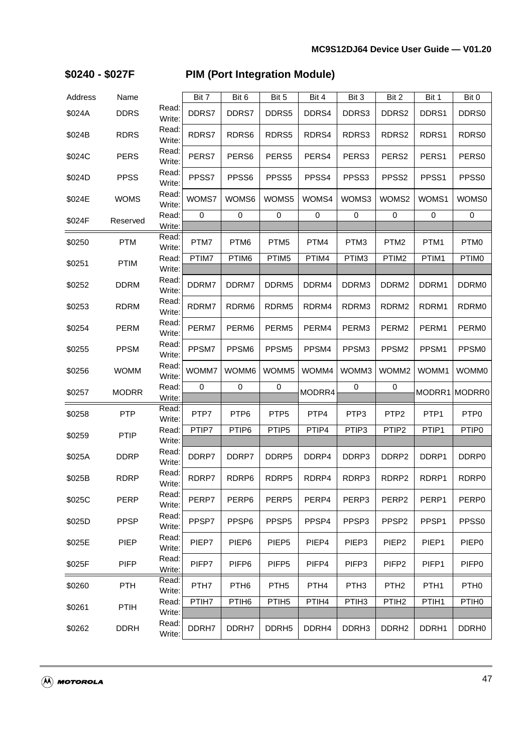## **\$0240 - \$027F PIM (Port Integration Module)**

| Address | Name         |                           | Bit 7 | Bit 6             | Bit 5             | Bit 4            | Bit 3             | Bit 2             | Bit 1             | Bit 0             |
|---------|--------------|---------------------------|-------|-------------------|-------------------|------------------|-------------------|-------------------|-------------------|-------------------|
| \$024A  | <b>DDRS</b>  | Read:<br>Write:           | DDRS7 | DDRS7             | DDRS5             | DDRS4            | DDRS3             | DDRS <sub>2</sub> | DDRS1             | DDR <sub>S0</sub> |
| \$024B  | <b>RDRS</b>  | Read:<br>Write:           | RDRS7 | RDRS6             | RDRS5             | RDRS4            | RDRS3             | RDRS <sub>2</sub> | RDRS1             | RDR <sub>S0</sub> |
| \$024C  | <b>PERS</b>  | Read:<br>Write:           | PERS7 | PERS6             | PERS <sub>5</sub> | PERS4            | PERS3             | PERS <sub>2</sub> | PERS1             | PERS <sub>0</sub> |
| \$024D  | <b>PPSS</b>  | Read:<br>Write:           | PPSS7 | PPSS6             | PPSS <sub>5</sub> | PPSS4            | PPSS <sub>3</sub> | PPSS <sub>2</sub> | PPSS <sub>1</sub> | PPSS <sub>0</sub> |
| \$024E  | <b>WOMS</b>  | Read:<br>Write:           | WOMS7 | WOMS6             | WOMS5             | WOMS4            | WOMS3             | WOMS2             | WOMS1             | WOMS0             |
| \$024F  | Reserved     | Read:                     | 0     | $\mathbf 0$       | 0                 | 0                | 0                 | 0                 | 0                 | 0                 |
|         |              | Write:<br>Read:           |       |                   |                   |                  |                   |                   |                   |                   |
| \$0250  | <b>PTM</b>   | Write:                    | PTM7  | PTM6              | PTM <sub>5</sub>  | PTM4             | PTM3              | PTM <sub>2</sub>  | PTM1              | PTM <sub>0</sub>  |
| \$0251  | PTIM         | Read:                     | PTIM7 | PTIM6             | PTIM <sub>5</sub> | PTIM4            | PTIM3             | PTIM2             | PTIM1             | PTIM0             |
|         |              | Write:                    |       |                   |                   |                  |                   |                   |                   |                   |
| \$0252  | <b>DDRM</b>  | Read:<br>Write:           | DDRM7 | DDRM7             | DDRM <sub>5</sub> | DDRM4            | DDRM3             | DDRM <sub>2</sub> | DDRM1             | DDRM <sub>0</sub> |
| \$0253  | <b>RDRM</b>  | Read:<br>Write:           | RDRM7 | RDRM6             | RDRM <sub>5</sub> | RDRM4            | RDRM3             | RDRM2             | RDRM1             | RDRM <sub>0</sub> |
| \$0254  | <b>PERM</b>  | Read:<br>Write:           | PERM7 | PERM6             | PERM <sub>5</sub> | PERM4            | PERM3             | PERM2             | PERM1             | PERM <sub>0</sub> |
| \$0255  | <b>PPSM</b>  | Read:<br>Write:           | PPSM7 | PPSM6             | PPSM <sub>5</sub> | PPSM4            | PPSM3             | PPSM <sub>2</sub> | PPSM1             | PPSM <sub>0</sub> |
| \$0256  | <b>WOMM</b>  | Read:<br>Write:           | WOMM7 | WOMM6             | WOMM <sub>5</sub> | WOMM4            | WOMM3             | WOMM <sub>2</sub> | WOMM1             | WOMM0             |
| \$0257  | <b>MODRR</b> | Read:<br>Write:           | 0     | 0                 | 0                 | MODRR4           | 0                 | 0                 | MODRR1            | MODRR0            |
|         |              |                           |       |                   |                   |                  |                   |                   |                   |                   |
|         |              | Read:                     |       |                   |                   |                  |                   |                   |                   |                   |
| \$0258  | PTP          | Write:                    | PTP7  | PTP <sub>6</sub>  | PTP <sub>5</sub>  | PTP4             | PTP <sub>3</sub>  | PTP <sub>2</sub>  | PTP1              | PTP <sub>0</sub>  |
| \$0259  | PTIP         | Read:                     | PTIP7 | PTIP <sub>6</sub> | PTIP <sub>5</sub> | PTIP4            | PTIP <sub>3</sub> | PTIP <sub>2</sub> | PTIP1             | PTIP <sub>0</sub> |
| \$025A  | <b>DDRP</b>  | Write:<br>Read:           | DDRP7 | DDRP7             | DDRP5             | DDRP4            | DDRP3             | DDRP <sub>2</sub> | DDRP1             | DDRP0             |
| \$025B  | <b>RDRP</b>  | Write:<br>Read:<br>Write: | RDRP7 | RDRP6             | RDRP5             | RDRP4            | RDRP3             | RDRP <sub>2</sub> | RDRP1             | RDRP0             |
| \$025C  | PERP         | Read:<br>Write:           | PERP7 | PERP6             | PERP <sub>5</sub> | PERP4            | PERP3             | PERP <sub>2</sub> | PERP1             | PERP0             |
| \$025D  | <b>PPSP</b>  | Read:<br>Write:           | PPSP7 | PPSP <sub>6</sub> | PPSP <sub>5</sub> | PPSP4            | PPSP <sub>3</sub> | PPSP <sub>2</sub> | PPSP <sub>1</sub> | PPSS <sub>0</sub> |
| \$025E  | <b>PIEP</b>  | Read:<br>Write:           | PIEP7 | PIEP6             | PIEP <sub>5</sub> | PIEP4            | PIEP3             | PIEP <sub>2</sub> | PIEP <sub>1</sub> | PIEP <sub>0</sub> |
| \$025F  | <b>PIFP</b>  | Read:<br>Write:           | PIFP7 | PIFP <sub>6</sub> | PIFP <sub>5</sub> | PIFP4            | PIFP <sub>3</sub> | PIFP <sub>2</sub> | PIFP <sub>1</sub> | PIFP <sub>0</sub> |
| \$0260  | <b>PTH</b>   | Read:<br>Write:           | PTH7  | PTH <sub>6</sub>  | PTH <sub>5</sub>  | PTH <sub>4</sub> | PTH <sub>3</sub>  | PTH <sub>2</sub>  | PTH <sub>1</sub>  | PTH <sub>0</sub>  |
|         |              | Read:                     | PTIH7 | PTIH <sub>6</sub> | PTIH <sub>5</sub> | PTIH4            | PTIH <sub>3</sub> | PTIH <sub>2</sub> | PTIH1             | PTIH <sub>0</sub> |
| \$0261  | PTIH         | Write:<br>Read:           |       |                   |                   |                  |                   |                   |                   |                   |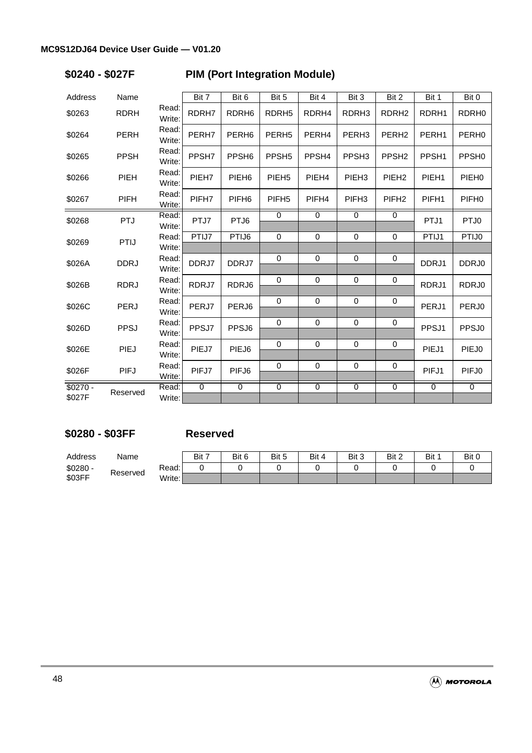#### **\$0240 - \$027F PIM (Port Integration Module)**

| Address   | Name        |                 | Bit 7          | Bit 6             | Bit 5             | Bit 4             | Bit 3             | Bit 2             | Bit 1             | Bit 0             |
|-----------|-------------|-----------------|----------------|-------------------|-------------------|-------------------|-------------------|-------------------|-------------------|-------------------|
| \$0263    | <b>RDRH</b> | Read:<br>Write: | RDRH7          | RDRH <sub>6</sub> | RDRH <sub>5</sub> | RDRH4             | RDRH3             | RDRH <sub>2</sub> | RDRH1             | RDRH <sub>0</sub> |
| \$0264    | <b>PERH</b> | Read:<br>Write: | PERH7          | PERH <sub>6</sub> | PERH <sub>5</sub> | PERH4             | PERH <sub>3</sub> | PERH <sub>2</sub> | PERH1             | PERH <sub>0</sub> |
| \$0265    | <b>PPSH</b> | Read:<br>Write: | PPSH7          | PPSH <sub>6</sub> | PPSH <sub>5</sub> | PPSH <sub>4</sub> | PPSH <sub>3</sub> | PPSH <sub>2</sub> | PPSH <sub>1</sub> | PPSH <sub>0</sub> |
| \$0266    | <b>PIEH</b> | Read:<br>Write: | PIEH7          | PIEH <sub>6</sub> | PIEH <sub>5</sub> | PIEH4             | PIEH <sub>3</sub> | PIEH <sub>2</sub> | PIEH1             | PIEH <sub>0</sub> |
| \$0267    | <b>PIFH</b> | Read:<br>Write: | PIFH7          | PIFH <sub>6</sub> | PIFH <sub>5</sub> | PIFH4             | PIFH <sub>3</sub> | PIFH <sub>2</sub> | PIFH1             | PIFH <sub>0</sub> |
| \$0268    | <b>PTJ</b>  | Read:<br>Write: | PTJ7           | PTJ6              | $\overline{0}$    | $\overline{0}$    | $\overline{0}$    | $\overline{0}$    | PTJ1              | PTJ0              |
| \$0269    | PTIJ        | Read:           | PTIJ7          | PTIJ6             | $\mathbf 0$       | $\mathbf 0$       | $\mathbf 0$       | $\mathbf 0$       | PTIJ1             | PTIJ0             |
|           |             | Write:          |                |                   |                   |                   |                   |                   |                   |                   |
| \$026A    | <b>DDRJ</b> | Read:<br>Write: | DDRJ7          | DDRJ7             | 0                 | 0                 | $\mathbf 0$       | 0                 | DDRJ1             | DDRJ0             |
| \$026B    | <b>RDRJ</b> | Read:<br>Write: | RDRJ7          | RDRJ6             | 0                 | 0                 | 0                 | 0                 | RDRJ1             | RDRJ0             |
| \$026C    | <b>PERJ</b> | Read:<br>Write: | PERJ7          | PERJ6             | 0                 | 0                 | $\mathbf 0$       | 0                 | PERJ1             | PERJ0             |
| \$026D    | PPSJ        | Read:<br>Write: | PPSJ7          | PPSJ6             | 0                 | 0                 | 0                 | 0                 | PPSJ1             | PPSJ0             |
| \$026E    | <b>PIEJ</b> | Read:<br>Write: | PIEJ7          | PIEJ6             | $\mathbf 0$       | 0                 | $\mathbf 0$       | $\mathbf 0$       | PIEJ1             | PIEJ0             |
| \$026F    | <b>PIFJ</b> | Read:<br>Write: | PIFJ7          | PIFJ <sub>6</sub> | $\mathbf 0$       | $\mathbf 0$       | $\mathbf 0$       | 0                 | PIFJ1             | PIFJ0             |
| $$0270 -$ | Reserved    | Read:           | $\overline{0}$ | $\overline{0}$    | $\overline{0}$    | $\overline{0}$    | $\overline{0}$    | $\overline{0}$    | $\overline{0}$    | $\overline{0}$    |
| \$027F    |             | Write:          |                |                   |                   |                   |                   |                   |                   |                   |

#### **\$0280 - \$03FF Reserved**

| Address   | Name     |        | Bit 7 | Bit 6 | Bit 5 | Bit 4 | Bit 3 | Bit 2 | Bit 1 | Bit 0 |
|-----------|----------|--------|-------|-------|-------|-------|-------|-------|-------|-------|
| $$0280 -$ | Read:    |        |       |       |       |       |       |       |       |       |
| \$03FF    | Reserved | Write: |       |       |       |       |       |       |       |       |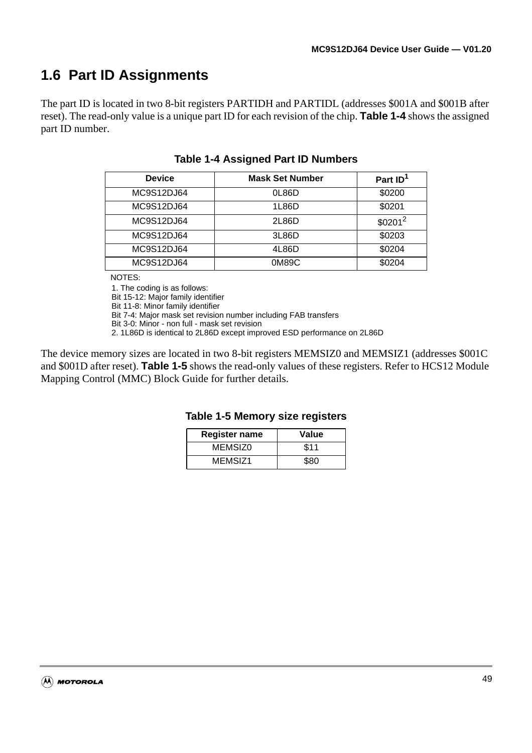# **1.6 Part ID Assignments**

<span id="page-48-0"></span>The part ID is located in two 8-bit registers PARTIDH and PARTIDL (addresses \$001A and \$001B after reset). The read-only value is a unique part ID for each revision of the chip. **[Table 1-4](#page-48-0)** shows the assigned part ID number.

| <b>Device</b> | <b>Mask Set Number</b> | Part ID <sup>1</sup> |
|---------------|------------------------|----------------------|
| MC9S12DJ64    | 0L86D                  | \$0200               |
| MC9S12DJ64    | 1L86D                  | \$0201               |
| MC9S12DJ64    | 2L86D                  | $$0201^2$            |
| MC9S12DJ64    | 3L86D                  | \$0203               |
| MC9S12DJ64    | 4L86D                  | \$0204               |
| MC9S12DJ64    | 0M89C                  | \$0204               |

#### **Table 1-4 Assigned Part ID Numbers**

NOTES:

1. The coding is as follows:

Bit 15-12: Major family identifier

Bit 11-8: Minor family identifier

Bit 7-4: Major mask set revision number including FAB transfers

Bit 3-0: Minor - non full - mask set revision

2. 1L86D is identical to 2L86D except improved ESD performance on 2L86D

<span id="page-48-1"></span>The device memory sizes are located in two 8-bit registers MEMSIZ0 and MEMSIZ1 (addresses \$001C and \$001D after reset). **[Table 1-5](#page-48-1)** shows the read-only values of these registers. Refer to HCS12 Module Mapping Control (MMC) Block Guide for further details.

#### **Table 1-5 Memory size registers**

| <b>Register name</b> | Value |
|----------------------|-------|
| MEMSIZ0              | \$11  |
| MEMSIZ1              | \$80  |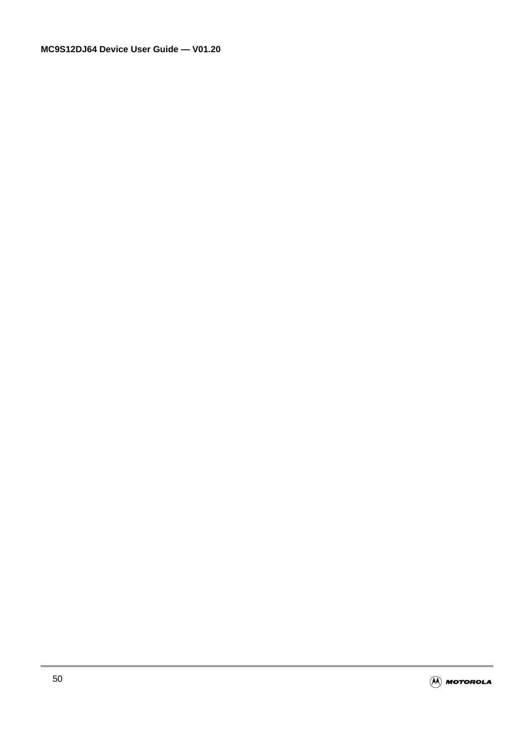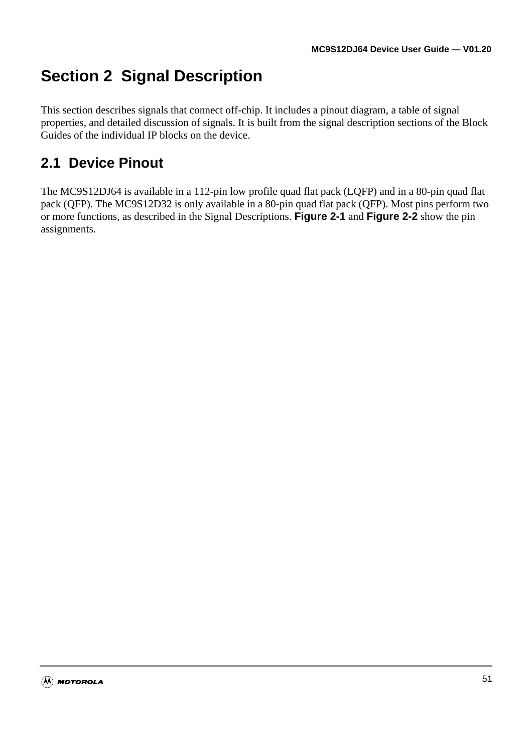# **Section 2 Signal Description**

This section describes signals that connect off-chip. It includes a pinout diagram, a table of signal properties, and detailed discussion of signals. It is built from the signal description sections of the Block Guides of the individual IP blocks on the device.

# **2.1 Device Pinout**

The MC9S12DJ64 is available in a 112-pin low profile quad flat pack (LQFP) and in a 80-pin quad flat pack (QFP). The MC9S12D32 is only available in a 80-pin quad flat pack (QFP). Most pins perform two or more functions, as described in the Signal Descriptions. **[Figure 2-1](#page-51-0)** and **[Figure 2-2](#page-52-0)** show the pin assignments.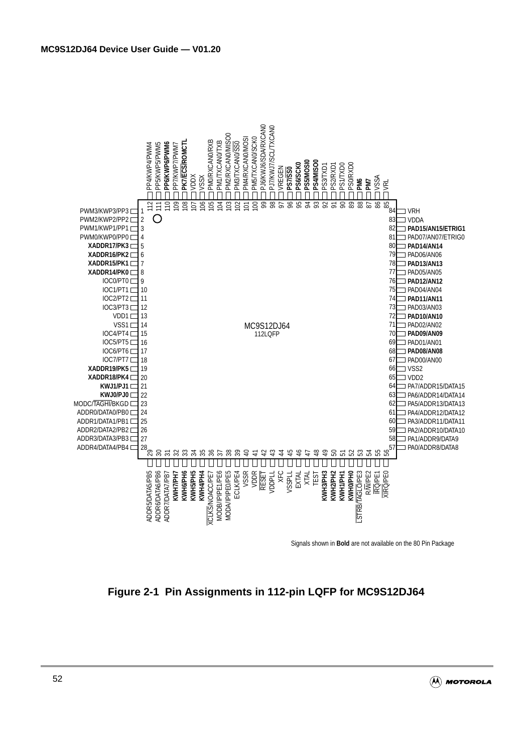

Signals shown in **Bold** are not available on the 80 Pin Package

<span id="page-51-0"></span>**Figure 2-1 Pin Assignments in 112-pin LQFP for MC9S12DJ64**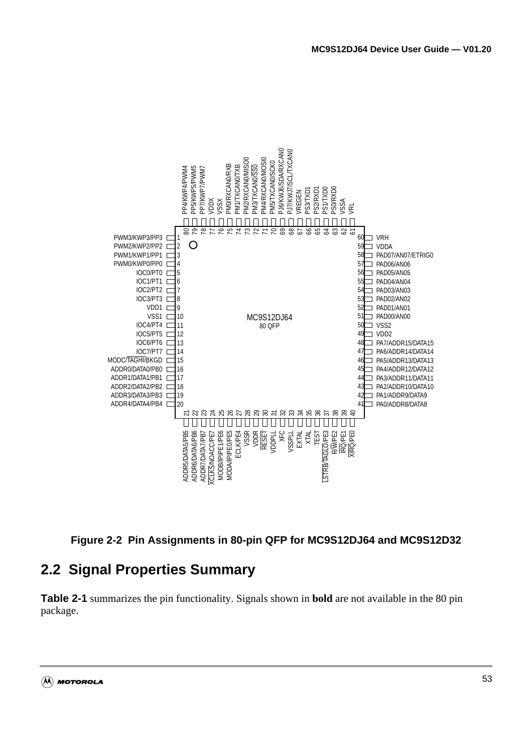

**Figure 2-2 Pin Assignments in 80-pin QFP for MC9S12DJ64 and MC9S12D32**

## <span id="page-52-0"></span>**2.2 Signal Properties Summary**

**[Table 2-1](#page-53-0)** summarizes the pin functionality. Signals shown in **bold** are not available in the 80 pin package.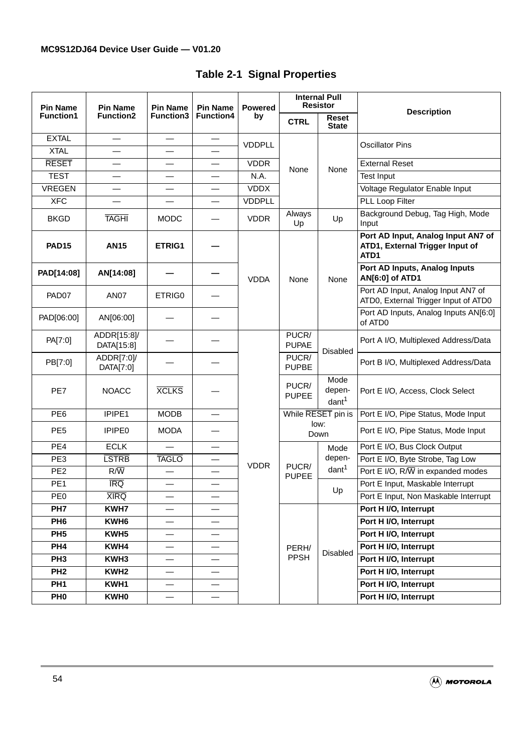<span id="page-53-0"></span>

| <b>Pin Name</b>             | <b>Pin Name</b>           | <b>Pin Name</b>          | <b>Pin Name</b>          | <b>Powered</b> | <b>Internal Pull</b><br><b>Resistor</b> |                                     | <b>Description</b>                                                            |  |
|-----------------------------|---------------------------|--------------------------|--------------------------|----------------|-----------------------------------------|-------------------------------------|-------------------------------------------------------------------------------|--|
| <b>Function1</b>            | <b>Function2</b>          | <b>Function3</b>         | <b>Function4</b>         | by             | <b>CTRL</b>                             | Reset<br><b>State</b>               |                                                                               |  |
| <b>EXTAL</b><br><b>XTAL</b> |                           |                          |                          | <b>VDDPLL</b>  |                                         |                                     | <b>Oscillator Pins</b>                                                        |  |
| <b>RESET</b>                | $\overline{\phantom{0}}$  |                          | $\overline{\phantom{0}}$ | <b>VDDR</b>    |                                         |                                     | <b>External Reset</b>                                                         |  |
| <b>TEST</b>                 |                           |                          |                          | N.A.           | None                                    | None                                | <b>Test Input</b>                                                             |  |
| <b>VREGEN</b>               |                           |                          | $\overline{\phantom{0}}$ | <b>VDDX</b>    |                                         |                                     | Voltage Regulator Enable Input                                                |  |
| <b>XFC</b>                  |                           |                          | $\overline{\phantom{0}}$ | <b>VDDPLL</b>  |                                         |                                     | PLL Loop Filter                                                               |  |
| <b>BKGD</b>                 | <b>TAGHI</b>              | <b>MODC</b>              |                          | <b>VDDR</b>    | Always<br>Up                            | Up                                  | Background Debug, Tag High, Mode<br>Input                                     |  |
| <b>PAD15</b>                | <b>AN15</b>               | ETRIG1                   |                          |                |                                         |                                     | Port AD Input, Analog Input AN7 of<br>ATD1, External Trigger Input of<br>ATD1 |  |
| PAD[14:08]                  | AN[14:08]                 |                          |                          | <b>VDDA</b>    | None                                    | None                                | Port AD Inputs, Analog Inputs<br>AN[6:0] of ATD1                              |  |
| PAD07                       | <b>AN07</b>               | ETRIG0                   |                          |                |                                         |                                     | Port AD Input, Analog Input AN7 of<br>ATD0, External Trigger Input of ATD0    |  |
| PAD[06:00]                  | AN[06:00]                 |                          |                          |                |                                         |                                     | Port AD Inputs, Analog Inputs AN[6:0]<br>of ATD0                              |  |
| PA[7:0]                     | ADDR[15:8]/<br>DATA[15:8] |                          |                          |                | PUCR/<br><b>PUPAE</b>                   | <b>Disabled</b>                     | Port A I/O, Multiplexed Address/Data                                          |  |
| PB[7:0]                     | ADDR[7:0]/<br>DATA[7:0]   |                          |                          |                | PUCR/<br><b>PUPBE</b>                   |                                     | Port B I/O, Multiplexed Address/Data                                          |  |
| PE7                         | <b>NOACC</b>              | <b>XCLKS</b>             |                          |                | PUCR/<br><b>PUPEE</b>                   | Mode<br>depen-<br>dant <sup>1</sup> | Port E I/O, Access, Clock Select                                              |  |
| PE <sub>6</sub>             | IPIPE1                    | <b>MODB</b>              | $\overline{\phantom{0}}$ |                |                                         | While RESET pin is                  | Port E I/O, Pipe Status, Mode Input                                           |  |
| PE <sub>5</sub>             | IPIPE0                    | <b>MODA</b>              |                          |                |                                         | low:<br>Down                        | Port E I/O, Pipe Status, Mode Input                                           |  |
| PE4                         | <b>ECLK</b>               |                          | $\overline{\phantom{0}}$ |                |                                         | Mode                                | Port E I/O, Bus Clock Output                                                  |  |
| PE3                         | <b>LSTRB</b>              | <b>TAGLO</b>             |                          | <b>VDDR</b>    | PUCR/                                   | depen-                              | Port E I/O, Byte Strobe, Tag Low                                              |  |
| PE <sub>2</sub>             | $R/\overline{W}$          |                          |                          |                | <b>PUPEE</b>                            | dant <sup>1</sup>                   | Port E I/O, $R/\overline{W}$ in expanded modes                                |  |
| PE <sub>1</sub>             | <b>IRQ</b>                |                          | $\overline{\phantom{0}}$ |                |                                         | Up                                  | Port E Input, Maskable Interrupt                                              |  |
| PE <sub>0</sub>             | <b>XIRQ</b>               |                          |                          |                |                                         |                                     | Port E Input, Non Maskable Interrupt                                          |  |
| PH <sub>7</sub>             | KWH7                      |                          |                          |                |                                         |                                     | Port H I/O, Interrupt                                                         |  |
| PH <sub>6</sub>             | KWH <sub>6</sub>          |                          |                          |                |                                         |                                     | Port H I/O, Interrupt                                                         |  |
| PH <sub>5</sub>             | KWH <sub>5</sub>          |                          |                          |                |                                         |                                     | Port H I/O, Interrupt                                                         |  |
| PH <sub>4</sub>             | KWH4                      |                          |                          |                | PERH/                                   | Disabled                            | Port H I/O, Interrupt                                                         |  |
| PH <sub>3</sub>             | KWH3                      | $\overline{\phantom{0}}$ | $\overline{\phantom{0}}$ |                | <b>PPSH</b>                             |                                     | Port H I/O, Interrupt                                                         |  |
| PH <sub>2</sub>             | KWH <sub>2</sub>          |                          |                          |                |                                         |                                     | Port H I/O, Interrupt                                                         |  |
| PH <sub>1</sub>             | KWH1                      |                          |                          |                |                                         |                                     | Port H I/O, Interrupt                                                         |  |
| PH <sub>0</sub>             | KWH <sub>0</sub>          | $\overline{\phantom{0}}$ | $\overline{\phantom{0}}$ |                |                                         |                                     | Port H I/O, Interrupt                                                         |  |

#### **Table 2-1 Signal Properties**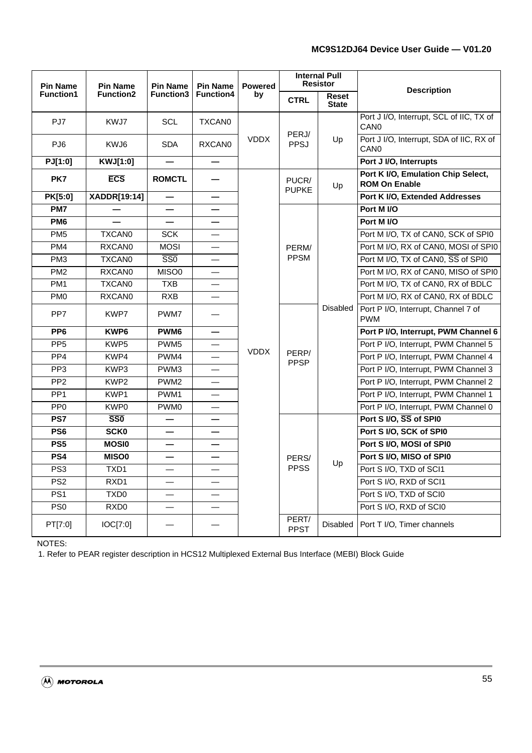| <b>Pin Name</b>  | <b>Pin Name</b>         | <b>Pin Name</b>         | <b>Pin Name</b>  | <b>Powered</b> | <b>Internal Pull</b><br><b>Resistor</b> |                       | <b>Description</b>                                           |
|------------------|-------------------------|-------------------------|------------------|----------------|-----------------------------------------|-----------------------|--------------------------------------------------------------|
| <b>Function1</b> | <b>Function2</b>        | <b>Function3</b>        | <b>Function4</b> | by             | <b>CTRL</b>                             | Reset<br><b>State</b> |                                                              |
| PJ7              | KWJ7                    | <b>SCL</b>              | <b>TXCAN0</b>    |                |                                         |                       | Port J I/O, Interrupt, SCL of IIC, TX of<br>CAN <sub>0</sub> |
| PJ <sub>6</sub>  | KWJ6                    | <b>SDA</b>              | RXCAN0           | <b>VDDX</b>    | PERJ/<br><b>PPSJ</b>                    | Up                    | Port J I/O, Interrupt, SDA of IIC, RX of<br>CAN <sub>0</sub> |
| PJ[1:0]          | <b>KWJ[1:0]</b>         |                         |                  |                |                                         |                       | Port J I/O, Interrupts                                       |
| PK7              | <b>ECS</b>              | <b>ROMCTL</b>           |                  |                | PUCR/<br><b>PUPKE</b>                   | Up                    | Port K I/O, Emulation Chip Select,<br><b>ROM On Enable</b>   |
| PK[5:0]          | XADDR[19:14]            |                         |                  |                |                                         |                       | Port K I/O, Extended Addresses                               |
| PM7              |                         |                         |                  |                |                                         |                       | Port M I/O                                                   |
| PM <sub>6</sub>  |                         |                         |                  |                |                                         |                       | Port M I/O                                                   |
| PM <sub>5</sub>  | <b>TXCAN0</b>           | <b>SCK</b>              |                  |                |                                         |                       | Port M I/O, TX of CAN0, SCK of SPI0                          |
| PM4              | RXCAN0                  | <b>MOSI</b>             |                  |                | PERM/<br><b>PPSM</b>                    |                       | Port M I/O, RX of CAN0, MOSI of SPI0                         |
| PM <sub>3</sub>  | <b>TXCAN0</b>           | $\overline{\text{SS0}}$ |                  |                |                                         |                       | Port M I/O, TX of CAN0, SS of SPI0                           |
| PM <sub>2</sub>  | RXCAN0                  | MISO0                   |                  |                |                                         |                       | Port M I/O, RX of CAN0, MISO of SPI0                         |
| PM <sub>1</sub>  | <b>TXCAN0</b>           | <b>TXB</b>              |                  |                |                                         | Disabled              | Port M I/O, TX of CAN0, RX of BDLC                           |
| PM <sub>0</sub>  | <b>RXCAN0</b>           | <b>RXB</b>              |                  |                |                                         |                       | Port M I/O, RX of CANO, RX of BDLC                           |
| PP7              | KWP7                    | PWM7                    |                  |                |                                         |                       | Port P I/O, Interrupt, Channel 7 of<br><b>PWM</b>            |
| PP <sub>6</sub>  | KWP6                    | PWM <sub>6</sub>        |                  |                |                                         |                       | Port P I/O, Interrupt, PWM Channel 6                         |
| PP <sub>5</sub>  | KWP5                    | PWM <sub>5</sub>        |                  |                |                                         |                       | Port P I/O, Interrupt, PWM Channel 5                         |
| PP <sub>4</sub>  | KWP4                    | PWM4                    |                  | <b>VDDX</b>    | PERP/<br><b>PPSP</b>                    |                       | Port P I/O, Interrupt, PWM Channel 4                         |
| PP <sub>3</sub>  | KWP3                    | PWM3                    |                  |                |                                         |                       | Port P I/O, Interrupt, PWM Channel 3                         |
| PP <sub>2</sub>  | KWP <sub>2</sub>        | PWM <sub>2</sub>        |                  |                |                                         |                       | Port P I/O, Interrupt, PWM Channel 2                         |
| PP <sub>1</sub>  | KWP1                    | PWM1                    |                  |                |                                         |                       | Port P I/O, Interrupt, PWM Channel 1                         |
| PP <sub>0</sub>  | KWP <sub>0</sub>        | PWM <sub>0</sub>        |                  |                |                                         |                       | Port P I/O, Interrupt, PWM Channel 0                         |
| PS7              | $\overline{\text{SS0}}$ |                         |                  |                |                                         |                       | Port S I/O, SS of SPI0                                       |
| PS <sub>6</sub>  | <b>SCK0</b>             |                         |                  |                |                                         |                       | Port S I/O, SCK of SPI0                                      |
| PS <sub>5</sub>  | <b>MOSI0</b>            |                         |                  |                |                                         |                       | Port S I/O, MOSI of SPI0                                     |
| PS4              | <b>MISO0</b>            |                         |                  |                | PERS/                                   | Up                    | Port S I/O, MISO of SPI0                                     |
| PS <sub>3</sub>  | TXD1                    |                         |                  |                | <b>PPSS</b>                             |                       | Port S I/O, TXD of SCI1                                      |
| PS <sub>2</sub>  | RXD1                    |                         |                  |                |                                         |                       | Port S I/O, RXD of SCI1                                      |
| PS <sub>1</sub>  | TXD <sub>0</sub>        |                         |                  |                |                                         |                       | Port S I/O, TXD of SCI0                                      |
| PSO              | RXD <sub>0</sub>        |                         |                  |                |                                         |                       | Port S I/O, RXD of SCI0                                      |
| PT[7:0]          | IOC[7:0]                |                         |                  |                | PERT/<br><b>PPST</b>                    |                       | Disabled   Port T I/O, Timer channels                        |

NOTES:

<span id="page-54-0"></span>1. Refer to PEAR register description in HCS12 Multiplexed External Bus Interface (MEBI) Block Guide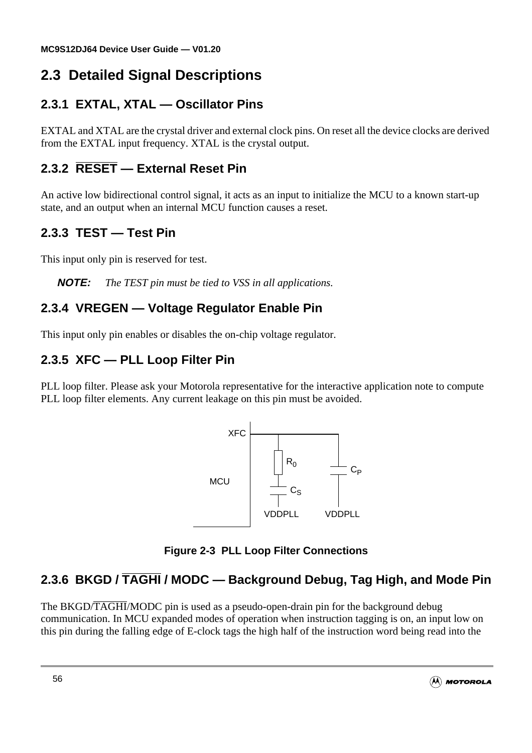# **2.3 Detailed Signal Descriptions**

## **2.3.1 EXTAL, XTAL — Oscillator Pins**

EXTAL and XTAL are the crystal driver and external clock pins. On reset all the device clocks are derived from the EXTAL input frequency. XTAL is the crystal output.

## **2.3.2 RESET — External Reset Pin**

An active low bidirectional control signal, it acts as an input to initialize the MCU to a known start-up state, and an output when an internal MCU function causes a reset.

### **2.3.3 TEST — Test Pin**

This input only pin is reserved for test.

**NOTE:** *The TEST pin must be tied to VSS in all applications.*

## **2.3.4 VREGEN — Voltage Regulator Enable Pin**

This input only pin enables or disables the on-chip voltage regulator.

## **2.3.5 XFC — PLL Loop Filter Pin**

PLL loop filter. Please ask your Motorola representative for the interactive application note to compute PLL loop filter elements. Any current leakage on this pin must be avoided.





## **2.3.6 BKGD / TAGHI / MODC — Background Debug, Tag High, and Mode Pin**

The BKGD/TAGHI/MODC pin is used as a pseudo-open-drain pin for the background debug communication. In MCU expanded modes of operation when instruction tagging is on, an input low on this pin during the falling edge of E-clock tags the high half of the instruction word being read into the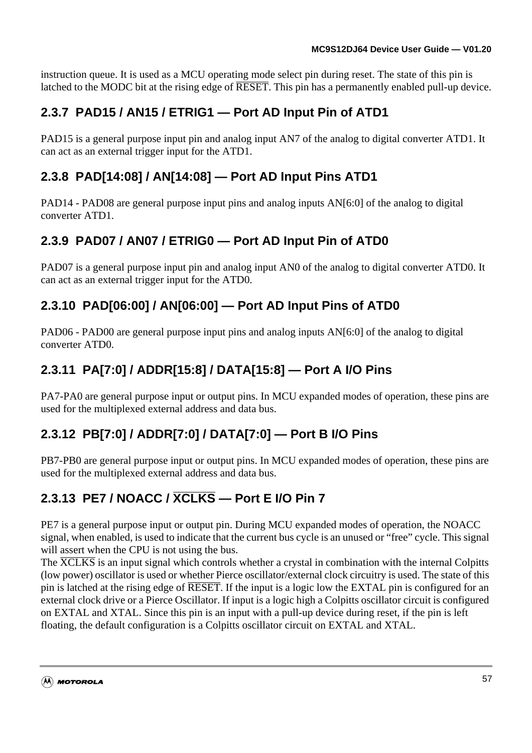instruction queue. It is used as a MCU operating mode select pin during reset. The state of this pin is latched to the MODC bit at the rising edge of RESET. This pin has a permanently enabled pull-up device.

## **2.3.7 PAD15 / AN15 / ETRIG1 — Port AD Input Pin of ATD1**

PAD15 is a general purpose input pin and analog input AN7 of the analog to digital converter ATD1. It can act as an external trigger input for the ATD1.

## **2.3.8 PAD[14:08] / AN[14:08] — Port AD Input Pins ATD1**

PAD14 - PAD08 are general purpose input pins and analog inputs AN[6:0] of the analog to digital converter ATD1.

## **2.3.9 PAD07 / AN07 / ETRIG0 — Port AD Input Pin of ATD0**

PAD07 is a general purpose input pin and analog input AN0 of the analog to digital converter ATD0. It can act as an external trigger input for the ATD0.

## **2.3.10 PAD[06:00] / AN[06:00] — Port AD Input Pins of ATD0**

PAD06 - PAD00 are general purpose input pins and analog inputs AN[6:0] of the analog to digital converter ATD0.

## **2.3.11 PA[7:0] / ADDR[15:8] / DATA[15:8] — Port A I/O Pins**

PA7-PA0 are general purpose input or output pins. In MCU expanded modes of operation, these pins are used for the multiplexed external address and data bus.

## **2.3.12 PB[7:0] / ADDR[7:0] / DATA[7:0] — Port B I/O Pins**

PB7-PB0 are general purpose input or output pins. In MCU expanded modes of operation, these pins are used for the multiplexed external address and data bus.

## **2.3.13 PE7 / NOACC / XCLKS — Port E I/O Pin 7**

PE7 is a general purpose input or output pin. During MCU expanded modes of operation, the NOACC signal, when enabled, is used to indicate that the current bus cycle is an unused or "free" cycle. This signal will assert when the CPU is not using the bus.

The  $\overline{XCLKS}$  is an input signal which controls whether a crystal in combination with the internal Colpitts (low power) oscillator is used or whether Pierce oscillator/external clock circuitry is used. The state of this pin is latched at the rising edge of RESET. If the input is a logic low the EXTAL pin is configured for an external clock drive or a Pierce Oscillator. If input is a logic high a Colpitts oscillator circuit is configured on EXTAL and XTAL. Since this pin is an input with a pull-up device during reset, if the pin is left floating, the default configuration is a Colpitts oscillator circuit on EXTAL and XTAL.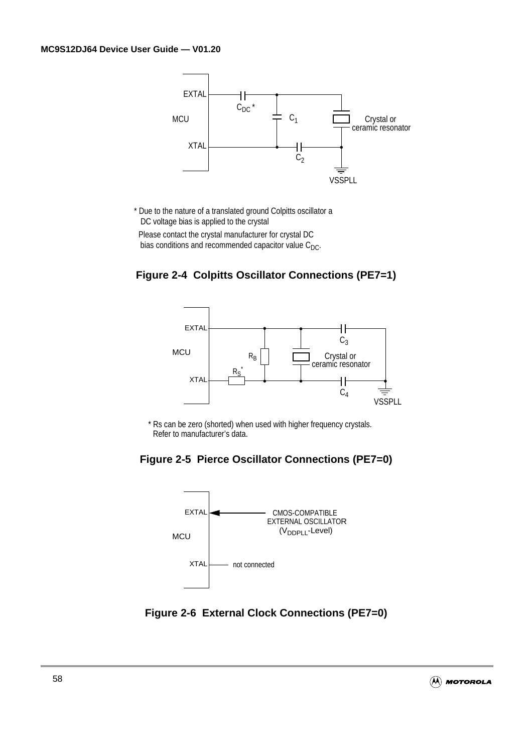

\* Due to the nature of a translated ground Colpitts oscillator a DC voltage bias is applied to the crystal

bias conditions and recommended capacitor value  $C_{DC}$ . Please contact the crystal manufacturer for crystal DC

#### **Figure 2-4 Colpitts Oscillator Connections (PE7=1)**



\* Rs can be zero (shorted) when used with higher frequency crystals. Refer to manufacturer's data.

**Figure 2-5 Pierce Oscillator Connections (PE7=0)**



**Figure 2-6 External Clock Connections (PE7=0)**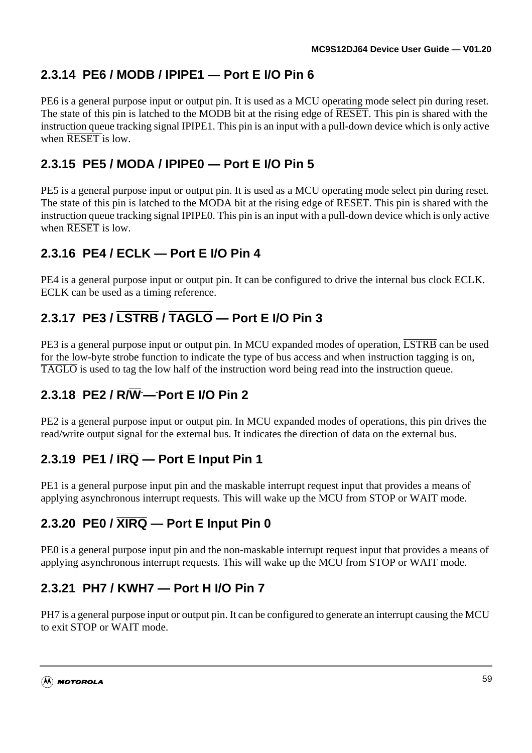## **2.3.14 PE6 / MODB / IPIPE1 — Port E I/O Pin 6**

PE6 is a general purpose input or output pin. It is used as a MCU operating mode select pin during reset. The state of this pin is latched to the MODB bit at the rising edge of RESET. This pin is shared with the instruction queue tracking signal IPIPE1. This pin is an input with a pull-down device which is only active when RESET is low.

#### **2.3.15 PE5 / MODA / IPIPE0 — Port E I/O Pin 5**

PE5 is a general purpose input or output pin. It is used as a MCU operating mode select pin during reset. The state of this pin is latched to the MODA bit at the rising edge of RESET. This pin is shared with the instruction queue tracking signal IPIPE0. This pin is an input with a pull-down device which is only active when **RESET** is low.

### **2.3.16 PE4 / ECLK — Port E I/O Pin 4**

PE4 is a general purpose input or output pin. It can be configured to drive the internal bus clock ECLK. ECLK can be used as a timing reference.

## **2.3.17 PE3 / LSTRB / TAGLO — Port E I/O Pin 3**

PE3 is a general purpose input or output pin. In MCU expanded modes of operation, LSTRB can be used for the low-byte strobe function to indicate the type of bus access and when instruction tagging is on, TAGLO is used to tag the low half of the instruction word being read into the instruction queue.

## **2.3.18 PE2 / R/W — Port E I/O Pin 2**

PE2 is a general purpose input or output pin. In MCU expanded modes of operations, this pin drives the read/write output signal for the external bus. It indicates the direction of data on the external bus.

## **2.3.19 PE1 / IRQ — Port E Input Pin 1**

PE1 is a general purpose input pin and the maskable interrupt request input that provides a means of applying asynchronous interrupt requests. This will wake up the MCU from STOP or WAIT mode.

### **2.3.20 PE0 / XIRQ — Port E Input Pin 0**

PE0 is a general purpose input pin and the non-maskable interrupt request input that provides a means of applying asynchronous interrupt requests. This will wake up the MCU from STOP or WAIT mode.

### **2.3.21 PH7 / KWH7 — Port H I/O Pin 7**

PH7 is a general purpose input or output pin. It can be configured to generate an interrupt causing the MCU to exit STOP or WAIT mode.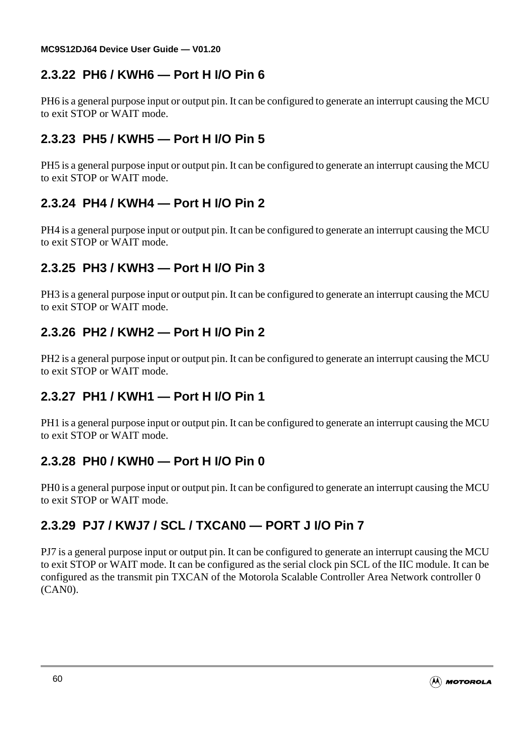## **2.3.22 PH6 / KWH6 — Port H I/O Pin 6**

PH6 is a general purpose input or output pin. It can be configured to generate an interrupt causing the MCU to exit STOP or WAIT mode.

### **2.3.23 PH5 / KWH5 — Port H I/O Pin 5**

PH5 is a general purpose input or output pin. It can be configured to generate an interrupt causing the MCU to exit STOP or WAIT mode.

#### **2.3.24 PH4 / KWH4 — Port H I/O Pin 2**

PH4 is a general purpose input or output pin. It can be configured to generate an interrupt causing the MCU to exit STOP or WAIT mode.

#### **2.3.25 PH3 / KWH3 — Port H I/O Pin 3**

PH3 is a general purpose input or output pin. It can be configured to generate an interrupt causing the MCU to exit STOP or WAIT mode.

#### **2.3.26 PH2 / KWH2 — Port H I/O Pin 2**

PH2 is a general purpose input or output pin. It can be configured to generate an interrupt causing the MCU to exit STOP or WAIT mode.

#### **2.3.27 PH1 / KWH1 — Port H I/O Pin 1**

PH1 is a general purpose input or output pin. It can be configured to generate an interrupt causing the MCU to exit STOP or WAIT mode.

### **2.3.28 PH0 / KWH0 — Port H I/O Pin 0**

PH0 is a general purpose input or output pin. It can be configured to generate an interrupt causing the MCU to exit STOP or WAIT mode.

### **2.3.29 PJ7 / KWJ7 / SCL / TXCAN0 — PORT J I/O Pin 7**

PJ7 is a general purpose input or output pin. It can be configured to generate an interrupt causing the MCU to exit STOP or WAIT mode. It can be configured as the serial clock pin SCL of the IIC module. It can be configured as the transmit pin TXCAN of the Motorola Scalable Controller Area Network controller 0 (CAN0).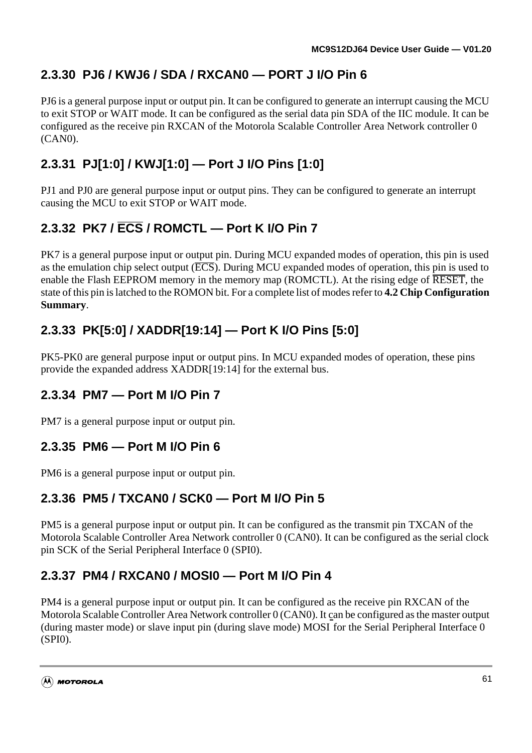## **2.3.30 PJ6 / KWJ6 / SDA / RXCAN0 — PORT J I/O Pin 6**

PJ6 is a general purpose input or output pin. It can be configured to generate an interrupt causing the MCU to exit STOP or WAIT mode. It can be configured as the serial data pin SDA of the IIC module. It can be configured as the receive pin RXCAN of the Motorola Scalable Controller Area Network controller 0 (CAN0).

## **2.3.31 PJ[1:0] / KWJ[1:0] — Port J I/O Pins [1:0]**

PJ1 and PJ0 are general purpose input or output pins. They can be configured to generate an interrupt causing the MCU to exit STOP or WAIT mode.

## **2.3.32 PK7 / ECS / ROMCTL — Port K I/O Pin 7**

PK7 is a general purpose input or output pin. During MCU expanded modes of operation, this pin is used as the emulation chip select output  $(\overline{ECS})$ . During MCU expanded modes of operation, this pin is used to enable the Flash EEPROM memory in the memory map (ROMCTL). At the rising edge of  $\overline{\text{RESET}}$ , the state of this pin is latched to the ROMON bit. For a complete list of modes refer to **[4.2 Chip Configuration](#page-68-0) [Summary](#page-68-0)**.

## **2.3.33 PK[5:0] / XADDR[19:14] — Port K I/O Pins [5:0]**

PK5-PK0 are general purpose input or output pins. In MCU expanded modes of operation, these pins provide the expanded address XADDR[19:14] for the external bus.

## **2.3.34 PM7 — Port M I/O Pin 7**

PM7 is a general purpose input or output pin.

## **2.3.35 PM6 — Port M I/O Pin 6**

PM6 is a general purpose input or output pin.

## **2.3.36 PM5 / TXCAN0 / SCK0 — Port M I/O Pin 5**

PM5 is a general purpose input or output pin. It can be configured as the transmit pin TXCAN of the Motorola Scalable Controller Area Network controller 0 (CAN0). It can be configured as the serial clock pin SCK of the Serial Peripheral Interface 0 (SPI0).

## **2.3.37 PM4 / RXCAN0 / MOSI0 — Port M I/O Pin 4**

PM4 is a general purpose input or output pin. It can be configured as the receive pin RXCAN of the Motorola Scalable Controller Area Network controller 0 (CAN0). It can be configured as the master output (during master mode) or slave input pin (during slave mode) MOSI for the Serial Peripheral Interface 0 (SPI0).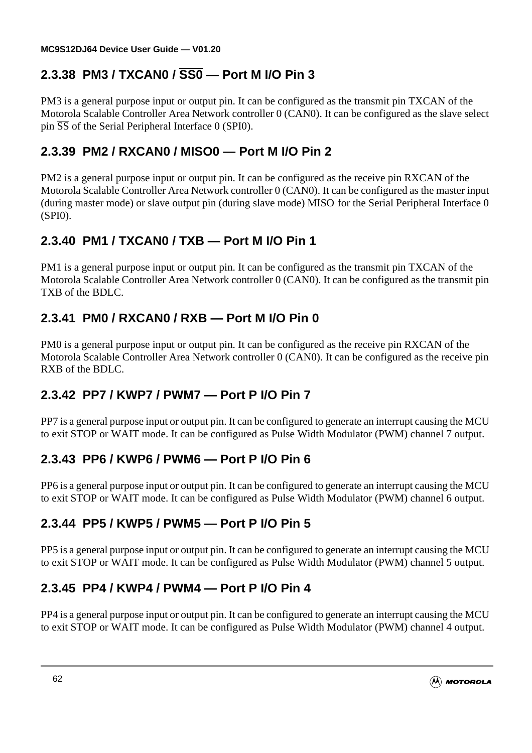## **2.3.38 PM3 / TXCAN0 / SS0 — Port M I/O Pin 3**

PM3 is a general purpose input or output pin. It can be configured as the transmit pin TXCAN of the Motorola Scalable Controller Area Network controller 0 (CAN0). It can be configured as the slave select pin  $\overline{SS}$  of the Serial Peripheral Interface 0 (SPI0).

### **2.3.39 PM2 / RXCAN0 / MISO0 — Port M I/O Pin 2**

PM2 is a general purpose input or output pin. It can be configured as the receive pin RXCAN of the Motorola Scalable Controller Area Network controller 0 (CAN0). It can be configured as the master input (during master mode) or slave output pin (during slave mode) MISO for the Serial Peripheral Interface 0 (SPI0).

### **2.3.40 PM1 / TXCAN0 / TXB — Port M I/O Pin 1**

PM1 is a general purpose input or output pin. It can be configured as the transmit pin TXCAN of the Motorola Scalable Controller Area Network controller 0 (CAN0). It can be configured as the transmit pin TXB of the BDLC.

### **2.3.41 PM0 / RXCAN0 / RXB — Port M I/O Pin 0**

PM0 is a general purpose input or output pin. It can be configured as the receive pin RXCAN of the Motorola Scalable Controller Area Network controller 0 (CAN0). It can be configured as the receive pin RXB of the BDLC.

## **2.3.42 PP7 / KWP7 / PWM7 — Port P I/O Pin 7**

PP7 is a general purpose input or output pin. It can be configured to generate an interrupt causing the MCU to exit STOP or WAIT mode. It can be configured as Pulse Width Modulator (PWM) channel 7 output.

### **2.3.43 PP6 / KWP6 / PWM6 — Port P I/O Pin 6**

PP6 is a general purpose input or output pin. It can be configured to generate an interrupt causing the MCU to exit STOP or WAIT mode. It can be configured as Pulse Width Modulator (PWM) channel 6 output.

### **2.3.44 PP5 / KWP5 / PWM5 — Port P I/O Pin 5**

PP5 is a general purpose input or output pin. It can be configured to generate an interrupt causing the MCU to exit STOP or WAIT mode. It can be configured as Pulse Width Modulator (PWM) channel 5 output.

### **2.3.45 PP4 / KWP4 / PWM4 — Port P I/O Pin 4**

PP4 is a general purpose input or output pin. It can be configured to generate an interrupt causing the MCU to exit STOP or WAIT mode. It can be configured as Pulse Width Modulator (PWM) channel 4 output.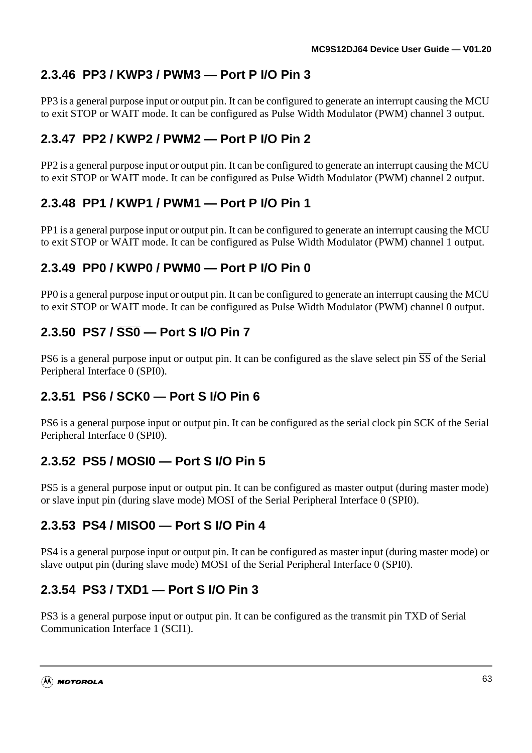### **2.3.46 PP3 / KWP3 / PWM3 — Port P I/O Pin 3**

PP3 is a general purpose input or output pin. It can be configured to generate an interrupt causing the MCU to exit STOP or WAIT mode. It can be configured as Pulse Width Modulator (PWM) channel 3 output.

### **2.3.47 PP2 / KWP2 / PWM2 — Port P I/O Pin 2**

PP2 is a general purpose input or output pin. It can be configured to generate an interrupt causing the MCU to exit STOP or WAIT mode. It can be configured as Pulse Width Modulator (PWM) channel 2 output.

#### **2.3.48 PP1 / KWP1 / PWM1 — Port P I/O Pin 1**

PP1 is a general purpose input or output pin. It can be configured to generate an interrupt causing the MCU to exit STOP or WAIT mode. It can be configured as Pulse Width Modulator (PWM) channel 1 output.

#### **2.3.49 PP0 / KWP0 / PWM0 — Port P I/O Pin 0**

PP0 is a general purpose input or output pin. It can be configured to generate an interrupt causing the MCU to exit STOP or WAIT mode. It can be configured as Pulse Width Modulator (PWM) channel 0 output.

### **2.3.50 PS7 / SS0 — Port S I/O Pin 7**

PS6 is a general purpose input or output pin. It can be configured as the slave select pin  $\overline{SS}$  of the Serial Peripheral Interface 0 (SPI0).

#### **2.3.51 PS6 / SCK0 — Port S I/O Pin 6**

PS6 is a general purpose input or output pin. It can be configured as the serial clock pin SCK of the Serial Peripheral Interface 0 (SPI0).

#### **2.3.52 PS5 / MOSI0 — Port S I/O Pin 5**

PS5 is a general purpose input or output pin. It can be configured as master output (during master mode) or slave input pin (during slave mode) MOSI of the Serial Peripheral Interface 0 (SPI0).

#### **2.3.53 PS4 / MISO0 — Port S I/O Pin 4**

PS4 is a general purpose input or output pin. It can be configured as master input (during master mode) or slave output pin (during slave mode) MOSI of the Serial Peripheral Interface 0 (SPI0).

#### **2.3.54 PS3 / TXD1 — Port S I/O Pin 3**

PS3 is a general purpose input or output pin. It can be configured as the transmit pin TXD of Serial Communication Interface 1 (SCI1).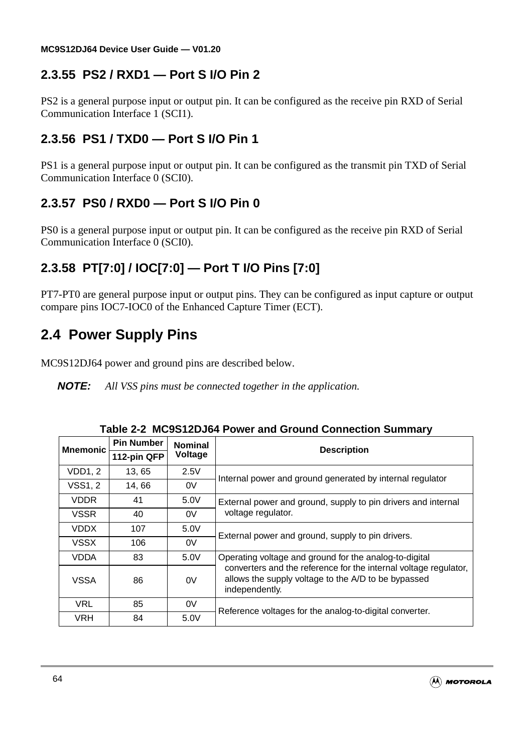## **2.3.55 PS2 / RXD1 — Port S I/O Pin 2**

PS2 is a general purpose input or output pin. It can be configured as the receive pin RXD of Serial Communication Interface 1 (SCI1).

### **2.3.56 PS1 / TXD0 — Port S I/O Pin 1**

PS1 is a general purpose input or output pin. It can be configured as the transmit pin TXD of Serial Communication Interface 0 (SCI0).

#### **2.3.57 PS0 / RXD0 — Port S I/O Pin 0**

PS0 is a general purpose input or output pin. It can be configured as the receive pin RXD of Serial Communication Interface 0 (SCI0).

### **2.3.58 PT[7:0] / IOC[7:0] — Port T I/O Pins [7:0]**

PT7-PT0 are general purpose input or output pins. They can be configured as input capture or output compare pins IOC7-IOC0 of the Enhanced Capture Timer (ECT).

# **2.4 Power Supply Pins**

MC9S12DJ64 power and ground pins are described below.

**NOTE:** *All VSS pins must be connected together in the application.*

| <b>Mnemonic</b> | <b>Pin Number</b> | <b>Nominal</b> | <b>Description</b>                                                                                                                        |  |  |  |
|-----------------|-------------------|----------------|-------------------------------------------------------------------------------------------------------------------------------------------|--|--|--|
|                 | 112-pin QFP       | Voltage        |                                                                                                                                           |  |  |  |
| <b>VDD1, 2</b>  | 13, 65            | 2.5V           | Internal power and ground generated by internal regulator                                                                                 |  |  |  |
| <b>VSS1, 2</b>  | 14,66             | 0V             |                                                                                                                                           |  |  |  |
| <b>VDDR</b>     | 41                | 5.0V           | External power and ground, supply to pin drivers and internal                                                                             |  |  |  |
| <b>VSSR</b>     | 40                | 0 <sup>V</sup> | voltage regulator.                                                                                                                        |  |  |  |
| <b>VDDX</b>     | 107               | 5.0V           | External power and ground, supply to pin drivers.                                                                                         |  |  |  |
| <b>VSSX</b>     | 106               | 0V             |                                                                                                                                           |  |  |  |
| <b>VDDA</b>     | 83                | 5.0V           | Operating voltage and ground for the analog-to-digital                                                                                    |  |  |  |
| <b>VSSA</b>     | 86                | 0V             | converters and the reference for the internal voltage regulator,<br>allows the supply voltage to the A/D to be bypassed<br>independently. |  |  |  |
| <b>VRL</b>      | 85                | 0V             | Reference voltages for the analog-to-digital converter.                                                                                   |  |  |  |
| <b>VRH</b>      | 84                | 5.0V           |                                                                                                                                           |  |  |  |

**Table 2-2 MC9S12DJ64 Power and Ground Connection Summary**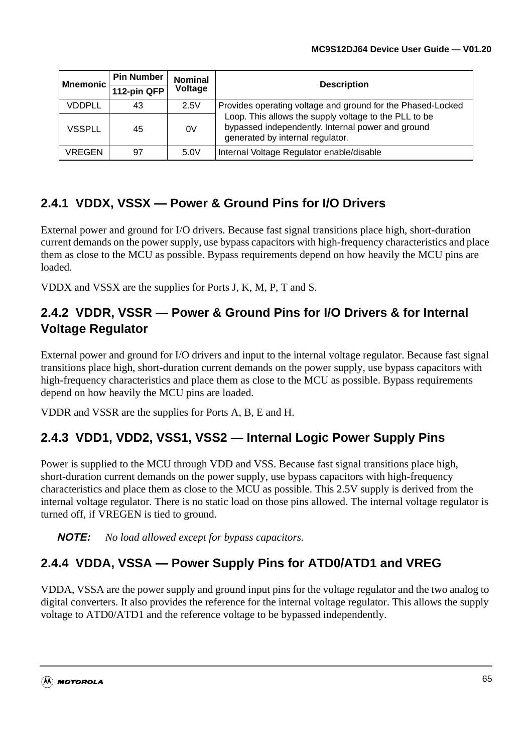| <b>Mnemonic</b> | Pin Number<br><b>Nominal</b> |         | <b>Description</b>                                                                                                                             |  |  |  |
|-----------------|------------------------------|---------|------------------------------------------------------------------------------------------------------------------------------------------------|--|--|--|
|                 | 112-pin QFP                  | Voltage |                                                                                                                                                |  |  |  |
| VDDPLL          | 43                           | 2.5V    | Provides operating voltage and ground for the Phased-Locked                                                                                    |  |  |  |
| <b>VSSPLL</b>   | 45                           | 0V      | Loop. This allows the supply voltage to the PLL to be<br>bypassed independently. Internal power and ground<br>generated by internal regulator. |  |  |  |
| VREGEN          | 97                           | 5.0V    | Internal Voltage Regulator enable/disable                                                                                                      |  |  |  |

### **2.4.1 VDDX, VSSX — Power & Ground Pins for I/O Drivers**

External power and ground for I/O drivers. Because fast signal transitions place high, short-duration current demands on the power supply, use bypass capacitors with high-frequency characteristics and place them as close to the MCU as possible. Bypass requirements depend on how heavily the MCU pins are loaded.

VDDX and VSSX are the supplies for Ports J, K, M, P, T and S.

### **2.4.2 VDDR, VSSR — Power & Ground Pins for I/O Drivers & for Internal Voltage Regulator**

External power and ground for I/O drivers and input to the internal voltage regulator. Because fast signal transitions place high, short-duration current demands on the power supply, use bypass capacitors with high-frequency characteristics and place them as close to the MCU as possible. Bypass requirements depend on how heavily the MCU pins are loaded.

VDDR and VSSR are the supplies for Ports A, B, E and H.

### **2.4.3 VDD1, VDD2, VSS1, VSS2 — Internal Logic Power Supply Pins**

Power is supplied to the MCU through VDD and VSS. Because fast signal transitions place high, short-duration current demands on the power supply, use bypass capacitors with high-frequency characteristics and place them as close to the MCU as possible. This 2.5V supply is derived from the internal voltage regulator. There is no static load on those pins allowed. The internal voltage regulator is turned off, if VREGEN is tied to ground.

**NOTE:** *No load allowed except for bypass capacitors.*

### **2.4.4 VDDA, VSSA — Power Supply Pins for ATD0/ATD1 and VREG**

VDDA, VSSA are the power supply and ground input pins for the voltage regulator and the two analog to digital converters. It also provides the reference for the internal voltage regulator. This allows the supply voltage to ATD0/ATD1 and the reference voltage to be bypassed independently.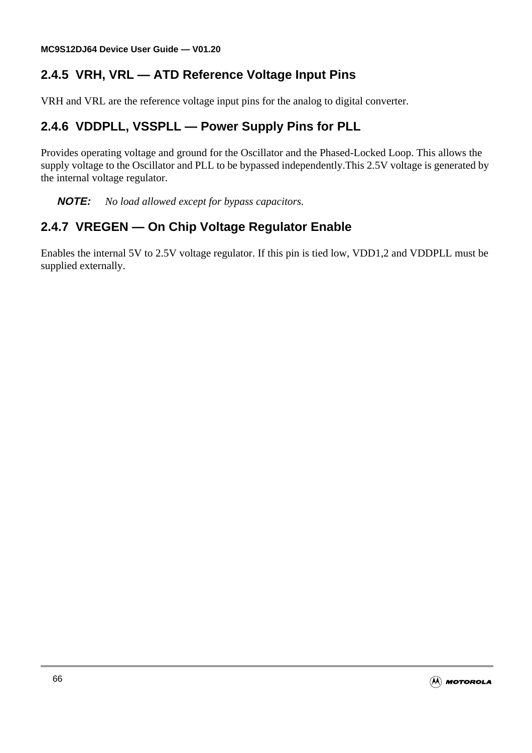### **2.4.5 VRH, VRL — ATD Reference Voltage Input Pins**

VRH and VRL are the reference voltage input pins for the analog to digital converter.

### **2.4.6 VDDPLL, VSSPLL — Power Supply Pins for PLL**

Provides operating voltage and ground for the Oscillator and the Phased-Locked Loop. This allows the supply voltage to the Oscillator and PLL to be bypassed independently.This 2.5V voltage is generated by the internal voltage regulator.

**NOTE:** *No load allowed except for bypass capacitors.*

### **2.4.7 VREGEN — On Chip Voltage Regulator Enable**

Enables the internal 5V to 2.5V voltage regulator. If this pin is tied low, VDD1,2 and VDDPLL must be supplied externally.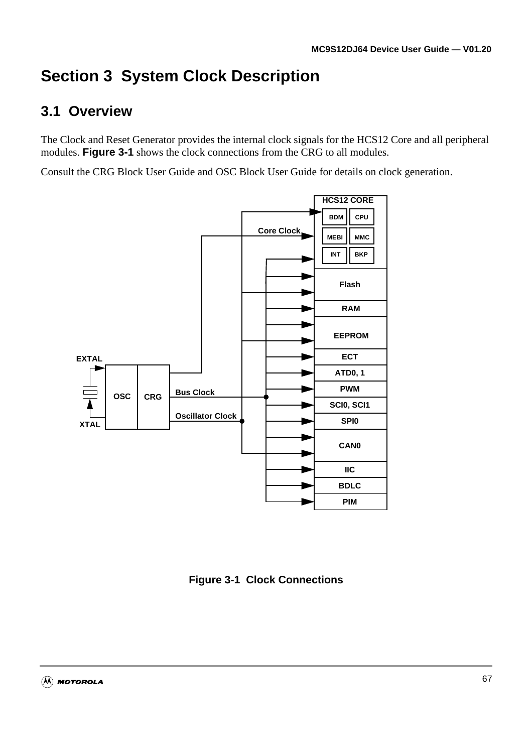# **Section 3 System Clock Description**

# **3.1 Overview**

The Clock and Reset Generator provides the internal clock signals for the HCS12 Core and all peripheral modules. **[Figure 3-1](#page-66-0)** shows the clock connections from the CRG to all modules.

Consult the CRG Block User Guide and OSC Block User Guide for details on clock generation.



<span id="page-66-0"></span>**Figure 3-1 Clock Connections**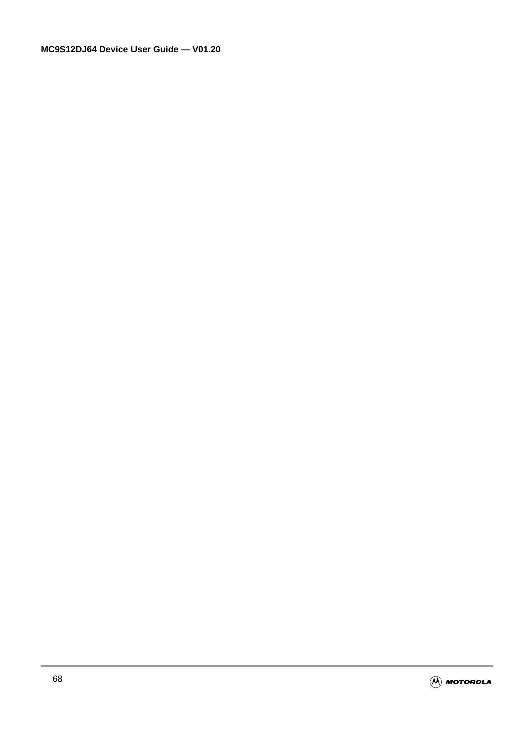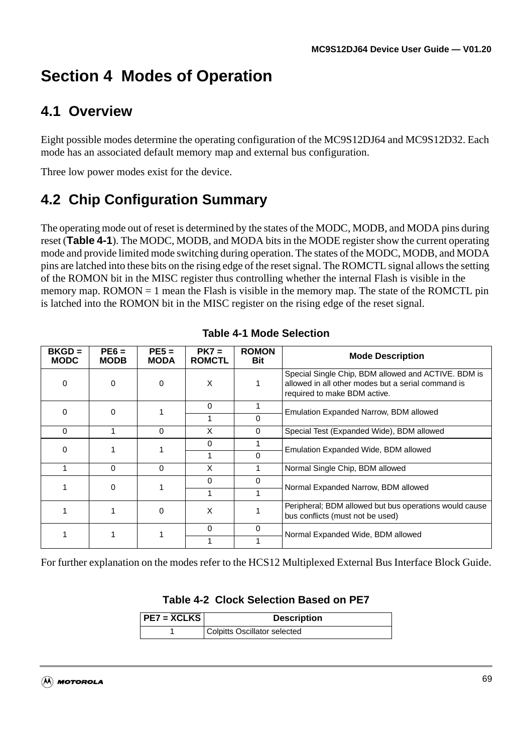# <span id="page-68-0"></span>**Section 4 Modes of Operation**

# **4.1 Overview**

Eight possible modes determine the operating configuration of the MC9S12DJ64 and MC9S12D32. Each mode has an associated default memory map and external bus configuration.

Three low power modes exist for the device.

# **4.2 Chip Configuration Summary**

The operating mode out of reset is determined by the states of the MODC, MODB, and MODA pins during reset (**[Table 4-1](#page-68-1)**). The MODC, MODB, and MODA bits in the MODE register show the current operating mode and provide limited mode switching during operation. The states of the MODC, MODB, and MODA pins are latched into these bits on the rising edge of the reset signal. The ROMCTL signal allows the setting of the ROMON bit in the MISC register thus controlling whether the internal Flash is visible in the memory map.  $ROMON = 1$  mean the Flash is visible in the memory map. The state of the ROMCTL pin is latched into the ROMON bit in the MISC register on the rising edge of the reset signal.

<span id="page-68-1"></span>

| $BKGD =$<br><b>MODC</b> | $PE6 =$<br><b>MODB</b> | $PE5 =$<br><b>MODA</b> | $PK7 =$<br><b>ROMCTL</b> | <b>ROMON</b><br><b>Bit</b> | <b>Mode Description</b>                                                                                                                   |
|-------------------------|------------------------|------------------------|--------------------------|----------------------------|-------------------------------------------------------------------------------------------------------------------------------------------|
| 0                       | 0                      | <sup>0</sup>           | X                        |                            | Special Single Chip, BDM allowed and ACTIVE. BDM is<br>allowed in all other modes but a serial command is<br>required to make BDM active. |
| 0                       | 0                      |                        | 0                        |                            | Emulation Expanded Narrow, BDM allowed                                                                                                    |
|                         |                        |                        |                          | 0                          |                                                                                                                                           |
| 0                       |                        | 0                      | X                        | 0                          | Special Test (Expanded Wide), BDM allowed                                                                                                 |
| 0                       |                        |                        | 0                        |                            |                                                                                                                                           |
|                         |                        |                        |                          | $\Omega$                   | Emulation Expanded Wide, BDM allowed                                                                                                      |
|                         | 0                      | 0                      | X                        |                            | Normal Single Chip, BDM allowed                                                                                                           |
|                         | 0                      |                        | 0                        | 0                          |                                                                                                                                           |
|                         |                        |                        |                          |                            | Normal Expanded Narrow, BDM allowed                                                                                                       |
|                         |                        | 0                      | X                        |                            | Peripheral; BDM allowed but bus operations would cause<br>bus conflicts (must not be used)                                                |
|                         |                        |                        | U                        | 0                          | Normal Expanded Wide, BDM allowed                                                                                                         |
|                         |                        |                        |                          |                            |                                                                                                                                           |

#### **Table 4-1 Mode Selection**

For further explanation on the modes refer to the HCS12 Multiplexed External Bus Interface Block Guide.

| Table 4-2 Clock Selection Based on PE7 |
|----------------------------------------|
|----------------------------------------|

| $ PE7 = XCLKS $ | <b>Description</b>           |
|-----------------|------------------------------|
|                 | Colpitts Oscillator selected |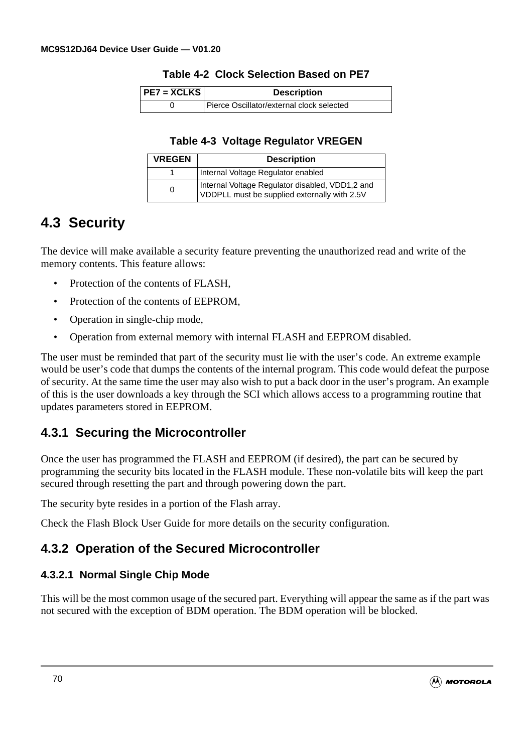#### **Table 4-2 Clock Selection Based on PE7**

| $ PE7 = XCLKS $ | <b>Description</b>                        |
|-----------------|-------------------------------------------|
|                 | Pierce Oscillator/external clock selected |

#### **Table 4-3 Voltage Regulator VREGEN**

| <b>VREGEN</b> | <b>Description</b>                                                                              |  |  |  |  |
|---------------|-------------------------------------------------------------------------------------------------|--|--|--|--|
|               | Internal Voltage Regulator enabled                                                              |  |  |  |  |
| 0             | Internal Voltage Regulator disabled, VDD1,2 and<br>VDDPLL must be supplied externally with 2.5V |  |  |  |  |

## **4.3 Security**

The device will make available a security feature preventing the unauthorized read and write of the memory contents. This feature allows:

- Protection of the contents of FLASH,
- Protection of the contents of EEPROM,
- Operation in single-chip mode,
- Operation from external memory with internal FLASH and EEPROM disabled.

The user must be reminded that part of the security must lie with the user's code. An extreme example would be user's code that dumps the contents of the internal program. This code would defeat the purpose of security. At the same time the user may also wish to put a back door in the user's program. An example of this is the user downloads a key through the SCI which allows access to a programming routine that updates parameters stored in EEPROM.

### **4.3.1 Securing the Microcontroller**

Once the user has programmed the FLASH and EEPROM (if desired), the part can be secured by programming the security bits located in the FLASH module. These non-volatile bits will keep the part secured through resetting the part and through powering down the part.

The security byte resides in a portion of the Flash array.

Check the Flash Block User Guide for more details on the security configuration.

### **4.3.2 Operation of the Secured Microcontroller**

#### **4.3.2.1 Normal Single Chip Mode**

This will be the most common usage of the secured part. Everything will appear the same as if the part was not secured with the exception of BDM operation. The BDM operation will be blocked.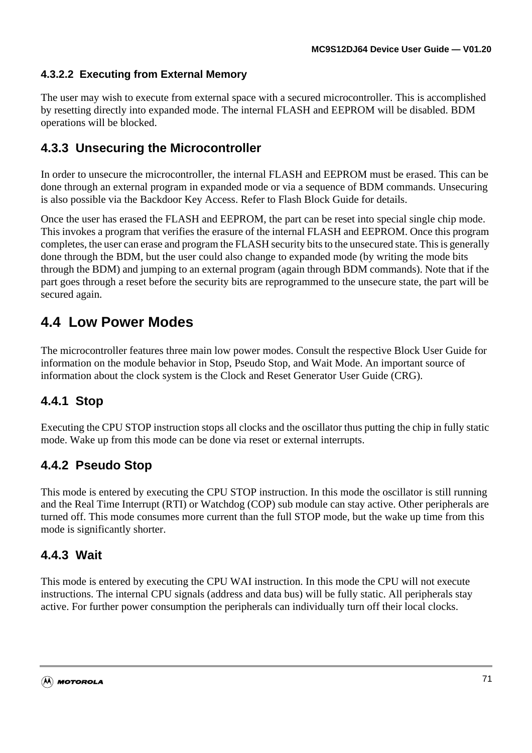#### **4.3.2.2 Executing from External Memory**

The user may wish to execute from external space with a secured microcontroller. This is accomplished by resetting directly into expanded mode. The internal FLASH and EEPROM will be disabled. BDM operations will be blocked.

#### **4.3.3 Unsecuring the Microcontroller**

In order to unsecure the microcontroller, the internal FLASH and EEPROM must be erased. This can be done through an external program in expanded mode or via a sequence of BDM commands. Unsecuring is also possible via the Backdoor Key Access. Refer to Flash Block Guide for details.

Once the user has erased the FLASH and EEPROM, the part can be reset into special single chip mode. This invokes a program that verifies the erasure of the internal FLASH and EEPROM. Once this program completes, the user can erase and program the FLASH security bits to the unsecured state. This is generally done through the BDM, but the user could also change to expanded mode (by writing the mode bits through the BDM) and jumping to an external program (again through BDM commands). Note that if the part goes through a reset before the security bits are reprogrammed to the unsecure state, the part will be secured again.

## **4.4 Low Power Modes**

The microcontroller features three main low power modes. Consult the respective Block User Guide for information on the module behavior in Stop, Pseudo Stop, and Wait Mode. An important source of information about the clock system is the Clock and Reset Generator User Guide (CRG).

#### **4.4.1 Stop**

Executing the CPU STOP instruction stops all clocks and the oscillator thus putting the chip in fully static mode. Wake up from this mode can be done via reset or external interrupts.

### **4.4.2 Pseudo Stop**

This mode is entered by executing the CPU STOP instruction. In this mode the oscillator is still running and the Real Time Interrupt (RTI) or Watchdog (COP) sub module can stay active. Other peripherals are turned off. This mode consumes more current than the full STOP mode, but the wake up time from this mode is significantly shorter.

#### **4.4.3 Wait**

This mode is entered by executing the CPU WAI instruction. In this mode the CPU will not execute instructions. The internal CPU signals (address and data bus) will be fully static. All peripherals stay active. For further power consumption the peripherals can individually turn off their local clocks.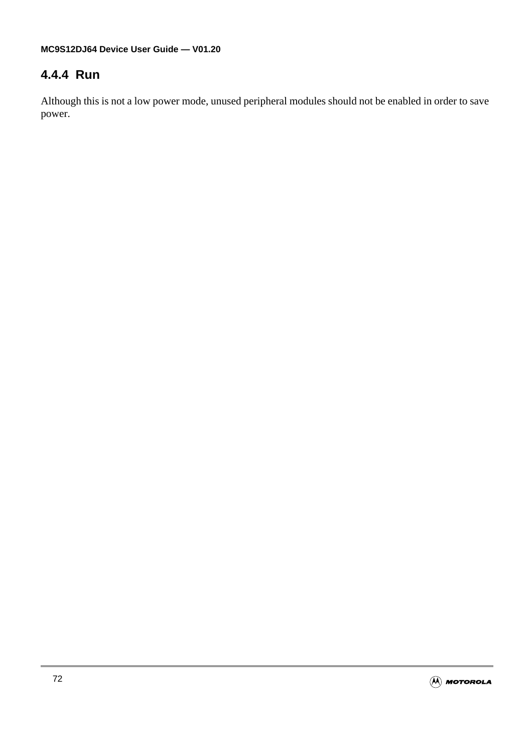### **4.4.4 Run**

Although this is not a low power mode, unused peripheral modules should not be enabled in order to save power.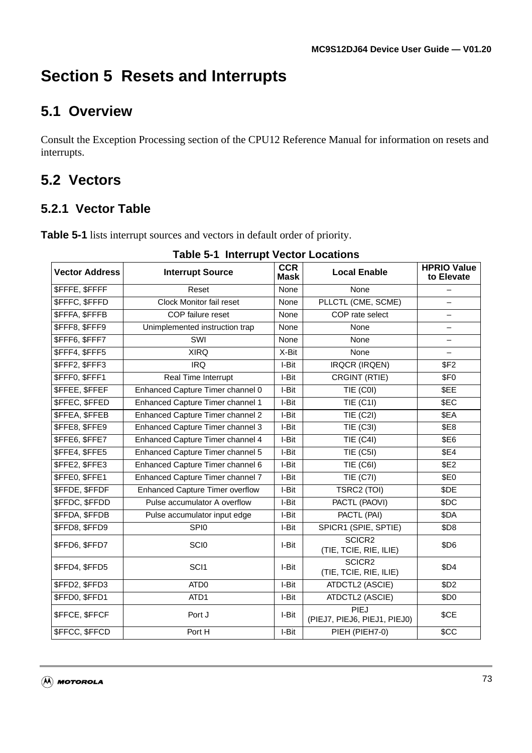## **Section 5 Resets and Interrupts**

## **5.1 Overview**

Consult the Exception Processing section of the CPU12 Reference Manual for information on resets and interrupts.

## **5.2 Vectors**

### **5.2.1 Vector Table**

<span id="page-72-0"></span>**[Table 5-1](#page-72-0)** lists interrupt sources and vectors in default order of priority.

| <b>Vector Address</b>      | <b>Interrupt Source</b>                | <b>CCR</b><br><b>Mask</b> | <b>Local Enable</b>                          | <b>HPRIO Value</b><br>to Elevate |
|----------------------------|----------------------------------------|---------------------------|----------------------------------------------|----------------------------------|
| <b>\$FFFE, \$FFFF</b>      | Reset                                  | None                      | None                                         |                                  |
| <b>\$FFFC, \$FFFD</b>      | Clock Monitor fail reset               | None                      | PLLCTL (CME, SCME)                           |                                  |
| <b><i>SFFFA, SFFFB</i></b> | COP failure reset                      | None                      | COP rate select                              | $\overline{\phantom{0}}$         |
| <b>\$FFF8, \$FFF9</b>      | Unimplemented instruction trap         | None                      | None                                         |                                  |
| <b>SFFF6, SFFF7</b>        | SWI                                    | None                      | None                                         | $\qquad \qquad -$                |
| \$FFF4, \$FFF5             | <b>XIRQ</b>                            | X-Bit                     | None                                         |                                  |
| <b>\$FFF2, \$FFF3</b>      | <b>IRQ</b>                             | I-Bit                     | <b>IRQCR (IRQEN)</b>                         | <b>\$F2</b>                      |
| \$FFF0, \$FFF1             | Real Time Interrupt                    | I-Bit                     | <b>CRGINT (RTIE)</b>                         | \$F <sub>0</sub>                 |
| <b>SFFEE, SFFEF</b>        | Enhanced Capture Timer channel 0       | I-Bit                     | TIE (C0I)                                    | \$EE                             |
| <b>\$FFEC, \$FFED</b>      | Enhanced Capture Timer channel 1       | I-Bit                     | <b>TIE (C1I)</b>                             | E <sub>C</sub>                   |
| <b><i>SFFEA, SFFEB</i></b> | Enhanced Capture Timer channel 2       | I-Bit                     | <b>TIE (C2I)</b>                             | \$EA                             |
| <b>\$FFE8, \$FFE9</b>      | Enhanced Capture Timer channel 3       | I-Bit                     | <b>TIE (C3I)</b>                             | <b>\$E8</b>                      |
| \$FFE6, \$FFE7             | Enhanced Capture Timer channel 4       | I-Bit                     | TIE $(C4I)$                                  | \$E6                             |
| \$FFE4, \$FFE5             | Enhanced Capture Timer channel 5       | I-Bit                     | <b>TIE (C5I)</b>                             | <b>\$E4</b>                      |
| \$FFE2, \$FFE3             | Enhanced Capture Timer channel 6       | I-Bit                     | <b>TIE (C6I)</b>                             | <b>\$E2</b>                      |
| \$FFE0, \$FFE1             | Enhanced Capture Timer channel 7       | I-Bit                     | <b>TIE (C7I)</b>                             | \$E0                             |
| <b>\$FFDE, \$FFDF</b>      | <b>Enhanced Capture Timer overflow</b> | I-Bit                     | TSRC2 (TOI)                                  | \$DE                             |
| <b><i>SFFDC, SFFDD</i></b> | Pulse accumulator A overflow           | I-Bit                     | PACTL (PAOVI)                                | \$DC                             |
| <b><i>SFFDA, SFFDB</i></b> | Pulse accumulator input edge           | I-Bit                     | PACTL (PAI)                                  | \$DA                             |
| \$FFD8, \$FFD9             | SPI <sub>0</sub>                       | I-Bit                     | SPICR1 (SPIE, SPTIE)                         | \$D8                             |
| \$FFD6, \$FFD7             | <b>SCI0</b>                            | I-Bit                     | SCICR <sub>2</sub><br>(TIE, TCIE, RIE, ILIE) | \$D6                             |
| \$FFD4, \$FFD5             | SCI <sub>1</sub>                       | I-Bit                     | SCICR <sub>2</sub><br>(TIE, TCIE, RIE, ILIE) | \$D4                             |
| <b>\$FFD2, \$FFD3</b>      | ATD <sub>0</sub>                       | I-Bit                     | ATDCTL2 (ASCIE)                              | <b>\$D2</b>                      |
| \$FFD0, \$FFD1             | ATD1                                   | I-Bit                     | ATDCTL2 (ASCIE)                              | \$D0                             |
| <b>\$FFCE, \$FFCF</b>      | Port J                                 | I-Bit                     | PIEJ<br>(PIEJ7, PIEJ6, PIEJ1, PIEJ0)         | \$CE                             |
| <b>\$FFCC, \$FFCD</b>      | Port H                                 | I-Bit                     | PIEH (PIEH7-0)                               | \$CC                             |

#### **Table 5-1 Interrupt Vector Locations**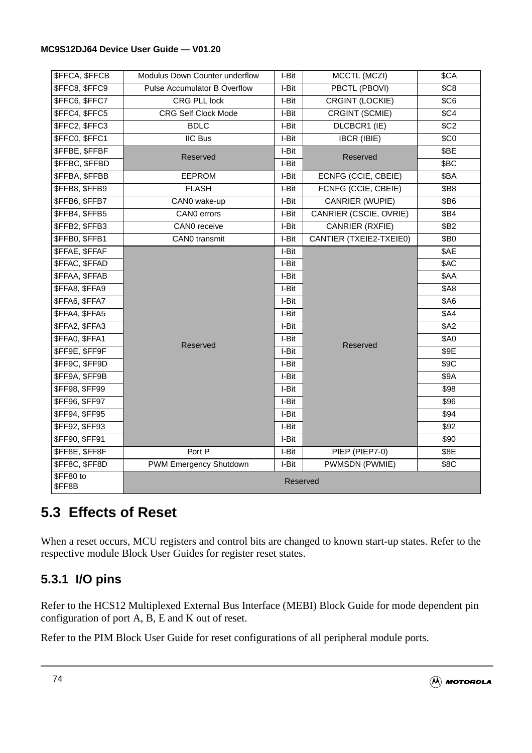| <b>\$FFCA, \$FFCB</b>      | Modulus Down Counter underflow      | I-Bit    | MCCTL (MCZI)            | \$CA        |
|----------------------------|-------------------------------------|----------|-------------------------|-------------|
| <b>\$FFC8, \$FFC9</b>      | <b>Pulse Accumulator B Overflow</b> | I-Bit    | PBCTL (PBOVI)           | \$C8        |
| \$FFC6, \$FFC7             | CRG PLL lock                        | I-Bit    | CRGINT (LOCKIE)         | \$C6        |
| \$FFC4, \$FFC5             | <b>CRG Self Clock Mode</b>          | I-Bit    | CRGINT (SCMIE)          | \$C4        |
| \$FFC2, \$FFC3             | <b>BDLC</b>                         | I-Bit    | DLCBCR1 (IE)            | \$C2        |
| \$FFC0, \$FFC1             | <b>IIC Bus</b>                      | I-Bit    | <b>IBCR (IBIE)</b>      | \$CO        |
| <b>\$FFBE, \$FFBF</b>      | Reserved                            | I-Bit    | Reserved                | \$BE        |
| <b>\$FFBC, \$FFBD</b>      |                                     | I-Bit    |                         | \$BC        |
| <b>\$FFBA, \$FFBB</b>      | <b>EEPROM</b>                       | I-Bit    | ECNFG (CCIE, CBEIE)     | \$BA        |
| \$FFB8, \$FFB9             | <b>FLASH</b>                        | I-Bit    | FCNFG (CCIE, CBEIE)     | \$B8        |
| \$FFB6, \$FFB7             | CAN0 wake-up                        | I-Bit    | CANRIER (WUPIE)         | \$B6        |
| \$FFB4, \$FFB5             | CAN0 errors                         | I-Bit    | CANRIER (CSCIE, OVRIE)  | \$B4        |
| \$FFB2, \$FFB3             | CAN0 receive                        | I-Bit    | CANRIER (RXFIE)         | \$B2        |
| \$FFB0, \$FFB1             | CAN0 transmit                       | I-Bit    | CANTIER (TXEIE2-TXEIE0) | \$B0        |
| <b>\$FFAE, \$FFAF</b>      |                                     | I-Bit    |                         | \$AE        |
| <b>\$FFAC, \$FFAD</b>      |                                     | I-Bit    |                         | \$AC        |
| <b><i>SFFAA, SFFAB</i></b> |                                     | I-Bit    |                         | \$AA        |
| <b>\$FFA8, \$FFA9</b>      |                                     | I-Bit    |                         | <b>\$A8</b> |
| \$FFA6, \$FFA7             |                                     | I-Bit    |                         | \$A6        |
| <b>\$FFA4, \$FFA5</b>      |                                     | I-Bit    |                         | \$AA        |
| <b>\$FFA2, \$FFA3</b>      |                                     | I-Bit    |                         | \$A2        |
| \$FFA0, \$FFA1             | Reserved                            | I-Bit    | Reserved                | <b>\$A0</b> |
| \$FF9E, \$FF9F             |                                     | I-Bit    |                         | \$9E        |
| \$FF9C, \$FF9D             |                                     | I-Bit    |                         | \$9C        |
| \$FF9A, \$FF9B             |                                     | I-Bit    |                         | \$9A        |
| <b>\$FF98, \$FF99</b>      |                                     | I-Bit    |                         | \$98        |
| <b>\$FF96, \$FF97</b>      |                                     | I-Bit    |                         | \$96        |
| <b>\$FF94, \$FF95</b>      |                                     | I-Bit    |                         | \$94        |
| <b>\$FF92, \$FF93</b>      |                                     | I-Bit    |                         | \$92        |
| <b>\$FF90, \$FF91</b>      |                                     | I-Bit    |                         | \$90        |
| <b>\$FF8E, \$FF8F</b>      | Port P                              | I-Bit    | PIEP (PIEP7-0)          | \$8E        |
| <b>\$FF8C, \$FF8D</b>      | PWM Emergency Shutdown              | I-Bit    | <b>PWMSDN (PWMIE)</b>   | \$8C        |
| \$FF80 to<br>\$FF8B        |                                     | Reserved |                         |             |

## **5.3 Effects of Reset**

When a reset occurs, MCU registers and control bits are changed to known start-up states. Refer to the respective module Block User Guides for register reset states.

## **5.3.1 I/O pins**

Refer to the HCS12 Multiplexed External Bus Interface (MEBI) Block Guide for mode dependent pin configuration of port A, B, E and K out of reset.

Refer to the PIM Block User Guide for reset configurations of all peripheral module ports.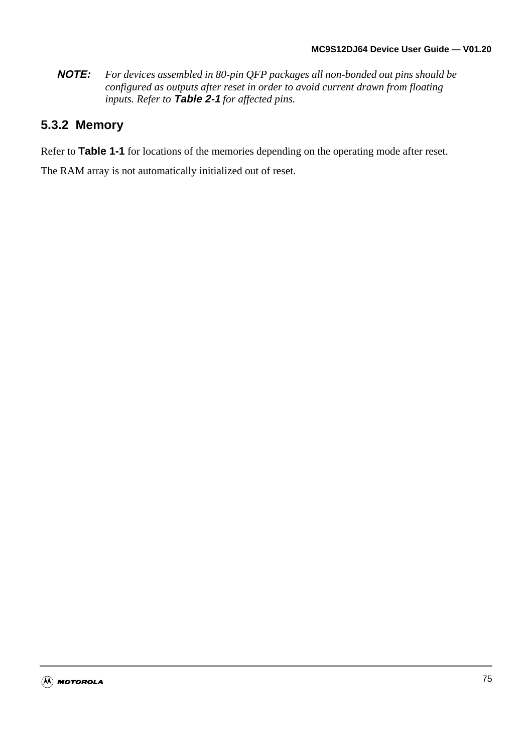**NOTE:** *For devices assembled in 80-pin QFP packages all non-bonded out pins should be configured as outputs after reset in order to avoid current drawn from floating inputs. Refer to* **[Table 2-1](#page-53-0)** *for affected pins.*

### **5.3.2 Memory**

Refer to **[Table 1-1](#page-24-0)** for locations of the memories depending on the operating mode after reset.

The RAM array is not automatically initialized out of reset.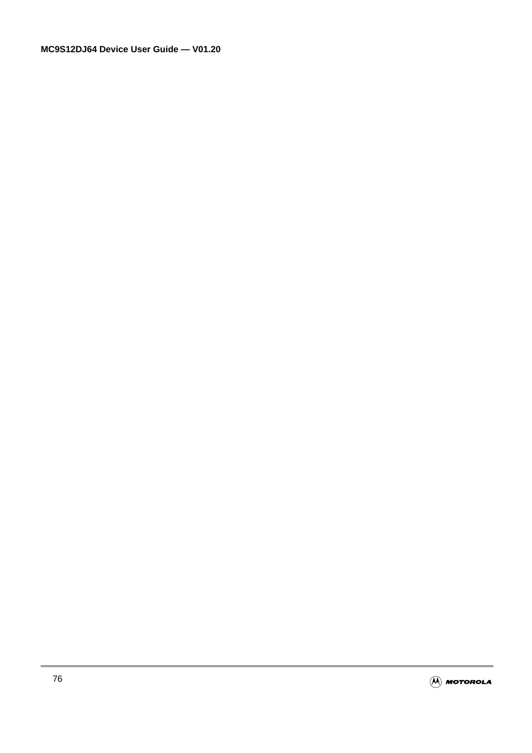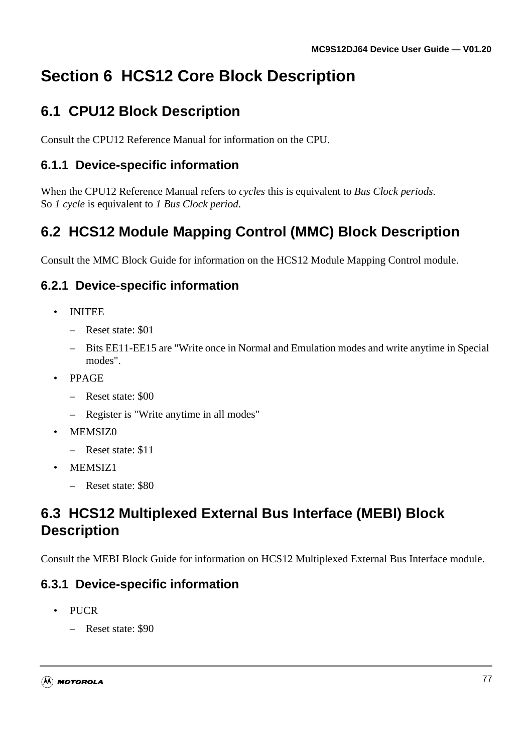# **Section 6 HCS12 Core Block Description**

## **6.1 CPU12 Block Description**

Consult the CPU12 Reference Manual for information on the CPU.

### **6.1.1 Device-specific information**

When the CPU12 Reference Manual refers to *cycles* this is equivalent to *Bus Clock periods*. So *1 cycle* is equivalent to *1 Bus Clock period*.

## **6.2 HCS12 Module Mapping Control (MMC) Block Description**

Consult the MMC Block Guide for information on the HCS12 Module Mapping Control module.

### **6.2.1 Device-specific information**

- INITEE
	- Reset state: \$01
	- Bits EE11-EE15 are "Write once in Normal and Emulation modes and write anytime in Special modes".
- PPAGE
	- Reset state: \$00
	- Register is "Write anytime in all modes"
- MEMSIZ0
	- Reset state: \$11
- MEMSIZ1
	- Reset state: \$80

## **6.3 HCS12 Multiplexed External Bus Interface (MEBI) Block Description**

Consult the MEBI Block Guide for information on HCS12 Multiplexed External Bus Interface module.

### **6.3.1 Device-specific information**

- PUCR
	- Reset state: \$90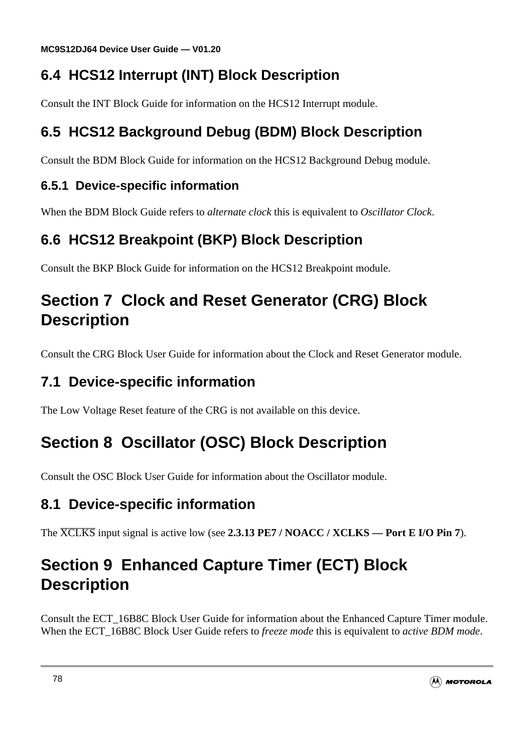# **6.4 HCS12 Interrupt (INT) Block Description**

Consult the INT Block Guide for information on the HCS12 Interrupt module.

## **6.5 HCS12 Background Debug (BDM) Block Description**

Consult the BDM Block Guide for information on the HCS12 Background Debug module.

## **6.5.1 Device-specific information**

When the BDM Block Guide refers to *alternate clock* this is equivalent to *Oscillator Clock*.

## **6.6 HCS12 Breakpoint (BKP) Block Description**

Consult the BKP Block Guide for information on the HCS12 Breakpoint module.

# **Section 7 Clock and Reset Generator (CRG) Block Description**

Consult the CRG Block User Guide for information about the Clock and Reset Generator module.

## **7.1 Device-specific information**

The Low Voltage Reset feature of the CRG is not available on this device.

# **Section 8 Oscillator (OSC) Block Description**

Consult the OSC Block User Guide for information about the Oscillator module.

## **8.1 Device-specific information**

The XCLKS input signal is active low (see **[2.3.13 PE7 / NOACC / XCLKS — Port E I/O Pin 7](#page-56-0)**).

# **Section 9 Enhanced Capture Timer (ECT) Block Description**

Consult the ECT\_16B8C Block User Guide for information about the Enhanced Capture Timer module. When the ECT\_16B8C Block User Guide refers to *freeze mode* this is equivalent to *active BDM mode*.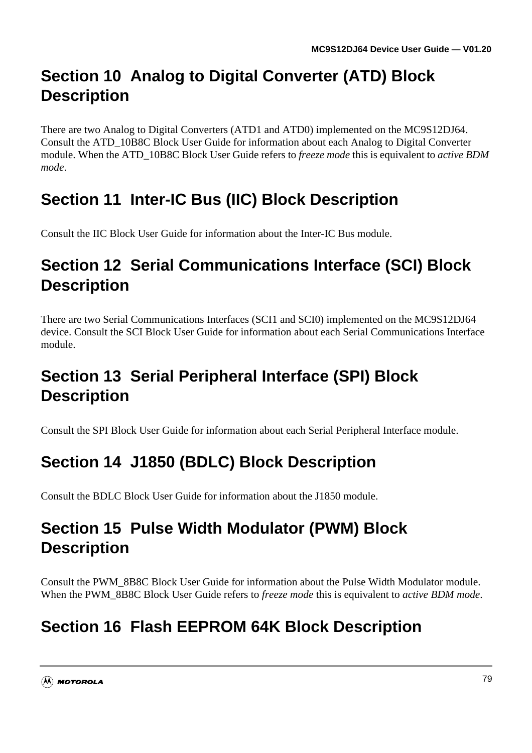# **Section 10 Analog to Digital Converter (ATD) Block Description**

There are two Analog to Digital Converters (ATD1 and ATD0) implemented on the MC9S12DJ64. Consult the ATD\_10B8C Block User Guide for information about each Analog to Digital Converter module. When the ATD\_10B8C Block User Guide refers to *freeze mode* this is equivalent to *active BDM mode*.

# **Section 11 Inter-IC Bus (IIC) Block Description**

Consult the IIC Block User Guide for information about the Inter-IC Bus module.

# **Section 12 Serial Communications Interface (SCI) Block Description**

There are two Serial Communications Interfaces (SCI1 and SCI0) implemented on the MC9S12DJ64 device. Consult the SCI Block User Guide for information about each Serial Communications Interface module.

# **Section 13 Serial Peripheral Interface (SPI) Block Description**

Consult the SPI Block User Guide for information about each Serial Peripheral Interface module.

# **Section 14 J1850 (BDLC) Block Description**

Consult the BDLC Block User Guide for information about the J1850 module.

# **Section 15 Pulse Width Modulator (PWM) Block Description**

Consult the PWM\_8B8C Block User Guide for information about the Pulse Width Modulator module. When the PWM\_8B8C Block User Guide refers to *freeze mode* this is equivalent to *active BDM mode*.

# **Section 16 Flash EEPROM 64K Block Description**

 $(\overline{\mathsf{A}})$  MOTOROLA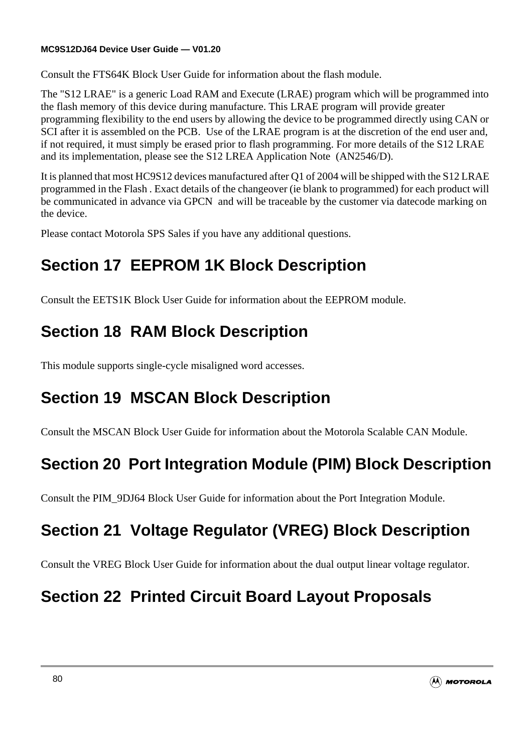#### **MC9S12DJ64 Device User Guide — V01.20**

Consult the FTS64K Block User Guide for information about the flash module.

The "S12 LRAE" is a generic Load RAM and Execute (LRAE) program which will be programmed into the flash memory of this device during manufacture. This LRAE program will provide greater programming flexibility to the end users by allowing the device to be programmed directly using CAN or SCI after it is assembled on the PCB. Use of the LRAE program is at the discretion of the end user and, if not required, it must simply be erased prior to flash programming. For more details of the S12 LRAE and its implementation, please see the S12 LREA Application Note (AN2546/D).

It is planned that most HC9S12 devices manufactured after Q1 of 2004 will be shipped with the S12 LRAE programmed in the Flash . Exact details of the changeover (ie blank to programmed) for each product will be communicated in advance via GPCN and will be traceable by the customer via datecode marking on the device.

Please contact Motorola SPS Sales if you have any additional questions.

# **Section 17 EEPROM 1K Block Description**

Consult the EETS1K Block User Guide for information about the EEPROM module.

# **Section 18 RAM Block Description**

This module supports single-cycle misaligned word accesses.

## **Section 19 MSCAN Block Description**

Consult the MSCAN Block User Guide for information about the Motorola Scalable CAN Module.

# **Section 20 Port Integration Module (PIM) Block Description**

Consult the PIM\_9DJ64 Block User Guide for information about the Port Integration Module.

# **Section 21 Voltage Regulator (VREG) Block Description**

Consult the VREG Block User Guide for information about the dual output linear voltage regulator.

# **Section 22 Printed Circuit Board Layout Proposals**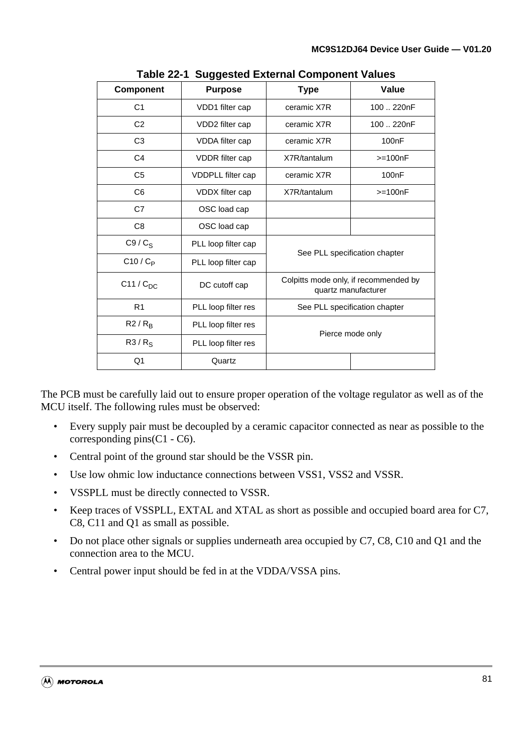| <b>Component</b>   | <b>Purpose</b>      | <b>Type</b>      | Value                                                        |  |
|--------------------|---------------------|------------------|--------------------------------------------------------------|--|
| C <sub>1</sub>     | VDD1 filter cap     | ceramic X7R      | 100  220nF                                                   |  |
| C <sub>2</sub>     | VDD2 filter cap     | ceramic X7R      | 100  220nF                                                   |  |
| C <sub>3</sub>     | VDDA filter cap     | ceramic X7R      | 100 <sub>n</sub> F                                           |  |
| C <sub>4</sub>     | VDDR filter cap     | X7R/tantalum     | $>=100nF$                                                    |  |
| C <sub>5</sub>     | VDDPLL filter cap   | ceramic X7R      | 100 <sub>n</sub> F                                           |  |
| C <sub>6</sub>     | VDDX filter cap     | X7R/tantalum     | $>=100nF$                                                    |  |
| C7                 | OSC load cap        |                  |                                                              |  |
| C <sub>8</sub>     | OSC load cap        |                  |                                                              |  |
| $C9/C_S$           | PLL loop filter cap |                  | See PLL specification chapter                                |  |
| C10/C <sub>p</sub> | PLL loop filter cap |                  |                                                              |  |
| $C11/C_{DC}$       | DC cutoff cap       |                  | Colpitts mode only, if recommended by<br>quartz manufacturer |  |
| R1                 | PLL loop filter res |                  | See PLL specification chapter                                |  |
| $R2/R_B$           | PLL loop filter res |                  |                                                              |  |
| R3/R <sub>S</sub>  | PLL loop filter res | Pierce mode only |                                                              |  |
| Q1                 | Quartz              |                  |                                                              |  |

**Table 22-1 Suggested External Component Values**

The PCB must be carefully laid out to ensure proper operation of the voltage regulator as well as of the MCU itself. The following rules must be observed:

- Every supply pair must be decoupled by a ceramic capacitor connected as near as possible to the corresponding pins(C1 - C6).
- Central point of the ground star should be the VSSR pin.
- Use low ohmic low inductance connections between VSS1, VSS2 and VSSR.
- VSSPLL must be directly connected to VSSR.
- Keep traces of VSSPLL, EXTAL and XTAL as short as possible and occupied board area for C7, C8, C11 and Q1 as small as possible.
- Do not place other signals or supplies underneath area occupied by C7, C8, C10 and Q1 and the connection area to the MCU.
- Central power input should be fed in at the VDDA/VSSA pins.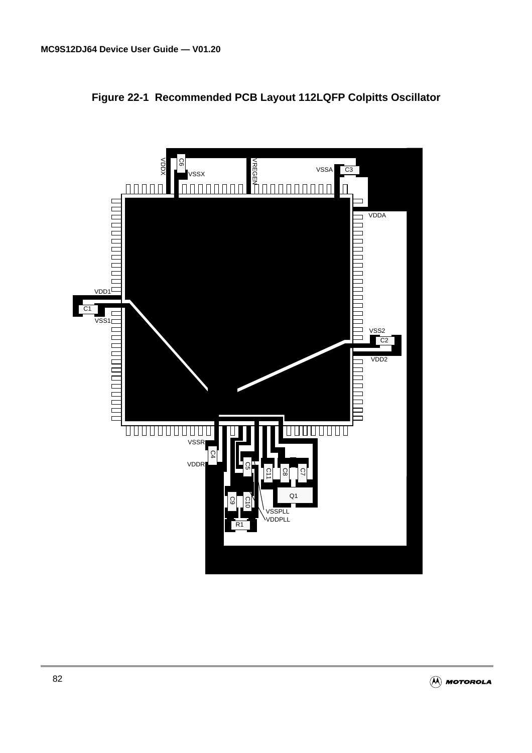



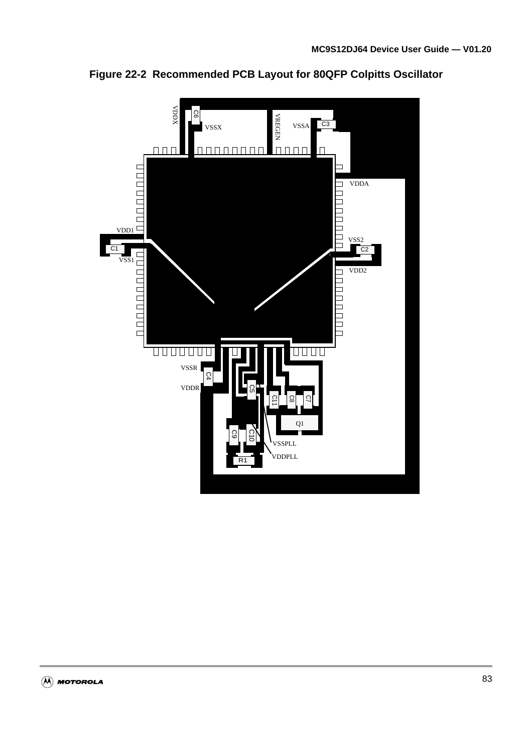

**Figure 22-2 Recommended PCB Layout for 80QFP Colpitts Oscillator**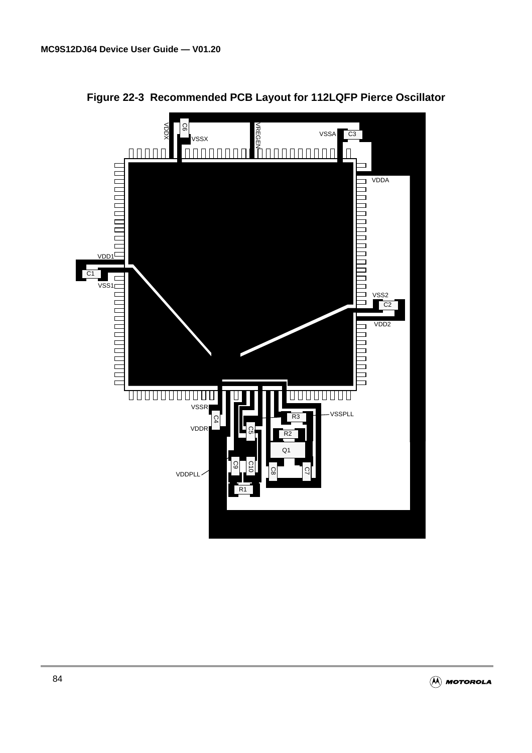

**Figure 22-3 Recommended PCB Layout for 112LQFP Pierce Oscillator**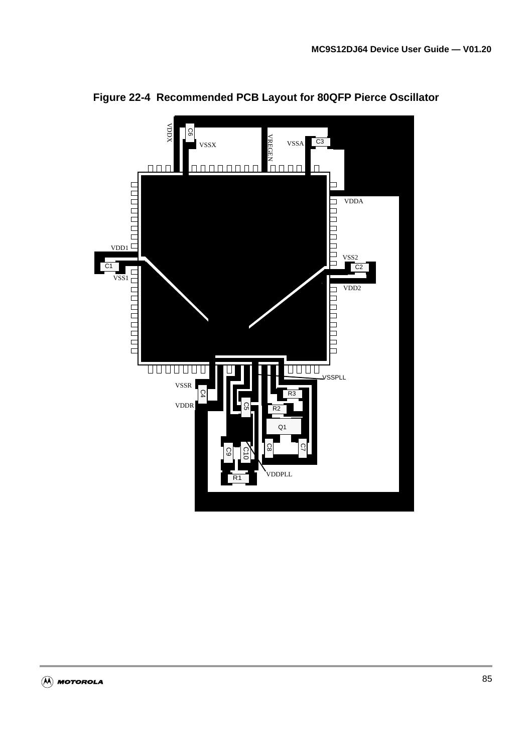

**Figure 22-4 Recommended PCB Layout for 80QFP Pierce Oscillator**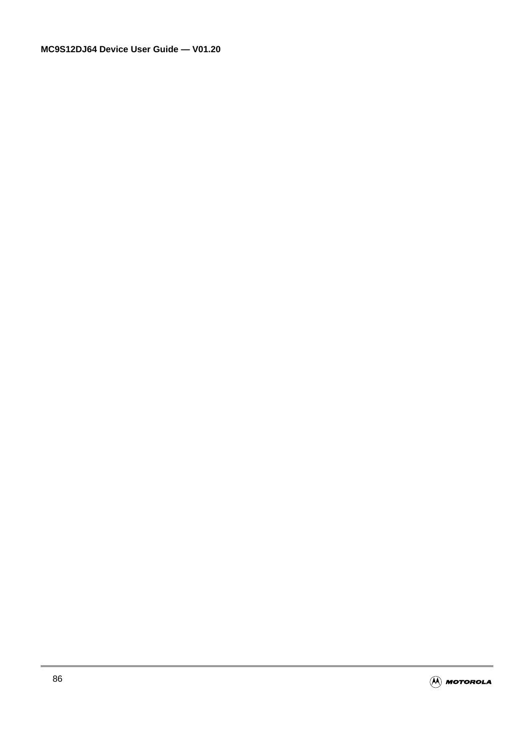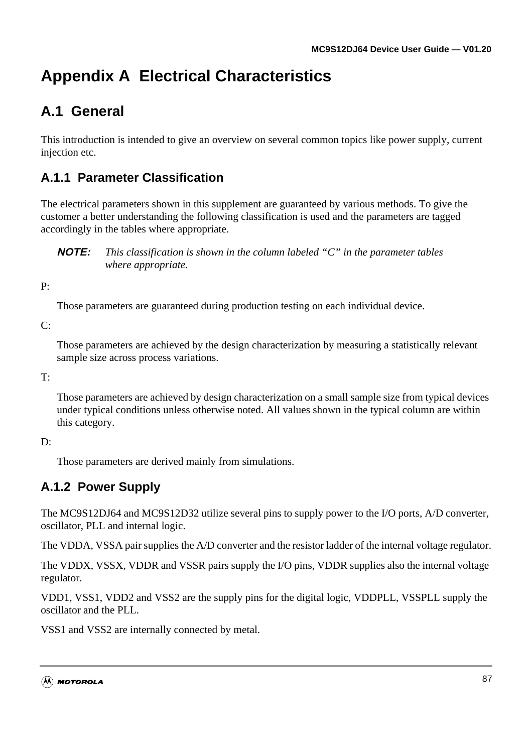# **Appendix A Electrical Characteristics**

## **A.1 General**

This introduction is intended to give an overview on several common topics like power supply, current injection etc.

## **A.1.1 Parameter Classification**

The electrical parameters shown in this supplement are guaranteed by various methods. To give the customer a better understanding the following classification is used and the parameters are tagged accordingly in the tables where appropriate.

P:

Those parameters are guaranteed during production testing on each individual device.

 $C:$ 

Those parameters are achieved by the design characterization by measuring a statistically relevant sample size across process variations.

T:

Those parameters are achieved by design characterization on a small sample size from typical devices under typical conditions unless otherwise noted. All values shown in the typical column are within this category.

D:

Those parameters are derived mainly from simulations.

## **A.1.2 Power Supply**

The MC9S12DJ64 and MC9S12D32 utilize several pins to supply power to the I/O ports, A/D converter, oscillator, PLL and internal logic.

The VDDA, VSSA pair supplies the A/D converter and the resistor ladder of the internal voltage regulator.

The VDDX, VSSX, VDDR and VSSR pairs supply the I/O pins, VDDR supplies also the internal voltage regulator.

VDD1, VSS1, VDD2 and VSS2 are the supply pins for the digital logic, VDDPLL, VSSPLL supply the oscillator and the PLL.

VSS1 and VSS2 are internally connected by metal.

**NOTE:** *This classification is shown in the column labeled "C" in the parameter tables where appropriate.*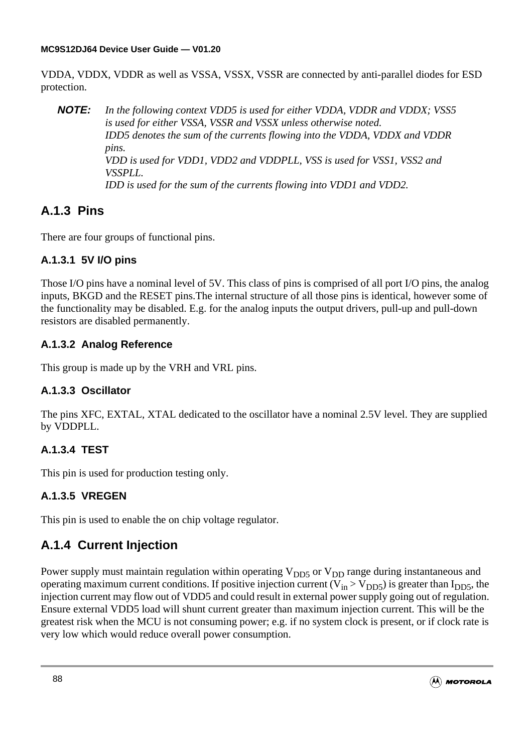#### **MC9S12DJ64 Device User Guide — V01.20**

VDDA, VDDX, VDDR as well as VSSA, VSSX, VSSR are connected by anti-parallel diodes for ESD protection.

**NOTE:** *In the following context VDD5 is used for either VDDA, VDDR and VDDX; VSS5 is used for either VSSA, VSSR and VSSX unless otherwise noted. IDD5 denotes the sum of the currents flowing into the VDDA, VDDX and VDDR pins. VDD is used for VDD1, VDD2 and VDDPLL, VSS is used for VSS1, VSS2 and VSSPLL. IDD is used for the sum of the currents flowing into VDD1 and VDD2.*

### **A.1.3 Pins**

There are four groups of functional pins.

### **A.1.3.1 5V I/O pins**

Those I/O pins have a nominal level of 5V. This class of pins is comprised of all port I/O pins, the analog inputs, BKGD and the RESET pins.The internal structure of all those pins is identical, however some of the functionality may be disabled. E.g. for the analog inputs the output drivers, pull-up and pull-down resistors are disabled permanently.

### **A.1.3.2 Analog Reference**

This group is made up by the VRH and VRL pins.

#### **A.1.3.3 Oscillator**

The pins XFC, EXTAL, XTAL dedicated to the oscillator have a nominal 2.5V level. They are supplied by VDDPLL.

### **A.1.3.4 TEST**

This pin is used for production testing only.

### **A.1.3.5 VREGEN**

This pin is used to enable the on chip voltage regulator.

### <span id="page-87-0"></span>**A.1.4 Current Injection**

Power supply must maintain regulation within operating  $V_{DD5}$  or  $V_{DD}$  range during instantaneous and operating maximum current conditions. If positive injection current ( $V_{in} > V_{DD5}$ ) is greater than I<sub>DD5</sub>, the injection current may flow out of VDD5 and could result in external power supply going out of regulation. Ensure external VDD5 load will shunt current greater than maximum injection current. This will be the greatest risk when the MCU is not consuming power; e.g. if no system clock is present, or if clock rate is very low which would reduce overall power consumption.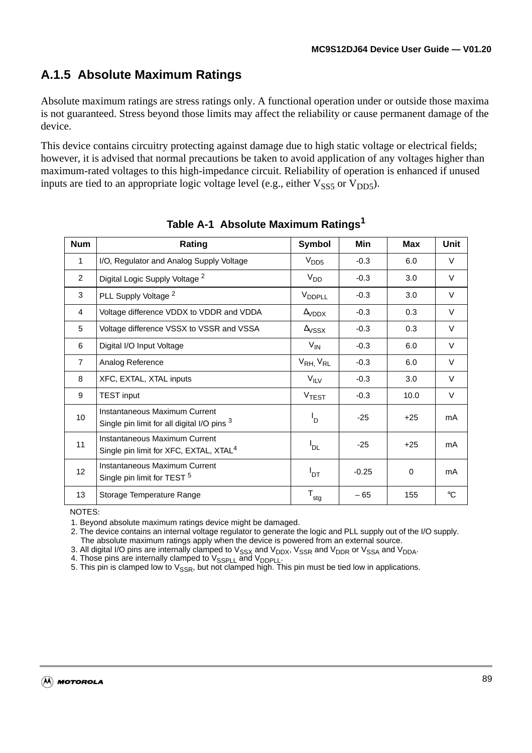## **A.1.5 Absolute Maximum Ratings**

Absolute maximum ratings are stress ratings only. A functional operation under or outside those maxima is not guaranteed. Stress beyond those limits may affect the reliability or cause permanent damage of the device.

This device contains circuitry protecting against damage due to high static voltage or electrical fields; however, it is advised that normal precautions be taken to avoid application of any voltages higher than maximum-rated voltages to this high-impedance circuit. Reliability of operation is enhanced if unused inputs are tied to an appropriate logic voltage level (e.g., either  $V_{SS5}$  or  $V_{DD5}$ ).

| <b>Num</b>      | Rating                                                                              | Symbol                    | Min     | <b>Max</b> | Unit        |
|-----------------|-------------------------------------------------------------------------------------|---------------------------|---------|------------|-------------|
| 1               | I/O, Regulator and Analog Supply Voltage                                            | V <sub>DD5</sub>          | $-0.3$  | 6.0        | $\vee$      |
| 2               | Digital Logic Supply Voltage <sup>2</sup>                                           | V <sub>DD</sub>           | $-0.3$  | 3.0        | $\vee$      |
| 3               | PLL Supply Voltage <sup>2</sup>                                                     | V <sub>DDPLL</sub>        | $-0.3$  | 3.0        | $\vee$      |
| 4               | Voltage difference VDDX to VDDR and VDDA                                            | $\Delta$ <sub>VDDX</sub>  | $-0.3$  | 0.3        | $\vee$      |
| 5               | Voltage difference VSSX to VSSR and VSSA                                            | $\Delta$ <sub>VSSX</sub>  | $-0.3$  | 0.3        | V           |
| 6               | Digital I/O Input Voltage                                                           | $V_{IN}$<br>$-0.3$        |         | 6.0        | $\vee$      |
| $\overline{7}$  | Analog Reference                                                                    | V <sub>RH, VRL</sub>      | $-0.3$  | 6.0        | $\vee$      |
| 8               | XFC, EXTAL, XTAL inputs                                                             | $V_{\text{ILV}}$          | $-0.3$  | 3.0        | $\vee$      |
| 9               | <b>TEST</b> input                                                                   | V <sub>TEST</sub>         | $-0.3$  | 10.0       | $\vee$      |
| 10 <sup>1</sup> | Instantaneous Maximum Current<br>Single pin limit for all digital I/O pins 3        | l <sub>D</sub>            | $-25$   | $+25$      | mA          |
| 11              | Instantaneous Maximum Current<br>Single pin limit for XFC, EXTAL, XTAL <sup>4</sup> | יט <sup>ן</sup>           | $-25$   | +25        | mA          |
| 12 <sup>°</sup> | Instantaneous Maximum Current<br>Single pin limit for TEST <sup>5</sup>             | I <sub>DT</sub>           | $-0.25$ | 0          | mA          |
| 13              | Storage Temperature Range                                                           | $\mathsf{T}_{\text{stg}}$ | $-65$   | 155        | $^{\circ}C$ |

| Table A-1 Absolute Maximum Ratings <sup>1</sup> |  |  |  |  |
|-------------------------------------------------|--|--|--|--|
|-------------------------------------------------|--|--|--|--|

NOTES:

1. Beyond absolute maximum ratings device might be damaged.

<span id="page-88-0"></span>2. The device contains an internal voltage regulator to generate the logic and PLL supply out of the I/O supply. The absolute maximum ratings apply when the device is powered from an external source.

3. All digital I/O pins are internally clamped to  $V_{SSX}$  and  $V_{DDX}$ ,  $V_{SSR}$  and  $V_{DDR}$  or  $V_{SSA}$  and  $V_{DDA}$ .

4. Those pins are internally clamped to V<sub>SSPLL</sub> and V<sub>DDPLL</sub>.

5. This pin is clamped low to  $V_{SSR}$ , but not clamped high. This pin must be tied low in applications.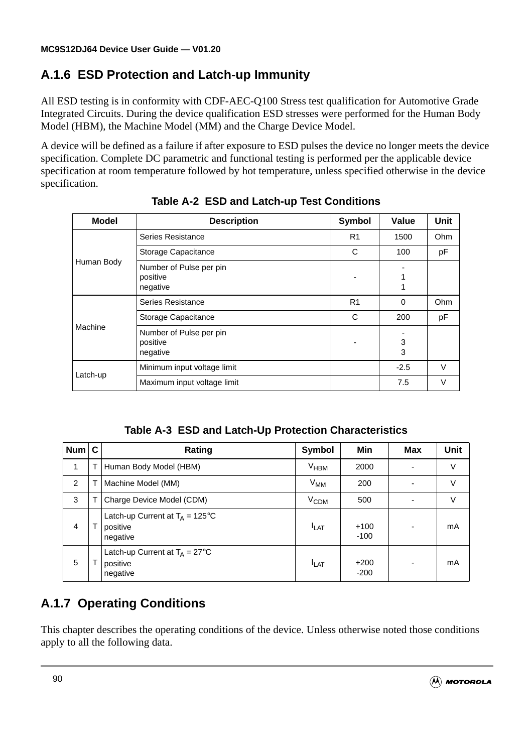## **A.1.6 ESD Protection and Latch-up Immunity**

All ESD testing is in conformity with CDF-AEC-Q100 Stress test qualification for Automotive Grade Integrated Circuits. During the device qualification ESD stresses were performed for the Human Body Model (HBM), the Machine Model (MM) and the Charge Device Model.

A device will be defined as a failure if after exposure to ESD pulses the device no longer meets the device specification. Complete DC parametric and functional testing is performed per the applicable device specification at room temperature followed by hot temperature, unless specified otherwise in the device specification.

| <b>Model</b> | <b>Description</b>                              | Symbol                   | Value    | <b>Unit</b> |
|--------------|-------------------------------------------------|--------------------------|----------|-------------|
|              | Series Resistance                               | R <sub>1</sub>           | 1500     | <b>Ohm</b>  |
|              | Storage Capacitance                             | C                        | 100      | pF          |
| Human Body   | Number of Pulse per pin<br>positive<br>negative | $\overline{\phantom{a}}$ |          |             |
|              | Series Resistance                               | R <sub>1</sub>           | $\Omega$ | Ohm         |
|              | Storage Capacitance                             | C                        | 200      | pF          |
| Machine      | Number of Pulse per pin<br>positive<br>negative | $\overline{\phantom{a}}$ | 3<br>3   |             |
| Latch-up     | Minimum input voltage limit                     |                          | $-2.5$   | $\vee$      |
|              | Maximum input voltage limit                     |                          | 7.5      | V           |

**Table A-2 ESD and Latch-up Test Conditions**

**Table A-3 ESD and Latch-Up Protection Characteristics**

| Num l          | C | Rating                                                          | Symbol           | Min              | Max                      | Unit   |
|----------------|---|-----------------------------------------------------------------|------------------|------------------|--------------------------|--------|
| 1              | Т | Human Body Model (HBM)                                          | $V_{HBM}$        | 2000             | $\overline{\phantom{a}}$ | V      |
| 2              | т | Machine Model (MM)                                              | $V_{MM}$         | 200              |                          | V      |
| 3              | т | Charge Device Model (CDM)                                       | V <sub>CDM</sub> | 500              |                          | $\vee$ |
| $\overline{4}$ | ᠇ | Latch-up Current at $T_A = 125$ °C<br>positive<br>negative      | $I_{LAT}$        | $+100$<br>$-100$ | $\overline{\phantom{a}}$ | mA     |
| 5              |   | Latch-up Current at $T_A = 27^{\circ}C$<br>positive<br>negative | $I_{LAT}$        | $+200$<br>$-200$ | $\blacksquare$           | mA     |

## **A.1.7 Operating Conditions**

This chapter describes the operating conditions of the device. Unless otherwise noted those conditions apply to all the following data.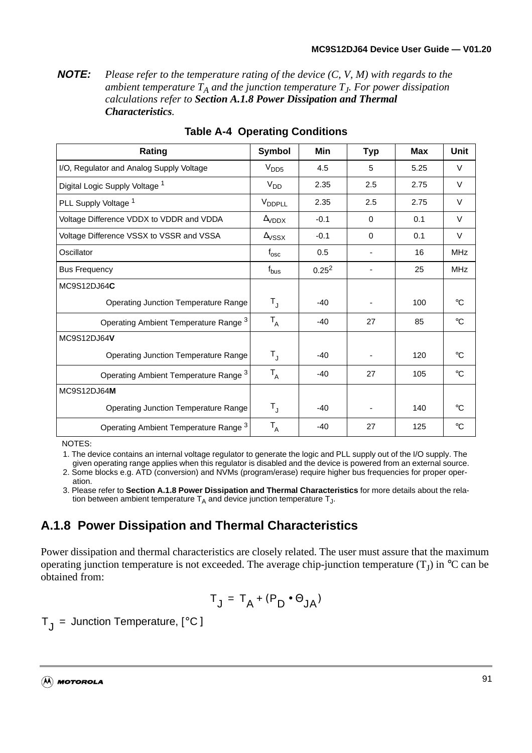**NOTE:** *Please refer to the temperature rating of the device (C, V, M) with regards to the* ambient temperature  $T_A$  and the junction temperature  $T_I$ . For power dissipation *calculations refer to [Section A.1.8 Power Dissipation and Thermal](#page-90-0) [Characteristics](#page-90-0).*

<span id="page-90-3"></span>

| Rating                                           | <b>Symbol</b>            | Min      | <b>Typ</b> | <b>Max</b> | <b>Unit</b>     |
|--------------------------------------------------|--------------------------|----------|------------|------------|-----------------|
| I/O, Regulator and Analog Supply Voltage         | V <sub>DD5</sub>         | 4.5      | 5          | 5.25       | $\vee$          |
| Digital Logic Supply Voltage <sup>1</sup>        | $V_{DD}$                 | 2.35     | 2.5        | 2.75       | V               |
| PLL Supply Voltage <sup>1</sup>                  | <b>VDDPLL</b>            | 2.35     | 2.5        | 2.75       | $\vee$          |
| Voltage Difference VDDX to VDDR and VDDA         | $\Delta$ <sub>VDDX</sub> | $-0.1$   | $\Omega$   | 0.1        | $\vee$          |
| Voltage Difference VSSX to VSSR and VSSA         | $\Delta$ <sub>VSSX</sub> | $-0.1$   | 0          | 0.1        | V               |
| Oscillator                                       | $t_{\rm osc}$            | 0.5      |            | 16         | <b>MHz</b>      |
| <b>Bus Frequency</b>                             | $f_{bus}$                | $0.25^2$ |            | 25         | <b>MHz</b>      |
| MC9S12DJ64C                                      |                          |          |            |            |                 |
| <b>Operating Junction Temperature Range</b>      | $T_{\rm J}$              | $-40$    |            | 100        | $^{\circ}C$     |
| Operating Ambient Temperature Range <sup>3</sup> | $T_{A}$                  | -40      | 27         | 85         | $\rm ^{\circ}C$ |
| MC9S12DJ64V                                      |                          |          |            |            |                 |
| <b>Operating Junction Temperature Range</b>      | $T_{\rm J}$              | $-40$    |            | 120        | $^{\circ}C$     |
| Operating Ambient Temperature Range <sup>3</sup> | $T_{A}$                  | $-40$    | 27         | 105        | $^{\circ}C$     |
| MC9S12DJ64M                                      |                          |          |            |            |                 |
| <b>Operating Junction Temperature Range</b>      | $T_{\sf J}$              | $-40$    |            | 140        | $^{\circ}C$     |
| Operating Ambient Temperature Range <sup>3</sup> | $T_{A}$                  | $-40$    | 27         | 125        | $^{\circ}C$     |

#### <span id="page-90-4"></span>**Table A-4 Operating Conditions**

NOTES:

<span id="page-90-1"></span>1. The device contains an internal voltage regulator to generate the logic and PLL supply out of the I/O supply. The given operating range applies when this regulator is disabled and the device is powered from an external source.

2. Some blocks e.g. ATD (conversion) and NVMs (program/erase) require higher bus frequencies for proper operation.

<span id="page-90-2"></span>3. Please refer to **[Section A.1.8 Power Dissipation and Thermal Characteristics](#page-90-0)** for more details about the relation between ambient temperature  $T_A$  and device junction temperature  $T_J$ .

## <span id="page-90-0"></span>**A.1.8 Power Dissipation and Thermal Characteristics**

Power dissipation and thermal characteristics are closely related. The user must assure that the maximum operating junction temperature is not exceeded. The average chip-junction temperature  $(T<sub>J</sub>)$  in  $^{\circ}C$  can be obtained from:

$$
T_J = T_A + (P_D \bullet \Theta_{JA})
$$

 $T_{\rm J}$  = Junction Temperature, [°C]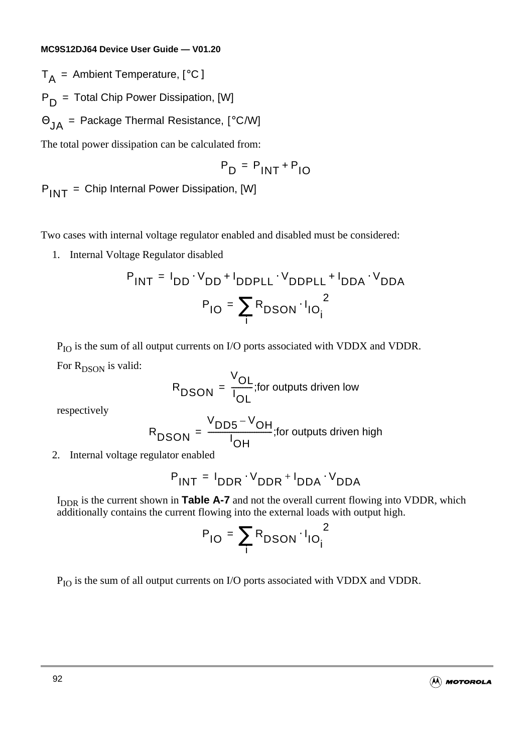$T_A$  = Ambient Temperature, [°C]

 $P_D$  = Total Chip Power Dissipation, [W]

$$
\Theta_{JA} = \text{Package Thermal Resistance}, [\text{°C/W}]
$$

The total power dissipation can be calculated from:

$$
P_D = P_{INT} + P_{IO}
$$

 $P_{INT}$  = Chip Internal Power Dissipation, [W]

Two cases with internal voltage regulator enabled and disabled must be considered:

1. Internal Voltage Regulator disabled

$$
P_{INT} = I_{DD} \cdot V_{DD} + I_{DDPLL} \cdot V_{DDPLL} + I_{DDA} \cdot V_{DDA}
$$

$$
P_{IO} = \sum_{i} R_{DSON} \cdot I_{IO_{i}}^{2}
$$

 $P_{IO}$  is the sum of all output currents on I/O ports associated with VDDX and VDDR. For  $R_{DSON}$  is valid:

$$
R_{DSON} = \frac{V_{OL}}{I_{OL}}
$$
; for outputs driven low

respectively

$$
R_{DSON} = \frac{V_{DD5} - V_{OH}}{I_{OH}}
$$
; for outputs driven high

2. Internal voltage regulator enabled

$$
P_{INT} = I_{DDR} \cdot V_{DDR} + I_{DDA} \cdot V_{DDA}
$$

I<sub>DDR</sub> is the current shown in **[Table A-7](#page-94-0)** and not the overall current flowing into VDDR, which additionally contains the current flowing into the external loads with output high.

$$
P_{IO} = \sum_{i} R_{DSON} \cdot I_{IO}^2
$$

 $P_{IO}$  is the sum of all output currents on I/O ports associated with VDDX and VDDR.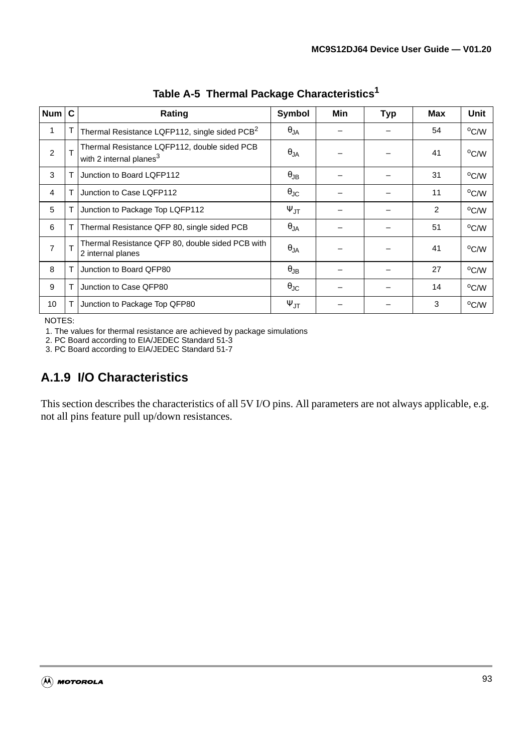| <b>Num</b>     | C | Rating                                                                              | Symbol               | Min | <b>Typ</b> | <b>Max</b>     | Unit |
|----------------|---|-------------------------------------------------------------------------------------|----------------------|-----|------------|----------------|------|
| 1              | т | Thermal Resistance LQFP112, single sided PCB <sup>2</sup>                           | $\theta_{JA}$        |     |            | 54             | °C/W |
| $\overline{2}$ | T | Thermal Resistance LQFP112, double sided PCB<br>with 2 internal planes <sup>3</sup> | $\theta_{JA}$        |     |            | 41             | °C/W |
| 3              | т | Junction to Board LQFP112                                                           | $\theta_{JB}$        |     |            | 31             | °C/W |
| 4              |   | Junction to Case LQFP112                                                            | $\theta_{\text{JC}}$ |     |            | 11             | °C/W |
| 5              | т | Junction to Package Top LQFP112                                                     | $\Psi_{\text{JT}}$   |     |            | $\overline{c}$ | °C/W |
| 6              |   | Thermal Resistance QFP 80, single sided PCB                                         | $\theta_{JA}$        |     |            | 51             | °C/W |
| $\overline{7}$ |   | Thermal Resistance QFP 80, double sided PCB with<br>2 internal planes               | $\theta_{JA}$        |     |            | 41             | °C/W |
| 8              |   | Junction to Board QFP80                                                             | $\theta_{JB}$        |     |            | 27             | °C/W |
| 9              |   | Junction to Case QFP80                                                              | $\theta_{\text{JC}}$ |     |            | 14             | °C/W |
| 10             |   | Junction to Package Top QFP80                                                       | $\Psi_{\text{JT}}$   |     |            | 3              | °C/W |

|  | Table A-5 Thermal Package Characteristics <sup>1</sup> |
|--|--------------------------------------------------------|
|  |                                                        |

NOTES:

1. The values for thermal resistance are achieved by package simulations

2. PC Board according to EIA/JEDEC Standard 51-3

3. PC Board according to EIA/JEDEC Standard 51-7

## **A.1.9 I/O Characteristics**

This section describes the characteristics of all 5V I/O pins. All parameters are not always applicable, e.g. not all pins feature pull up/down resistances.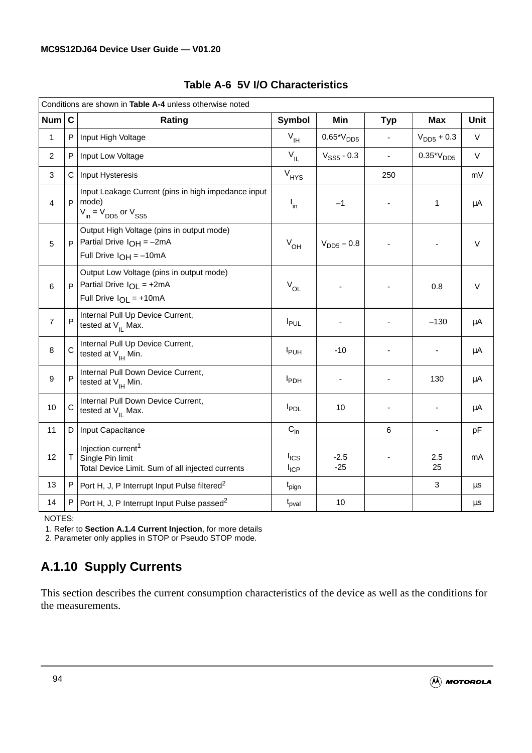|                | Conditions are shown in Table A-4 unless otherwise noted |                                                                                                           |                               |                          |                          |                          |        |  |
|----------------|----------------------------------------------------------|-----------------------------------------------------------------------------------------------------------|-------------------------------|--------------------------|--------------------------|--------------------------|--------|--|
| Num            | $\mathbf c$                                              | Rating                                                                                                    | <b>Symbol</b>                 | Min                      | <b>Typ</b>               | <b>Max</b>               | Unit   |  |
| $\mathbf{1}$   | P                                                        | Input High Voltage                                                                                        | $V_{\text{IH}}$               | $0.65^*V_{DD5}$          | $\overline{\phantom{a}}$ | $V_{DD5}$ + 0.3          | $\vee$ |  |
| $\overline{c}$ | P                                                        | Input Low Voltage                                                                                         | $V_{IL}$                      | $V_{SS5} - 0.3$          | ä,                       | $0.35*V_{DD5}$           | $\vee$ |  |
| 3              |                                                          | C   Input Hysteresis                                                                                      | $\rm V_{HYS}$                 |                          | 250                      |                          | mV     |  |
| 4              | P                                                        | Input Leakage Current (pins in high impedance input<br>mode)<br>$V_{in} = V_{DD5}$ or $V_{SS5}$           | $\mathsf{I}_{\mathsf{in}}$    | $-1$                     |                          | $\mathbf{1}$             | μA     |  |
| 5              | P                                                        | Output High Voltage (pins in output mode)<br>Partial Drive $I_{OH} = -2mA$<br>Full Drive $I_{OH} = -10mA$ | $V_{OH}$                      | $V_{DD5} - 0.8$          |                          |                          | $\vee$ |  |
| 6              | P                                                        | Output Low Voltage (pins in output mode)<br>Partial Drive $I_{OL}$ = +2mA<br>Full Drive $I_{OL}$ = +10mA  | $V_{OL}$                      |                          |                          | 0.8                      | $\vee$ |  |
| $\overline{7}$ | P                                                        | Internal Pull Up Device Current,<br>tested at $V_{\parallel}$ Max.                                        | $I_{PUL}$                     | $\overline{\phantom{0}}$ |                          | $-130$                   | μA     |  |
| 8              | C                                                        | Internal Pull Up Device Current,<br>tested at $V_{\mu}$ Min.                                              | <b>I</b> <sub>PUH</sub>       | $-10$                    |                          | $\overline{\phantom{a}}$ | μA     |  |
| 9              | P                                                        | Internal Pull Down Device Current,<br>tested at $V_{\vert H}$ Min.                                        | <b>I</b> PDH                  | L,                       |                          | 130                      | μA     |  |
| 10             | C                                                        | Internal Pull Down Device Current,<br>tested at $V_{\parallel}$ Max.                                      | <b>I</b> PDL                  | 10                       |                          | $\overline{\phantom{a}}$ | μA     |  |
| 11             | D                                                        | Input Capacitance                                                                                         | $C_{in}$                      |                          | 6                        | ÷.                       | pF     |  |
| 12             | Τ                                                        | Injection current <sup>1</sup><br>Single Pin limit<br>Total Device Limit. Sum of all injected currents    | $I_{\text{ICS}}$<br>$I_{ICP}$ | $-2.5$<br>$-25$          |                          | 2.5<br>25                | mA     |  |
| 13             | P                                                        | Port H, J, P Interrupt Input Pulse filtered <sup>2</sup>                                                  | t <sub>pign</sub>             |                          |                          | 3                        | μs     |  |
| 14             | P                                                        | Port H, J, P Interrupt Input Pulse passed <sup>2</sup>                                                    | t <sub>pval</sub>             | 10                       |                          |                          | μs     |  |

#### <span id="page-93-1"></span>**Table A-6 5V I/O Characteristics**

NOTES:

1. Refer to **[Section A.1.4 Current Injection](#page-87-0)**, for more details

<span id="page-93-0"></span>2. Parameter only applies in STOP or Pseudo STOP mode.

## **A.1.10 Supply Currents**

This section describes the current consumption characteristics of the device as well as the conditions for the measurements.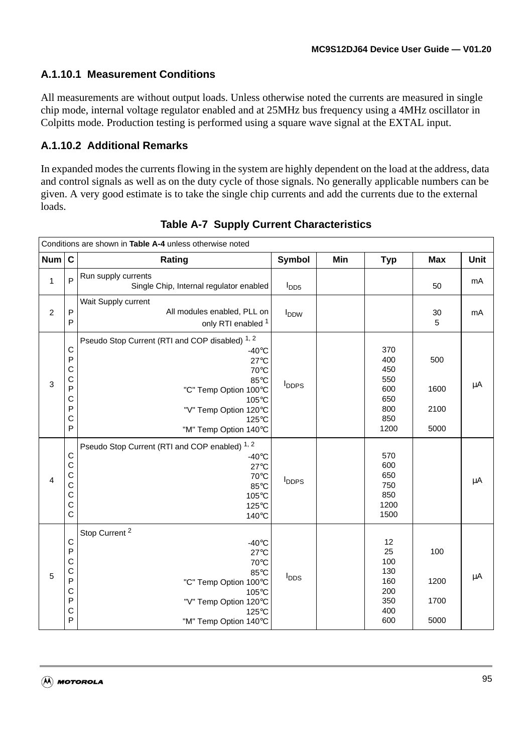### **A.1.10.1 Measurement Conditions**

All measurements are without output loads. Unless otherwise noted the currents are measured in single chip mode, internal voltage regulator enabled and at 25MHz bus frequency using a 4MHz oscillator in Colpitts mode. Production testing is performed using a square wave signal at the EXTAL input.

#### **A.1.10.2 Additional Remarks**

In expanded modes the currents flowing in the system are highly dependent on the load at the address, data and control signals as well as on the duty cycle of those signals. No generally applicable numbers can be given. A very good estimate is to take the single chip currents and add the currents due to the external loads.

<span id="page-94-0"></span>

|                | Conditions are shown in Table A-4 unless otherwise noted                                                              |                                                                                                                                                                                                   |                          |     |                                                              |                             |         |
|----------------|-----------------------------------------------------------------------------------------------------------------------|---------------------------------------------------------------------------------------------------------------------------------------------------------------------------------------------------|--------------------------|-----|--------------------------------------------------------------|-----------------------------|---------|
| <b>Num</b>     | $\mathbf C$                                                                                                           | Rating                                                                                                                                                                                            | <b>Symbol</b>            | Min | <b>Typ</b>                                                   | <b>Max</b>                  | Unit    |
| $\mathbf{1}$   | P                                                                                                                     | Run supply currents<br>Single Chip, Internal regulator enabled                                                                                                                                    | $I_{DD5}$                |     |                                                              | 50                          | mA      |
| $\overline{c}$ | $\mathsf{P}$<br>$\mathsf{P}$                                                                                          | Wait Supply current<br>All modules enabled, PLL on<br>only RTI enabled 1                                                                                                                          | $I_{DDW}$                |     |                                                              | 30<br>5                     | mA      |
| 3              | $\mathsf{C}$<br>$\mathsf{P}$<br>$\mathsf C$<br>$\mathsf{C}$<br>P<br>C<br>$\mathsf{P}$<br>$\mathsf{C}$<br>$\mathsf{P}$ | Pseudo Stop Current (RTI and COP disabled) 1, 2<br>$-40^{\circ}$ C<br>$27^{\circ}$ C<br>70°C<br>85°C<br>"C" Temp Option 100°C<br>105°C<br>"V" Temp Option 120°C<br>125°C<br>"M" Temp Option 140°C | <b>I</b> <sub>DDPS</sub> |     | 370<br>400<br>450<br>550<br>600<br>650<br>800<br>850<br>1200 | 500<br>1600<br>2100<br>5000 | $\mu A$ |
| $\overline{4}$ | $\mathsf C$<br>$\mathbf C$<br>$\mathsf{C}$<br>C<br>C<br>C<br>$\mathsf{C}$                                             | Pseudo Stop Current (RTI and COP enabled) 1, 2<br>-40 $^{\circ}$ C<br>$27^{\circ}$ C<br>70°C<br>85°C<br>105°C<br>125°C<br>140°C                                                                   | <b>I</b> <sub>DDPS</sub> |     | 570<br>600<br>650<br>750<br>850<br>1200<br>1500              |                             | μA      |
| 5              | $\mathsf C$<br>$\mathsf{P}$<br>$\mathsf C$<br>$\mathsf{C}$<br>$\mathsf{P}$<br>C<br>$\sf P$<br>$\mathsf{C}$<br>P       | Stop Current <sup>2</sup><br>$-40^{\circ}$ C<br>$27^{\circ}$ C<br>70°C<br>85°C<br>"C" Temp Option 100°C<br>105°C<br>"V" Temp Option 120°C<br>125°C<br>"M" Temp Option 140°C                       | $I_{\text{DDS}}$         |     | 12<br>25<br>100<br>130<br>160<br>200<br>350<br>400<br>600    | 100<br>1200<br>1700<br>5000 | μA      |

### **Table A-7 Supply Current Characteristics**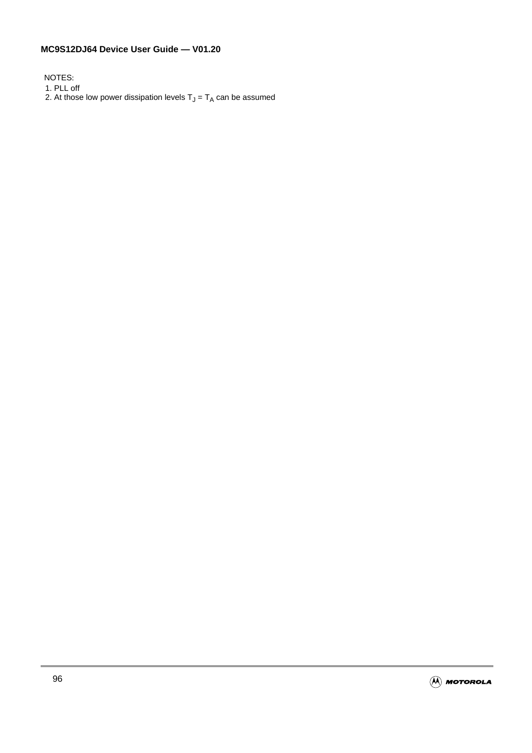NOTES:

- <span id="page-95-0"></span>1. PLL off
- <span id="page-95-1"></span>2. At those low power dissipation levels  $T_\mathsf{J}$  =  $T_\mathsf{A}$  can be assumed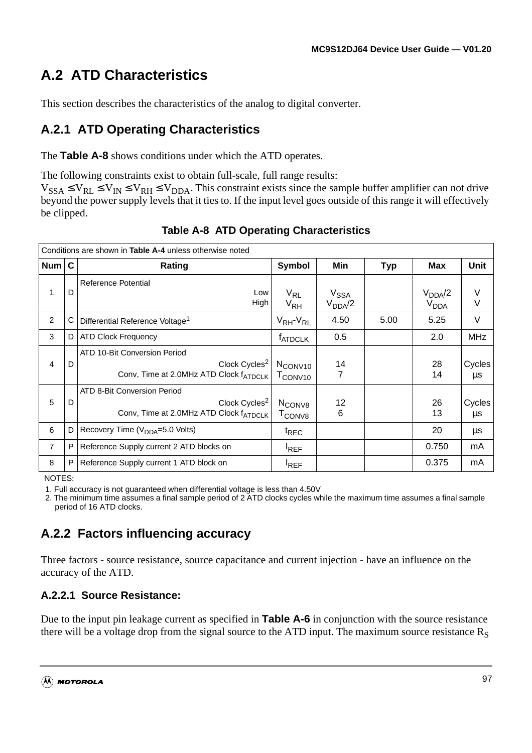## **A.2 ATD Characteristics**

This section describes the characteristics of the analog to digital converter.

## **A.2.1 ATD Operating Characteristics**

The **[Table A-8](#page-96-0)** shows conditions under which the ATD operates.

The following constraints exist to obtain full-scale, full range results:

 $V_{SSA} \leq V_{RL} \leq V_{IN} \leq V_{RH} \leq V_{DDA}$ . This constraint exists since the sample buffer amplifier can not drive beyond the power supply levels that it ties to. If the input level goes outside of this range it will effectively be clipped.

<span id="page-96-0"></span>

| Conditions are shown in Table A-4 unless otherwise noted |   |                                                                                                     |                                            |                                         |            |                                       |              |  |
|----------------------------------------------------------|---|-----------------------------------------------------------------------------------------------------|--------------------------------------------|-----------------------------------------|------------|---------------------------------------|--------------|--|
| Num                                                      | C | Rating                                                                                              | Symbol                                     | Min                                     | <b>Typ</b> | Max                                   | Unit         |  |
| 1                                                        | D | Reference Potential<br>Low<br>High                                                                  | $V_{RL}$<br>V <sub>RH</sub>                | V <sub>SSA</sub><br>V <sub>DDA</sub> /2 |            | $V_{DDA}/2$<br><b>V<sub>DDA</sub></b> | v            |  |
| 2                                                        | С | Differential Reference Voltage <sup>1</sup>                                                         | $VRH - VRL$                                | 4.50                                    | 5.00       | 5.25                                  | $\vee$       |  |
| 3                                                        | D | <b>ATD Clock Frequency</b>                                                                          | <sup>T</sup> ATDCLK                        | 0.5                                     |            | 2.0                                   | <b>MHz</b>   |  |
| 4                                                        | D | ATD 10-Bit Conversion Period<br>Clock Cycles <sup>2</sup><br>Conv, Time at 2.0MHz ATD Clock fATDCLK | N <sub>CONV10</sub><br>T <sub>CONV10</sub> | 14<br>7                                 |            | 28<br>14                              | Cycles<br>μs |  |
| 5                                                        | D | ATD 8-Bit Conversion Period<br>Clock Cycles <sup>2</sup><br>Conv, Time at 2.0MHz ATD Clock fATDCLK  | N <sub>CONV8</sub><br>T <sub>CONV8</sub>   | 12<br>6                                 |            | 26<br>13                              | Cycles<br>μs |  |
| 6                                                        | D | Recovery Time (V <sub>DDA</sub> =5.0 Volts)                                                         | <sup>t</sup> REC                           |                                         |            | 20                                    | μs           |  |
| $\overline{7}$                                           | P | Reference Supply current 2 ATD blocks on                                                            | <b>REF</b>                                 |                                         |            | 0.750                                 | mA           |  |
| 8                                                        | P | Reference Supply current 1 ATD block on                                                             | <sup>I</sup> REF                           |                                         |            | 0.375                                 | mA           |  |

**Table A-8 ATD Operating Characteristics**

NOTES:

1. Full accuracy is not guaranteed when differential voltage is less than 4.50V

<span id="page-96-1"></span>2. The minimum time assumes a final sample period of 2 ATD clocks cycles while the maximum time assumes a final sample period of 16 ATD clocks.

## **A.2.2 Factors influencing accuracy**

Three factors - source resistance, source capacitance and current injection - have an influence on the accuracy of the ATD.

### **A.2.2.1 Source Resistance:**

Due to the input pin leakage current as specified in **[Table A-6](#page-93-1)** in conjunction with the source resistance there will be a voltage drop from the signal source to the ATD input. The maximum source resistance  $R<sub>S</sub>$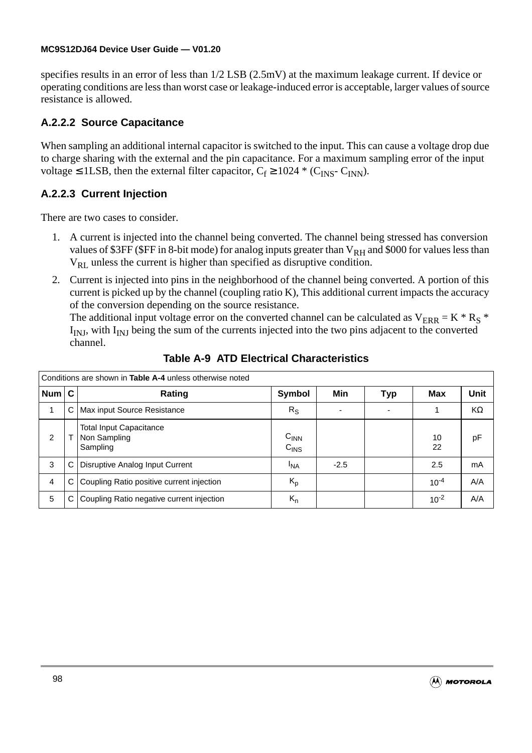#### **MC9S12DJ64 Device User Guide — V01.20**

specifies results in an error of less than 1/2 LSB (2.5mV) at the maximum leakage current. If device or operating conditions are less than worst case or leakage-induced error is acceptable, larger values of source resistance is allowed.

### **A.2.2.2 Source Capacitance**

When sampling an additional internal capacitor is switched to the input. This can cause a voltage drop due to charge sharing with the external and the pin capacitance. For a maximum sampling error of the input voltage  $\leq$  1LSB, then the external filter capacitor,  $C_f \geq 1024$  \* ( $C_{INS}$ -  $C_{INN}$ ).

### **A.2.2.3 Current Injection**

There are two cases to consider.

- 1. A current is injected into the channel being converted. The channel being stressed has conversion values of \$3FF (\$FF in 8-bit mode) for analog inputs greater than  $V_{RH}$  and \$000 for values less than  $V_{RL}$  unless the current is higher than specified as disruptive condition.
- 2. Current is injected into pins in the neighborhood of the channel being converted. A portion of this current is picked up by the channel (coupling ratio K), This additional current impacts the accuracy of the conversion depending on the source resistance.

The additional input voltage error on the converted channel can be calculated as  $V_{ERR} = K * R_S *$  $I_{INJ}$ , with  $I_{INJ}$  being the sum of the currents injected into the two pins adjacent to the converted channel.

|                |    | Conditions are shown in Table A-4 unless otherwise noted   |                                      |        |                          |            |      |
|----------------|----|------------------------------------------------------------|--------------------------------------|--------|--------------------------|------------|------|
| <b>Num</b>     | C  | Rating                                                     | Symbol                               | Min    | Typ                      | <b>Max</b> | Unit |
|                | C. | Max input Source Resistance                                | $R_{\rm S}$                          | ۰      | $\overline{\phantom{0}}$ |            | KΩ   |
| $\mathfrak{p}$ |    | <b>Total Input Capacitance</b><br>Non Sampling<br>Sampling | C <sub>INN</sub><br>C <sub>INS</sub> |        |                          | 10<br>22   | рF   |
| 3              | C  | Disruptive Analog Input Current                            | <sup>I</sup> NA                      | $-2.5$ |                          | 2.5        | mA   |
| 4              | СI | Coupling Ratio positive current injection                  | $K_{p}$                              |        |                          | $10^{-4}$  | A/A  |
| 5              | C. | Coupling Ratio negative current injection                  | $K_n$                                |        |                          | $10^{-2}$  | A/A  |

#### **Table A-9 ATD Electrical Characteristics**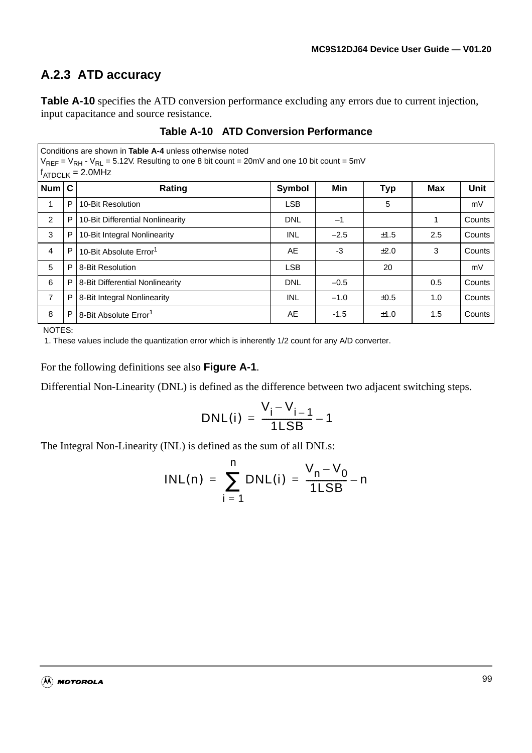## **A.2.3 ATD accuracy**

**[Table A-10](#page-98-0)** specifies the ATD conversion performance excluding any errors due to current injection, input capacitance and source resistance.

<span id="page-98-0"></span>

| Conditions are shown in Table A-4 unless otherwise noted<br>$V_{RFF} = V_{RH} - V_{RI} = 5.12V$ . Resulting to one 8 bit count = 20mV and one 10 bit count = 5mV<br>$f_{\text{ATDCLK}} = 2.0 \text{MHz}$ |    |                                    |               |        |            |            |        |  |
|----------------------------------------------------------------------------------------------------------------------------------------------------------------------------------------------------------|----|------------------------------------|---------------|--------|------------|------------|--------|--|
| Num C                                                                                                                                                                                                    |    | Rating                             | <b>Symbol</b> | Min    | <b>Typ</b> | <b>Max</b> | Unit   |  |
| 1                                                                                                                                                                                                        | P  | 10-Bit Resolution                  | <b>LSB</b>    |        | 5          |            | mV     |  |
| 2                                                                                                                                                                                                        | P. | 10-Bit Differential Nonlinearity   | <b>DNL</b>    | $-1$   |            | 1          | Counts |  |
| 3                                                                                                                                                                                                        | P. | 10-Bit Integral Nonlinearity       | <b>INL</b>    | $-2.5$ | ±1.5       | 2.5        | Counts |  |
| 4                                                                                                                                                                                                        | P  | 10-Bit Absolute Error <sup>1</sup> | AE.           | $-3$   | $\pm 2.0$  | 3          | Counts |  |
| 5                                                                                                                                                                                                        | P  | 8-Bit Resolution                   | <b>LSB</b>    |        | 20         |            | mV     |  |
| 6                                                                                                                                                                                                        | P  | 8-Bit Differential Nonlinearity    | <b>DNL</b>    | $-0.5$ |            | 0.5        | Counts |  |
| $\overline{7}$                                                                                                                                                                                           |    | $P$   8-Bit Integral Nonlinearity  | <b>INL</b>    | $-1.0$ | $\pm 0.5$  | 1.0        | Counts |  |
| 8                                                                                                                                                                                                        | P  | 8-Bit Absolute Error <sup>1</sup>  | AE            | $-1.5$ | ±1.0       | 1.5        | Counts |  |

### **Table A-10 ATD Conversion Performance**

NOTES:

<span id="page-98-1"></span>1. These values include the quantization error which is inherently 1/2 count for any A/D converter.

For the following definitions see also **[Figure A-1](#page-99-0)**.

Differential Non-Linearity (DNL) is defined as the difference between two adjacent switching steps.

$$
DNL(i) = \frac{V_i - V_{i-1}}{1LSB} - 1
$$

The Integral Non-Linearity (INL) is defined as the sum of all DNLs:

$$
INL(n) = \sum_{i=1}^{n} DNL(i) = \frac{V_{n} - V_{0}}{1LSB} - n
$$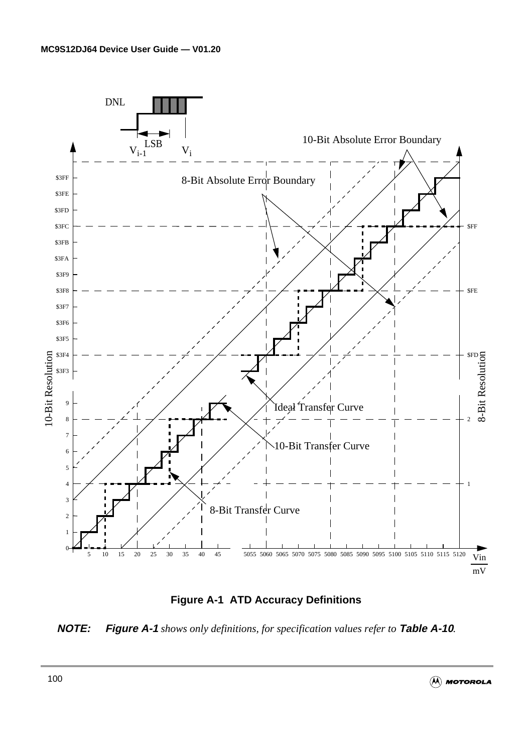

**Figure A-1 ATD Accuracy Definitions**

<span id="page-99-0"></span>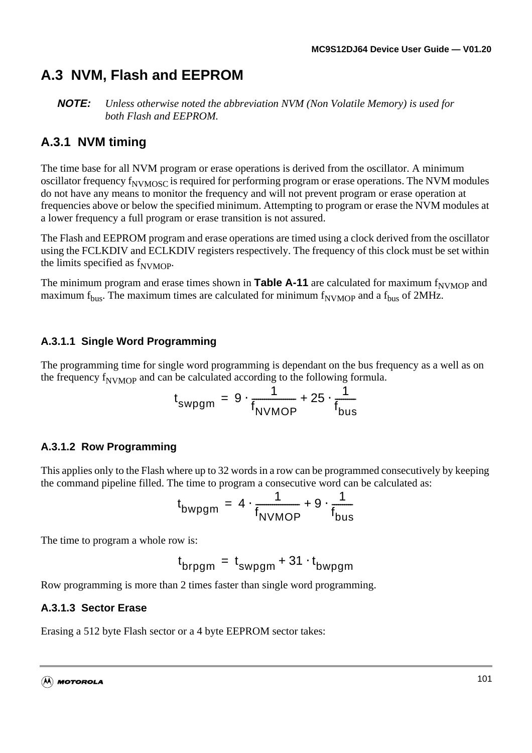## **A.3 NVM, Flash and EEPROM**

**NOTE:** *Unless otherwise noted the abbreviation NVM (Non Volatile Memory) is used for both Flash and EEPROM.*

### **A.3.1 NVM timing**

The time base for all NVM program or erase operations is derived from the oscillator. A minimum oscillator frequency  $f_{\text{NVMOSC}}$  is required for performing program or erase operations. The NVM modules do not have any means to monitor the frequency and will not prevent program or erase operation at frequencies above or below the specified minimum. Attempting to program or erase the NVM modules at a lower frequency a full program or erase transition is not assured.

The Flash and EEPROM program and erase operations are timed using a clock derived from the oscillator using the FCLKDIV and ECLKDIV registers respectively. The frequency of this clock must be set within the limits specified as  $f_{\text{NVMOP}}$ .

The minimum program and erase times shown in **[Table A-11](#page-101-0)** are calculated for maximum  $f_{\text{NVMOP}}$  and maximum  $f_{bus}$ . The maximum times are calculated for minimum  $f_{NVMOP}$  and a  $f_{bus}$  of 2MHz.

### <span id="page-100-0"></span>**A.3.1.1 Single Word Programming**

The programming time for single word programming is dependant on the bus frequency as a well as on the frequency  $f_{\text{NVMOP}}$  and can be calculated according to the following formula.

$$
t_{\text{swpgm}} = 9 \cdot \frac{1}{f_{\text{NVMOP}}} + 25 \cdot \frac{1}{f_{\text{bus}}}
$$

#### **A.3.1.2 Row Programming**

This applies only to the Flash where up to 32 words in a row can be programmed consecutively by keeping the command pipeline filled. The time to program a consecutive word can be calculated as:

$$
t_{bwpgm} = 4 \cdot \frac{1}{f_{NVMOP}} + 9 \cdot \frac{1}{f_{bus}}
$$

The time to program a whole row is:

$$
t_{brgm} = t_{swpgm} + 31 \cdot t_{bwpgm}
$$

Row programming is more than 2 times faster than single word programming.

#### **A.3.1.3 Sector Erase**

Erasing a 512 byte Flash sector or a 4 byte EEPROM sector takes: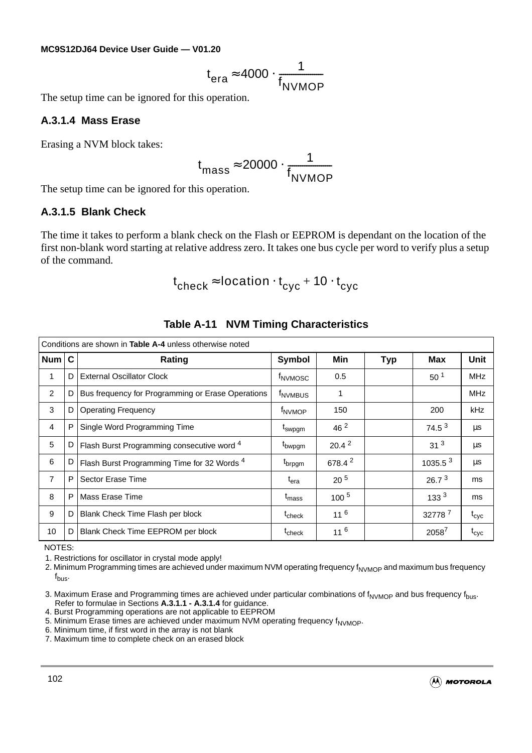$$
t_{era} \approx 4000 \cdot \frac{1}{f_{\text{NVMOP}}}
$$

The setup time can be ignored for this operation.

### <span id="page-101-3"></span>**A.3.1.4 Mass Erase**

Erasing a NVM block takes:

$$
t_{\text{mass}} \approx 20000 \cdot \frac{1}{f_{\text{NVMOP}}}
$$

The setup time can be ignored for this operation.

### **A.3.1.5 Blank Check**

The time it takes to perform a blank check on the Flash or EEPROM is dependant on the location of the first non-blank word starting at relative address zero. It takes one bus cycle per word to verify plus a setup of the command.

$$
t_{\text{check}} \approx \text{location} \cdot t_{\text{cyc}} + 10 \cdot t_{\text{cyc}}
$$

<span id="page-101-0"></span>

| Conditions are shown in Table A-4 unless otherwise noted |   |                                                        |                     |                    |            |                     |               |  |
|----------------------------------------------------------|---|--------------------------------------------------------|---------------------|--------------------|------------|---------------------|---------------|--|
| <b>Num</b>                                               | C | Rating                                                 | Symbol              | Min                | <b>Typ</b> | Max                 | Unit          |  |
| 1                                                        | D | <b>External Oscillator Clock</b>                       | <sup>T</sup> NVMOSC | 0.5                |            | 50 <sup>1</sup>     | <b>MHz</b>    |  |
| 2                                                        | D | Bus frequency for Programming or Erase Operations      | <sup>†</sup> NVMBUS | 1                  |            |                     | <b>MHz</b>    |  |
| 3                                                        | D | <b>Operating Frequency</b>                             | <sup>T</sup> NVMOP  | 150                |            | 200                 | kHz           |  |
| $\overline{4}$                                           | P | Single Word Programming Time                           | <sup>L</sup> swpgm  | $46^{2}$           |            | 74.5 <sup>3</sup>   | μs            |  |
| 5                                                        | D | Flash Burst Programming consecutive word 4             | t <sub>bwpgm</sub>  | $20.4^2$           |            | 31 <sup>3</sup>     | μs            |  |
| 6                                                        | D | Flash Burst Programming Time for 32 Words <sup>4</sup> | t <sub>brpgm</sub>  | 678.4 <sup>2</sup> |            | 1035.5 <sup>3</sup> | μs            |  |
| $\overline{7}$                                           | P | Sector Erase Time                                      | t <sub>era</sub>    | 20 <sup>5</sup>    |            | 26.7 <sup>3</sup>   | ms            |  |
| 8                                                        | P | Mass Erase Time                                        | <sup>I</sup> mass   | $100^{5}$          |            | 133 <sup>3</sup>    | ms            |  |
| 9                                                        | D | Blank Check Time Flash per block                       | t <sub>check</sub>  | $11^{6}$           |            | 327787              | $t_{\rm cyc}$ |  |
| 10                                                       | D | Blank Check Time EEPROM per block                      | t <sub>check</sub>  | $11^{6}$           |            | $2058^7$            | $t_{\rm cyc}$ |  |

#### **Table A-11 NVM Timing Characteristics**

NOTES:

1. Restrictions for oscillator in crystal mode apply!

<span id="page-101-1"></span>2. Minimum Programming times are achieved under maximum NVM operating frequency f<sub>NVMOP</sub> and maximum bus frequency f<sub>bus</sub>.

<span id="page-101-4"></span>3. Maximum Erase and Programming times are achieved under particular combinations of  $f_{\text{NVMOP}}$  and bus frequency  $f_{\text{bus}}$ . Refer to formulae in Sections **[A.3.1.1](#page-100-0) - [A.3.1.4](#page-101-3)** for guidance.

<span id="page-101-5"></span>4. Burst Programming operations are not applicable to EEPROM

<span id="page-101-2"></span>5. Minimum Erase times are achieved under maximum NVM operating frequency  $f_{\text{NVMOP}}$ .

<span id="page-101-6"></span>6. Minimum time, if first word in the array is not blank

<span id="page-101-7"></span>7. Maximum time to complete check on an erased block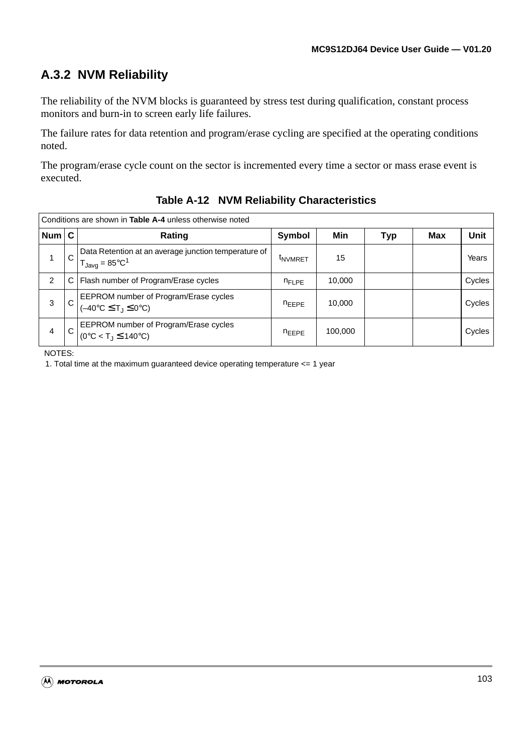## **A.3.2 NVM Reliability**

The reliability of the NVM blocks is guaranteed by stress test during qualification, constant process monitors and burn-in to screen early life failures.

The failure rates for data retention and program/erase cycling are specified at the operating conditions noted.

The program/erase cycle count on the sector is incremented every time a sector or mass erase event is executed.

| Conditions are shown in Table A-4 unless otherwise noted |     |                                                                                           |                   |         |     |     |        |  |  |
|----------------------------------------------------------|-----|-------------------------------------------------------------------------------------------|-------------------|---------|-----|-----|--------|--|--|
| <b>Num</b>                                               | C   | Rating                                                                                    | Symbol            | Min     | Typ | Max | Unit   |  |  |
|                                                          |     | Data Retention at an average junction temperature of<br>$T_{\text{Java}} = 85^{\circ}C^1$ | <b>INVMRET</b>    | 15      |     |     | Years  |  |  |
| $\overline{2}$                                           | C I | Flash number of Program/Erase cycles                                                      | $n_{\text{FLPE}}$ | 10,000  |     |     | Cycles |  |  |
| 3                                                        |     | EEPROM number of Program/Erase cycles<br>$(-40^{\circ}C \leq T_1 \leq 0^{\circ}C)$        | $n_{EEPE}$        | 10,000  |     |     | Cycles |  |  |
| 4                                                        |     | EEPROM number of Program/Erase cycles<br>$(0^{\circ}C < T_1 \leq 140^{\circ}C)$           | $n_{EEPE}$        | 100,000 |     |     | Cycles |  |  |

**Table A-12 NVM Reliability Characteristics**

NOTES:

1. Total time at the maximum guaranteed device operating temperature <= 1 year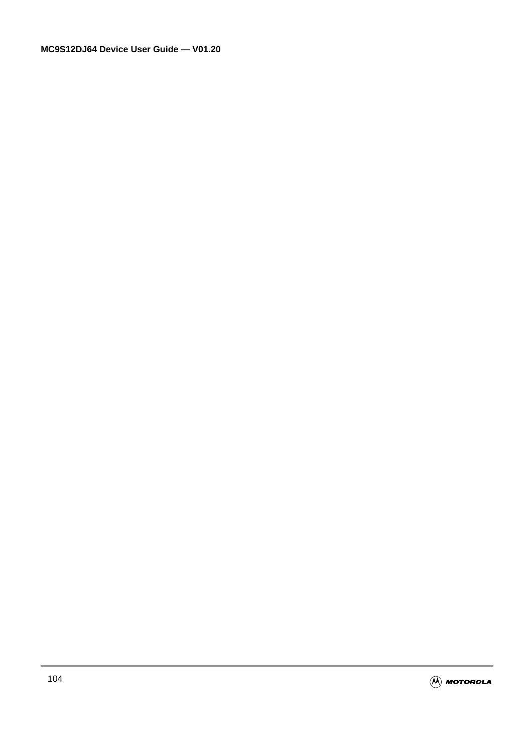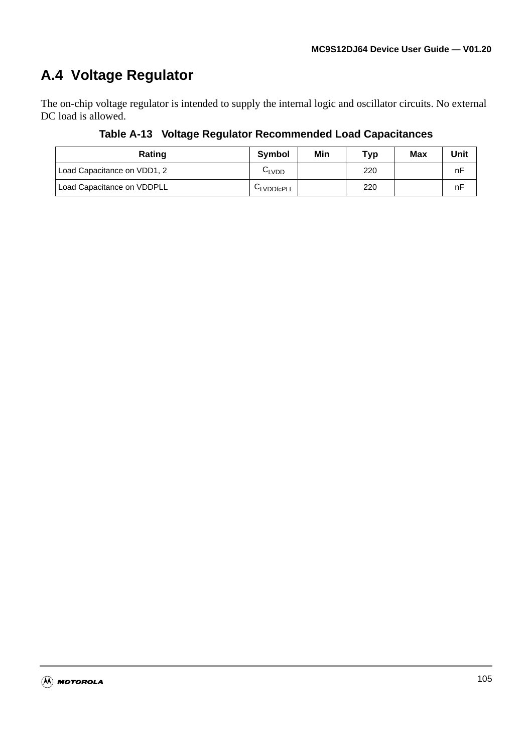# **A.4 Voltage Regulator**

The on-chip voltage regulator is intended to supply the internal logic and oscillator circuits. No external DC load is allowed.

**Table A-13 Voltage Regulator Recommended Load Capacitances**

| Rating                      | Symbol            | Min | Typ | Max | Unit |
|-----------------------------|-------------------|-----|-----|-----|------|
| Load Capacitance on VDD1, 2 | ∪LVDD             |     | 220 |     | nF   |
| Load Capacitance on VDDPLL  | <b>ULVDDfcPLL</b> |     | 220 |     | nF   |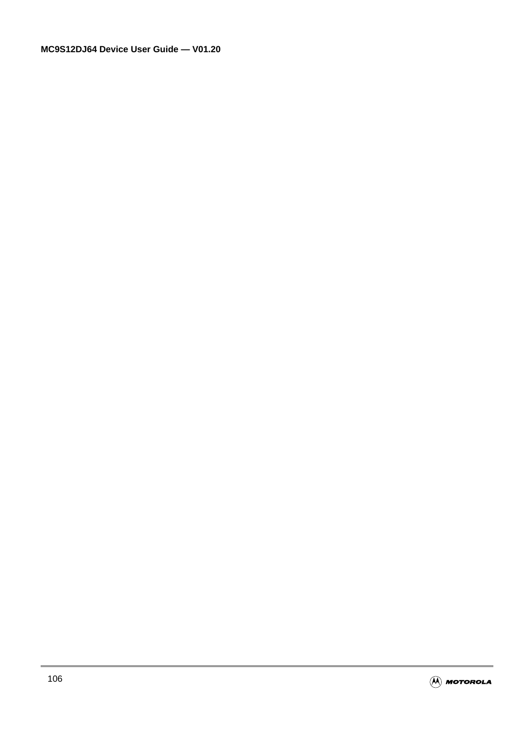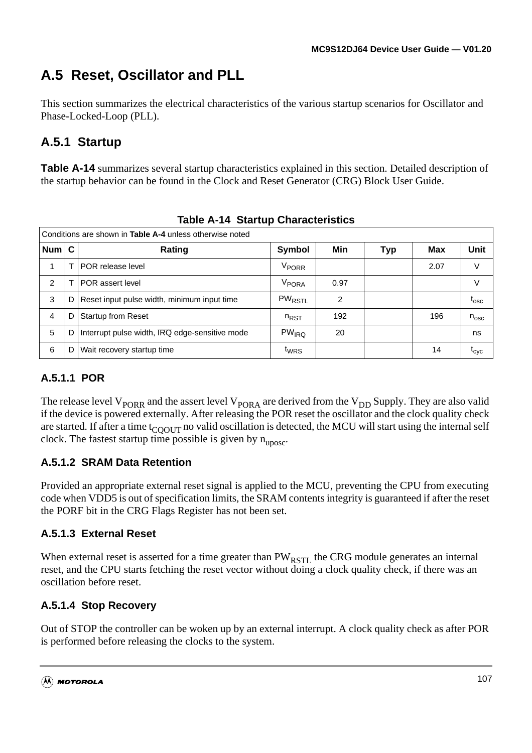## **A.5 Reset, Oscillator and PLL**

This section summarizes the electrical characteristics of the various startup scenarios for Oscillator and Phase-Locked-Loop (PLL).

## **A.5.1 Startup**

**[Table A-14](#page-106-0)** summarizes several startup characteristics explained in this section. Detailed description of the startup behavior can be found in the Clock and Reset Generator (CRG) Block User Guide.

<span id="page-106-0"></span>

|               | Conditions are shown in Table A-4 unless otherwise noted |                                                                    |                      |               |     |            |                             |  |  |
|---------------|----------------------------------------------------------|--------------------------------------------------------------------|----------------------|---------------|-----|------------|-----------------------------|--|--|
| Num           | C                                                        | Rating                                                             | Symbol               | Min           | Typ | <b>Max</b> | <b>Unit</b>                 |  |  |
|               |                                                          | POR release level                                                  | V <sub>PORR</sub>    |               |     | 2.07       | V                           |  |  |
| $\mathcal{P}$ |                                                          | POR assert level                                                   | V <sub>PORA</sub>    | 0.97          |     |            | V                           |  |  |
| 3             | D                                                        | Reset input pulse width, minimum input time                        | $PW_{\mathsf{RSTL}}$ | $\mathcal{P}$ |     |            | $\mathfrak{t}_{\text{osc}}$ |  |  |
| 4             | D                                                        | <b>Startup from Reset</b>                                          | $n_{RST}$            | 192           |     | 196        | $n_{\rm osc}$               |  |  |
| 5             | D                                                        | Interrupt pulse width, $\overline{\text{IRQ}}$ edge-sensitive mode | $PW_{\text{IRO}}$    | 20            |     |            | ns                          |  |  |
| 6             | D                                                        | Wait recovery startup time                                         | t <sub>WRS</sub>     |               |     | 14         | <sup>L</sup> cyc            |  |  |

|  |  |  | <b>Table A-14 Startup Characteristics</b> |
|--|--|--|-------------------------------------------|
|--|--|--|-------------------------------------------|

### **A.5.1.1 POR**

The release level  $V_{PORR}$  and the assert level  $V_{PORA}$  are derived from the  $V_{DD}$  Supply. They are also valid if the device is powered externally. After releasing the POR reset the oscillator and the clock quality check are started. If after a time  $t_{\text{COOUT}}$  no valid oscillation is detected, the MCU will start using the internal self clock. The fastest startup time possible is given by  $n_{\text{uposc}}$ .

### **A.5.1.2 SRAM Data Retention**

Provided an appropriate external reset signal is applied to the MCU, preventing the CPU from executing code when VDD5 is out of specification limits, the SRAM contents integrity is guaranteed if after the reset the PORF bit in the CRG Flags Register has not been set.

### **A.5.1.3 External Reset**

When external reset is asserted for a time greater than  $PW_{RSTL}$  the CRG module generates an internal reset, and the CPU starts fetching the reset vector without doing a clock quality check, if there was an oscillation before reset.

### **A.5.1.4 Stop Recovery**

Out of STOP the controller can be woken up by an external interrupt. A clock quality check as after POR is performed before releasing the clocks to the system.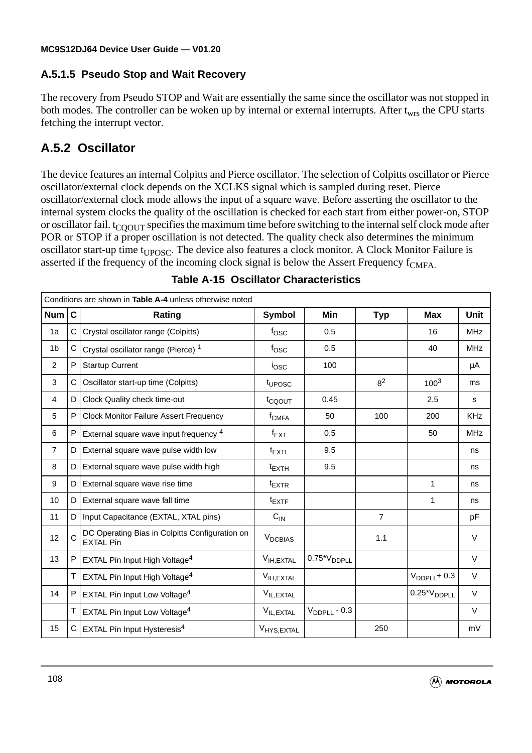### **A.5.1.5 Pseudo Stop and Wait Recovery**

The recovery from Pseudo STOP and Wait are essentially the same since the oscillator was not stopped in both modes. The controller can be woken up by internal or external interrupts. After  $t_{wrs}$  the CPU starts fetching the interrupt vector.

### **A.5.2 Oscillator**

The device features an internal Colpitts and Pierce oscillator. The selection of Colpitts oscillator or Pierce oscillator/external clock depends on the  $\overline{XCLKS}$  signal which is sampled during reset. Pierce oscillator/external clock mode allows the input of a square wave. Before asserting the oscillator to the internal system clocks the quality of the oscillation is checked for each start from either power-on, STOP or oscillator fail.  $t_{\text{COOUT}}$  specifies the maximum time before switching to the internal self clock mode after POR or STOP if a proper oscillation is not detected. The quality check also determines the minimum oscillator start-up time t<sub>UPOSC</sub>. The device also features a clock monitor. A Clock Monitor Failure is asserted if the frequency of the incoming clock signal is below the Assert Frequency  $f_{CMFA}$ .

| Conditions are shown in Table A-4 unless otherwise noted |              |                                                                    |                           |                          |                |                   |             |  |  |
|----------------------------------------------------------|--------------|--------------------------------------------------------------------|---------------------------|--------------------------|----------------|-------------------|-------------|--|--|
| <b>Num</b>                                               | C            | Rating                                                             | <b>Symbol</b>             | Min                      | <b>Typ</b>     | <b>Max</b>        | <b>Unit</b> |  |  |
| 1a                                                       | C            | Crystal oscillator range (Colpitts)                                | $f_{\rm OSC}$             | 0.5                      |                | 16                | <b>MHz</b>  |  |  |
| 1 <sub>b</sub>                                           | C            | Crystal oscillator range (Pierce) <sup>1</sup>                     | $f_{\rm OSC}$             | 0.5                      |                | 40                | <b>MHz</b>  |  |  |
| $\overline{2}$                                           | P            | <b>Startup Current</b>                                             | <sup>l</sup> osc          | 100                      |                |                   | μA          |  |  |
| 3                                                        | C            | Oscillator start-up time (Colpitts)                                | t <sub>UPOSC</sub>        |                          | 8 <sup>2</sup> | $100^{3}$         | ms          |  |  |
| $\overline{4}$                                           | D            | Clock Quality check time-out                                       | t <sub>CQOUT</sub>        | 0.45                     |                | 2.5               | s           |  |  |
| 5                                                        | P            | <b>Clock Monitor Failure Assert Frequency</b>                      | $f_{\text{CMFA}}$         | 50                       | 100            | 200               | KHz         |  |  |
| 6                                                        | $\sf P$      | External square wave input frequency 4                             | $f_{EXT}$                 | 0.5                      |                | 50                | <b>MHz</b>  |  |  |
| $\overline{7}$                                           | D            | External square wave pulse width low                               | $t_{\text{EXT}L}$         | 9.5                      |                |                   | ns          |  |  |
| 8                                                        | D            | External square wave pulse width high                              | $t_{EXTH}$                | 9.5                      |                |                   | ns          |  |  |
| 9                                                        | D            | External square wave rise time                                     | $t_{\text{EXTR}}$         |                          |                | $\mathbf{1}$      | ns          |  |  |
| 10                                                       | D            | External square wave fall time                                     | <sup>t</sup> EXTF         |                          |                | 1                 | ns          |  |  |
| 11                                                       | D            | Input Capacitance (EXTAL, XTAL pins)                               | $C_{IN}$                  |                          | $\overline{7}$ |                   | pF          |  |  |
| 12                                                       | C            | DC Operating Bias in Colpitts Configuration on<br><b>EXTAL Pin</b> | <b>V<sub>DCBIAS</sub></b> |                          | 1.1            |                   | $\vee$      |  |  |
| 13                                                       | $\mathsf{P}$ | EXTAL Pin Input High Voltage <sup>4</sup>                          | $V_{IH,EXTAL}$            | $0.75^*V_{DDPLL}$        |                |                   | $\vee$      |  |  |
|                                                          | $\mathsf T$  | EXTAL Pin Input High Voltage <sup>4</sup>                          | $V_{IH,EXTAL}$            |                          |                | $V_{DDPLL}$ + 0.3 | $\vee$      |  |  |
| 14                                                       | P            | EXTAL Pin Input Low Voltage <sup>4</sup>                           | $V_{IL,EXTAL}$            |                          |                | $0.25*V_{DDPLL}$  | $\vee$      |  |  |
|                                                          | $\mathsf T$  | EXTAL Pin Input Low Voltage <sup>4</sup>                           | VIL, EXTAL                | $V_{\text{DDPLL}}$ - 0.3 |                |                   | $\vee$      |  |  |
| 15                                                       | С            | EXTAL Pin Input Hysteresis <sup>4</sup>                            | V <sub>HYS,EXTAL</sub>    |                          | 250            |                   | mV          |  |  |

#### **Table A-15 Oscillator Characteristics**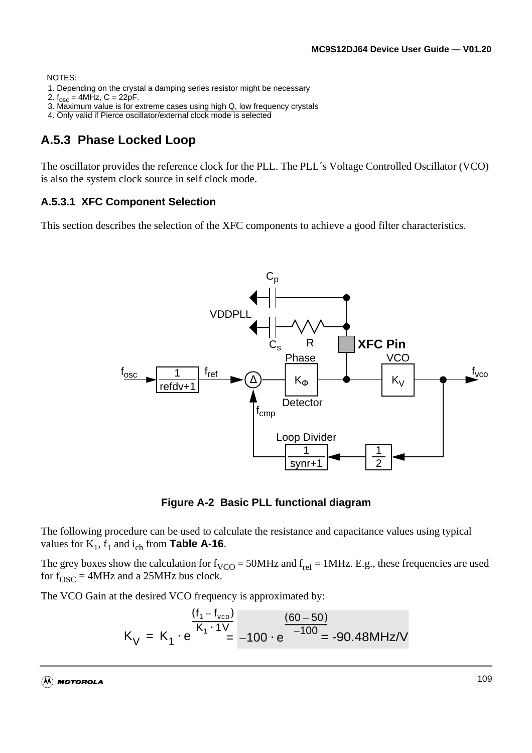NOTES:

- 1. Depending on the crystal a damping series resistor might be necessary
- 2.  $f_{\text{osc}} = 4$ MHz, C = 22pF.
- 3. Maximum value is for extreme cases using high Q, low frequency crystals
- 4. Only valid if Pierce oscillator/external clock mode is selected

### **A.5.3 Phase Locked Loop**

The oscillator provides the reference clock for the PLL. The PLL´s Voltage Controlled Oscillator (VCO) is also the system clock source in self clock mode.

#### **A.5.3.1 XFC Component Selection**

This section describes the selection of the XFC components to achieve a good filter characteristics.



**Figure A-2 Basic PLL functional diagram**

<span id="page-108-0"></span>The following procedure can be used to calculate the resistance and capacitance values using typical values for  $K_1$ ,  $f_1$  and  $i_{ch}$  from **[Table A-16](#page-111-0)**.

The grey boxes show the calculation for  $f_{VCO} = 50 MHz$  and  $f_{ref} = 1 MHz$ . E.g., these frequencies are used for  $f_{\rm OSC} = 4$ MHz and a 25MHz bus clock.

The VCO Gain at the desired VCO frequency is approximated by:

$$
K_{V} = K_{1} \cdot e^{\frac{(f_{1} - f_{vco})}{K_{1} \cdot 1V}} = -100 \cdot e^{\frac{(60 - 50)}{-100}} = -90.48 \text{MHz/V}
$$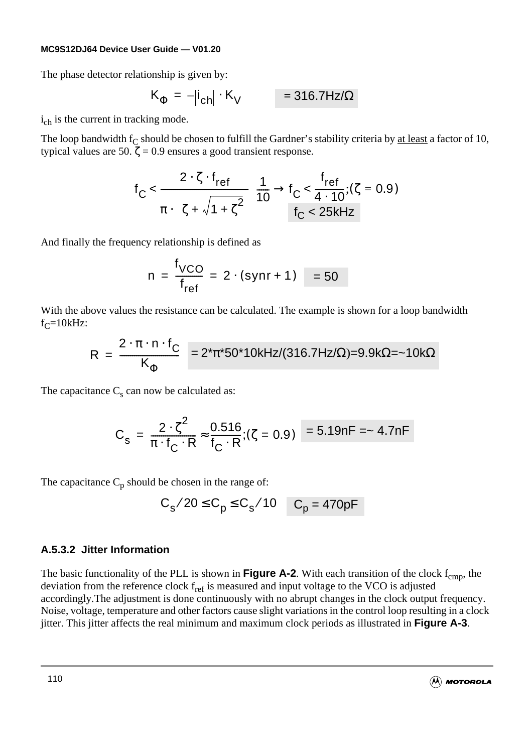#### **MC9S12DJ64 Device User Guide — V01.20**

The phase detector relationship is given by:

$$
K_{\Phi} = -|i_{\text{ch}}| \cdot K_{\text{V}} = 316.7 \text{Hz}/\Omega
$$

i<sub>ch</sub> is the current in tracking mode.

The loop bandwidth  $f_C$  should be chosen to fulfill the Gardner's stability criteria by at least a factor of 10, typical values are 50.  $\zeta = 0.9$  ensures a good transient response.

$$
f_C < \frac{2 \cdot \zeta \cdot f_{ref}}{\pi \cdot \left(\zeta + \sqrt{1 + \zeta^2}\right)} \frac{1}{10} \rightarrow f_C < \frac{f_{ref}}{4 \cdot 10}; (\zeta = 0.9)
$$
  

$$
f_C < 25kHz
$$

And finally the frequency relationship is defined as

$$
n = \frac{f_{VCO}}{f_{ref}} = 2 \cdot (synr + 1) = 50
$$

With the above values the resistance can be calculated. The example is shown for a loop bandwidth  $f_C = 10kHz$ :

$$
R = \frac{2 \cdot \pi \cdot n \cdot f_C}{K_{\Phi}} = 2 \cdot \pi \cdot 50 \cdot 10kHz/(316.7Hz/\Omega) = 9.9k\Omega = -10k\Omega
$$

The capacitance  $C_s$  can now be calculated as:

$$
C_{s} = \frac{2 \cdot \zeta^{2}}{\pi \cdot f_{C} \cdot R} \approx \frac{0.516}{f_{C} \cdot R}; (\zeta = 0.9) = 5.19nF = ~4.7nF
$$

The capacitance  $C_p$  should be chosen in the range of:

$$
C_s/20 \leq C_p \leq C_s/10 \qquad C_p = 470pF
$$

#### **A.5.3.2 Jitter Information**

The basic functionality of the PLL is shown in **[Figure A-2](#page-108-0)**. With each transition of the clock  $f_{\text{cmp}}$ , the deviation from the reference clock  $f_{ref}$  is measured and input voltage to the VCO is adjusted accordingly.The adjustment is done continuously with no abrupt changes in the clock output frequency. Noise, voltage, temperature and other factors cause slight variations in the control loop resulting in a clock jitter. This jitter affects the real minimum and maximum clock periods as illustrated in **[Figure A-3](#page-110-0)**.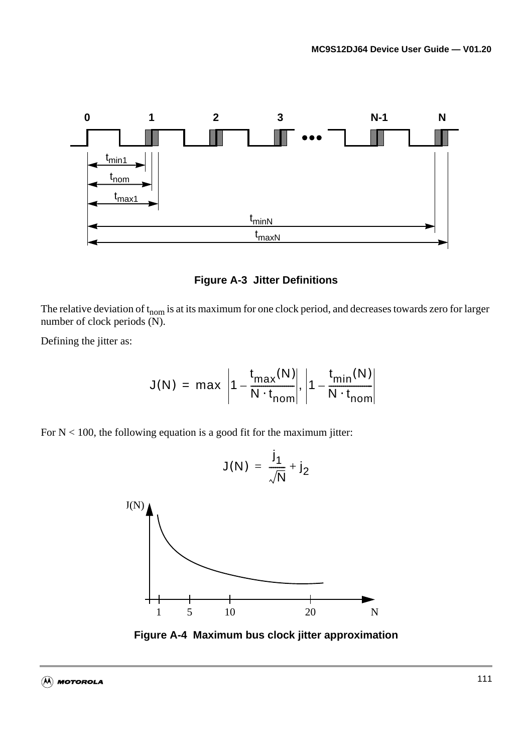

**Figure A-3 Jitter Definitions**

<span id="page-110-0"></span>The relative deviation of t<sub>nom</sub> is at its maximum for one clock period, and decreases towards zero for larger number of clock periods (N).

Defining the jitter as:

$$
J(N) = max \left( \left| 1 - \frac{t_{max}(N)}{N \cdot t_{nom}} \right|, \left| 1 - \frac{t_{min}(N)}{N \cdot t_{nom}} \right| \right)
$$

For  $N < 100$ , the following equation is a good fit for the maximum jitter:

$$
J(N) = \frac{j_1}{\sqrt{N}} + j_2
$$



**Figure A-4 Maximum bus clock jitter approximation**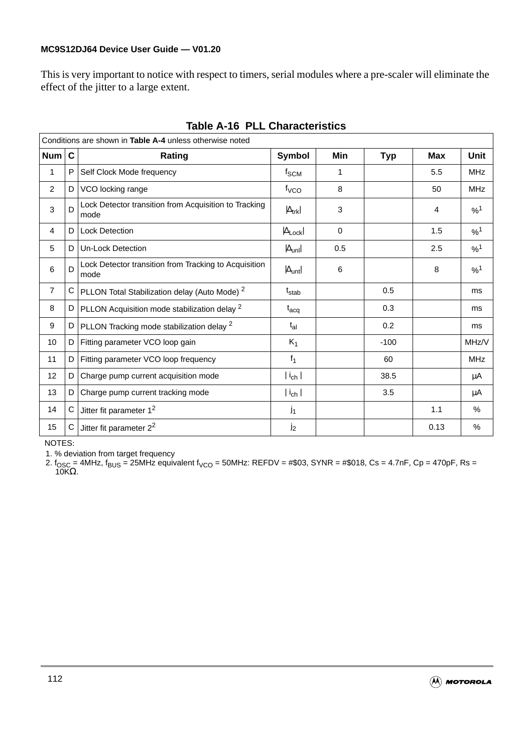#### **MC9S12DJ64 Device User Guide — V01.20**

This is very important to notice with respect to timers, serial modules where a pre-scaler will eliminate the effect of the jitter to a large extent.

<span id="page-111-0"></span>

|                | Conditions are shown in Table A-4 unless otherwise noted |                                                                     |                         |             |            |            |                            |  |  |
|----------------|----------------------------------------------------------|---------------------------------------------------------------------|-------------------------|-------------|------------|------------|----------------------------|--|--|
| Num            | $\mathbf{C}$                                             | Rating                                                              | Symbol                  | Min         | <b>Typ</b> | <b>Max</b> | <b>Unit</b>                |  |  |
| 1              | P                                                        | Self Clock Mode frequency                                           | $f_{SCM}$               | 1           |            | 5.5        | <b>MHz</b>                 |  |  |
| 2              | D                                                        | VCO locking range                                                   | f <sub>VCO</sub>        | 8           |            | 50         | <b>MHz</b>                 |  |  |
| 3              | D                                                        | Lock Detector transition from Acquisition to Tracking<br>mode       | $ \Delta_{\text{trk}} $ | 3           |            | 4          | %1                         |  |  |
| 4              | D                                                        | <b>Lock Detection</b>                                               | $ \Delta_{\sf Lock} $   | $\mathbf 0$ |            | 1.5        | $\frac{9}{6}$ <sup>1</sup> |  |  |
| 5              | D                                                        | <b>Un-Lock Detection</b>                                            | $ \Delta_{unl} $        | 0.5         |            | 2.5        | $\frac{9}{6}$ <sup>1</sup> |  |  |
| 6              | D                                                        | Lock Detector transition from Tracking to Acquisition<br>mode       | $ \Delta_{unt} $        | 6           |            | 8          | %1                         |  |  |
| $\overline{7}$ |                                                          | $\text{C}$ PLLON Total Stabilization delay (Auto Mode) <sup>2</sup> | t <sub>stab</sub>       |             | 0.5        |            | ms                         |  |  |
| 8              |                                                          | $D$ PLLON Acquisition mode stabilization delay $^2$                 | $t_{\rm acq}$           |             | 0.3        |            | ms                         |  |  |
| 9              | D                                                        | PLLON Tracking mode stabilization delay <sup>2</sup>                | $t_{al}$                |             | 0.2        |            | ms                         |  |  |
| 10             | D                                                        | Fitting parameter VCO loop gain                                     | $K_1$                   |             | $-100$     |            | MHz/V                      |  |  |
| 11             | D                                                        | Fitting parameter VCO loop frequency                                | $f_1$                   |             | 60         |            | <b>MHz</b>                 |  |  |
| 12             | D                                                        | Charge pump current acquisition mode                                | $ i_{ch} $              |             | 38.5       |            | μA                         |  |  |
| 13             | D                                                        | Charge pump current tracking mode                                   | $ i_{ch} $              |             | 3.5        |            | μA                         |  |  |
| 14             | C                                                        | Jitter fit parameter 1 <sup>2</sup>                                 | j <sub>1</sub>          |             |            | 1.1        | $\%$                       |  |  |
| 15             | C                                                        | Jitter fit parameter $2^2$                                          | $j_2$                   |             |            | 0.13       | $\%$                       |  |  |

|  |  | <b>Table A-16 PLL Characteristics</b> |
|--|--|---------------------------------------|
|--|--|---------------------------------------|

NOTES:

<span id="page-111-1"></span>1. % deviation from target frequency

<span id="page-111-2"></span>2. f<sub>OSC</sub> = 4MHz, f<sub>BUS</sub> = 25MHz equivalent f<sub>VCO</sub> = 50MHz: REFDV = #\$03, SYNR = #\$018, Cs = 4.7nF, Cp = 470pF, Rs = 10KΩ.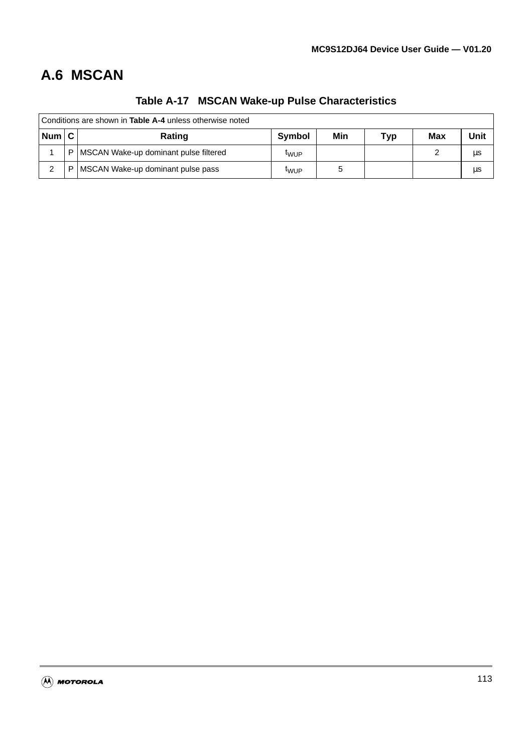# **A.6 MSCAN**

| Conditions are shown in Table A-4 unless otherwise noted |  |                                           |                  |     |     |     |             |  |
|----------------------------------------------------------|--|-------------------------------------------|------------------|-----|-----|-----|-------------|--|
| Num C                                                    |  | Rating                                    | Symbol           | Min | Tvp | Max | <b>Unit</b> |  |
|                                                          |  | P   MSCAN Wake-up dominant pulse filtered | <sup>I</sup> WUP |     |     |     | μs          |  |
|                                                          |  | P   MSCAN Wake-up dominant pulse pass     | <sup>I</sup> WUP |     |     |     | μs          |  |

#### **Table A-17 MSCAN Wake-up Pulse Characteristics**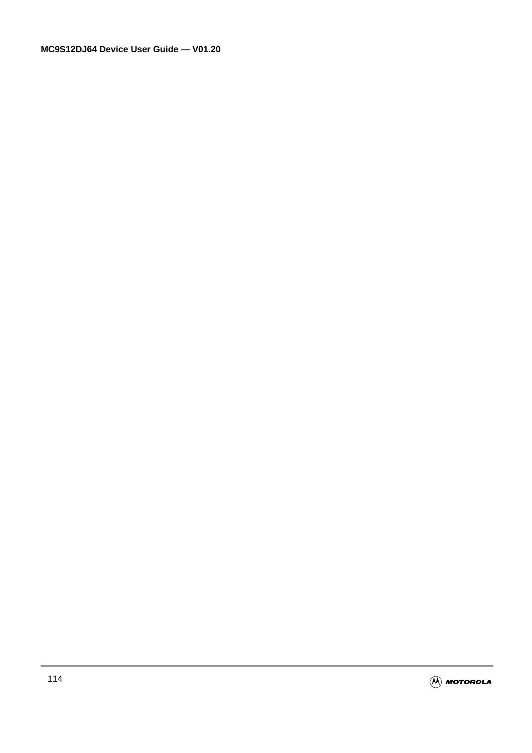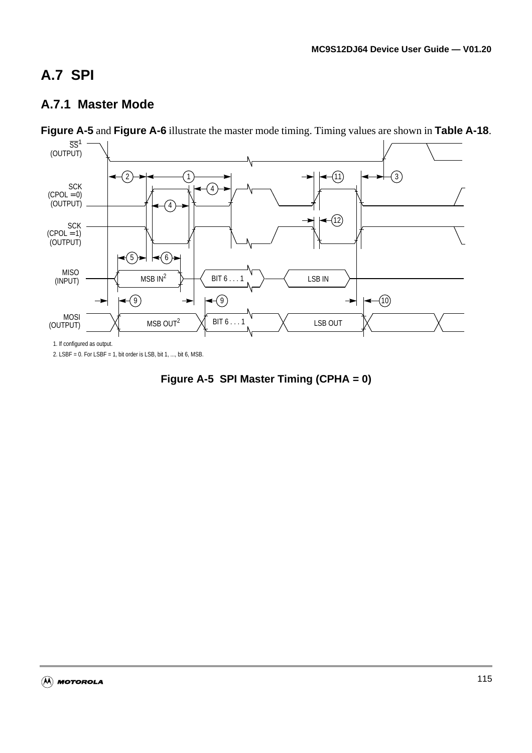## **A.7 SPI**

#### **A.7.1 Master Mode**



**[Figure A-5](#page-114-0)** and **[Figure A-6](#page-115-0)** illustrate the master mode timing. Timing values are shown in **[Table A-18](#page-115-1)**.

<span id="page-114-0"></span>2. LSBF =  $0.$  For LSBF =  $1$ , bit order is LSB, bit  $1, ...,$  bit  $6,$  MSB.

**Figure A-5 SPI Master Timing (CPHA = 0)**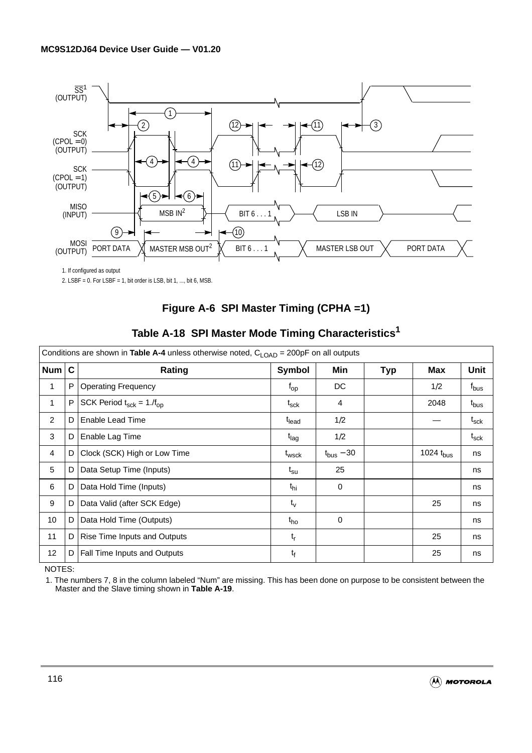

1. If configured as output

<span id="page-115-0"></span>2. LSBF =  $0.$  For LSBF =  $1$ , bit order is LSB, bit  $1, ...,$  bit  $6,$  MSB.

#### **Figure A-6 SPI Master Timing (CPHA =1)**

#### **Table A-18 SPI Master Mode Timing Characteristics1**

<span id="page-115-1"></span>

| Conditions are shown in Table A-4 unless otherwise noted, $C_{\text{LOAD}} = 200pF$ on all outputs |   |                                      |                   |                |            |                |                  |  |
|----------------------------------------------------------------------------------------------------|---|--------------------------------------|-------------------|----------------|------------|----------------|------------------|--|
| <b>Num</b>                                                                                         | C | Rating                               | Symbol            | Min            | <b>Typ</b> | <b>Max</b>     | Unit             |  |
| 1                                                                                                  | P | <b>Operating Frequency</b>           | $f_{op}$          | DC             |            | 1/2            | f <sub>bus</sub> |  |
| 1                                                                                                  | P | SCK Period $t_{sck} = 1$ ./ $t_{op}$ | t <sub>sck</sub>  | 4              |            | 2048           | t <sub>bus</sub> |  |
| $\overline{2}$                                                                                     | D | Enable Lead Time                     | t <sub>lead</sub> | 1/2            |            |                | $t_{\sf sck}$    |  |
| 3                                                                                                  | D | Enable Lag Time                      | t <sub>lag</sub>  | 1/2            |            |                | $t_{\sf sck}$    |  |
| $\overline{4}$                                                                                     | D | Clock (SCK) High or Low Time         | t <sub>wsck</sub> | $t_{bus} - 30$ |            | 1024 $t_{bus}$ | ns               |  |
| 5                                                                                                  | D | Data Setup Time (Inputs)             | $t_{\rm su}$      | 25             |            |                | ns               |  |
| 6                                                                                                  | D | Data Hold Time (Inputs)              | t <sub>hi</sub>   | 0              |            |                | ns               |  |
| 9                                                                                                  | D | Data Valid (after SCK Edge)          | $t_v$             |                |            | 25             | ns               |  |
| 10                                                                                                 | D | Data Hold Time (Outputs)             | $t_{ho}$          | $\Omega$       |            |                | ns               |  |
| 11                                                                                                 | D | Rise Time Inputs and Outputs         | $t_{r}$           |                |            | 25             | ns               |  |
| 12 <sub>2</sub>                                                                                    | D | Fall Time Inputs and Outputs         | $t_f$             |                |            | 25             | ns               |  |

NOTES:

1. The numbers 7, 8 in the column labeled "Num" are missing. This has been done on purpose to be consistent between the Master and the Slave timing shown in **[Table A-19](#page-117-0)**.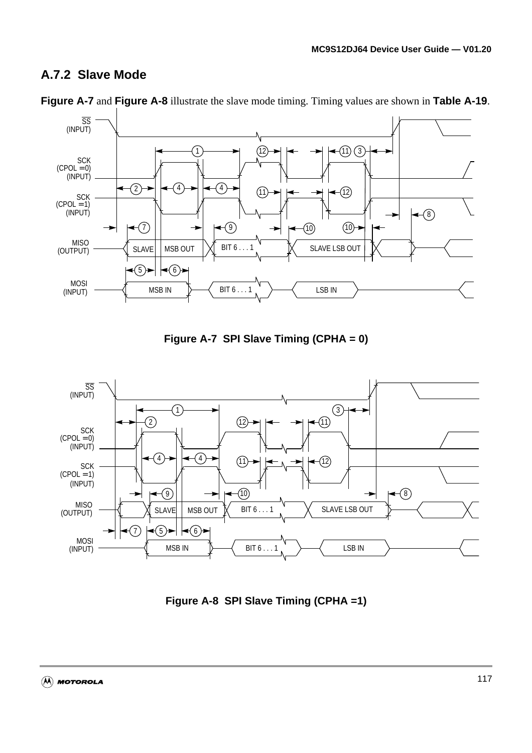### **A.7.2 Slave Mode**



**[Figure A-7](#page-116-0)** and **[Figure A-8](#page-116-1)** illustrate the slave mode timing. Timing values are shown in **[Table A-19](#page-117-0)**.

**Figure A-7 SPI Slave Timing (CPHA = 0)**

<span id="page-116-0"></span>

<span id="page-116-1"></span>**Figure A-8 SPI Slave Timing (CPHA =1)**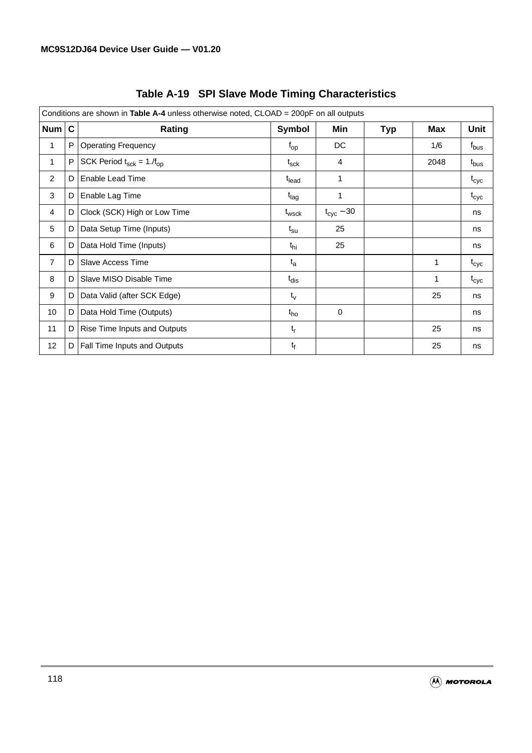<span id="page-117-0"></span>

| Conditions are shown in Table A-4 unless otherwise noted, CLOAD = 200pF on all outputs |             |                                    |                              |                       |            |            |                  |  |
|----------------------------------------------------------------------------------------|-------------|------------------------------------|------------------------------|-----------------------|------------|------------|------------------|--|
| Num                                                                                    | $\mathbf c$ | Rating                             | Symbol                       | Min                   | <b>Typ</b> | <b>Max</b> | Unit             |  |
| 1                                                                                      | P           | <b>Operating Frequency</b>         | $f_{\rm op}$                 | DC                    |            | 1/6        | $f_{bus}$        |  |
| 1                                                                                      | P.          | SCK Period $t_{sck} = 1. / f_{op}$ | $t_{\sf sck}$                | $\overline{4}$        |            | 2048       | t <sub>bus</sub> |  |
| 2                                                                                      | D           | Enable Lead Time                   | t <sub>lead</sub>            | 1                     |            |            | $t_{\rm cyc}$    |  |
| 3                                                                                      | D           | Enable Lag Time                    | t <sub>lag</sub>             | 1                     |            |            | $t_{\rm cyc}$    |  |
| 4                                                                                      | D           | Clock (SCK) High or Low Time       | t <sub>wsck</sub>            | $t_{\text{cyc}} - 30$ |            |            | ns               |  |
| 5                                                                                      | D           | Data Setup Time (Inputs)           | $\mathfrak{t}_{\textsf{su}}$ | 25                    |            |            | ns               |  |
| 6                                                                                      | D           | Data Hold Time (Inputs)            | $t_{hi}$                     | 25                    |            |            | ns               |  |
| $\overline{7}$                                                                         | D           | Slave Access Time                  | $t_{a}$                      |                       |            | 1          | $t_{\rm cyc}$    |  |
| 8                                                                                      | D           | Slave MISO Disable Time            | $t_{dis}$                    |                       |            | 1          | $t_{\rm cyc}$    |  |
| 9                                                                                      | D           | Data Valid (after SCK Edge)        | $t_v$                        |                       |            | 25         | ns               |  |
| 10                                                                                     | D           | Data Hold Time (Outputs)           | $t_{ho}$                     | 0                     |            |            | ns               |  |
| 11                                                                                     | D           | Rise Time Inputs and Outputs       | $t_r$                        |                       |            | 25         | ns               |  |
| 12                                                                                     | D           | Fall Time Inputs and Outputs       | $t_{\rm f}$                  |                       |            | 25         | ns               |  |

## **Table A-19 SPI Slave Mode Timing Characteristics**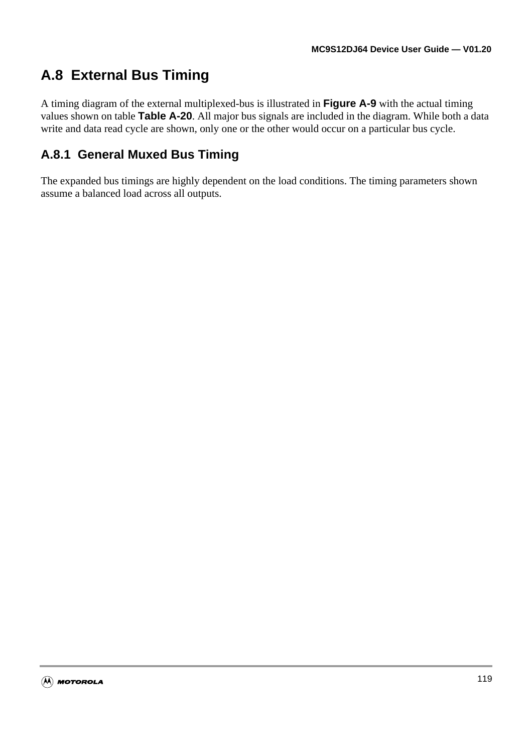## **A.8 External Bus Timing**

A timing diagram of the external multiplexed-bus is illustrated in **[Figure A-9](#page-119-0)** with the actual timing values shown on table **[Table A-20](#page-120-0)**. All major bus signals are included in the diagram. While both a data write and data read cycle are shown, only one or the other would occur on a particular bus cycle.

### **A.8.1 General Muxed Bus Timing**

The expanded bus timings are highly dependent on the load conditions. The timing parameters shown assume a balanced load across all outputs.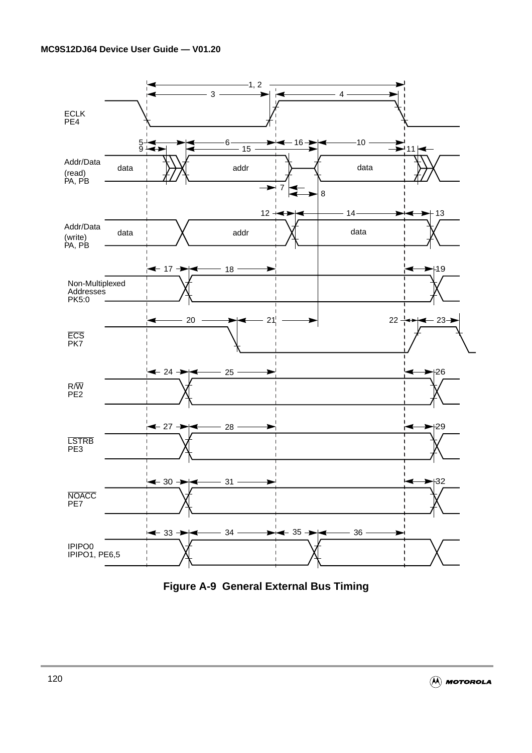

<span id="page-119-0"></span>**Figure A-9 General External Bus Timing**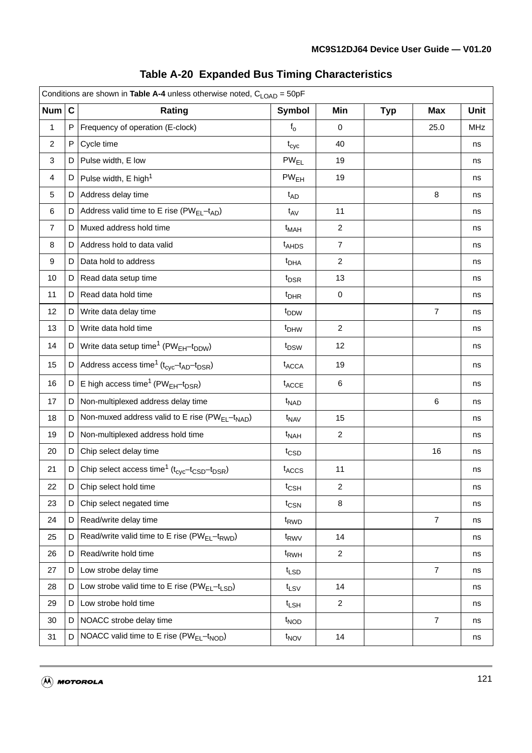<span id="page-120-0"></span>

|                | Conditions are shown in Table A-4 unless otherwise noted, C <sub>LOAD</sub> = 50pF |                                                                                              |                    |                  |            |                |            |  |  |
|----------------|------------------------------------------------------------------------------------|----------------------------------------------------------------------------------------------|--------------------|------------------|------------|----------------|------------|--|--|
| <b>Num</b>     | $\mathbf c$                                                                        | Rating                                                                                       | Symbol             | Min              | <b>Typ</b> | <b>Max</b>     | Unit       |  |  |
| 1              | P                                                                                  | Frequency of operation (E-clock)                                                             | $f_{o}$            | $\mathbf 0$      |            | 25.0           | <b>MHz</b> |  |  |
| $\overline{c}$ | P                                                                                  | Cycle time                                                                                   | $t_{\rm cyc}$      | 40               |            |                | ns         |  |  |
| 3              | D                                                                                  | Pulse width, E low                                                                           | $PW_{EL}$          | 19               |            |                | ns         |  |  |
| 4              | D                                                                                  | Pulse width, E high <sup>1</sup>                                                             | PW <sub>EH</sub>   | 19               |            |                | ns         |  |  |
| 5              | D                                                                                  | Address delay time                                                                           | $t_{AD}$           |                  |            | 8              | ns         |  |  |
| 6              | D                                                                                  | Address valid time to E rise (PW <sub>EL</sub> -t <sub>AD</sub> )                            | $t_{AV}$           | 11               |            |                | ns         |  |  |
| $\overline{7}$ | D                                                                                  | Muxed address hold time                                                                      | $t_{\mathsf{MAH}}$ | $\overline{2}$   |            |                | ns         |  |  |
| 8              | D                                                                                  | Address hold to data valid                                                                   | t <sub>AHDS</sub>  | $\overline{7}$   |            |                | ns         |  |  |
| 9              | D                                                                                  | Data hold to address                                                                         | t <sub>DHA</sub>   | $\overline{2}$   |            |                | ns         |  |  |
| 10             | D                                                                                  | Read data setup time                                                                         | $t_{DSR}$          | 13               |            |                | ns         |  |  |
| 11             | D                                                                                  | Read data hold time                                                                          | t <sub>DHR</sub>   | 0                |            |                | ns         |  |  |
| 12             | D                                                                                  | Write data delay time                                                                        | t <sub>DDW</sub>   |                  |            | $\overline{7}$ | ns         |  |  |
| 13             | D                                                                                  | Write data hold time                                                                         | t <sub>DHW</sub>   | $\overline{2}$   |            |                | ns         |  |  |
| 14             | D                                                                                  | Write data setup time <sup>1</sup> (PW <sub>EH</sub> -t <sub>DDW</sub> )                     | t <sub>DSW</sub>   | 12               |            |                | ns         |  |  |
| 15             | D                                                                                  | Address access time <sup>1</sup> $(t_{\text{cyc}} - t_{\text{AD}} - t_{\text{DSR}})$         | t <sub>ACCA</sub>  | 19               |            |                | ns         |  |  |
| 16             | D                                                                                  | E high access time <sup>1</sup> (PW <sub>EH</sub> -t <sub>DSR</sub> )                        | $t_{\text{ACCE}}$  | 6                |            |                | ns         |  |  |
| 17             | D                                                                                  | Non-multiplexed address delay time                                                           | t <sub>NAD</sub>   |                  |            | 6              | ns         |  |  |
| 18             | D                                                                                  | Non-muxed address valid to E rise (PW <sub>EL</sub> -t <sub>NAD</sub> )                      | t <sub>NAV</sub>   | 15               |            |                | ns         |  |  |
| 19             | D                                                                                  | Non-multiplexed address hold time                                                            | $t_{NAH}$          | $\overline{2}$   |            |                | ns         |  |  |
| 20             | D                                                                                  | Chip select delay time                                                                       | $t_{\text{CSD}}$   |                  |            | 16             | ns         |  |  |
| 21             | D                                                                                  | Chip select access time <sup>1</sup> (t <sub>cyc</sub> -t <sub>CSD</sub> -t <sub>DSR</sub> ) | t <sub>ACCS</sub>  | 11               |            |                | ns         |  |  |
| 22             | $\mathsf{D}$                                                                       | Chip select hold time                                                                        | $t_{\text{CSH}}$   | $\boldsymbol{2}$ |            |                | ns         |  |  |
| 23             | D                                                                                  | Chip select negated time                                                                     | $t_{\text{CSN}}$   | 8                |            |                | ns         |  |  |
| 24             | D                                                                                  | Read/write delay time                                                                        | t <sub>RWD</sub>   |                  |            | $\overline{7}$ | ns         |  |  |
| 25             | D                                                                                  | Read/write valid time to E rise (PW <sub>EL</sub> -t <sub>RWD</sub> )                        | t <sub>RWV</sub>   | 14               |            |                | ns         |  |  |
| 26             | D                                                                                  | Read/write hold time                                                                         | t <sub>RWH</sub>   | $\overline{2}$   |            |                | ns         |  |  |
| 27             | D                                                                                  | Low strobe delay time                                                                        | $t_{LSD}$          |                  |            | $\overline{7}$ | ns         |  |  |
| 28             | D                                                                                  | Low strobe valid time to E rise ( $PW_{EL}-t_{LSD}$ )                                        | $t_{LSV}$          | 14               |            |                | ns         |  |  |
| 29             | D                                                                                  | Low strobe hold time                                                                         | $t_{LSH}$          | $\overline{2}$   |            |                | ns         |  |  |
| 30             | D                                                                                  | NOACC strobe delay time                                                                      | t <sub>NOD</sub>   |                  |            | $\overline{7}$ | ns         |  |  |
| 31             | D                                                                                  | NOACC valid time to E rise (PW <sub>EL</sub> -t <sub>NOD</sub> )                             | $t_{\text{NOV}}$   | 14               |            |                | ns         |  |  |

## **Table A-20 Expanded Bus Timing Characteristics**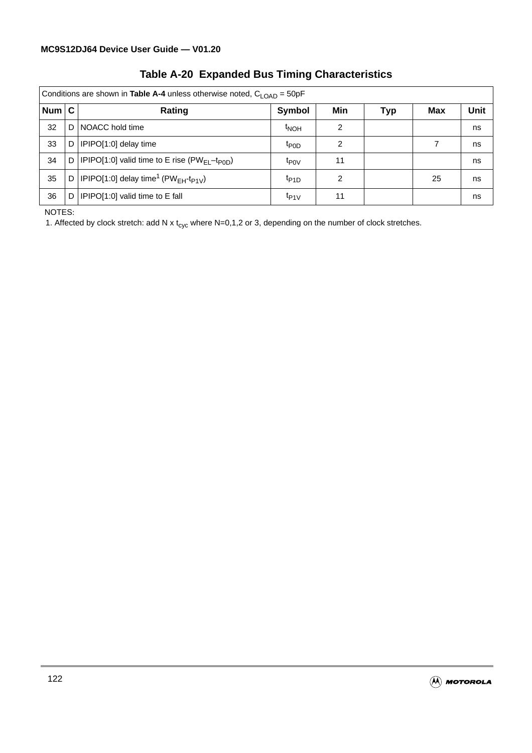|       | Conditions are shown in Table A-4 unless otherwise noted, $C_{1 \text{ OAD}} = 50pF$ |                                                                              |                  |     |     |     |      |  |  |
|-------|--------------------------------------------------------------------------------------|------------------------------------------------------------------------------|------------------|-----|-----|-----|------|--|--|
| Num C |                                                                                      | Rating                                                                       | Symbol           | Min | Typ | Max | Unit |  |  |
| 32    |                                                                                      | D   NOACC hold time                                                          | <sup>t</sup> NOH | 2   |     |     | ns   |  |  |
| 33    |                                                                                      | $D$   IPIPO[1:0] delay time                                                  | $t_{\text{POD}}$ | 2   |     |     | ns   |  |  |
| 34    |                                                                                      | D   IPIPO[1:0] valid time to E rise (PW <sub>FI</sub> -t <sub>P0D</sub> )    | $t_{POV}$        | 11  |     |     | ns   |  |  |
| 35    |                                                                                      | D   IPIPO[1:0] delay time <sup>1</sup> (PW <sub>FH</sub> -t <sub>P1V</sub> ) | t <sub>P1D</sub> | 2   |     | 25  | ns   |  |  |
| 36    | D                                                                                    | IPIPO[1:0] valid time to E fall                                              | $t_{P1V}$        | 11  |     |     | ns   |  |  |

#### **Table A-20 Expanded Bus Timing Characteristics**

NOTES:

<span id="page-121-0"></span>1. Affected by clock stretch: add N x  $t_{\text{cyc}}$  where N=0,1,2 or 3, depending on the number of clock stretches.

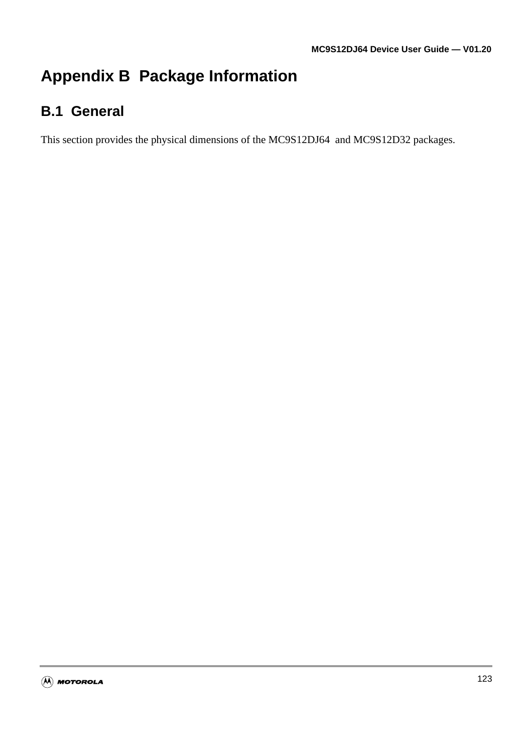# **Appendix B Package Information**

## **B.1 General**

This section provides the physical dimensions of the MC9S12DJ64 and MC9S12D32 packages.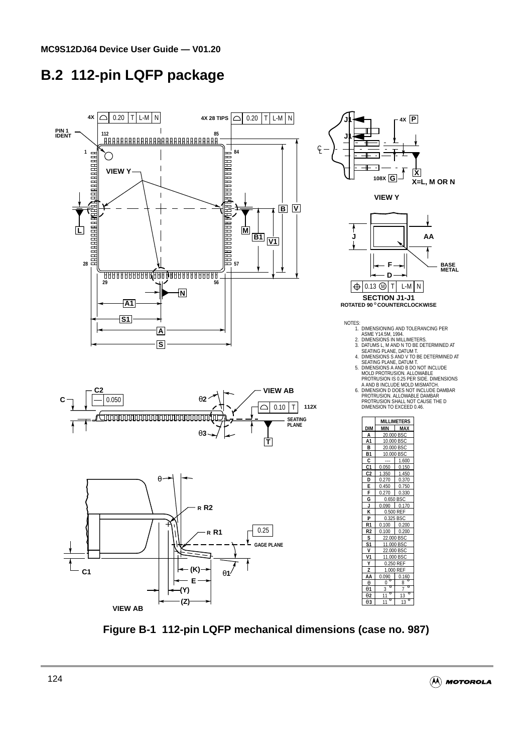## **B.2 112-pin LQFP package**



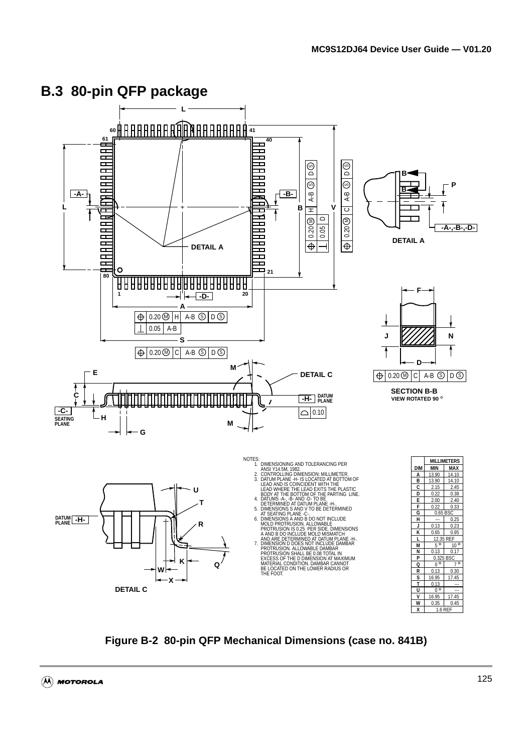## **B.3 80-pin QFP package**



**Figure B-2 80-pin QFP Mechanical Dimensions (case no. 841B)**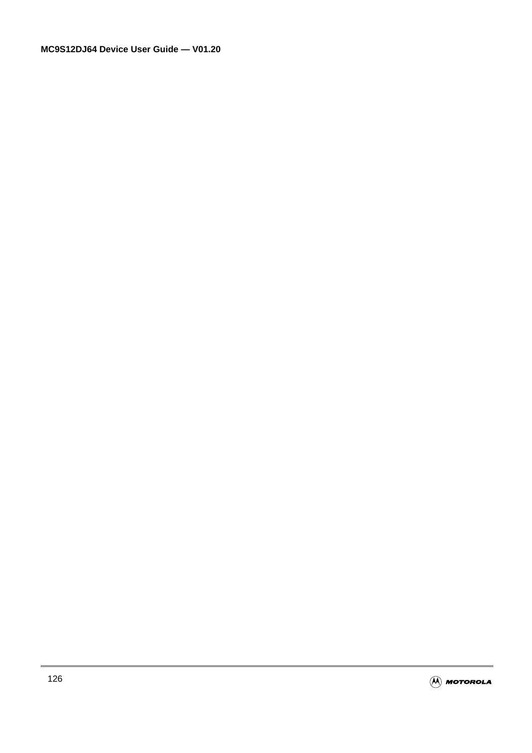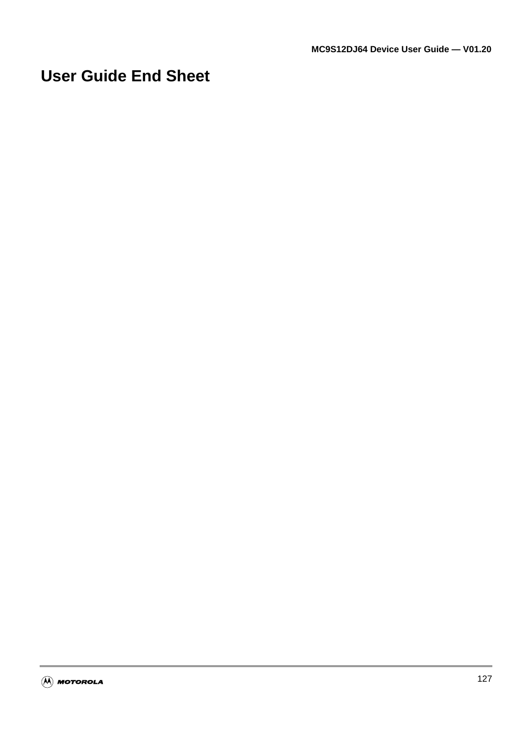# **User Guide End Sheet**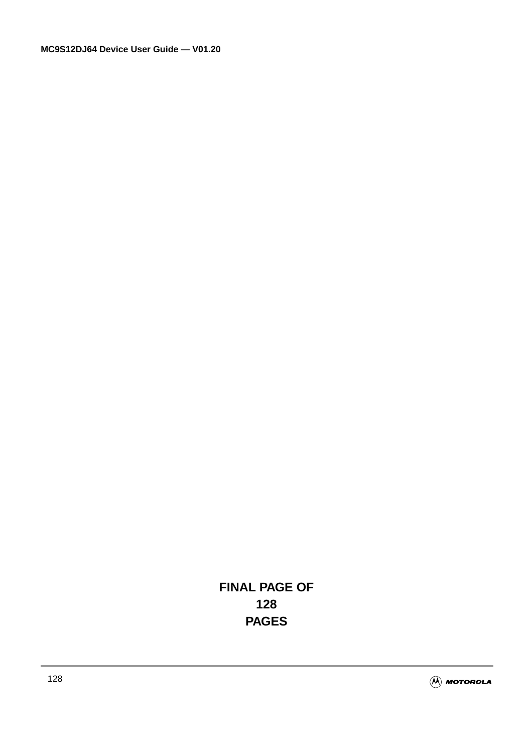## **FINAL PAGE OF 128 PAGES**